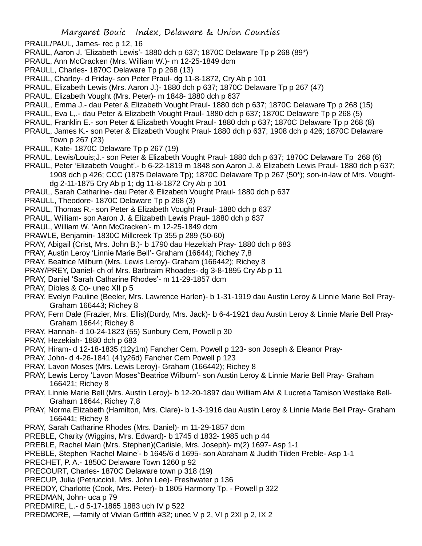- PRAUL/PAUL, James- rec p 12, 16
- PRAUL, Aaron J. 'Elizabeth Lewis'- 1880 dch p 637; 1870C Delaware Tp p 268 (89\*)
- PRAUL, Ann McCracken (Mrs. William W.)- m 12-25-1849 dcm
- PRAULL, Charles- 1870C Delaware Tp p 268 (13)
- PRAUL, Charley- d Friday- son Peter Praul- dg 11-8-1872, Cry Ab p 101
- PRAUL, Elizabeth Lewis (Mrs. Aaron J.)- 1880 dch p 637; 1870C Delaware Tp p 267 (47)
- PRAUL, Elizabeth Vought (Mrs. Peter)- m 1848- 1880 dch p 637
- PRAUL, Emma J.- dau Peter & Elizabeth Vought Praul- 1880 dch p 637; 1870C Delaware Tp p 268 (15)
- PRAUL, Eva L,.- dau Peter & Elizabeth Vought Praul- 1880 dch p 637; 1870C Delaware Tp p 268 (5)
- PRAUL, Franklin E.- son Peter & Elizabeth Vought Praul- 1880 dch p 637; 1870C Delaware Tp p 268 (8)
- PRAUL, James K.- son Peter & Elizabeth Vought Praul- 1880 dch p 637; 1908 dch p 426; 1870C Delaware Town p 267 (23)
- PRAUL, Kate- 1870C Delaware Tp p 267 (19)
- PRAUL, Lewis/Louis;J.- son Peter & Elizabeth Vought Praul- 1880 dch p 637; 1870C Delaware Tp 268 (6)
- PRAUL, Peter 'Elizabeth Vought'.- b 6-22-1819 m 1848 son Aaron J. & Elizabeth Lewis Praul- 1880 dch p 637; 1908 dch p 426; CCC (1875 Delaware Tp); 1870C Delaware Tp p 267 (50\*); son-in-law of Mrs. Voughtdg 2-11-1875 Cry Ab p 1; dg 11-8-1872 Cry Ab p 101
- PRAUL, Sarah Catharine- dau Peter & Elizabeth Vought Praul- 1880 dch p 637
- PRAULL, Theodore- 1870C Delaware Tp p 268 (3)
- PRAUL, Thomas R.- son Peter & Elizabeth Vought Praul- 1880 dch p 637
- PRAUL, William- son Aaron J. & Elizabeth Lewis Praul- 1880 dch p 637
- PRAUL, William W. 'Ann McCracken'- m 12-25-1849 dcm
- PRAWLE, Benjamin- 1830C Millcreek Tp 355 p 289 (50-60)
- PRAY, Abigail (Crist, Mrs. John B.)- b 1790 dau Hezekiah Pray- 1880 dch p 683
- PRAY, Austin Leroy 'Linnie Marie Bell'- Graham (16644); Richey 7,8
- PRAY, Beatrice Milburn (Mrs. Lewis Leroy)- Graham (166442); Richey 8
- PRAY/PREY, Daniel- ch of Mrs. Barbraim Rhoades- dg 3-8-1895 Cry Ab p 11
- PRAY, Daniel 'Sarah Catharine Rhodes'- m 11-29-1857 dcm
- PRAY, Dibles & Co- unec XII p 5
- PRAY, Evelyn Pauline (Beeler, Mrs. Lawrence Harlen)- b 1-31-1919 dau Austin Leroy & Linnie Marie Bell Pray-Graham 166443; Richey 8
- PRAY, Fern Dale (Frazier, Mrs. Ellis)(Durdy, Mrs. Jack)- b 6-4-1921 dau Austin Leroy & Linnie Marie Bell Pray-Graham 16644; Richey 8
- PRAY, Hannah- d 10-24-1823 (55) Sunbury Cem, Powell p 30
- PRAY, Hezekiah- 1880 dch p 683
- PRAY, Hiram- d 12-18-1835 (12y1m) Fancher Cem, Powell p 123- son Joseph & Eleanor Pray-
- PRAY, John- d 4-26-1841 (41y26d) Fancher Cem Powell p 123
- PRAY, Lavon Moses (Mrs. Lewis Leroy)- Graham (166442); Richey 8
- PRAY, Lewis Leroy 'Lavon Moses''Beatrice Wilburn'- son Austin Leroy & Linnie Marie Bell Pray- Graham 166421; Richey 8
- PRAY, Linnie Marie Bell (Mrs. Austin Leroy)- b 12-20-1897 dau William Alvi & Lucretia Tamison Westlake Bell-Graham 16644; Richey 7,8
- PRAY, Norma Elizabeth (Hamilton, Mrs. Clare)- b 1-3-1916 dau Austin Leroy & Linnie Marie Bell Pray- Graham 166441; Richey 8
- PRAY, Sarah Catharine Rhodes (Mrs. Daniel)- m 11-29-1857 dcm
- PREBLE, Charity (Wiggins, Mrs. Edward)- b 1745 d 1832- 1985 uch p 44
- PREBLE, Rachel Main (Mrs. Stephen)(Carlisle, Mrs. Joseph)- m(2) 1697- Asp 1-1
- PREBLE, Stephen 'Rachel Maine'- b 1645/6 d 1695- son Abraham & Judith Tilden Preble- Asp 1-1
- PRECHET, P. A.- 1850C Delaware Town 1260 p 92
- PRECOURT, Charles- 1870C Delaware town p 318 (19)
- PRECUP, Julia (Petruccioli, Mrs. John Lee)- Freshwater p 136
- PREDDY, Charlotte (Cook, Mrs. Peter)- b 1805 Harmony Tp. Powell p 322
- PREDMAN, John- uca p 79
- PREDMIRE, L.- d 5-17-1865 1883 uch IV p 522
- PREDMORE, —family of Vivian Griffith #32; unec V p 2, VI p 2XI p 2, IX 2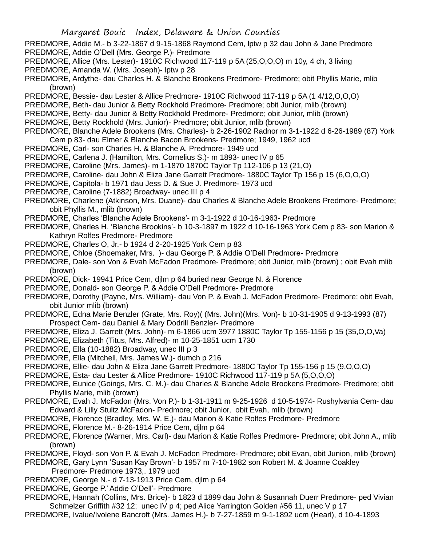PREDMORE, Addie M.- b 3-22-1867 d 9-15-1868 Raymond Cem, lptw p 32 dau John & Jane Predmore PREDMORE, Addie O'Dell (Mrs. George P.)- Predmore

- PREDMORE, Allice (Mrs. Lester)- 1910C Richwood 117-119 p 5A (25,O,O,O) m 10y, 4 ch, 3 living
- PREDMORE, Amanda W. (Mrs. Joseph)- lptw p 28
- PREDMORE, Ardythe- dau Charles H. & Blanche Brookens Predmore- Predmore; obit Phyllis Marie, mlib (brown)
- PREDMORE, Bessie- dau Lester & Allice Predmore- 1910C Richwood 117-119 p 5A (1 4/12,O,O,O)
- PREDMORE, Beth- dau Junior & Betty Rockhold Predmore- Predmore; obit Junior, mlib (brown)
- PREDMORE, Betty- dau Junior & Betty Rockhold Predmore- Predmore; obit Junior, mlib (brown)
- PREDMORE, Betty Rockhold (Mrs. Junior)- Predmore; obit Junior, mlib (brown)
- PREDMORE, Blanche Adele Brookens (Mrs. Charles)- b 2-26-1902 Radnor m 3-1-1922 d 6-26-1989 (87) York Cem p 83- dau Elmer & Blanche Bacon Brookens- Predmore; 1949, 1962 ucd
- PREDMORE, Carl- son Charles H. & Blanche A. Predmore- 1949 ucd
- PREDMORE, Carlena J. (Hamilton, Mrs. Cornelius S.)- m 1893- unec IV p 65
- PREDMORE, Caroline (Mrs. James)- m 1-1870 1870C Taylor Tp 112-106 p 13 (21,O)
- PREDMORE, Caroline- dau John & Eliza Jane Garrett Predmore- 1880C Taylor Tp 156 p 15 (6,O,O,O)
- PREDMORE, Capitola- b 1971 dau Jess D. & Sue J. Predmore- 1973 ucd
- PREDMORE, Caroline (7-1882) Broadway- unec III p 4
- PREDMORE, Charlene (Atkinson, Mrs. Duane)- dau Charles & Blanche Adele Brookens Predmore- Predmore; obit Phyllis M., mlib (brown)
- PREDMORE, Charles 'Blanche Adele Brookens'- m 3-1-1922 d 10-16-1963- Predmore
- PREDMORE, Charles H. 'Blanche Brookins'- b 10-3-1897 m 1922 d 10-16-1963 York Cem p 83- son Marion & Kathryn Rolfes Predmore- Predmore
- PREDMORE, Charles O, Jr.- b 1924 d 2-20-1925 York Cem p 83
- PREDMORE, Chloe (Shoemaker, Mrs. )- dau George P. & Addie O'Dell Predmore- Predmore
- PREDMORE, Dale- son Von & Evah McFadon Predmore- Predmore; obit Junior, mlib (brown) ; obit Evah mlib (brown)
- PREDMORE, Dick- 19941 Price Cem, djlm p 64 buried near George N. & Florence
- PREDMORE, Donald- son George P. & Addie O'Dell Predmore- Predmore
- PREDMORE, Dorothy (Payne, Mrs. William)- dau Von P. & Evah J. McFadon Predmore- Predmore; obit Evah, obit Junior mlib (brown)
- PREDMORE, Edna Marie Benzler (Grate, Mrs. Roy)( (Mrs. John)(Mrs. Von)- b 10-31-1905 d 9-13-1993 (87) Prospect Cem- dau Daniel & Mary Dodrill Benzler- Predmore
- PREDMORE, Eliza J. Garrett (Mrs. John)- m 6-1866 ucm 3977 1880C Taylor Tp 155-1156 p 15 (35,O,O,Va)
- PREDMORE, Elizabeth (Titus, Mrs. Alfred)- m 10-25-1851 ucm 1730
- PREDMORE, Ella (10-1882) Broadway, unec III p 3
- PREDMORE, Ella (Mitchell, Mrs. James W.)- dumch p 216
- PREDMORE, Ellie- dau John & Eliza Jane Garrett Predmore- 1880C Taylor Tp 155-156 p 15 (9,O,O,O)
- PREDMORE, Esta- dau Lester & Allice Predmore- 1910C Richwood 117-119 p 5A (5,O,O,O)
- PREDMORE, Eunice (Goings, Mrs. C. M.)- dau Charles & Blanche Adele Brookens Predmore- Predmore; obit Phyllis Marie, mlib (brown)
- PREDMORE, Evah J. McFadon (Mrs. Von P.)- b 1-31-1911 m 9-25-1926 d 10-5-1974- Rushylvania Cem- dau Edward & Lilly Stultz McFadon- Predmore; obit Junior, obit Evah, mlib (brown)
- PREDMORE, Florence (Bradley, Mrs. W. E.)- dau Marion & Katie Rolfes Predmore- Predmore
- PREDMORE, Florence M.- 8-26-1914 Price Cem, djlm p 64
- PREDMORE, Florence (Warner, Mrs. Carl)- dau Marion & Katie Rolfes Predmore- Predmore; obit John A., mlib (brown)
- PREDMORE, Floyd- son Von P. & Evah J. McFadon Predmore- Predmore; obit Evan, obit Junion, mlib (brown)
- PREDMORE, Gary Lynn 'Susan Kay Brown'- b 1957 m 7-10-1982 son Robert M. & Joanne Coakley Predmore- Predmore 1973,. 1979 ucd
- PREDMORE, George N.- d 7-13-1913 Price Cem, djlm p 64
- PREDMORE, George P.' Addie O'Dell'- Predmore
- PREDMORE, Hannah (Collins, Mrs. Brice)- b 1823 d 1899 dau John & Susannah Duerr Predmore- ped Vivian Schmelzer Griffith #32 12; unec IV p 4; ped Alice Yarrington Golden #56 11, unec V p 17
- PREDMORE, Ivalue/Ivolene Bancroft (Mrs. James H.)- b 7-27-1859 m 9-1-1892 ucm (Hearl), d 10-4-1893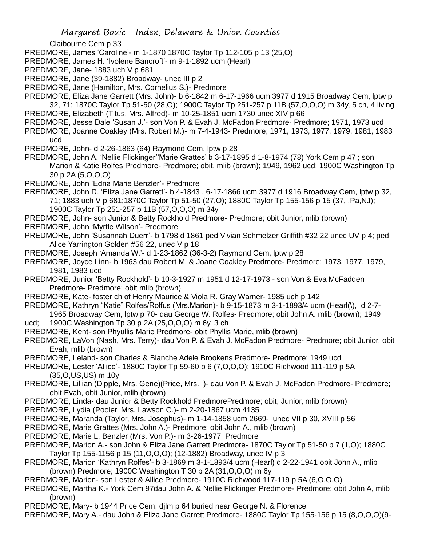Claibourne Cem p 33

- PREDMORE, James 'Caroline'- m 1-1870 1870C Taylor Tp 112-105 p 13 (25,O)
- PREDMORE, James H. 'Ivolene Bancroft'- m 9-1-1892 ucm (Hearl)
- PREDMORE, Jane- 1883 uch V p 681
- PREDMORE, Jane (39-1882) Broadway- unec III p 2
- PREDMORE, Jane (Hamilton, Mrs. Cornelius S.)- Predmore
- PREDMORE, Eliza Jane Garrett (Mrs. John)- b 6-1842 m 6-17-1966 ucm 3977 d 1915 Broadway Cem, lptw p 32, 71; 1870C Taylor Tp 51-50 (28,O); 1900C Taylor Tp 251-257 p 11B (57,O,O,O) m 34y, 5 ch, 4 living
- PREDMORE, Elizabeth (Titus, Mrs. Alfred)- m 10-25-1851 ucm 1730 unec XIV p 66
- PREDMORE, Jesse Dale 'Susan J.'- son Von P. & Evah J. McFadon Predmore- Predmore; 1971, 1973 ucd
- PREDMORE, Joanne Coakley (Mrs. Robert M.)- m 7-4-1943- Predmore; 1971, 1973, 1977, 1979, 1981, 1983 ucd
- PREDMORE, John- d 2-26-1863 (64) Raymond Cem, lptw p 28
- PREDMORE, John A. 'Nellie Flickinger''Marie Grattes' b 3-17-1895 d 1-8-1974 (78) York Cem p 47 ; son Marion & Katie Rolfes Predmore- Predmore; obit, mlib (brown); 1949, 1962 ucd; 1900C Washington Tp 30 p 2A (5,O,O,O)
- PREDMORE, John 'Edna Marie Benzler'- Predmore
- PREDMORE, John D. 'Eliza Jane Garrett'- b 4-1843 , 6-17-1866 ucm 3977 d 1916 Broadway Cem, lptw p 32, 71; 1883 uch V p 681;1870C Taylor Tp 51-50 (27,O); 1880C Taylor Tp 155-156 p 15 (37, ,Pa,NJ);
	- 1900C Taylor Tp 251-257 p 11B (57,O,O,O) m 34y
- PREDMORE, John- son Junior & Betty Rockhold Predmore- Predmore; obit Junior, mlib (brown)
- PREDMORE, John 'Myrtle Wilson'- Predmore
- PREDMORE, John 'Susannah Duerr'- b 1798 d 1861 ped Vivian Schmelzer Griffith #32 22 unec UV p 4; ped Alice Yarrington Golden #56 22, unec V p 18
- PREDMORE, Joseph 'Amanda W.'- d 1-23-1862 (36-3-2) Raymond Cem, lptw p 28
- PREDMORE, Joyce Linn- b 1963 dau Robert M. & Joane Coakley Predmore- Predmore; 1973, 1977, 1979, 1981, 1983 ucd
- PREDMORE, Junior 'Betty Rockhold'- b 10-3-1927 m 1951 d 12-17-1973 son Von & Eva McFadden Predmore- Predmore; obit mlib (brown)
- PREDMORE, Kate- foster ch of Henry Maurice & Viola R. Gray Warner- 1985 uch p 142
- PREDMORE, Kathryn "Katie" Rolfes/Rolfus (Mrs.Marion)- b 9-15-1873 m 3-1-1893/4 ucm (Hearl(\), d 2-7-
- 1965 Broadway Cem, lptw p 70- dau George W. Rolfes- Predmore; obit John A. mlib (brown); 1949 ucd; 1900C Washington Tp 30 p 2A (25,O,O,O) m 6y, 3 ch
- PREDMORE, Kent- son Phyullis Marie Predmore- obit Phyllis Marie, mlib (brown)
- PREDMORE, LaVon (Nash, Mrs. Terry)- dau Von P. & Evah J. McFadon Predmore- Predmore; obit Junior, obit Evah, mlib (brown)
- PREDMORE, Leland- son Charles & Blanche Adele Brookens Predmore- Predmore; 1949 ucd
- PREDMORE, Lester 'Allice'- 1880C Taylor Tp 59-60 p 6 (7,O,O,O); 1910C Richwood 111-119 p 5A (35,O,US,US) m 10y
- PREDMORE, Lillian (Dipple, Mrs. Gene)(Price, Mrs. )- dau Von P. & Evah J. McFadon Predmore- Predmore; obit Evah, obit Junior, mlib (brown)
- PREDMORE, Linda- dau Junior & Betty Rockhold PredmorePredmore; obit, Junior, mlib (brown)
- PREDMORE, Lydia (Pooler, Mrs. Lawson C.)- m 2-20-1867 ucm 4135
- PREDMORE, Maranda (Taylor, Mrs. Josephus)- m 1-14-1858 ucm 2669- unec VII p 30, XVIII p 56
- PREDMORE, Marie Grattes (Mrs. John A.)- Predmore; obit John A., mlib (brown)
- PREDMORE, Marie L. Benzler (Mrs. Von P.)- m 3-26-1977 Predmore
- PREDMORE, Marion A.- son John & Eliza Jane Garrett Predmore- 1870C Taylor Tp 51-50 p 7 (1,O); 1880C Taylor Tp 155-1156 p 15 (11,O,O,O); (12-1882) Broadway, unec IV p 3
- PREDMORE, Marion 'Kathryn Rolfes'- b 3-1869 m 3-1-1893/4 ucm (Hearl) d 2-22-1941 obit John A., mlib (brown) Predmore; 1900C Washington T 30 p 2A (31,O,O,O) m 6y
- PREDMORE, Marion- son Lester & Allice Predmore- 1910C Richwood 117-119 p 5A (6,O,O,O)
- PREDMORE, Martha K.- York Cem 97dau John A. & Nellie Flickinger Predmore- Predmore; obit John A, mlib (brown)
- PREDMORE, Mary- b 1944 Price Cem, djlm p 64 buried near George N. & Florence
- PREDMORE, Mary A.- dau John & Eliza Jane Garrett Predmore- 1880C Taylor Tp 155-156 p 15 (8,O,O,O)(9-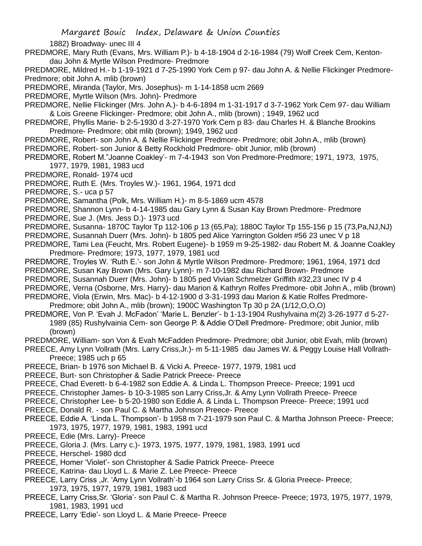1882) Broadway- unec III 4

PREDMORE, Mary Ruth (Evans, Mrs. William P.)- b 4-18-1904 d 2-16-1984 (79) Wolf Creek Cem, Kentondau John & Myrtle Wilson Predmore- Predmore

PREDMORE, Mildred H.- b 1-19-1921 d 7-25-1990 York Cem p 97- dau John A. & Nellie Flickinger Predmore-Predmore; obit John A. mlib (brown)

PREDMORE, Miranda (Taylor, Mrs. Josephus)- m 1-14-1858 ucm 2669

PREDMORE, Myrtle Wilson (Mrs. John)- Predmore

PREDMORE, Nellie Flickinger (Mrs. John A.)- b 4-6-1894 m 1-31-1917 d 3-7-1962 York Cem 97- dau William & Lois Greene Flickinger- Predmore; obit John A., mlib (brown) ; 1949, 1962 ucd

- PREDMORE, Phyllis Marie- b 2-5-1930 d 3-27-1970 York Cem p 83- dau Charles H. & Blanche Brookins Predmore- Predmore; obit mlib (brown); 1949, 1962 ucd
- PREDMORE, Robert- son John A. & Nellie Flickinger Predmore- Predmore; obit John A., mlib (brown)
- PREDMORE, Robert- son Junior & Betty Rockhold Predmore- obit Junior, mlib (brown)
- PREDMORE, Robert M."Joanne Coakley'- m 7-4-1943 son Von Predmore-Predmore; 1971, 1973, 1975, 1977, 1979, 1981, 1983 ucd
- PREDMORE, Ronald- 1974 ucd
- PREDMORE, Ruth E. (Mrs. Troyles W.)- 1961, 1964, 1971 dcd

PREDMORE, S.- uca p 57

PREDMORE, Samantha (Polk, Mrs. William H.)- m 8-5-1869 ucm 4578

PREDMORE, Shannon Lynn- b 4-14-1985 dau Gary Lynn & Susan Kay Brown Predmore- Predmore

- PREDMORE, Sue J. (Mrs. Jess D.)- 1973 ucd
- PREDMORE, Susanna- 1870C Taylor Tp 112-106 p 13 (65,Pa); 1880C Taylor Tp 155-156 p 15 (73,Pa,NJ,NJ)
- PREDMORE, Susannah Duerr (Mrs. John)- b 1805 ped Alice Yarrington Golden #56 23 unec V p 18
- PREDMORE, Tami Lea (Feucht, Mrs. Robert Eugene)- b 1959 m 9-25-1982- dau Robert M. & Joanne Coakley Predmore- Predmore; 1973, 1977, 1979, 1981 ucd
- PREDMORE, Troyles W. 'Ruth E.'- son John & Myrtle Wilson Predmore- Predmore; 1961, 1964, 1971 dcd
- PREDMORE, Susan Kay Brown (Mrs. Gary Lynn)- m 7-10-1982 dau Richard Brown- Predmore
- PREDMORE, Susannah Duerr (Mrs. John)- b 1805 ped Vivian Schmelzer Griffith #32,23 unec IV p 4
- PREDMORE, Verna (Osborne, Mrs. Harry)- dau Marion & Kathryn Rolfes Predmore- obit John A., mlib (brown)
- PREDMORE, Viola (Erwin, Mrs. Mac)- b 4-12-1900 d 3-31-1993 dau Marion & Katie Rolfes Predmore-Predmore; obit John A., mlib (brown); 1900C Washington Tp 30 p 2A (1/12,O,O,O)
- PREDMORE, Von P. 'Evah J. McFadon' 'Marie L. Benzler'- b 1-13-1904 Rushylvaina m(2) 3-26-1977 d 5-27- 1989 (85) Rushylvainia Cem- son George P. & Addie O'Dell Predmore- Predmore; obit Junior, mlib (brown)
- PREDMORE, William- son Von & Evah McFadden Predmore- Predmore; obit Junior, obit Evah, mlib (brown)
- PREECE, Amy Lynn Vollrath (Mrs. Larry Criss,Jr.)- m 5-11-1985 dau James W. & Peggy Louise Hall Vollrath-Preece; 1985 uch p 65
- PREECE, Brian- b 1976 son Michael B. & Vicki A. Preece- 1977, 1979, 1981 ucd
- PREECE, Burt- son Christopher & Sadie Patrick Preece- Preece
- PREECE, Chad Everett- b 6-4-1982 son Eddie A. & Linda L. Thompson Preece- Preece; 1991 ucd
- PREECE, Christopher James- b 10-3-1985 son Larry Criss,Jr. & Amy Lynn Vollrath Preece- Preece
- PREECE, Christopher Lee- b 5-20-1980 son Eddie A. & Linda L. Thompson Preece- Preece; 1991 ucd
- PREECE, Donald R. son Paul C. & Martha Johnson Preece- Preece
- PREECE, Eddie A. 'Linda L. Thompson'- b 1958 m 7-21-1979 son Paul C. & Martha Johnson Preece- Preece; 1973, 1975, 1977, 1979, 1981, 1983, 1991 ucd
- PREECE, Edie (Mrs. Larry)- Preece
- PREECE, Gloria J. (Mrs. Larry c.)- 1973, 1975, 1977, 1979, 1981, 1983, 1991 ucd
- PREECE, Herschel- 1980 dcd
- PREECE, Homer 'Violet'- son Christopher & Sadie Patrick Preece- Preece
- PREECE, Katrina- dau Lloyd L. & Marie Z. Lee Preece- Preece
- PREECE, Larry Criss ,Jr. 'Amy Lynn Vollrath'-b 1964 son Larry Criss Sr. & Gloria Preece- Preece; 1973, 1975, 1977, 1979, 1981, 1983 ucd
- PREECE, Larry Criss,Sr. 'Gloria'- son Paul C. & Martha R. Johnson Preece- Preece; 1973, 1975, 1977, 1979, 1981, 1983, 1991 ucd
- PREECE, Larry 'Edie'- son Lloyd L. & Marie Preece- Preece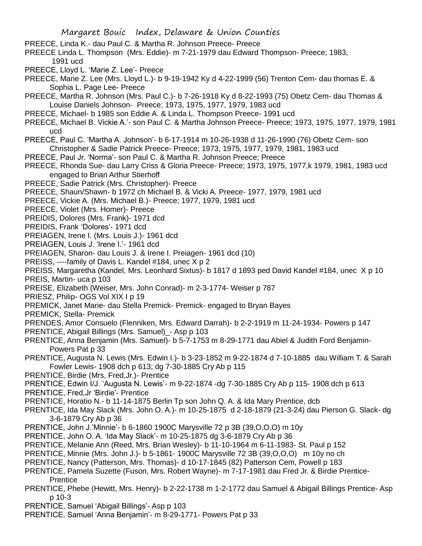- PREECE, Linda K.- dau Paul C. & Martha R. Johnson Preece- Preece
- PREECE Linda L. Thompson (Mrs. Eddie)- m 7-21-1979 dau Edward Thompson- Preece; 1983, 1991 ucd
- PREECE, Lloyd L. 'Marie Z. Lee'- Preece
- PREECE, Marie Z. Lee (Mrs. Lloyd L.)- b 9-19-1942 Ky d 4-22-1999 (56) Trenton Cem- dau thomas E. & Sophia L. Page Lee- Preece
- PREECE, Martha R. Johnson (Mrs. Paul C.)- b 7-26-1918 Ky d 8-22-1993 (75) Obetz Cem- dau Thomas & Louise Daniels Johnson- Preece; 1973, 1975, 1977, 1979, 1983 ucd
- PREECE, Michael- b 1985 son Eddie A. & Linda L. Thompson Preece- 1991 ucd
- PREECE, Michael B. Vickie A.'- son Paul C. & Martha Johnson Preece- Preece; 1973, 1975, 1977, 1979, 1981 ucd
- PREECE, Paul C. 'Martha A. Johnson'- b 6-17-1914 m 10-26-1938 d 11-26-1990 (76) Obetz Cem- son Christopher & Sadie Patrick Preece- Preece; 1973, 1975, 1977, 1979, 1981, 1983 ucd
- PREECE, Paul Jr. 'Norma'- son Paul C. & Martha R. Johnson Preece; Preece
- PREECE, Rhonda Sue- dau Larry Criss & Gloria Preece- Preece; 1973, 1975, 1977,k 1979, 1981, 1983 ucd engaged to Brian Arthur Stierhoff
- PREECE, Sadie Patrick (Mrs. Christopher)- Preece
- PREECE, Shaun/Shawn- b 1972 ch Michael B. & Vicki A. Preece- 1977, 1979, 1981 ucd
- PREECE, Vickie A. (Mrs. Michael B.)- Preece; 1977, 1979, 1981 ucd
- PREECE, Violet (Mrs. Homer)- Preece
- PREIDIS, Dolores (Mrs. Frank)- 1971 dcd
- PREIDIS, Frank 'Dolores'- 1971 dcd
- PREIAGEN, Irene I. (Mrs. Louis J.)- 1961 dcd
- PREIAGEN, Louis J. 'Irene I.'- 1961 dcd
- PREIAGEN, Sharon- dau Louis J. & Irene I. Preiagen- 1961 dcd (10)
- PREISS, ----family of Davis L. Kandel #184, unec X p 2
- PREISS, Margaretha (Kandel, Mrs. Leonhard Sixtus)- b 1817 d 1893 ped David Kandel #184, unec X p 10 PREIS, Martin- uca p 103
- PREISE, Elizabeth (Weiser, Mrs. John Conrad)- m 2-3-1774- Weiser p 787
- PRIESZ, Philip- OGS Vol XIX I p 19
- PREMICK, Janet Marie- dau Stella Premick- Premick- engaged to Bryan Bayes
- PREMICK, Stella- Premick
- PRENDES, Amor Consuelo (Flenniken, Mrs. Edward Darrah)- b 2-2-1919 m 11-24-1934- Powers p 147
- PRENTICE, Abigail Billings (Mrs. Samuel)\_- Asp p 103
- PRENTICE, Anna Benjamin (Mrs. Samuel)- b 5-7-1753 m 8-29-1771 dau Abiel & Judith Ford Benjamin-Powers Pat p 33
- PRENTICE, Augusta N. Lewis (Mrs. Edwin I.)- b 3-23-1852 m 9-22-1874 d 7-10-1885 dau William T. & Sarah Fowler Lewis- 1908 dch p 613; dg 7-30-1885 Cry Ab p 115
- PRENTICE, Birdie (Mrs, Fred,Jr.)- Prentice
- PRENTICE, Edwin I/J. 'Augusta N. Lewis'- m 9-22-1874 -dg 7-30-1885 Cry Ab p 115- 1908 dch p 613
- PRENTICE, Fred,Jr 'Birdie'- Prentice
- PRENTICE, Horatio N.- b 11-14-1875 Berlin Tp son John Q. A. & Ida Mary Prentice, dcb
- PRENTICE, Ida May Slack (Mrs. John O. A.)- m 10-25-1875 d 2-18-1879 (21-3-24) dau Pierson G. Slack- dg 3-6-1879 Cry Ab p 36
- PRENTICE, John J.'Minnie'- b 6-1860 1900C Marysville 72 p 3B (39,O,O,O) m 10y
- PRENTICE, John O. A. 'Ida May Slack'- m 10-25-1875 dg 3-6-1879 Cry Ab p 36
- PRENTICE, Melanie Ann (Reed, Mrs. Brian Wesley)- b 11-10-1964 m 6-11-1983- St. Paul p 152
- PRENTICE, Minnie (Mrs. John J.)- b 5-1861- 1900C Marysville 72 3B (39,O,O,O) m 10y no ch
- PRENTICE, Nancy (Patterson, Mrs. Thomas)- d 10-17-1845 (82) Patterson Cem, Powell p 183
- PRENTICE, Pamela Suzette (Fuson, Mrs. Robert Wayne)- m 7-17-1981 dau Fred Jr. & Birdie Prentice-**Prentice**
- PRENTICE, Phebe (Hewitt, Mrs. Henry)- b 2-22-1738 m 1-2-1772 dau Samuel & Abigail Billings Prentice- Asp p 10-3
- PRENTICE, Samuel 'Abigail Billings'- Asp p 103
- PRENTICE, Samuel 'Anna Benjamin'- m 8-29-1771- Powers Pat p 33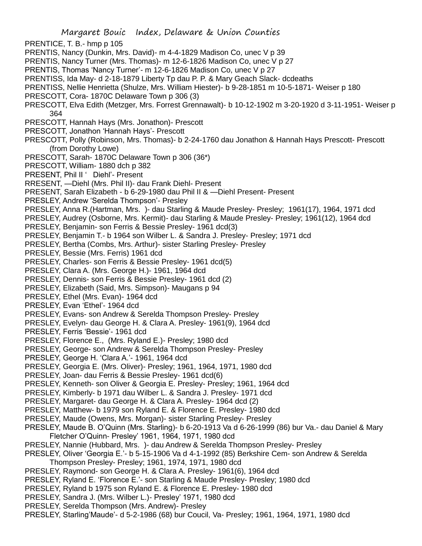PRENTICE, T. B.- hmp p 105

- PRENTIS, Nancy (Dunkin, Mrs. David)- m 4-4-1829 Madison Co, unec V p 39
- PRENTIS, Nancy Turner (Mrs. Thomas)- m 12-6-1826 Madison Co, unec V p 27
- PRENTIS, Thomas 'Nancy Turner'- m 12-6-1826 Madison Co, unec V p 27
- PRENTISS, Ida May- d 2-18-1879 Liberty Tp dau P. P. & Mary Geach Slack- dcdeaths
- PRENTISS, Nellie Henrietta (Shulze, Mrs. William Hiester)- b 9-28-1851 m 10-5-1871- Weiser p 180
- PRESCOTT, Cora- 1870C Delaware Town p 306 (3)
- PRESCOTT, Elva Edith (Metzger, Mrs. Forrest Grennawalt)- b 10-12-1902 m 3-20-1920 d 3-11-1951- Weiser p 364
- PRESCOTT, Hannah Hays (Mrs. Jonathon)- Prescott
- PRESCOTT, Jonathon 'Hannah Hays'- Prescott
- PRESCOTT, Polly (Robinson, Mrs. Thomas)- b 2-24-1760 dau Jonathon & Hannah Hays Prescott- Prescott (from Dorothy Lowe)
- PRESCOTT, Sarah- 1870C Delaware Town p 306 (36\*)
- PRESCOTT, William- 1880 dch p 382
- PRESENT, Phil II ' Diehl'- Present
- RRESENT, —Diehl (Mrs. Phil II)- dau Frank Diehl- Present
- PRESENT, Sarah Elizabeth b 6-29-1980 dau Phil II & —Diehl Present- Present
- PRESLEY, Andrew 'Serelda Thompson'- Presley
- PRESLEY, Anna R.(Hartman, Mrs. )- dau Starling & Maude Presley- Presley; 1961(17), 1964, 1971 dcd
- PRESLEY, Audrey (Osborne, Mrs. Kermit)- dau Starling & Maude Presley- Presley; 1961(12), 1964 dcd
- PRESLEY, Benjamin- son Ferris & Bessie Presley- 1961 dcd(3)
- PRESLEY, Benjamin T.- b 1964 son Wilber L. & Sandra J. Presley- Presley; 1971 dcd
- PRESLEY, Bertha (Combs, Mrs. Arthur)- sister Starling Presley- Presley
- PRESLEY, Bessie (Mrs. Ferris) 1961 dcd
- PRESLEY, Charles- son Ferris & Bessie Presley- 1961 dcd(5)
- PRESLEY, Clara A. (Mrs. George H.)- 1961, 1964 dcd
- PRESLEY, Dennis- son Ferris & Bessie Presley- 1961 dcd (2)
- PRESLEY, Elizabeth (Said, Mrs. Simpson)- Maugans p 94
- PRESLEY, Ethel (Mrs. Evan)- 1964 dcd
- PRESLEY, Evan 'Ethel'- 1964 dcd
- PRESLEY, Evans- son Andrew & Serelda Thompson Presley- Presley
- PRESLEY, Evelyn- dau George H. & Clara A. Presley- 1961(9), 1964 dcd
- PRESLEY, Ferris 'Bessie'- 1961 dcd
- PRESLEY, Florence E., (Mrs. Ryland E.)- Presley; 1980 dcd
- PRESLEY, George- son Andrew & Serelda Thompson Presley- Presley
- PRESLEY, George H. 'Clara A.'- 1961, 1964 dcd
- PRESLEY, Georgia E. (Mrs. Oliver)- Presley; 1961, 1964, 1971, 1980 dcd
- PRESLEY, Joan- dau Ferris & Bessie Presley- 1961 dcd(6)
- PRESLEY, Kenneth- son Oliver & Georgia E. Presley- Presley; 1961, 1964 dcd
- PRESLEY, Kimberly- b 1971 dau Wilber L. & Sandra J. Presley- 1971 dcd
- PRESLEY, Margaret- dau George H. & Clara A. Presley- 1964 dcd (2)
- PRESLEY, Matthew- b 1979 son Ryland E. & Florence E. Presley- 1980 dcd
- PRESLEY, Maude (Owens, Mrs. Morgan)- sister Starling Presley- Presley
- PRESLEY, Maude B. O'Quinn (Mrs. Starling)- b 6-20-1913 Va d 6-26-1999 (86) bur Va.- dau Daniel & Mary Fletcher O'Quinn- Presley' 1961, 1964, 1971, 1980 dcd
- PRESLEY, Nannie (Hubbard, Mrs. )- dau Andrew & Serelda Thompson Presley- Presley
- PRESLEY, Oliver 'Georgia E.'- b 5-15-1906 Va d 4-1-1992 (85) Berkshire Cem- son Andrew & Serelda
- Thompson Presley- Presley; 1961, 1974, 1971, 1980 dcd
- PRESLEY, Raymond- son George H. & Clara A. Presley- 1961(6), 1964 dcd
- PRESLEY, Ryland E. 'Florence E.'- son Starling & Maude Presley- Presley; 1980 dcd
- PRESLEY, Ryland b 1975 son Ryland E. & Florence E. Presley- 1980 dcd
- PRESLEY, Sandra J. (Mrs. Wilber L.)- Presley' 1971, 1980 dcd
- PRESLEY, Serelda Thompson (Mrs. Andrew)- Presley
- PRESLEY, Starling'Maude'- d 5-2-1986 (68) bur Coucil, Va- Presley; 1961, 1964, 1971, 1980 dcd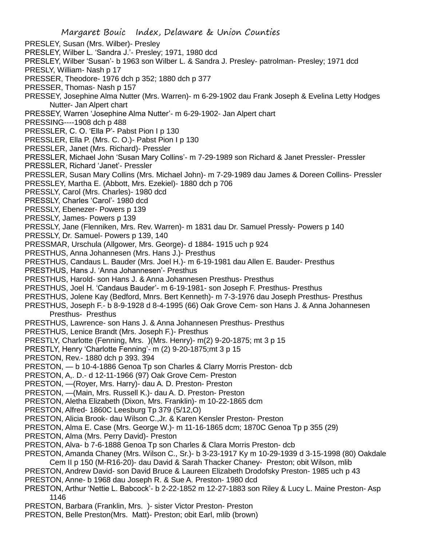PRESLEY, Susan (Mrs. Wilber)- Presley

- PRESLEY, Wilber L. 'Sandra J.'- Presley; 1971, 1980 dcd
- PRESLEY, Wilber 'Susan'- b 1963 son Wilber L. & Sandra J. Presley- patrolman- Presley; 1971 dcd
- PRESLY, William- Nash p 17
- PRESSER, Theodore- 1976 dch p 352; 1880 dch p 377
- PRESSER, Thomas- Nash p 157
- PRESSEY, Josephine Alma Nutter (Mrs. Warren)- m 6-29-1902 dau Frank Joseph & Evelina Letty Hodges Nutter- Jan Alpert chart
- PRESSEY, Warren 'Josephine Alma Nutter'- m 6-29-1902- Jan Alpert chart
- PRESSING----1908 dch p 488
- PRESSLER, C. O. 'Ella P'- Pabst Pion I p 130
- PRESSLER, Ella P. (Mrs. C. O.)- Pabst Pion I p 130
- PRESSLER, Janet (Mrs. Richard)- Pressler
- PRESSLER, Michael John 'Susan Mary Collins'- m 7-29-1989 son Richard & Janet Pressler- Pressler
- PRESSLER, Richard 'Janet'- Pressler
- PRESSLER, Susan Mary Collins (Mrs. Michael John)- m 7-29-1989 dau James & Doreen Collins- Pressler
- PRESSLEY, Martha E. (Abbott, Mrs. Ezekiel)- 1880 dch p 706
- PRESSLY, Carol (Mrs. Charles)- 1980 dcd
- PRESSLY, Charles 'Carol'- 1980 dcd
- PRESSLY, Ebenezer- Powers p 139
- PRESSLY, James- Powers p 139
- PRESSLY, Jane (Flenniken, Mrs. Rev. Warren)- m 1831 dau Dr. Samuel Pressly- Powers p 140
- PRESSLY, Dr. Samuel- Powers p 139, 140
- PRESSMAR, Urschula (Allgower, Mrs. George)- d 1884- 1915 uch p 924
- PRESTHUS, Anna Johannesen (Mrs. Hans J.)- Presthus
- PRESTHUS, Candaus L. Bauder (Mrs. Joel H.)- m 6-19-1981 dau Allen E. Bauder- Presthus
- PRESTHUS, Hans J. 'Anna Johannesen'- Presthus
- PRESTHUS, Harold- son Hans J. & Anna Johannesen Presthus- Presthus
- PRESTHUS, Joel H. 'Candaus Bauder'- m 6-19-1981- son Joseph F. Presthus- Presthus
- PRESTHUS, Jolene Kay (Bedford, Mnrs. Bert Kenneth)- m 7-3-1976 dau Joseph Presthus- Presthus
- PRESTHUS, Joseph F.- b 8-9-1928 d 8-4-1995 (66) Oak Grove Cem- son Hans J. & Anna Johannesen Presthus- Presthus
- PRESTHUS, Lawrence- son Hans J. & Anna Johannesen Presthus- Presthus
- PRESTHUS, Lenice Brandt (Mrs. Joseph F.)- Presthus
- PRESTLY, Charlotte (Fenning, Mrs. )(Mrs. Henry)- m(2) 9-20-1875; mt 3 p 15
- PRESTLY, Henry 'Charlotte Fenning'- m (2) 9-20-1875;mt 3 p 15
- PRESTON, Rev.- 1880 dch p 393. 394
- PRESTON, b 10-4-1886 Genoa Tp son Charles & Clarry Morris Preston- dcb
- PRESTON, A,. D.- d 12-11-1966 (97) Oak Grove Cem- Preston
- PRESTON, —(Royer, Mrs. Harry)- dau A. D. Preston- Preston
- PRESTON, —(Main, Mrs. Russell K.)- dau A. D. Preston- Preston
- PRESTON, Aletha Elizabeth (Dixon, Mrs. Franklin)- m 10-22-1865 dcm
- PRESTON, Alfred- 1860C Leesburg Tp 379 (5/12,O)
- PRESTON, Alicia Brook- dau Wilson C.,Jr. & Karen Kensler Preston- Preston
- PRESTON, Alma E. Case (Mrs. George W.)- m 11-16-1865 dcm; 1870C Genoa Tp p 355 (29)
- PRESTON, Alma (Mrs. Perry David)- Preston
- PRESTON, Alva- b 7-6-1888 Genoa Tp son Charles & Clara Morris Preston- dcb
- PRESTON, Amanda Chaney (Mrs. Wilson C., Sr.)- b 3-23-1917 Ky m 10-29-1939 d 3-15-1998 (80) Oakdale
- Cem II p 150 (M-R16-20)- dau David & Sarah Thacker Chaney- Preston; obit Wilson, mlib
- PRESTON, Andrew David- son David Bruce & Laureen Elizabeth Drodofsky Preston- 1985 uch p 43 PRESTON, Anne- b 1968 dau Joseph R. & Sue A. Preston- 1980 dcd
- 
- PRESTON, Arthur 'Nettie L. Babcock'- b 2-22-1852 m 12-27-1883 son Riley & Lucy L. Maine Preston- Asp 1146
- PRESTON, Barbara (Franklin, Mrs. )- sister Victor Preston- Preston
- PRESTON, Belle Preston(Mrs. Matt)- Preston; obit Earl, mlib (brown)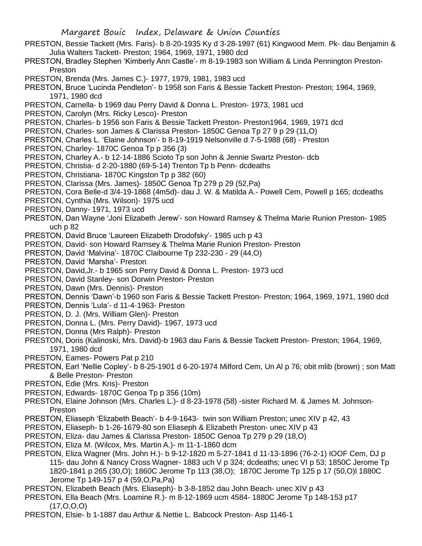- PRESTON, Bessie Tackett (Mrs. Faris)- b 8-20-1935 Ky d 3-28-1997 (61) Kingwood Mem. Pk- dau Benjamin & Julia Walters Tackett- Preston; 1964, 1969, 1971, 1980 dcd
- PRESTON, Bradley Stephen 'Kimberly Ann Castle'- m 8-19-1983 son William & Linda Pennington Preston-Preston
- PRESTON, Brenda (Mrs. James C.)- 1977, 1979, 1981, 1983 ucd
- PRESTON, Bruce 'Lucinda Pendleton'- b 1958 son Faris & Bessie Tackett Preston- Preston; 1964, 1969, 1971, 1980 dcd
- PRESTON, Carnella- b 1969 dau Perry David & Donna L. Preston- 1973, 1981 ucd
- PRESTON, Carolyn (Mrs. Ricky Lesco)- Preston
- PRESTON, Charles- b 1956 son Faris & Bessie Tackett Preston- Preston1964, 1969, 1971 dcd
- PRESTON, Charles- son James & Clarissa Preston- 1850C Genoa Tp 27 9 p 29 (11,O)
- PRESTON, Charles L. 'Elaine Johnson'- b 8-19-1919 Nelsonville d 7-5-1988 (68) Preston
- PRESTON, Charley- 1870C Genoa Tp p 356 (3)
- PRESTON, Charley A.- b 12-14-1886 Scioto Tp son John & Jennie Swartz Preston- dcb
- PRESTON, Christia- d 2-20-1880 (69-5-14) Trenton Tp b Penn- dcdeaths
- PRESTON, Christiana- 1870C Kingston Tp p 382 (60)
- PRESTON, Clarissa (Mrs. James)- 1850C Genoa Tp 279 p 29 (52,Pa)
- PRESTON, Cora Belle-d 3/4-19-1868 (4m5d)- dau J. W. & Matilda A.- Powell Cem, Powell p 165; dcdeaths
- PRESTON, Cynthia (Mrs. Wilson)- 1975 ucd
- PRESTON, Danny- 1971, 1973 ucd
- PRESTON, Dan Wayne 'Joni Elizabeth Jerew'- son Howard Ramsey & Thelma Marie Runion Preston- 1985 uch p 82
- PRESTON, David Bruce 'Laureen Elizabeth Drodofsky'- 1985 uch p 43
- PRESTON, David- son Howard Ramsey & Thelma Marie Runion Preston- Preston
- PRESTON, David 'Malvina'- 1870C Claibourne Tp 232-230 29 (44,O)
- PRESTON, David 'Marsha'- Preston
- PRESTON, David,Jr.- b 1965 son Perry David & Donna L. Preston- 1973 ucd
- PRESTON, David Stanley- son Dorwin Preston- Preston
- PRESTON, Dawn (Mrs. Dennis)- Preston
- PRESTON, Dennis 'Dawn'-b 1960 son Faris & Bessie Tackett Preston- Preston; 1964, 1969, 1971, 1980 dcd
- PRESTON, Dennis 'Lula'- d 11-4-1963- Preston
- PRESTON, D. J. (Mrs. William Glen)- Preston
- PRESTON, Donna L. (Mrs. Perry David)- 1967, 1973 ucd
- PRESTON, Donna (Mrs Ralph)- Preston
- PRESTON, Doris (Kalinoski, Mrs. David)-b 1963 dau Faris & Bessie Tackett Preston- Preston; 1964, 1969, 1971, 1980 dcd
- PRESTON, Eames- Powers Pat p 210
- PRESTON, Earl 'Nellie Copley'- b 8-25-1901 d 6-20-1974 Milford Cem, Un Al p 76; obit mlib (brown) ; son Matt & Belle Preston- Preston
- PRESTON, Edie (Mrs. Kris)- Preston
- PRESTON, Edwards- 1870C Genoa Tp p 356 (10m)
- PRESTON, Elaine Johnson (Mrs. Charles L.)- d 8-23-1978 (58) -sister Richard M. & James M. Johnson-Preston
- PRESTON, Eliaseph 'Elizabeth Beach'- b 4-9-1643- twin son William Preston; unec XIV p 42, 43
- PRESTON, Eliaseph- b 1-26-1679-80 son Eliaseph & Elizabeth Preston- unec XIV p 43
- PRESTON, Eliza- dau James & Clarissa Preston- 1850C Genoa Tp 279 p 29 (18,O)
- PRESTON, Eliza M. (Wilcox, Mrs. Martin A.)- m 11-1-1860 dcm
- PRESTON, Eliza Wagner (Mrs. John H.)- b 9-12-1820 m 5-27-1841 d 11-13-1896 (76-2-1) IOOF Cem, DJ p 115- dau John & Nancy Cross Wagner- 1883 uch V p 324; dcdeaths; unec VI p 53; 1850C Jerome Tp 1820-1841 p 265 (30,O); 1860C Jerome Tp 113 (38,O); 1870C Jerome Tp 125 p 17 (50,O)l 1880C Jerome Tp 149-157 p 4 (59,O,Pa,Pa)
- PRESTON, Elizabeth Beach (Mrs. Eliaseph)- b 3-8-1852 dau John Beach- unec XIV p 43
- PRESTON, Ella Beach (Mrs. Loamine R.)- m 8-12-1869 ucm 4584- 1880C Jerome Tp 148-153 p17  $(17, 0.0, 0)$
- PRESTON, Elsie- b 1-1887 dau Arthur & Nettie L. Babcock Preston- Asp 1146-1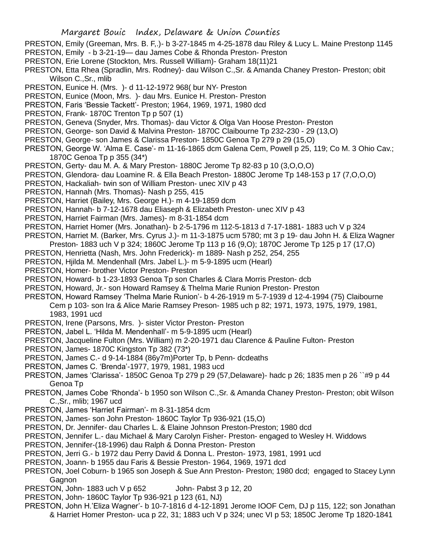- PRESTON, Emily (Greeman, Mrs. B. F,.)- b 3-27-1845 m 4-25-1878 dau Riley & Lucy L. Maine Prestonp 1145 PRESTON, Emily - b 3-21-19— dau James Cobe & Rhonda Preston- Preston
- PRESTON, Erie Lorene (Stockton, Mrs. Russell William)- Graham 18(11)21
- PRESTON, Etta Rhea (Spradlin, Mrs. Rodney)- dau Wilson C.,Sr. & Amanda Chaney Preston- Preston; obit Wilson C.,Sr., mlib
- PRESTON, Eunice H. (Mrs. )- d 11-12-1972 968( bur NY- Preston
- PRESTON, Eunice (Moon, Mrs. )- dau Mrs. Eunice H. Preston- Preston
- PRESTON, Faris 'Bessie Tackett'- Preston; 1964, 1969, 1971, 1980 dcd
- PRESTON, Frank- 1870C Trenton Tp p 507 (1)
- PRESTON, Geneva (Snyder, Mrs. Thomas)- dau Victor & Olga Van Hoose Preston- Preston
- PRESTON, George- son David & Malvina Preston- 1870C Claibourne Tp 232-230 29 (13,O)
- PRESTON, George- son James & Clarissa Preston- 1850C Genoa Tp 279 p 29 (15,O)
- PRESTON, George W. 'Alma E. Case'- m 11-16-1865 dcm Galena Cem, Powell p 25, 119; Co M. 3 Ohio Cav.; 1870C Genoa Tp p 355 (34\*)
- PRESTON, Gerty- dau M. A. & Mary Preston- 1880C Jerome Tp 82-83 p 10 (3,O,O,O)
- PRESTON, Glendora- dau Loamine R. & Ella Beach Preston- 1880C Jerome Tp 148-153 p 17 (7,O,O,O)
- PRESTON, Hackaliah- twin son of William Preston- unec XIV p 43
- PRESTON, Hannah (Mrs. Thomas)- Nash p 255, 415
- PRESTON, Harriet (Bailey, Mrs. George H.)- m 4-19-1859 dcm
- PRESTON, Hannah- b 7-12-1678 dau Eliaseph & Elizabeth Preston- unec XIV p 43
- PRESTON, Harriet Fairman (Mrs. James)- m 8-31-1854 dcm
- PRESTON, Harriet Homer (Mrs. Jonathan)- b 2-5-1796 m 112-5-1813 d 7-17-1881- 1883 uch V p 324
- PRESTON, Harriet M. (Barker, Mrs. Cyrus J.)- m 11-3-1875 ucm 5780; mt 3 p 19- dau John H. & Eliza Wagner
- Preston- 1883 uch V p 324; 1860C Jerome Tp 113 p 16 (9,O); 1870C Jerome Tp 125 p 17 (17,O)
- PRESTON, Henrietta (Nash, Mrs. John Frederick)- m 1889- Nash p 252, 254, 255
- PRESTON, Hjilda M. Mendenhall (Mrs. Jabel L.)- m 5-9-1895 ucm (Hearl)
- PRESTON, Homer- brother Victor Preston- Preston
- PRESTON, Howard- b 1-23-1893 Genoa Tp son Charles & Clara Morris Preston- dcb
- PRESTON, Howard, Jr.- son Howard Ramsey & Thelma Marie Runion Preston- Preston
- PRESTON, Howard Ramsey 'Thelma Marie Runion'- b 4-26-1919 m 5-7-1939 d 12-4-1994 (75) Claibourne Cem p 103- son Ira & Alice Marie Ramsey Preson- 1985 uch p 82; 1971, 1973, 1975, 1979, 1981, 1983, 1991 ucd
- PRESTON, Irene (Parsons, Mrs. )- sister Victor Preston- Preston
- PRESTON, Jabel L. 'Hilda M. Mendenhall'- m 5-9-1895 ucm (Hearl)
- PRESTON, Jacqueline Fulton (Mrs. William) m 2-20-1971 dau Clarence & Pauline Fulton- Preston
- PRESTON, James- 1870C Kingston Tp 382 (73\*)
- PRESTON, James C.- d 9-14-1884 (86y7m)Porter Tp, b Penn- dcdeaths
- PRESTON, James C. 'Brenda'-1977, 1979, 1981, 1983 ucd
- PRESTON, James 'Clarissa'- 1850C Genoa Tp 279 p 29 (57,Delaware)- hadc p 26; 1835 men p 26 ``#9 p 44 Genoa Tp
- PRESTON, James Cobe 'Rhonda'- b 1950 son Wilson C.,Sr. & Amanda Chaney Preston- Preston; obit Wilson C.,Sr., mlib; 1967 ucd
- PRESTON, James 'Harriet Fairman'- m 8-31-1854 dcm
- PRESTON, James- son John Preston- 1860C Taylor Tp 936-921 (15,O)
- PRESTON, Dr. Jennifer- dau Charles L. & Elaine Johnson Preston-Preston; 1980 dcd
- PRESTON, Jennifer L.- dau Michael & Mary Carolyn Fisher- Preston- engaged to Wesley H. Widdows
- PRESTON, Jennifer-(18-1996) dau Ralph & Donna Preston- Preston
- PRESTON, Jerri G.- b 1972 dau Perry David & Donna L. Preston- 1973, 1981, 1991 ucd
- PRESTON, Joann- b 1955 dau Faris & Bessie Preston- 1964, 1969, 1971 dcd
- PRESTON, Joel Coburn- b 1965 son Joseph & Sue Ann Preston- Preston; 1980 dcd; engaged to Stacey Lynn **Gagnon**
- PRESTON, John- 1883 uch V p 652 John- Pabst 3 p 12, 20
- PRESTON, John- 1860C Taylor Tp 936-921 p 123 (61, NJ)
- PRESTON, John H.'Eliza Wagner'- b 10-7-1816 d 4-12-1891 Jerome IOOF Cem, DJ p 115, 122; son Jonathan & Harriet Homer Preston- uca p 22, 31; 1883 uch V p 324; unec VI p 53; 1850C Jerome Tp 1820-1841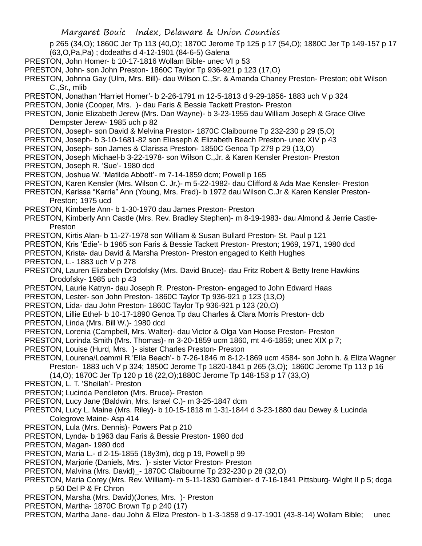- p 265 (34,O); 1860C Jer Tp 113 (40,O); 1870C Jerome Tp 125 p 17 (54,O); 1880C Jer Tp 149-157 p 17 (63,O,Pa,Pa) ; dcdeaths d 4-12-1901 (84-6-5) Galena
- PRESTON, John Homer- b 10-17-1816 Wollam Bible- unec VI p 53
- PRESTON, John- son John Preston- 1860C Taylor Tp 936-921 p 123 (17,O)
- PRESTON, Johnna Gay (Ulm, Mrs. Bill)- dau Wilson C.,Sr. & Amanda Chaney Preston- Preston; obit Wilson C.,Sr., mlib
- PRESTON, Jonathan 'Harriet Homer'- b 2-26-1791 m 12-5-1813 d 9-29-1856- 1883 uch V p 324
- PRESTON, Jonie (Cooper, Mrs. )- dau Faris & Bessie Tackett Preston- Preston
- PRESTON, Jonie Elizabeth Jerew (Mrs. Dan Wayne)- b 3-23-1955 dau William Joseph & Grace Olive Dempster Jerew- 1985 uch p 82
- PRESTON, Joseph- son David & Melvina Preston- 1870C Claibourne Tp 232-230 p 29 (5,O)
- PRESTON, Joseph- b 3-10-1681-82 son Eliaseph & Elizabeth Beach Preston- unec XIV p 43
- PRESTON, Joseph- son James & Clarissa Preston- 1850C Genoa Tp 279 p 29 (13,O)
- PRESTON, Joseph Michael-b 3-22-1978- son Wilson C.,Jr. & Karen Kensler Preston- Preston PRESTON, Joseph R. 'Sue'- 1980 dcd
- PRESTON, Joshua W. 'Matilda Abbott'- m 7-14-1859 dcm; Powell p 165
- PRESTON, Karen Kensler (Mrs. Wilson C. Jr.)- m 5-22-1982- dau Clifford & Ada Mae Kensler- Preston
- PRESTON, Karissa "Karrie" Ann (Young, Mrs. Fred)- b 1972 dau Wilson C.Jr & Karen Kensler Preston-Preston; 1975 ucd
- PRESTON, Kimberle Ann- b 1-30-1970 dau James Preston- Preston
- PRESTON, Kimberly Ann Castle (Mrs. Rev. Bradley Stephen)- m 8-19-1983- dau Almond & Jerrie Castle-Preston
- PRESTON, Kirtis Alan- b 11-27-1978 son William & Susan Bullard Preston- St. Paul p 121
- PRESTON, Kris 'Edie'- b 1965 son Faris & Bessie Tackett Preston- Preston; 1969, 1971, 1980 dcd
- PRESTON, Krista- dau David & Marsha Preston- Preston engaged to Keith Hughes
- PRESTON, L.- 1883 uch V p 278
- PRESTON, Lauren Elizabeth Drodofsky (Mrs. David Bruce)- dau Fritz Robert & Betty Irene Hawkins Drodofsky- 1985 uch p 43
- PRESTON, Laurie Katryn- dau Joseph R. Preston- Preston- engaged to John Edward Haas
- PRESTON, Lester- son John Preston- 1860C Taylor Tp 936-921 p 123 (13,O)
- PRESTON, Lida- dau John Preston- 1860C Taylor Tp 936-921 p 123 (20,O)
- PRESTON, Lillie Ethel- b 10-17-1890 Genoa Tp dau Charles & Clara Morris Preston- dcb
- PRESTON, Linda (Mrs. Bill W.)- 1980 dcd
- PRESTON, Lorenia (Campbell, Mrs. Walter)- dau Victor & Olga Van Hoose Preston- Preston
- PRESTON, Lorinda Smith (Mrs. Thomas)- m 3-20-1859 ucm 1860, mt 4-6-1859; unec XIX p 7;
- PRESTON, Louise (Hurd, Mrs. )- sister Charles Preston- Preston
- PRESTON, Lourena/Loammi R.'Ella Beach'- b 7-26-1846 m 8-12-1869 ucm 4584- son John h. & Eliza Wagner Preston- 1883 uch V p 324; 1850C Jerome Tp 1820-1841 p 265 (3,O); 1860C Jerome Tp 113 p 16
	- (14,O); 1870C Jer Tp 120 p 16 (22,O);1880C Jerome Tp 148-153 p 17 (33,O)
- PRESTON, L. T. 'Sheilah'- Preston
- PRESTON; Lucinda Pendleton (Mrs. Bruce)- Preston
- PRESTON, Lucy Jane (Baldwin, Mrs. Israel C.)- m 3-25-1847 dcm
- PRESTON, Lucy L. Maine (Mrs. Riley)- b 10-15-1818 m 1-31-1844 d 3-23-1880 dau Dewey & Lucinda Colegrove Maine- Asp 414
- PRESTON, Lula (Mrs. Dennis)- Powers Pat p 210
- PRESTON, Lynda- b 1963 dau Faris & Bessie Preston- 1980 dcd
- PRESTON, Magan- 1980 dcd
- PRESTON, Maria L.- d 2-15-1855 (18y3m), dcg p 19, Powell p 99
- PRESTON, Marjorie (Daniels, Mrs. )- sister Victor Preston- Preston
- PRESTON, Malvina (Mrs. David)\_- 1870C Claibourne Tp 232-230 p 28 (32,O)
- PRESTON, Maria Corey (Mrs. Rev. William)- m 5-11-1830 Gambier- d 7-16-1841 Pittsburg- Wight II p 5; dcga p 50 Del P & Fr Chron
- PRESTON, Marsha (Mrs. David)(Jones, Mrs. )- Preston
- PRESTON, Martha-1870C Brown Tp p 240 (17)
- PRESTON, Martha Jane- dau John & Eliza Preston- b 1-3-1858 d 9-17-1901 (43-8-14) Wollam Bible; unec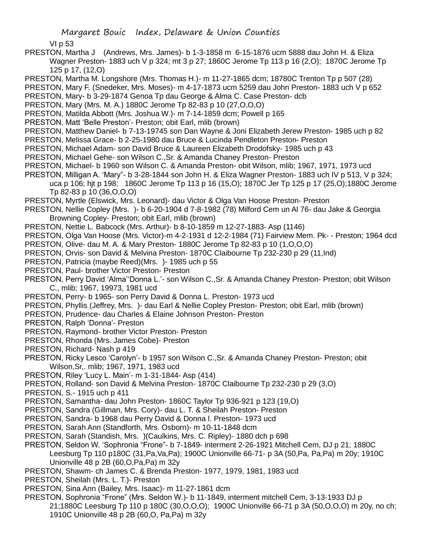VI p 53

- PRESTON, Martha J (Andrews, Mrs. James)- b 1-3-1858 m 6-15-1876 ucm 5888 dau John H. & Eliza Wagner Preston- 1883 uch V p 324; mt 3 p 27; 1860C Jerome Tp 113 p 16 (2,O); 1870C Jerome Tp 125 p 17, (12,O)
- PRESTON, Martha M. Longshore (Mrs. Thomas H.)- m 11-27-1865 dcm; 18780C Trenton Tp p 507 (28)
- PRESTON, Mary F. (Snedeker, Mrs. Moses)- m 4-17-1873 ucm 5259 dau John Preston- 1883 uch V p 652
- PRESTON, Mary- b 3-29-1874 Genoa Tp dau George & Alma C. Case Preston- dcb
- PRESTON, Mary (Mrs. M. A.) 1880C Jerome Tp 82-83 p 10 (27,O,O,O)
- PRESTON, Matilda Abbott (Mrs. Joshua W.)- m 7-14-1859 dcm; Powell p 165
- PRESTON, Matt 'Belle Preston'- Preston; obit Earl, mlib (brown)
- PRESTON, Matthew Daniel- b 7-13-19745 son Dan Wayne & Joni Elizabeth Jerew Preston- 1985 uch p 82
- PRESTON, Melissa Grace- b 2-25-1980 dau Bruce & Lucinda Pendleton Preston- Preston
- PRESTON, Michael Adam- son David Bruce & Laureen Elizabeth Drodofsky- 1985 uch p 43
- PRESTON, Michael Gehe- son Wilson C.,Sr. & Amanda Chaney Preston- Preston
- PRESTON, Michael- b 1960 son Wilson C. & Amanda Preston- obit Wilson, mlib; 1967, 1971, 1973 ucd
- PRESTON, Milligan A. 'Mary"- b 3-28-1844 son John H. & Eliza Wagner Preston- 1883 uch IV p 513, V p 324; uca p 106; hjt p 198; 1860C Jerome Tp 113 p 16 (15,O); 1870C Jer Tp 125 p 17 (25,O);1880C Jerome Tp 82-83 p 10 (36,O,O,O)
- PRESTON, Myrtle (Elswick, Mrs. Leonard)- dau Victor & Olga Van Hoose Preston- Preston
- PRESTON, Nellie Copley (Mrs. )- b 6-20-1904 d 7-8-1982 (78) Milford Cem un Al 76- dau Jake & Georgia Browning Copley- Preston; obit Earl, mlib (brown)
- PRESTON, Nettie L. Babcock (Mrs. Arthur)- b 8-10-1859 m 12-27-1883- Asp (1146)
- PRESTON, Olga Van Hoose (Mrs. Victor)-m 4-2-1931 d 12-2-1984 (71) Fairview Mem. Pk- Preston; 1964 dcd PRESTON, Olive- dau M. A. & Mary Preston- 1880C Jerome Tp 82-83 p 10 (1,O,O,O)
- PRESTON, Orvis- son David & Melvina Preston- 1870C Claibourne Tp 232-230 p 29 (11,Ind)
- PRESTON, Patricia (maybe Reed)(Mrs. )- 1985 uch p 55
- PRESTON, Paul- brother Victor Preston- Preston
- PRESTON, Perry David 'Alma''Donna L.'- son Wilson C.,Sr. & Amanda Chaney Preston- Preston; obit Wilson C., mlib; 1967, 19973, 1981 ucd
- PRESTON, Perry- b 1965- son Perry David & Donna L. Preston- 1973 ucd
- PRESTON, Phyllis (Jeffrey, Mrs. )- dau Earl & Nellie Copley Preston- Preston; obit Earl, mlib (brown)
- PRESTON, Prudence- dau Charles & Elaine Johnson Preston- Preston
- PRESTON, Ralph 'Donna'- Preston
- PRESTON, Raymond- brother Victor Preston- Preston
- PRESTON, Rhonda (Mrs. James Cobe)- Preston
- PRESTON, Richard- Nash p 419
- PRESTON, Ricky Lesco 'Carolyn'- b 1957 son Wilson C.,Sr. & Amanda Chaney Preston- Preston; obit Wilson,Sr,. mlib; 1967, 1971, 1983 ucd
- PRESTON, Riley 'Lucy L. Main'- m 1-31-1844- Asp (414)
- PRESTON, Rolland- son David & Melvina Preston- 1870C Claibourne Tp 232-230 p 29 (3,O)
- PRESTON, S.- 1915 uch p 411
- PRESTON, Samantha- dau John Preston- 1860C Taylor Tp 936-921 p 123 (19,O)
- PRESTON, Sandra (Gillman, Mrs. Cory)- dau L. T. & Sheilah Preston- Preston
- PRESTON, Sandra- b 1968 dau Perry David & Donna l. Preston- 1973 ucd
- PRESTON, Sarah Ann (Standforth, Mrs. Osborn)- m 10-11-1848 dcm
- PRESTON, Sarah (Standish, Mrs. )(Caulkins, Mrs. C. Ripley)- 1880 dch p 698
- PRESTON, Seldon W. 'Sophronia "Frone"- b 7-1849- interment 2-26-1921 Mitchell Cem, DJ p 21; 1880C Leesburg Tp 110 p180C (31,Pa,Va,Pa); 1900C Unionville 66-71- p 3A (50,Pa, Pa,Pa) m 20y; 1910C Unionville 48 p 2B (60,O,Pa,Pa) m 32y
- PRESTON, Shawm- ch James C. & Brenda Preston- 1977, 1979, 1981, 1983 ucd
- PRESTON, Sheilah (Mrs. L. T.)- Preston
- PRESTON, Sina Ann (Bailey, Mrs. Isaac)- m 11-27-1861 dcm
- PRESTON, Sophronia "Frone" (Mrs. Seldon W.)- b 11-1849, interment mitchell Cem, 3-13-1933 DJ p 21;1880C Leesburg Tp 110 p 180C (30,O,O,O); 1900C Unionville 66-71 p 3A (50,O,O,O) m 20y, no ch; 1910C Unionville 48 p 2B (60,O, Pa,Pa) m 32y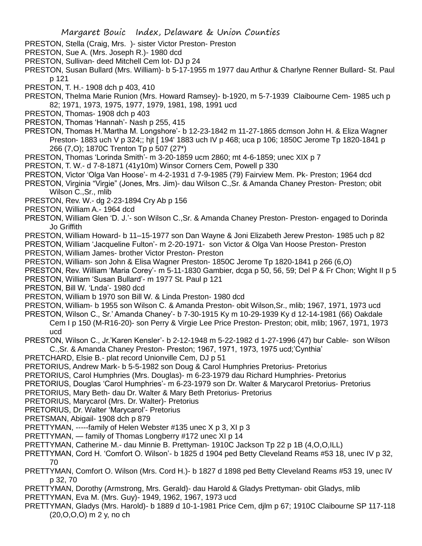- PRESTON, Stella (Craig, Mrs. )- sister Victor Preston- Preston
- PRESTON, Sue A. (Mrs. Joseph R.)- 1980 dcd
- PRESTON, Sullivan- deed Mitchell Cem lot- DJ p 24
- PRESTON, Susan Bullard (Mrs. William)- b 5-17-1955 m 1977 dau Arthur & Charlyne Renner Bullard- St. Paul p 121
- PRESTON, T. H.- 1908 dch p 403, 410
- PRESTON, Thelma Marie Runion (Mrs. Howard Ramsey)- b-1920, m 5-7-1939 Claibourne Cem- 1985 uch p 82; 1971, 1973, 1975, 1977, 1979, 1981, 198, 1991 ucd
- PRESTON, Thomas- 1908 dch p 403
- PRESTON, Thomas 'Hannah'- Nash p 255, 415
- PRESTON, Thomas H.'Martha M. Longshore'- b 12-23-1842 m 11-27-1865 dcmson John H. & Eliza Wagner Preston- 1883 uch V p 324;; hjt [ 194' 1883 uch IV p 468; uca p 106; 1850C Jerome Tp 1820-1841 p 266 (7,O); 1870C Trenton Tp p 507 (27\*)
- PRESTON, Thomas 'Lorinda Smith'- m 3-20-1859 ucm 2860; mt 4-6-1859; unec XIX p 7
- PRESTON, T. W.- d 7-8-1871 (41y10m) Winsor Corners Cem, Powell p 330
- PRESTON, Victor 'Olga Van Hoose'- m 4-2-1931 d 7-9-1985 (79) Fairview Mem. Pk- Preston; 1964 dcd
- PRESTON, Virginia "Virgie" (Jones, Mrs. Jim)- dau Wilson C.,Sr. & Amanda Chaney Preston- Preston; obit Wilson C.,Sr., mlib
- PRESTON, Rev. W.- dg 2-23-1894 Cry Ab p 156
- PRESTON, William A.- 1964 dcd
- PRESTON, William Glen 'D. J.'- son Wilson C.,Sr. & Amanda Chaney Preston- Preston- engaged to Dorinda Jo Griffith
- PRESTON, William Howard- b 11–15-1977 son Dan Wayne & Joni Elizabeth Jerew Preston- 1985 uch p 82

PRESTON, William 'Jacqueline Fulton'- m 2-20-1971- son Victor & Olga Van Hoose Preston- Preston PRESTON, William James- brother Victor Preston- Preston

- PRESTON, William- son John & Elisa Wagner Preston- 1850C Jerome Tp 1820-1841 p 266 (6,O)
- PRESTON, Rev. William 'Maria Corey'- m 5-11-1830 Gambier, dcga p 50, 56, 59; Del P & Fr Chon; Wight II p 5
- PRESTON, William 'Susan Bullard'- m 1977 St. Paul p 121
- PRESTON, Bill W. 'Lnda'- 1980 dcd
- PRESTON, William b 1970 son Bill W. & Linda Preston- 1980 dcd
- PRESTON, William- b 1955 son Wilson C. & Amanda Preston- obit Wilson,Sr., mlib; 1967, 1971, 1973 ucd
- PRESTON, Wilson C., Sr.' Amanda Chaney'- b 7-30-1915 Ky m 10-29-1939 Ky d 12-14-1981 (66) Oakdale Cem I p 150 (M-R16-20)- son Perry & Virgie Lee Price Preston- Preston; obit, mlib; 1967, 1971, 1973 ucd
- PRESTON, Wilson C., Jr.'Karen Kensler'- b 2-12-1948 m 5-22-1982 d 1-27-1996 (47) bur Cable- son Wilson C.,Sr. & Amanda Chaney Preston- Preston; 1967, 1971, 1973, 1975 ucd;'Cynthia'
- PRETCHARD, Elsie B.- plat record Unionville Cem, DJ p 51
- PRETORIUS, Andrew Mark- b 5-5-1982 son Doug & Carol Humphries Pretorius- Pretorius
- PRETORIUS, Carol Humphries (Mrs. Douglas)- m 6-23-1979 dau Richard Humphries- Pretorius
- PRETORIUS, Douglas 'Carol Humphries'- m 6-23-1979 son Dr. Walter & Marycarol Pretorius- Pretorius
- PRETORIUS, Mary Beth- dau Dr. Walter & Mary Beth Pretorius- Pretorius
- PRETORIUS, Marycarol (Mrs. Dr. Walter)- Pretorius
- PRETORIUS, Dr. Walter 'Marycarol'- Pretorius
- PRETSMAN, Abigail- 1908 dch p 879
- PRETTYMAN, -----family of Helen Webster #135 unec X p 3, XI p 3
- PRETTYMAN, family of Thomas Longberry #172 unec XI p 14
- PRETTYMAN, Catherine M.- dau Minnie B. Prettyman- 1910C Jackson Tp 22 p 1B (4,O,O,ILL)
- PRETTYMAN, Cord H. 'Comfort O. Wilson'- b 1825 d 1904 ped Betty Cleveland Reams #53 18, unec IV p 32, 70
- PRETTYMAN, Comfort O. Wilson (Mrs. Cord H.)- b 1827 d 1898 ped Betty Cleveland Reams #53 19, unec IV p 32, 70
- PRETTYMAN, Dorothy (Armstrong, Mrs. Gerald)- dau Harold & Gladys Prettyman- obit Gladys, mlib
- PRETTYMAN, Eva M. (Mrs. Guy)- 1949, 1962, 1967, 1973 ucd
- PRETTYMAN, Gladys (Mrs. Harold)- b 1889 d 10-1-1981 Price Cem, djlm p 67; 1910C Claibourne SP 117-118 (20,O,O,O) m 2 y, no ch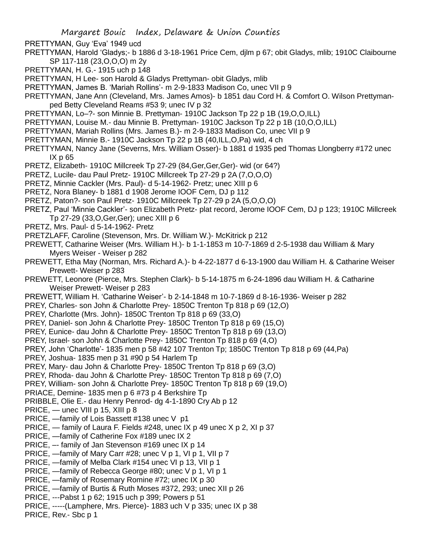- PRETTYMAN, Guy 'Eva' 1949 ucd
- PRETTYMAN, Harold 'Gladys;- b 1886 d 3-18-1961 Price Cem, djlm p 67; obit Gladys, mlib; 1910C Claibourne SP 117-118 (23,O,O,O) m 2y
- PRETTYMAN, H. G.- 1915 uch p 148
- PRETTYMAN, H Lee- son Harold & Gladys Prettyman- obit Gladys, mlib
- PRETTYMAN, James B. 'Mariah Rollins'- m 2-9-1833 Madison Co, unec VII p 9
- PRETTYMAN, Jane Ann (Cleveland, Mrs. James Amos)- b 1851 dau Cord H. & Comfort O. Wilson Prettymanped Betty Cleveland Reams #53 9; unec IV p 32
- PRETTYMAN, Lo–?- son Minnie B. Prettyman- 1910C Jackson Tp 22 p 1B (19,O,O,ILL)
- PRETTYMAN, Louise M.- dau Minnie B. Prettyman- 1910C Jackson Tp 22 p 1B (10,O,O,ILL)
- PRETTYMAN, Mariah Rollins (Mrs. James B.)- m 2-9-1833 Madison Co, unec VII p 9
- PRETTYMAN, Minnie B.- 1910C Jackson Tp 22 p 1B (40,ILL,O,Pa) wid, 4 ch
- PRETTYMAN, Nancy Jane (Severns, Mrs. William Osser)- b 1881 d 1935 ped Thomas Llongberry #172 unec IX p 65
- PRETZ, Elizabeth- 1910C Millcreek Tp 27-29 (84,Ger,Ger,Ger)- wid (or 64?)
- PRETZ, Lucile- dau Paul Pretz- 1910C Millcreek Tp 27-29 p 2A (7,O,O,O)
- PRETZ, Minnie Cackler (Mrs. Paul)- d 5-14-1962- Pretz; unec XIII p 6
- PRETZ, Nora Blaney- b 1881 d 1908 Jerome IOOF Cem, DJ p 112
- PRETZ, Paton?- son Paul Pretz- 1910C Millcreek Tp 27-29 p 2A (5,O,O,O)
- PRETZ, Paul 'Minnie Cackler'- son Elizabeth Pretz- plat record, Jerome IOOF Cem, DJ p 123; 1910C Millcreek Tp 27-29 (33,O,Ger,Ger); unec XIII p 6
- PRETZ, Mrs. Paul- d 5-14-1962- Pretz
- PRETZLAFF, Caroline (Stevenson, Mrs. Dr. William W.)- McKitrick p 212
- PREWETT, Catharine Weiser (Mrs. William H.)- b 1-1-1853 m 10-7-1869 d 2-5-1938 dau William & Mary Myers Weiser - Weiser p 282
- PREWETT, Etha May (Norman, Mrs. Richard A.)- b 4-22-1877 d 6-13-1900 dau William H. & Catharine Weiser Prewett- Weiser p 283
- PREWETT, Leonore (Pierce, Mrs. Stephen Clark)- b 5-14-1875 m 6-24-1896 dau William H. & Catharine Weiser Prewett- Weiser p 283
- PREWETT, William H. 'Catharine Weiser'- b 2-14-1848 m 10-7-1869 d 8-16-1936- Weiser p 282
- PREY, Charles- son John & Charlotte Prey- 1850C Trenton Tp 818 p 69 (12,O)
- PREY, Charlotte (Mrs. John)- 1850C Trenton Tp 818 p 69 (33,O)
- PREY, Daniel- son John & Charlotte Prey- 1850C Trenton Tp 818 p 69 (15,O)
- PREY, Eunice- dau John & Charlotte Prey- 1850C Trenton Tp 818 p 69 (13,O)
- PREY, Israel- son John & Charlotte Prey- 1850C Trenton Tp 818 p 69 (4,O)
- PREY, John 'Charlotte'- 1835 men p 58 #42 107 Trenton Tp; 1850C Trenton Tp 818 p 69 (44,Pa)
- PREY, Joshua- 1835 men p 31 #90 p 54 Harlem Tp
- PREY, Mary- dau John & Charlotte Prey- 1850C Trenton Tp 818 p 69 (3,O)
- PREY, Rhoda- dau John & Charlotte Prey- 1850C Trenton Tp 818 p 69 (7,O)
- PREY, William- son John & Charlotte Prey- 1850C Trenton Tp 818 p 69 (19,O)
- PRIACE, Demine- 1835 men p 6 #73 p 4 Berkshire Tp
- PRIBBLE, Olie E.- dau Henry Penrod- dg 4-1-1890 Cry Ab p 12
- PRICE, unec VIII p 15, XIII p 8
- PRICE, —family of Lois Bassett #138 unec V p1
- PRICE, family of Laura F. Fields #248, unec IX p 49 unec X p 2, XI p 37
- PRICE, —family of Catherine Fox #189 unec IX 2
- PRICE, –- family of Jan Stevenson #169 unec IX p 14
- PRICE, —family of Mary Carr #28; unec V p 1, VI p 1, VII p 7
- PRICE, —family of Melba Clark #154 unec VI p 13, VII p 1
- PRICE, —family of Rebecca George #80; unec V p 1, VI p 1
- PRICE, —family of Rosemary Romine #72; unec IX p 30
- PRICE, —family of Burtis & Ruth Moses #372, 293; unec XII p 26
- PRICE, ---Pabst 1 p 62; 1915 uch p 399; Powers p 51
- PRICE, -----(Lamphere, Mrs. Pierce)- 1883 uch V p 335; unec IX p 38
- PRICE, Rev.- Sbc p 1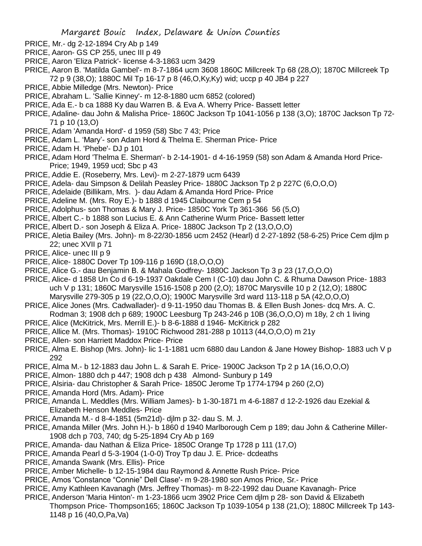- PRICE, Mr.- dg 2-12-1894 Cry Ab p 149
- PRICE, Aaron- GS CP 255, unec III p 49
- PRICE, Aaron 'Eliza Patrick'- license 4-3-1863 ucm 3429
- PRICE, Aaron B. 'Matilda Gambel'- m 8-7-1864 ucm 3608 1860C Millcreek Tp 68 (28,O); 1870C Millcreek Tp 72 p 9 (38,O); 1880C Mil Tp 16-17 p 8 (46,O,Ky,Ky) wid; uccp p 40 JB4 p 227
- PRICE, Abbie Milledge (Mrs. Newton)- Price
- PRICE, Abraham L. 'Sallie Kinney'- m 12-8-1880 ucm 6852 (colored)
- PRICE, Ada E.- b ca 1888 Ky dau Warren B. & Eva A. Wherry Price- Bassett letter
- PRICE, Adaline- dau John & Malisha Price- 1860C Jackson Tp 1041-1056 p 138 (3,O); 1870C Jackson Tp 72- 71 p 10 (13,O)
- PRICE, Adam 'Amanda Hord'- d 1959 (58) Sbc 7 43; Price
- PRICE, Adam L. 'Mary'- son Adam Hord & Thelma E. Sherman Price- Price
- PRICE, Adam H. 'Phebe'- DJ p 101
- PRICE, Adam Hord 'Thelma E. Sherman'- b 2-14-1901- d 4-16-1959 (58) son Adam & Amanda Hord Price-Price; 1949, 1959 ucd; Sbc p 43
- PRICE, Addie E. (Roseberry, Mrs. Levi)- m 2-27-1879 ucm 6439
- PRICE, Adela- dau Simpson & Delilah Peasley Price- 1880C Jackson Tp 2 p 227C (6,O,O,O)
- PRICE, Adelaide (Billikam, Mrs. )- dau Adam & Amanda Hord Price- Price
- PRICE, Adeline M. (Mrs. Roy E.)- b 1888 d 1945 Claibourne Cem p 54
- PRICE, Adolphus- son Thomas & Mary J. Price- 1850C York Tp 361-366 56 (5,O)
- PRICE, Albert C.- b 1888 son Lucius E. & Ann Catherine Wurm Price- Bassett letter
- PRICE, Albert D.- son Joseph & Eliza A. Price- 1880C Jackson Tp 2 (13,O,O,O)
- PRICE, Aletia Bailey (Mrs. John)- m 8-22/30-1856 ucm 2452 (Hearl) d 2-27-1892 (58-6-25) Price Cem djlm p 22; unec XVII p 71
- PRICE, Alice- unec III p 9
- PRICE, Alice- 1880C Dover Tp 109-116 p 169D (18,O,O,O)
- PRICE, Alice G.- dau Benjamin B. & Mahala Godfrey- 1880C Jackson Tp 3 p 23 (17,O,O,O)
- PRICE, Alice- d 1858 Un Co d 6-19-1937 Oakdale Cem I (C-10) dau John C. & Rhuma Dawson Price- 1883 uch V p 131; 1860C Marysville 1516-1508 p 200 (2,O); 1870C Marysville 10 p 2 (12,O); 1880C Marysville 279-305 p 19 (22,O,O,O); 1900C Marysville 3rd ward 113-118 p 5A (42,O,O,O)
- PRICE, Alice Jones (Mrs. Cadwallader)- d 9-11-1950 dau Thomas B. & Ellen Bush Jones- dcq Mrs. A. C. Rodman 3; 1908 dch p 689; 1900C Leesburg Tp 243-246 p 10B (36,O,O,O) m 18y, 2 ch 1 living
- PRICE, Alice (McKitrick, Mrs. Merrill E.)- b 8-6-1888 d 1946- McKitrick p 282
- PRICE, Allice M. (Mrs. Thomas)- 1910C Richwood 281-288 p 10113 (44,O,O,O) m 21y
- PRICE, Allen- son Harriett Maddox Price- Price
- PRICE, Alma E. Bishop (Mrs. John)- lic 1-1-1881 ucm 6880 dau Landon & Jane Howey Bishop- 1883 uch V p 292
- PRICE, Alma M.- b 12-1883 dau John L. & Sarah E. Price- 1900C Jackson Tp 2 p 1A (16,O,O,O)
- PRICE, Almon- 1880 dch p 447; 1908 dch p 438 Almond- Sunbury p 149
- PRICE, Alsiria- dau Christopher & Sarah Price- 1850C Jerome Tp 1774-1794 p 260 (2,O)
- PRICE, Amanda Hord (Mrs. Adam)- Price
- PRICE, Amanda L. Meddles (Mrs. William James)- b 1-30-1871 m 4-6-1887 d 12-2-1926 dau Ezekial & Elizabeth Henson Meddles- Price
- PRICE, Amanda M.- d 8-4-1851 (5m21d)- djlm p 32- dau S. M. J.
- PRICE, Amanda Miller (Mrs. John H.)- b 1860 d 1940 Marlborough Cem p 189; dau John & Catherine Miller-1908 dch p 703, 740; dg 5-25-1894 Cry Ab p 169
- PRICE, Amanda- dau Nathan & Eliza Price- 1850C Orange Tp 1728 p 111 (17,O)
- PRICE, Amanda Pearl d 5-3-1904 (1-0-0) Troy Tp dau J. E. Price- dcdeaths
- PRICE, Amanda Swank (Mrs. Ellis)- Price
- PRICE, Amber Michelle- b 12-15-1984 dau Raymond & Annette Rush Price- Price
- PRICE, Amos 'Constance "Connie" Dell Clase'- m 9-28-1980 son Amos Price, Sr.- Price
- PRICE, Amy Kathleen Kavanagh (Mrs. Jeffrey Thomas)- m 8-22-1992 dau Duane Kavanagh- Price
- PRICE, Anderson 'Maria Hinton'- m 1-23-1866 ucm 3902 Price Cem djlm p 28- son David & Elizabeth Thompson Price- Thompson165; 1860C Jackson Tp 1039-1054 p 138 (21,O); 1880C Millcreek Tp 143- 1148 p 16 (40,O,Pa,Va)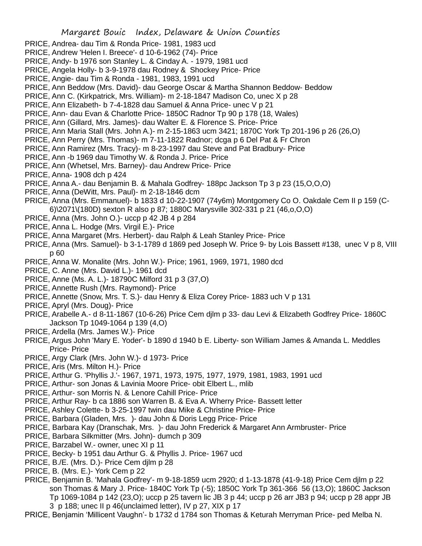- PRICE, Andrea- dau Tim & Ronda Price- 1981, 1983 ucd
- PRICE, Andrew 'Helen I. Breece'- d 10-6-1962 (74)- Price
- PRICE, Andy- b 1976 son Stanley L. & Cinday A. 1979, 1981 ucd
- PRICE, Angela Holly- b 3-9-1978 dau Rodney & Shockey Price- Price
- PRICE, Angie- dau Tim & Ronda 1981, 1983, 1991 ucd
- PRICE, Ann Beddow (Mrs. David)- dau George Oscar & Martha Shannon Beddow- Beddow
- PRICE, Ann C. (Kirkpatrick, Mrs. William)- m 2-18-1847 Madison Co, unec X p 28
- PRICE, Ann Elizabeth- b 7-4-1828 dau Samuel & Anna Price- unec V p 21
- PRICE, Ann- dau Evan & Charlotte Price- 1850C Radnor Tp 90 p 178 (18, Wales)
- PRICE, Ann (Gillard, Mrs. James)- dau Walter E. & Florence S. Price- Price
- PRICE, Ann Maria Stall (Mrs. John A.)- m 2-15-1863 ucm 3421; 1870C York Tp 201-196 p 26 (26,O)
- PRICE, Ann Perry (Mrs. Thomas)- m 7-11-1822 Radnor; dcga p 6 Del Pat & Fr Chron
- PRICE, Ann Ramirez (Mrs. Tracy)- m 8-23-1997 dau Steve and Pat Bradbury- Price
- PRICE, Ann -b 1969 dau Timothy W. & Ronda J. Price- Price
- PRICE, Ann (Whetsel, Mrs. Barney)- dau Andrew Price- Price
- PRICE, Anna- 1908 dch p 424
- PRICE, Anna A.- dau Benjamin B. & Mahala Godfrey- 188pc Jackson Tp 3 p 23 (15,O,O,O)
- PRICE, Anna (DeWitt, Mrs. Paul)- m 2-18-1846 dcm
- PRICE, Anna (Mrs. Emmanuel)- b 1833 d 10-22-1907 (74y6m) Montgomery Co O. Oakdale Cem II p 159 (C-
- 6)\2071\(180D) sexton R also p 87; 1880C Marysville 302-331 p 21 (46,o,O,O)
- PRICE, Anna (Mrs. John O.)- uccp p 42 JB 4 p 284
- PRICE, Anna L. Hodge (Mrs. Virgil E.)- Price
- PRICE, Anna Margaret (Mrs. Herbert)- dau Ralph & Leah Stanley Price- Price
- PRICE, Anna (Mrs. Samuel)- b 3-1-1789 d 1869 ped Joseph W. Price 9- by Lois Bassett #138, unec V p 8, VIII p 60
- PRICE, Anna W. Monalite (Mrs. John W.)- Price; 1961, 1969, 1971, 1980 dcd
- PRICE, C. Anne (Mrs. David L.)- 1961 dcd
- PRICE, Anne (Ms. A. L.)- 18790C Milford 31 p 3 (37,O)
- PRICE, Annette Rush (Mrs. Raymond)- Price
- PRICE, Annette (Snow, Mrs. T. S.)- dau Henry & Eliza Corey Price- 1883 uch V p 131
- PRICE, Apryl (Mrs. Doug)- Price
- PRICE, Arabelle A.- d 8-11-1867 (10-6-26) Price Cem djlm p 33- dau Levi & Elizabeth Godfrey Price- 1860C Jackson Tp 1049-1064 p 139 (4,O)
- PRICE, Ardella (Mrs. James W.)- Price
- PRICE, Argus John 'Mary E. Yoder'- b 1890 d 1940 b E. Liberty- son William James & Amanda L. Meddles Price- Price
- PRICE, Argy Clark (Mrs. John W.)- d 1973- Price
- PRICE, Aris (Mrs. Milton H.)- Price
- PRICE, Arthur G. 'Phyllis J.'- 1967, 1971, 1973, 1975, 1977, 1979, 1981, 1983, 1991 ucd
- PRICE, Arthur- son Jonas & Lavinia Moore Price- obit Elbert L., mlib
- PRICE, Arthur- son Morris N. & Lenore Cahill Price- Price
- PRICE, Arthur Ray- b ca 1886 son Warren B. & Eva A. Wherry Price- Bassett letter
- PRICE, Ashley Colette- b 3-25-1997 twin dau Mike & Christine Price- Price
- PRICE, Barbara (Gladen, Mrs. )- dau John & Doris Legg Price- Price
- PRICE, Barbara Kay (Dranschak, Mrs. )- dau John Frederick & Margaret Ann Armbruster- Price
- PRICE, Barbara Silkmitter (Mrs. John)- dumch p 309
- PRICE, Barzabel W.- owner, unec XI p 11
- PRICE, Becky- b 1951 dau Arthur G. & Phyllis J. Price- 1967 ucd
- PRICE, B./E. (Mrs. D.)- Price Cem djlm p 28
- PRICE, B. (Mrs. E.)- York Cem p 22
- PRICE, Benjamin B. 'Mahala Godfrey'- m 9-18-1859 ucm 2920; d 1-13-1878 (41-9-18) Price Cem djlm p 22 son Thomas & Mary J. Price- 1840C York Tp (-5); 1850C York Tp 361-366 56 (13,O); 1860C Jackson Tp 1069-1084 p 142 (23,O); uccp p 25 tavern lic JB 3 p 44; uccp p 26 arr JB3 p 94; uccp p 28 appr JB 3 p 188; unec II p 46(unclaimed letter), IV p 27, XIX p 17

PRICE, Benjamin 'Millicent Vaughn'- b 1732 d 1784 son Thomas & Keturah Merryman Price- ped Melba N.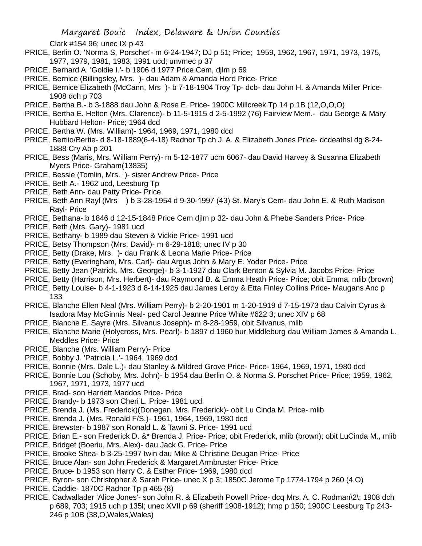Clark #154 96; unec IX p 43

- PRICE, Berlin O. 'Norma S, Porschet'- m 6-24-1947; DJ p 51; Price; 1959, 1962, 1967, 1971, 1973, 1975, 1977, 1979, 1981, 1983, 1991 ucd; unvmec p 37
- PRICE, Bernard A. 'Goldie I.'- b 1906 d 1977 Price Cem, djlm p 69
- PRICE, Bernice (Billingsley, Mrs. )- dau Adam & Amanda Hord Price- Price
- PRICE, Bernice Elizabeth (McCann, Mrs )- b 7-18-1904 Troy Tp- dcb- dau John H. & Amanda Miller Price-1908 dch p 703
- PRICE, Bertha B.- b 3-1888 dau John & Rose E. Price- 1900C Millcreek Tp 14 p 1B (12,O,O,O)
- PRICE, Bertha E. Helton (Mrs. Clarence)- b 11-5-1915 d 2-5-1992 (76) Fairview Mem.- dau George & Mary Hubbard Helton- Price; 1964 dcd
- PRICE, Bertha W. (Mrs. William)- 1964, 1969, 1971, 1980 dcd
- PRICE, Bertiio/Bertie- d 8-18-1889(6-4-18) Radnor Tp ch J. A. & Elizabeth Jones Price- dcdeathsl dg 8-24- 1888 Cry Ab p 201
- PRICE, Bess (Maris, Mrs. William Perry)- m 5-12-1877 ucm 6067- dau David Harvey & Susanna Elizabeth Myers Price- Graham(13835)
- PRICE, Bessie (Tomlin, Mrs. )- sister Andrew Price- Price
- PRICE, Beth A.- 1962 ucd, Leesburg Tp
- PRICE, Beth Ann- dau Patty Price- Price
- PRICE, Beth Ann Rayl (Mrs ) b 3-28-1954 d 9-30-1997 (43) St. Mary's Cem- dau John E. & Ruth Madison Rayl- Price
- PRICE, Bethana- b 1846 d 12-15-1848 Price Cem djlm p 32- dau John & Phebe Sanders Price- Price
- PRICE, Beth (Mrs. Gary)- 1981 ucd
- PRICE, Bethany- b 1989 dau Steven & Vickie Price- 1991 ucd
- PRICE, Betsy Thompson (Mrs. David)- m 6-29-1818; unec IV p 30
- PRICE, Betty (Drake, Mrs. )- dau Frank & Leona Marie Price- Price
- PRICE, Betty (Everingham, Mrs. Carl)- dau Argus John & Mary E. Yoder Price- Price
- PRICE, Betty Jean (Patrick, Mrs. George)- b 3-1-1927 dau Clark Benton & Sylvia M. Jacobs Price- Price
- PRICE, Betty (Harrison, Mrs. Herbert)- dau Raymond B. & Emma Heath Price- Price; obit Emma, mlib (brown)
- PRICE, Betty Louise- b 4-1-1923 d 8-14-1925 dau James Leroy & Etta Finley Collins Price- Maugans Anc p 133
- PRICE, Blanche Ellen Neal (Mrs. William Perry)- b 2-20-1901 m 1-20-1919 d 7-15-1973 dau Calvin Cyrus & Isadora May McGinnis Neal- ped Carol Jeanne Price White #622 3; unec XIV p 68
- PRICE, Blanche E. Sayre (Mrs. Silvanus Joseph)- m 8-28-1959, obit Silvanus, mlib
- PRICE, Blanche Marie (Holycross, Mrs. Pearl)- b 1897 d 1960 bur Middleburg dau William James & Amanda L. Meddles Price- Price
- PRICE, Blanche (Mrs. William Perry)- Price
- PRICE, Bobby J. 'Patricia L.'- 1964, 1969 dcd
- PRICE, Bonnie (Mrs. Dale L.)- dau Stanley & Mildred Grove Price- Price- 1964, 1969, 1971, 1980 dcd
- PRICE, Bonnie Lou (Schoby, Mrs. John)- b 1954 dau Berlin O. & Norma S. Porschet Price- Price; 1959, 1962, 1967, 1971, 1973, 1977 ucd
- PRICE, Brad- son Harriett Maddos Price- Price
- PRICE, Brandy- b 1973 son Cheri L. Price- 1981 ucd
- PRICE, Brenda J. (Ms. Frederick)(Donegan, Mrs. Frederick)- obit Lu Cinda M. Price- mlib
- PRICE, Brenda J. (Mrs. Ronald F/S.)- 1961, 1964, 1969, 1980 dcd
- PRICE, Brewster- b 1987 son Ronald L. & Tawni S. Price- 1991 ucd
- PRICE, Brian E.- son Frederick D. &\* Brenda J. Price- Price; obit Frederick, mlib (brown); obit LuCinda M., mlib
- PRICE, Bridget (Boeriu, Mrs. Alex)- dau Jack G. Price- Price
- PRICE, Brooke Shea- b 3-25-1997 twin dau Mike & Christine Deugan Price- Price
- PRICE, Bruce Alan- son John Frederick & Margaret Armbruster Price- Price
- PRICE, Bruce- b 1953 son Harry C. & Esther Price- 1969, 1980 dcd
- PRICE, Byron- son Christopher & Sarah Price- unec X p 3; 1850C Jerome Tp 1774-1794 p 260 (4,O)
- PRICE, Caddie- 1870C Radnor Tp p 465 (8)
- PRICE, Cadwallader 'Alice Jones'- son John R. & Elizabeth Powell Price- dcq Mrs. A. C. Rodman\2\; 1908 dch p 689, 703; 1915 uch p 135l; unec XVII p 69 (sheriff 1908-1912); hmp p 150; 1900C Leesburg Tp 243- 246 p 10B (38,O,Wales,Wales)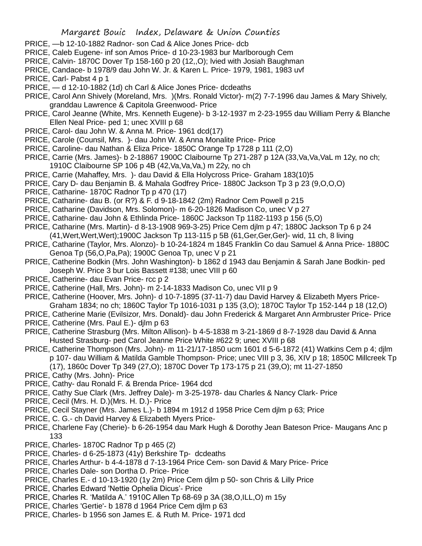- PRICE, —b 12-10-1882 Radnor- son Cad & Alice Jones Price- dcb
- PRICE, Caleb Eugene- inf son Amos Price- d 10-23-1983 bur Marlborough Cem
- PRICE, Calvin- 1870C Dover Tp 158-160 p 20 (12,,O); lvied with Josiah Baughman
- PRICE, Candace- b 1978/9 dau John W. Jr. & Karen L. Price- 1979, 1981, 1983 uvf
- PRICE, Carl- Pabst 4 p 1
- PRICE, d 12-10-1882 (1d) ch Carl & Alice Jones Price- dcdeaths
- PRICE, Carol Ann Shively (Moreland, Mrs. )(Mrs. Ronald Victor)- m(2) 7-7-1996 dau James & Mary Shively, granddau Lawrence & Capitola Greenwood- Price
- PRICE, Carol Jeanne (White, Mrs. Kenneth Eugene)- b 3-12-1937 m 2-23-1955 dau William Perry & Blanche Ellen Neal Price- ped 1; unec XVIII p 68
- PRICE, Carol- dau John W. & Anna M. Price- 1961 dcd(17)
- PRICE, Carole (Counsil, Mrs. )- dau John W. & Anna Monalite Price- Price
- PRICE, Caroline- dau Nathan & Eliza Price- 1850C Orange Tp 1728 p 111 (2,O)
- PRICE, Carrie (Mrs. James)- b 2-18867 1900C Claibourne Tp 271-287 p 12A (33,Va,Va,VaL m 12y, no ch; 1910C Claibourne SP 106 p 4B (42, Va, Va, Va,) m 22y, no ch
- PRICE, Carrie (Mahaffey, Mrs. )- dau David & Ella Holycross Price- Graham 183(10)5
- PRICE, Cary D- dau Benjamin B. & Mahala Godfrey Price- 1880C Jackson Tp 3 p 23 (9,O,O,O)
- PRICE, Catharine- 1870C Radnor Tp p 470 (17)
- PRICE, Catharine- dau B. (or R?) & F. d 9-18-1842 (2m) Radnor Cem Powell p 215
- PRICE, Catharine (Davidson, Mrs. Solomon)- m 6-20-1826 Madison Co, unec V p 27
- PRICE, Catharine- dau John & Ethlinda Price- 1860C Jackson Tp 1182-1193 p 156 (5,O)
- PRICE, Catharine (Mrs. Martin)- d 8-13-1908 969-3-25) Price Cem djlm p 47; 1880C Jackson Tp 6 p 24 (41,Wert,Wert,Wert);1900C Jackson Tp 113-115 p 5B (61,Ger,Ger,Ger)- wid, 11 ch, 8 living
- PRICE, Catharine (Taylor, Mrs. Alonzo)- b 10-24-1824 m 1845 Franklin Co dau Samuel & Anna Price- 1880C Genoa Tp (56,O,Pa,Pa); 1900C Genoa Tp, unec V p 21
- PRICE, Catherine Bodkin (Mrs. John Washington)- b 1862 d 1943 dau Benjamin & Sarah Jane Bodkin- ped Joseph W. Price 3 bur Lois Bassett #138; unec VIII p 60
- PRICE, Catherine- dau Evan Price- rcc p 2
- PRICE, Catherine (Hall, Mrs. John)- m 2-14-1833 Madison Co, unec VII p 9
- PRICE, Catherine (Hoover, Mrs. John)- d 10-7-1895 (37-11-7) dau David Harvey & Elizabeth Myers Price-Graham 1834; no ch; 1860C Taylor Tp 1016-1031 p 135 (3,O); 1870C Taylor Tp 152-144 p 18 (12,O)
- PRICE, Catherine Marie (Evilsizor, Mrs. Donald)- dau John Frederick & Margaret Ann Armbruster Price- Price PRICE, Catherine (Mrs. Paul E.)- djlm p 63
- PRICE, Catherine Strasburg (Mrs. Milton Allison)- b 4-5-1838 m 3-21-1869 d 8-7-1928 dau David & Anna Husted Strasburg- ped Carol Jeanne Price White #622 9; unec XVIII p 68
- PRICE, Catherine Thompson (Mrs. John)- m 11-21/17-1850 ucm 1601 d 5-6-1872 (41) Watkins Cem p 4; djlm p 107- dau William & Matilda Gamble Thompson- Price; unec VIII p 3, 36, XIV p 18; 1850C Millcreek Tp (17), 1860c Dover Tp 349 (27,O); 1870C Dover Tp 173-175 p 21 (39,O); mt 11-27-1850
- PRICE, Cathy (Mrs. John)- Price
- PRICE, Cathy- dau Ronald F. & Brenda Price- 1964 dcd
- PRICE, Cathy Sue Clark (Mrs. Jeffrey Dale)- m 3-25-1978- dau Charles & Nancy Clark- Price
- PRICE, Cecil (Mrs. H. D.)(Mrs. H. D.)- Price
- PRICE, Cecil Stayner (Mrs. James L.)- b 1894 m 1912 d 1958 Price Cem djlm p 63; Price
- PRICE, C. G.- ch David Harvey & Elizabeth Myers Price-
- PRICE, Charlene Fay (Cherie)- b 6-26-1954 dau Mark Hugh & Dorothy Jean Bateson Price- Maugans Anc p 133
- PRICE, Charles- 1870C Radnor Tp p 465 (2)
- PRICE, Charles- d 6-25-1873 (41y) Berkshire Tp- dcdeaths
- PRICE, Charles Arthur- b 4-4-1878 d 7-13-1964 Price Cem- son David & Mary Price- Price
- PRICE, Charles Dale- son Dortha D. Price- Price
- PRICE, Charles E.- d 10-13-1920 (1y 2m) Price Cem djlm p 50- son Chris & Lilly Price
- PRICE, Charles Edward 'Nettie Ophelia Dicus'- Price
- PRICE, Charles R. 'Matilda A.' 1910C Allen Tp 68-69 p 3A (38,O,ILL,O) m 15y
- PRICE, Charles 'Gertie'- b 1878 d 1964 Price Cem djlm p 63
- PRICE, Charles- b 1956 son James E. & Ruth M. Price- 1971 dcd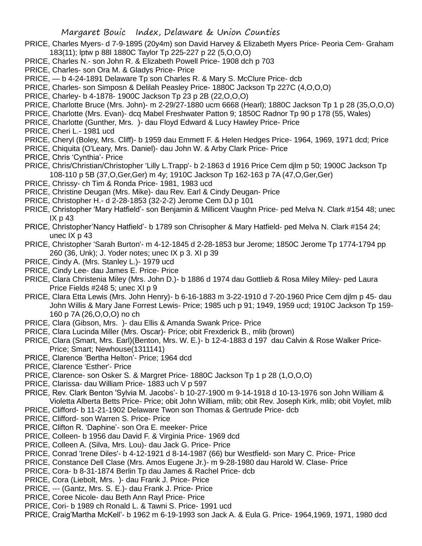- PRICE, Charles Myers- d 7-9-1895 (20y4m) son David Harvey & Elizabeth Myers Price- Peoria Cem- Graham 183(11); lptw p 88l 1880C Taylor Tp 225-227 p 22 (5,O,O,O)
- PRICE, Charles N.- son John R. & Elizabeth Powell Price- 1908 dch p 703
- PRICE, Charles- son Ora M. & Gladys Price- Price
- PRICE, b 4-24-1891 Delaware Tp son Charles R. & Mary S. McClure Price- dcb
- PRICE, Charles- son Simposn & Delilah Peasley Price- 1880C Jackson Tp 227C (4,O,O,O)
- PRICE, Charley- b 4-1878- 1900C Jackson Tp 23 p 2B (22,O,O,O)
- PRICE, Charlotte Bruce (Mrs. John)- m 2-29/27-1880 ucm 6668 (Hearl); 1880C Jackson Tp 1 p 28 (35,O,O,O)
- PRICE, Charlotte (Mrs. Evan)- dcq Mabel Freshwater Patton 9; 1850C Radnor Tp 90 p 178 (55, Wales)
- PRICE, Charlotte (Gunther, Mrs. )- dau Floyd Edward & Lucy Hawley Price- Price
- PRICE, Cheri L.- 1981 ucd
- PRICE, Cheryl (Boley, Mrs. Cliff)- b 1959 dau Emmett F. & Helen Hedges Price- 1964, 1969, 1971 dcd; Price
- PRICE, Chiquita (O'Leary, Mrs. Daniel)- dau John W. & Arby Clark Price- Price
- PRICE, Chris 'Cynthia'- Price
- PRICE, Chris/Christian/Christopher 'Lilly L.Trapp'- b 2-1863 d 1916 Price Cem djlm p 50; 1900C Jackson Tp 108-110 p 5B (37,O,Ger,Ger) m 4y; 1910C Jackson Tp 162-163 p 7A (47,O,Ger,Ger)
- PRICE, Chrissy- ch Tim & Ronda Price- 1981, 1983 ucd
- PRICE, Christine Deugan (Mrs. Mike)- dau Rev. Earl & Cindy Deugan- Price
- PRICE, Christopher H.- d 2-28-1853 (32-2-2) Jerome Cem DJ p 101
- PRICE, Christopher 'Mary Hatfield'- son Benjamin & Millicent Vaughn Price- ped Melva N. Clark #154 48; unec  $IX<sub>p</sub>$  43
- PRICE, Christopher'Nancy Hatfield'- b 1789 son Chrisopher & Mary Hatfield- ped Melva N. Clark #154 24; unec IX p 43
- PRICE, Christopher 'Sarah Burton'- m 4-12-1845 d 2-28-1853 bur Jerome; 1850C Jerome Tp 1774-1794 pp 260 (36, Unk); J. Yoder notes; unec IX p 3. XI p 39
- PRICE, Cindy A. (Mrs. Stanley L.)- 1979 ucd
- PRICE, Cindy Lee- dau James E. Price- Price
- PRICE, Clara Christenia Miley (Mrs. John D.)- b 1886 d 1974 dau Gottlieb & Rosa Miley Miley- ped Laura Price Fields #248 5; unec XI p 9
- PRICE, Clara Etta Lewis (Mrs. John Henry)- b 6-16-1883 m 3-22-1910 d 7-20-1960 Price Cem djlm p 45- dau John Willis & Mary Jane Forrest Lewis- Price; 1985 uch p 91; 1949, 1959 ucd; 1910C Jackson Tp 159- 160 p 7A (26,O,O,O) no ch
- PRICE, Clara (Gibson, Mrs. )- dau Ellis & Amanda Swank Price- Price
- PRICE, Clara Lucinda Miller (Mrs. Oscar)- Price; obit Frexderick B., mlib (brown)
- PRICE, Clara (Smart, Mrs. Earl)(Benton, Mrs. W. E.)- b 12-4-1883 d 197 dau Calvin & Rose Walker Price-Price; Smart; Newhouse(1311141)
- PRICE, Clarence 'Bertha Helton'- Price; 1964 dcd
- PRICE, Clarence 'Esther'- Price
- PRICE, Clarence- son Osker S. & Margret Price- 1880C Jackson Tp 1 p 28 (1,O,O,O)
- PRICE, Clarissa- dau William Price- 1883 uch V p 597
- PRICE, Rev. Clark Benton 'Sylvia M. Jacobs'- b 10-27-1900 m 9-14-1918 d 10-13-1976 son John William & Violetta Alberta Betts Price- Price; obit John William, mlib; obit Rev. Joseph Kirk, mlib; obit Voylet, mlib
- PRICE, Clifford- b 11-21-1902 Delaware Twon son Thomas & Gertrude Price- dcb
- PRICE, Clifford- son Warren S. Price- Price
- PRICE, Clifton R. 'Daphine'- son Ora E. meeker- Price
- PRICE, Colleen- b 1956 dau David F. & Virginia Price- 1969 dcd
- PRICE, Colleen A. (Silva, Mrs. Lou)- dau Jack G. Price- Price
- PRICE, Conrad 'Irene Diles'- b 4-12-1921 d 8-14-1987 (66) bur Westfield- son Mary C. Price- Price
- PRICE, Constance Dell Clase (Mrs. Amos Eugene Jr.)- m 9-28-1980 dau Harold W. Clase- Price
- PRICE, Cora- b 8-31-1874 Berlin Tp dau James & Rachel Price- dcb
- PRICE, Cora (Liebolt, Mrs. )- dau Frank J. Price- Price
- PRICE, --- (Gantz, Mrs. S. E.)- dau Frank J. Price- Price
- PRICE, Coree Nicole- dau Beth Ann Rayl Price- Price
- PRICE, Cori- b 1989 ch Ronald L. & Tawni S. Price- 1991 ucd
- PRICE, Craig'Martha McKell'- b 1962 m 6-19-1993 son Jack A. & Eula G. Price- 1964,1969, 1971, 1980 dcd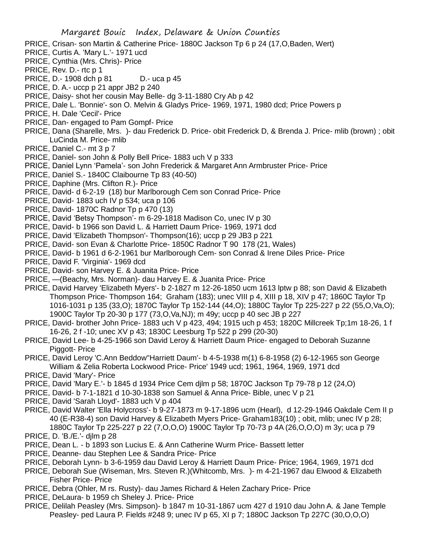- PRICE, Crisan- son Martin & Catherine Price- 1880C Jackson Tp 6 p 24 (17,O,Baden, Wert)
- PRICE, Curtis A. 'Mary L.'- 1971 ucd
- PRICE, Cynthia (Mrs. Chris)- Price
- PRICE, Rev. D.- rtc p 1
- PRICE, D.-1908 dch p 81 D.- uca p 45
- PRICE, D. A.- uccp p 21 appr JB2 p 240
- PRICE, Daisy- shot her cousin May Belle- dg 3-11-1880 Cry Ab p 42
- PRICE, Dale L. 'Bonnie'- son O. Melvin & Gladys Price- 1969, 1971, 1980 dcd; Price Powers p
- PRICE, H. Dale 'Cecil'- Price
- PRICE, Dan- engaged to Pam Gompf- Price
- PRICE, Dana (Sharelle, Mrs. )- dau Frederick D. Price- obit Frederick D, & Brenda J. Price- mlib (brown) ; obit LuCinda M. Price- mlib
- PRICE, Daniel C.- mt 3 p 7
- PRICE, Daniel- son John & Polly Bell Price- 1883 uch V p 333
- PRICE, Daniel Lynn 'Pamela'- son John Frederick & Margaret Ann Armbruster Price- Price
- PRICE, Daniel S.- 1840C Claibourne Tp 83 (40-50)
- PRICE, Daphine (Mrs. Clifton R.)- Price
- PRICE, David- d 6-2-19 (18) bur Marlborough Cem son Conrad Price- Price
- PRICE, David- 1883 uch IV p 534; uca p 106
- PRICE, David- 1870C Radnor Tp p 470 (13)
- PRICE, David 'Betsy Thompson'- m 6-29-1818 Madison Co, unec IV p 30
- PRICE, David- b 1966 son David L. & Harriett Daum Price- 1969, 1971 dcd
- PRICE, David 'Elizabeth Thompson'- Thompson(16); uccp p 29 JB3 p 221
- PRICE, David- son Evan & Charlotte Price- 1850C Radnor T 90 178 (21, Wales)
- PRICE, David- b 1961 d 6-2-1961 bur Marlborough Cem- son Conrad & Irene Diles Price- Price
- PRICE, David F. 'Virginia'- 1969 dcd
- PRICE, David- son Harvey E. & Juanita Price- Price
- PRICE, —(Beachy, Mrs. Norman)- dau Harvey E. & Juanita Price- Price
- PRICE, David Harvey 'Elizabeth Myers'- b 2-1827 m 12-26-1850 ucm 1613 lptw p 88; son David & Elizabeth Thompson Price- Thompson 164; Graham (183); unec VIII p 4, XIII p 18, XIV p 47; 1860C Taylor Tp 1016-1031 p 135 (33,O); 1870C Taylor Tp 152-144 (44,O); 1880C Taylor Tp 225-227 p 22 (55,O,Va,O); 1900C Taylor Tp 20-30 p 177 (73,O,Va,NJ); m 49y; uccp p 40 sec JB p 227
- PRICE, David- brother John Price- 1883 uch V p 423, 494; 1915 uch p 453; 1820C Millcreek Tp;1m 18-26, 1 f 16-26, 2 f -10; unec XV p 43; 1830C Leesburg Tp 522 p 299 (20-30)
- PRICE, David Lee- b 4-25-1966 son David Leroy & Harriett Daum Price- engaged to Deborah Suzanne Piggott- Price
- PRICE, David Leroy 'C.Ann Beddow''Harriett Daum'- b 4-5-1938 m(1) 6-8-1958 (2) 6-12-1965 son George William & Zelia Roberta Lockwood Price- Price' 1949 ucd; 1961, 1964, 1969, 1971 dcd
- PRICE, David 'Mary'- Price
- PRICE, David 'Mary E.'- b 1845 d 1934 Price Cem djlm p 58; 1870C Jackson Tp 79-78 p 12 (24,O)
- PRICE, David- b 7-1-1821 d 10-30-1838 son Samuel & Anna Price- Bible, unec V p 21
- PRICE, David 'Sarah Lloyd'- 1883 uch V p 404
- PRICE, David Walter 'Ella Holycross'- b 9-27-1873 m 9-17-1896 ucm (Hearl), d 12-29-1946 Oakdale Cem II p 40 (E-R38-4) son David Harvey & Elizabeth Myers Price- Graham183(10) ; obit, mlib; unec IV p 28; 1880C Taylor Tp 225-227 p 22 (7,O,O,O) 1900C Taylor Tp 70-73 p 4A (26,O,O,O) m 3y; uca p 79
- PRICE, D. 'B./E.'- djlm p 28
- PRICE, Dean L. b 1893 son Lucius E. & Ann Catherine Wurm Price- Bassett letter
- PRICE, Deanne- dau Stephen Lee & Sandra Price- Price
- PRICE, Deborah Lynn- b 3-6-1959 dau David Leroy & Harriett Daum Price- Price; 1964, 1969, 1971 dcd
- PRICE, Deborah Sue (Wiseman, Mrs. Steven R.)(Whitcomb, Mrs. )- m 4-21-1967 dau Elwood & Elizabeth Fisher Price- Price
- PRICE, Debra (Ohler, M rs. Rusty)- dau James Richard & Helen Zachary Price- Price
- PRICE, DeLaura- b 1959 ch Sheley J. Price- Price
- PRICE, Delilah Peasley (Mrs. Simpson)- b 1847 m 10-31-1867 ucm 427 d 1910 dau John A. & Jane Temple Peasley- ped Laura P. Fields #248 9; unec IV p 65, XI p 7; 1880C Jackson Tp 227C (30,O,O,O)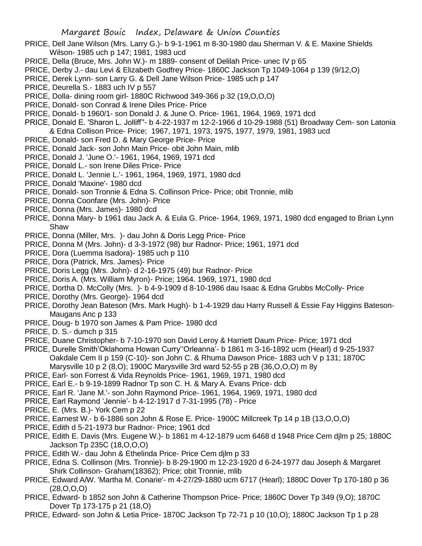- PRICE, Dell Jane Wilson (Mrs. Larry G.)- b 9-1-1961 m 8-30-1980 dau Sherman V. & E. Maxine Shields Wilson- 1985 uch p 147; 1981, 1983 ucd
- PRICE, Della (Bruce, Mrs. John W.)- m 1889- consent of Delilah Price- unec IV p 65
- PRICE, Derby J.- dau Levi & Elizabeth Godfrey Price- 1860C Jackson Tp 1049-1064 p 139 (9/12,O)
- PRICE, Derek Lynn- son Larry G. & Dell Jane Wilson Price- 1985 uch p 147
- PRICE, Deurella S.- 1883 uch IV p 557
- PRICE, Dolla- dining room girl- 1880C Richwood 349-366 p 32 (19,O,O,O)
- PRICE, Donald- son Conrad & Irene Diles Price- Price
- PRICE, Donald- b 1960/1- son Donald J. & June O. Price- 1961, 1964, 1969, 1971 dcd
- PRICE, Donald E. 'Sharon L. Jolliff''- b 4-22-1937 m 12-2-1966 d 10-29-1988 (51) Broadway Cem- son Latonia
- & Edna Collison Price- Price; 1967, 1971, 1973, 1975, 1977, 1979, 1981, 1983 ucd
- PRICE, Donald- son Fred D. & Mary George Price- Price
- PRICE, Donald Jack- son John Main Price- obit John Main, mlib
- PRICE, Donald J. 'June O.'- 1961, 1964, 1969, 1971 dcd
- PRICE, Donald L.- son Irene Diles Price- Price
- PRICE, Donald L. 'Jennie L.'- 1961, 1964, 1969, 1971, 1980 dcd
- PRICE, Donald 'Maxine'- 1980 dcd
- PRICE, Donald- son Tronnie & Edna S. Collinson Price- Price; obit Tronnie, mlib
- PRICE, Donna Coonfare (Mrs. John)- Price
- PRICE, Donna (Mrs. James)- 1980 dcd
- PRICE, Donna Mary- b 1961 dau Jack A. & Eula G. Price- 1964, 1969, 1971, 1980 dcd engaged to Brian Lynn Shaw
- PRICE, Donna (Miller, Mrs. )- dau John & Doris Legg Price- Price
- PRICE, Donna M (Mrs. John)- d 3-3-1972 (98) bur Radnor- Price; 1961, 1971 dcd
- PRICE, Dora (Luemma Isadora)- 1985 uch p 110
- PRICE, Dora (Patrick, Mrs. James)- Price
- PRICE, Doris Legg (Mrs. John)- d 2-16-1975 (49) bur Radnor- Price
- PRICE, Doris A. (Mrs. William Myron)- Price; 1964. 1969, 1971, 1980 dcd
- PRICE, Dortha D. McColly (Mrs. )- b 4-9-1909 d 8-10-1986 dau Isaac & Edna Grubbs McColly- Price
- PRICE, Dorothy (Mrs. George)- 1964 dcd
- PRICE, Dorothy Jean Bateson (Mrs. Mark Hugh)- b 1-4-1929 dau Harry Russell & Essie Fay Higgins Bateson-Maugans Anc p 133
- PRICE, Doug- b 1970 son James & Pam Price- 1980 dcd
- PRICE, D. S.- dumch p 315
- PRICE, Duane Christopher- b 7-10-1970 son David Leroy & Harriett Daum Price- Price; 1971 dcd
- PRICE, Durelle Smith'Oklahoma Howan Curry''Orleanna'- b 1861 m 3-16-1892 ucm (Hearl) d 9-25-1937 Oakdale Cem II p 159 (C-10)- son John C. & Rhuma Dawson Price- 1883 uch V p 131; 1870C Marysville 10 p 2 (8,O); 1900C Marysville 3rd ward 52-55 p 2B (36,O,O,O) m 8y
- PRICE, Earl- son Forrest & Vida Reynolds Price- 1961, 1969, 1971, 1980 dcd
- PRICE, Earl E.- b 9-19-1899 Radnor Tp son C. H. & Mary A. Evans Price- dcb
- PRICE, Earl R. 'Jane M.'- son John Raymond Price- 1961, 1964, 1969, 1971, 1980 dcd
- PRICE, Earl Raymond 'Jennie'- b 4-12-1917 d 7-31-1995 (78) Price
- PRICE, E. (Mrs. B.)- York Cem p 22
- PRICE, Earnest W.- b 6-1886 son John & Rose E. Price- 1900C Millcreek Tp 14 p 1B (13,O,O,O)
- PRICE, Edith d 5-21-1973 bur Radnor- Price; 1961 dcd
- PRICE, Edith E. Davis (Mrs. Eugene W.)- b 1861 m 4-12-1879 ucm 6468 d 1948 Price Cem djlm p 25; 1880C Jackson Tp 235C (18,O,O,O)
- PRICE, Edith W.- dau John & Ethelinda Price- Price Cem djlm p 33
- PRICE, Edna S. Collinson (Mrs. Tronnie)- b 8-29-1900 m 12-23-1920 d 6-24-1977 dau Joseph & Margaret Shirk Collinson- Graham(18362); Price; obit Tronnie, mlib
- PRICE, Edward A/W. 'Martha M. Conarie'- m 4-27/29-1880 ucm 6717 (Hearl); 1880C Dover Tp 170-180 p 36 (28,O,O,O)
- PRICE, Edward- b 1852 son John & Catherine Thompson Price- Price; 1860C Dover Tp 349 (9,O); 1870C Dover Tp 173-175 p 21 (18,O)
- PRICE, Edward- son John & Letia Price- 1870C Jackson Tp 72-71 p 10 (10,O); 1880C Jackson Tp 1 p 28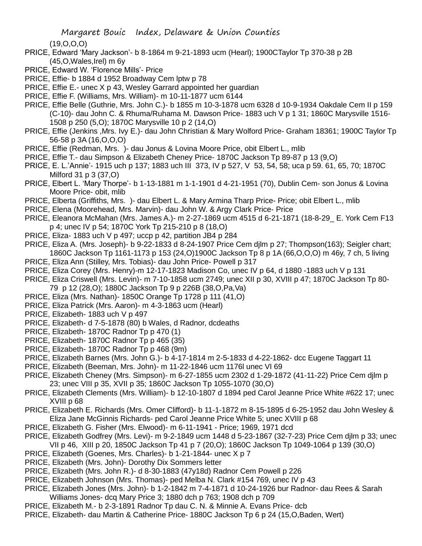(19,O,O,O)

- PRICE, Edward 'Mary Jackson'- b 8-1864 m 9-21-1893 ucm (Hearl); 1900CTaylor Tp 370-38 p 2B (45,O,Wales,Irel) m 6y
- PRICE, Edward W. 'Florence Mills'- Price
- PRICE, Effie- b 1884 d 1952 Broadway Cem lptw p 78
- PRICE, Effie E.- unec X p 43, Wesley Garrard appointed her guardian
- PRICE, Effie F. (Williams, Mrs. William)- m 10-11-1877 ucm 6144
- PRICE, Effie Belle (Guthrie, Mrs. John C.)- b 1855 m 10-3-1878 ucm 6328 d 10-9-1934 Oakdale Cem II p 159 (C-10)- dau John C. & Rhuma/Ruhama M. Dawson Price- 1883 uch V p 1 31; 1860C Marysville 1516- 1508 p 250 (5,O); 1870C Marysville 10 p 2 (14,O)
- PRICE, Effie (Jenkins ,Mrs. Ivy E.)- dau John Christian & Mary Wolford Price- Graham 18361; 1900C Taylor Tp 56-58 p 3A (16,O,O,O)
- PRICE, Effie (Redman, Mrs. )- dau Jonus & Lovina Moore Price, obit Elbert L., mlib
- PRICE, Effie T.- dau Simpson & Elizabeth Cheney Price- 1870C Jackson Tp 89-87 p 13 (9,O)
- PRICE, E. L.'Annie'- 1915 uch p 137; 1883 uch III 373, IV p 527, V 53, 54, 58; uca p 59. 61, 65, 70; 1870C Milford 31 p 3 (37,O)
- PRICE, Elbert L. 'Mary Thorpe'- b 1-13-1881 m 1-1-1901 d 4-21-1951 (70), Dublin Cem- son Jonus & Lovina Moore Price- obit, mlib
- PRICE, Elberta (Griffiths, Mrs. )- dau Elbert L. & Mary Armina Tharp Price- Price; obit Elbert L., mlib
- PRICE, Elena (Moorehead, Mrs. Marvin)- dau John W. & Argy Clark Price- Price
- PRICE, Eleanora McMahan (Mrs. James A.)- m 2-27-1869 ucm 4515 d 6-21-1871 (18-8-29\_ E. York Cem F13 p 4; unec IV p 54; 1870C York Tp 215-210 p 8 (18,O)
- PRICE, Eliza- 1883 uch V p 497; uccp p 42, partition JB4 p 284
- PRICE, Eliza A. (Mrs. Joseph)- b 9-22-1833 d 8-24-1907 Price Cem djlm p 27; Thompson(163); Seigler chart; 1860C Jackson Tp 1161-1173 p 153 (24,O)1900C Jackson Tp 8 p 1A (66,O,O,O) m 46y, 7 ch, 5 living
- PRICE, Eliza Ann (Stilley, Mrs. Tobias)- dau John Price- Powell p 317
- PRICE, Eliza Corey (Mrs. Henry)-m 12-17-1823 Madison Co, unec IV p 64, d 1880 -1883 uch V p 131
- PRICE, Eliza Criswell (Mrs. Levin)- m 7-10-1858 ucm 2749; unec XII p 30, XVIII p 47; 1870C Jackson Tp 80- 79 p 12 (28,O); 1880C Jackson Tp 9 p 226B (38,O,Pa,Va)
- PRICE, Eliza (Mrs. Nathan)- 1850C Orange Tp 1728 p 111 (41,O)
- PRICE, Eliza Patrick (Mrs. Aaron)- m 4-3-1863 ucm (Hearl)
- PRICE, Elizabeth- 1883 uch V p 497
- PRICE, Elizabeth- d 7-5-1878 (80) b Wales, d Radnor, dcdeaths
- PRICE, Elizabeth- 1870C Radnor Tp p 470 (1)
- PRICE, Elizabeth- 1870C Radnor Tp p 465 (35)
- PRICE, Elizabeth- 1870C Radnor Tp p 468 (9m)
- PRICE, Elizabeth Barnes (Mrs. John G.)- b 4-17-1814 m 2-5-1833 d 4-22-1862- dcc Eugene Taggart 11
- PRICE, Elizabeth (Beeman, Mrs. John)- m 11-22-1846 ucm 1176l unec VI 69
- PRICE, Elizabeth Cheney (Mrs. Simpson)- m 6-27-1855 ucm 2302 d 1-29-1872 (41-11-22) Price Cem djlm p 23; unec VIII p 35, XVII p 35; 1860C Jackson Tp 1055-1070 (30,O)
- PRICE, Elizabeth Clements (Mrs. William)- b 12-10-1807 d 1894 ped Carol Jeanne Price White #622 17; unec XVIII p 68
- PRICE, Elizabeth E. Richards (Mrs. Omer Clifford)- b 11-1-1872 m 8-15-1895 d 6-25-1952 dau John Wesley & Eliza Jane McGinnis Richards- ped Carol Jeanne Price White 5; unec XVIII p 68
- PRICE, Elizabeth G. Fisher (Mrs. Elwood)- m 6-11-1941 Price; 1969, 1971 dcd
- PRICE, Elizabeth Godfrey (Mrs. Levi)- m 9-2-1849 ucm 1448 d 5-23-1867 (32-7-23) Price Cem djlm p 33; unec VII p 46, XIII p 20, 1850C Jackson Tp 41 p 7 (20,O); 1860C Jackson Tp 1049-1064 p 139 (30,O)
- PRICE, Elizabeth (Goenes, Mrs. Charles)- b 1-21-1844- unec X p 7
- PRICE, Elizabeth (Mrs. John)- Dorothy Dix Sommers letter
- PRICE, Elizabeth (Mrs. John R.)- d 8-30-1883 (47y18d) Radnor Cem Powell p 226
- PRICE, Elizabeth Johnson (Mrs. Thomas)- ped Melba N. Clark #154 769, unec IV p 43
- PRICE, Elizabeth Jones (Mrs. John)- b 1-2-1842 m 7-4-1871 d 10-24-1926 bur Radnor- dau Rees & Sarah Williams Jones- dcq Mary Price 3; 1880 dch p 763; 1908 dch p 709
- PRICE, Elizabeth M.- b 2-3-1891 Radnor Tp dau C. N. & Minnie A. Evans Price- dcb
- PRICE, Elizabeth- dau Martin & Catherine Price- 1880C Jackson Tp 6 p 24 (15,O,Baden, Wert)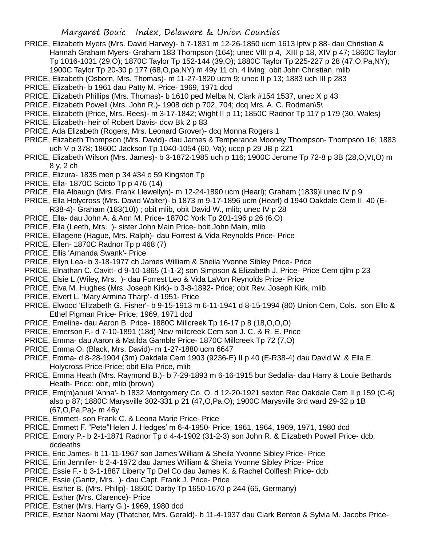- PRICE, Elizabeth Myers (Mrs. David Harvey)- b 7-1831 m 12-26-1850 ucm 1613 lptw p 88- dau Christian & Hannah Graham Myers- Graham 183 Thompson (164); unec VIII p 4, XIII p 18, XIV p 47; 1860C Taylor Tp 1016-1031 (29,O); 1870C Taylor Tp 152-144 (39,O); 1880C Taylor Tp 225-227 p 28 (47,O,Pa,NY); 1900C Taylor Tp 20-30 p 177 (68,O,pa,NY) m 49y 11 ch, 4 living; obit John Christian, mlib
- PRICE, Elizabeth (Osborn, Mrs. Thomas)- m 11-27-1820 ucm 9; unec II p 13; 1883 uch III p 283
- PRICE, Elizabeth- b 1961 dau Patty M. Price- 1969, 1971 dcd
- PRICE, Elizabeth Phillips (Mrs. Thomas)- b 1610 ped Melba N. Clark #154 1537, unec X p 43
- PRICE, Elizabeth Powell (Mrs. John R.)- 1908 dch p 702, 704; dcq Mrs. A. C. Rodman\5\
- PRICE, Elizabeth (Price, Mrs. Rees)- m 3-17-1842; Wight II p 11; 1850C Radnor Tp 117 p 179 (30, Wales)
- PRICE, Elizabeth- heir of Robert Davis- dcw Bk 2 p 83
- PRICE, Ada Elizabeth (Rogers, Mrs. Leonard Grover)- dcq Monna Rogers 1
- PRICE, Elizabeth Thompson (Mrs. David)- dau James & Temperance Mooney Thompson- Thompson 16; 1883 uch V p 378; 1860C Jackson Tp 1040-1054 (60, Va); uccp p 29 JB p 221
- PRICE, Elizabeth Wilson (Mrs. James)- b 3-1872-1985 uch p 116; 1900C Jerome Tp 72-8 p 3B (28,O,Vt,O) m 8 y, 2 ch
- PRICE, Elizura- 1835 men p 34 #34 o 59 Kingston Tp
- PRICE, Ella- 1870C Scioto Tp p 476 (14)
- PRICE, Ella Albaugh (Mrs. Frank Llewellyn)- m 12-24-1890 ucm (Hearl); Graham (1839)l unec IV p 9
- PRICE, Ella Holycross (Mrs. David Walter)- b 1873 m 9-17-1896 ucm (Hearl) d 1940 Oakdale Cem II 40 (E-R38-4)- Graham (183(10)) ; obit mlib, obit David W., mlib; unec IV p 28
- PRICE, Ella- dau John A. & Ann M. Price- 1870C York Tp 201-196 p 26 (6,O)
- PRICE, Ella (Leeth, Mrs. )- sister John Main Price- boit John Main, mlib
- PRICE, Ellagene (Hague, Mrs. Ralph)- dau Forrest & Vida Reynolds Price- Price
- PRICE, Ellen- 1870C Radnor Tp p 468 (7)
- PRICE, Ellis 'Amanda Swank'- Price
- PRICE, Ellyn Lea- b 3-18-1977 ch James William & Sheila Yvonne Sibley Price- Price
- PRICE, Elnathan C. Cavitt- d 9-10-1865 (1-1-2) son Simpson & Elizabeth J. Price- Price Cem djlm p 23
- PRICE, Elsie L,(Wiley, Mrs. )- dau Forrest Leo & Vida LaVon Reynolds Price- Price
- PRICE, Elva M. Hughes (Mrs. Joseph Kirk)- b 3-8-1892- Price; obit Rev. Joseph Kirk, mlib
- PRICE, Elvert L. 'Mary Armina Tharp'- d 1951- Price
- PRICE, Elwood 'Elizabeth G. Fisher'- b 9-15-1913 m 6-11-1941 d 8-15-1994 (80) Union Cem, Cols. son Ello & Ethel Pigman Price- Price; 1969, 1971 dcd
- PRICE, Emeline- dau Aaron B. Price- 1880C Millcreek Tp 16-17 p 8 (18,O,O,O)
- PRICE, Emerson F.- d 7-10-1891 (18d) New millcreek Cem son J. C. & R. E. Price
- PRICE, Emma- dau Aaron & Matilda Gamble Price- 1870C Millcreek Tp 72 (7,O)
- PRICE, Emma O. (Black, Mrs. David)- m 1-27-1880 ucm 6647
- PRICE, Emma- d 8-28-1904 (3m) Oakdale Cem 1903 (9236-E) II p 40 (E-R38-4) dau David W. & Ella E. Holycross Price-Price; obit Ella Price, mlib
- PRICE, Emma Heath (Mrs. Raymond B.)- b 7-29-1893 m 6-16-1915 bur Sedalia- dau Harry & Louie Bethards Heath- Price; obit, mlib (brown)
- PRICE, Em(m)anuel 'Anna'- b 1832 Montgomery Co. O. d 12-20-1921 sexton Rec Oakdale Cem II p 159 (C-6) also p 87; 1880C Marysville 302-331 p 21 (47,O,Pa,O); 1900C Marysville 3rd ward 29-32 p 1B (67,O,Pa,Pa)- m 46y
- PRICE, Emmett- son Frank C. & Leona Marie Price- Price
- PRICE, Emmett F. "Pete''Helen J. Hedges' m 6-4-1950- Price; 1961, 1964, 1969, 1971, 1980 dcd
- PRICE, Emory P.- b 2-1-1871 Radnor Tp d 4-4-1902 (31-2-3) son John R. & Elizabeth Powell Price- dcb; dcdeaths
- PRICE, Eric James- b 11-11-1967 son James William & Sheila Yvonne Sibley Price- Price
- PRICE, Erin Jennifer- b 2-4-1972 dau James William & Sheila Yvonne Sibley Price- Price
- PRICE, Essie F.- b 3-1-1887 Liberty Tp Del Co dau James K. & Rachel Colflesh Price- dcb
- PRICE, Essie (Gantz, Mrs. )- dau Capt. Frank J. Price- Price
- PRICE, Esther B. (Mrs. Philip)- 1850C Darby Tp 1650-1670 p 244 (65, Germany)
- PRICE, Esther (Mrs. Clarence)- Price
- PRICE, Esther (Mrs. Harry G.)- 1969, 1980 dcd
- PRICE, Esther Naomi May (Thatcher, Mrs. Gerald)- b 11-4-1937 dau Clark Benton & Sylvia M. Jacobs Price-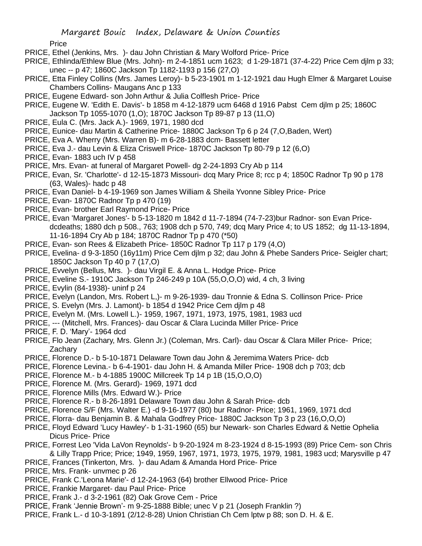Price

- PRICE, Ethel (Jenkins, Mrs. )- dau John Christian & Mary Wolford Price- Price
- PRICE, Ethlinda/Ethlew Blue (Mrs. John)- m 2-4-1851 ucm 1623; d 1-29-1871 (37-4-22) Price Cem djlm p 33; unec -- p 47; 1860C Jackson Tp 1182-1193 p 156 (27,O)
- PRICE, Etta Finley Collins (Mrs. James Leroy)- b 5-23-1901 m 1-12-1921 dau Hugh Elmer & Margaret Louise Chambers Collins- Maugans Anc p 133
- PRICE, Eugene Edward- son John Arthur & Julia Colflesh Price- Price
- PRICE, Eugene W. 'Edith E. Davis'- b 1858 m 4-12-1879 ucm 6468 d 1916 Pabst Cem djlm p 25; 1860C Jackson Tp 1055-1070 (1,O); 1870C Jackson Tp 89-87 p 13 (11,O)
- PRICE, Eula C. (Mrs. Jack A.)- 1969, 1971, 1980 dcd
- PRICE, Eunice- dau Martin & Catherine Price- 1880C Jackson Tp 6 p 24 (7,O,Baden, Wert)
- PRICE, Eva A. Wherry (Mrs. Warren B)- m 6-28-1883 dcm- Bassett letter
- PRICE, Eva J.- dau Levin & Eliza Criswell Price- 1870C Jackson Tp 80-79 p 12 (6,O)
- PRICE, Evan- 1883 uch IV p 458
- PRICE, Mrs. Evan- at funeral of Margaret Powell- dg 2-24-1893 Cry Ab p 114
- PRICE, Evan, Sr. 'Charlotte'- d 12-15-1873 Missouri- dcq Mary Price 8; rcc p 4; 1850C Radnor Tp 90 p 178 (63, Wales)- hadc p 48
- PRICE, Evan Daniel- b 4-19-1969 son James William & Sheila Yvonne Sibley Price- Price
- PRICE, Evan- 1870C Radnor Tp p 470 (19)
- PRICE, Evan- brother Earl Raymond Price- Price
- PRICE, Evan 'Margaret Jones'- b 5-13-1820 m 1842 d 11-7-1894 (74-7-23)bur Radnor- son Evan Pricedcdeaths; 1880 dch p 508., 763; 1908 dch p 570, 749; dcq Mary Price 4; to US 1852; dg 11-13-1894, 11-16-1894 Cry Ab p 184; 1870C Radnor Tp p 470 (\*50)
- PRICE, Evan- son Rees & Elizabeth Price- 1850C Radnor Tp 117 p 179 (4,O)
- PRICE, Evelina- d 9-3-1850 (16y11m) Price Cem djlm p 32; dau John & Phebe Sanders Price- Seigler chart; 1850C Jackson Tp 40 p 7 (17,O)
- PRICE, Evvelyn (Bellus, Mrs. )- dau Virgil E. & Anna L. Hodge Price- Price
- PRICE, Eveline S.- 1910C Jackson Tp 246-249 p 10A (55,O,O,O) wid, 4 ch, 3 living
- PRICE, Evylin (84-1938)- uninf p 24
- PRICE, Evelyn (Landon, Mrs. Robert L,)- m 9-26-1939- dau Tronnie & Edna S. Collinson Price- Price
- PRICE, S. Evelyn (Mrs. J. Lamont)- b 1854 d 1942 Price Cem djlm p 48
- PRICE, Evelyn M. (Mrs. Lowell L.)- 1959, 1967, 1971, 1973, 1975, 1981, 1983 ucd
- PRICE, --- (Mitchell, Mrs. Frances)- dau Oscar & Clara Lucinda Miller Price- Price
- PRICE, F. D. 'Mary'- 1964 dcd
- PRICE, Flo Jean (Zachary, Mrs. Glenn Jr.) (Coleman, Mrs. Carl)- dau Oscar & Clara Miller Price- Price; **Zachary**
- PRICE, Florence D.- b 5-10-1871 Delaware Town dau John & Jeremima Waters Price- dcb
- PRICE, Florence Levina.- b 6-4-1901- dau John H. & Amanda Miller Price- 1908 dch p 703; dcb
- PRICE, Florence M.- b 4-1885 1900C Millcreek Tp 14 p 1B (15,O,O,O)
- PRICE, Florence M. (Mrs. Gerard)- 1969, 1971 dcd
- PRICE, Florence Mills (Mrs. Edward W.)- Price
- PRICE, Florence R.- b 8-26-1891 Delaware Town dau John & Sarah Price- dcb
- PRICE, Florence S/F (Mrs. Walter E.) -d 9-16-1977 (80) bur Radnor- Price; 1961, 1969, 1971 dcd
- PRICE, Florra- dau Benjamin B. & Mahala Godfrey Price- 1880C Jackson Tp 3 p 23 (16,O,O,O)
- PRICE, Floyd Edward 'Lucy Hawley'- b 1-31-1960 (65) bur Newark- son Charles Edward & Nettie Ophelia Dicus Price- Price
- PRICE, Forrest Leo 'Vida LaVon Reynolds'- b 9-20-1924 m 8-23-1924 d 8-15-1993 (89) Price Cem- son Chris & Lilly Trapp Price; Price; 1949, 1959, 1967, 1971, 1973, 1975, 1979, 1981, 1983 ucd; Marysville p 47
- PRICE, Frances (Tinkerton, Mrs. )- dau Adam & Amanda Hord Price- Price
- PRICE, Mrs. Frank- unvmec p 26
- PRICE, Frank C.'Leona Marie'- d 12-24-1963 (64) brother Ellwood Price- Price
- PRICE, Frankie Margaret- dau Paul Price- Price
- PRICE, Frank J.- d 3-2-1961 (82) Oak Grove Cem Price
- PRICE, Frank 'Jennie Brown'- m 9-25-1888 Bible; unec V p 21 (Joseph Franklin ?)
- PRICE, Frank L.- d 10-3-1891 (2/12-8-28) Union Christian Ch Cem lptw p 88; son D. H. & E.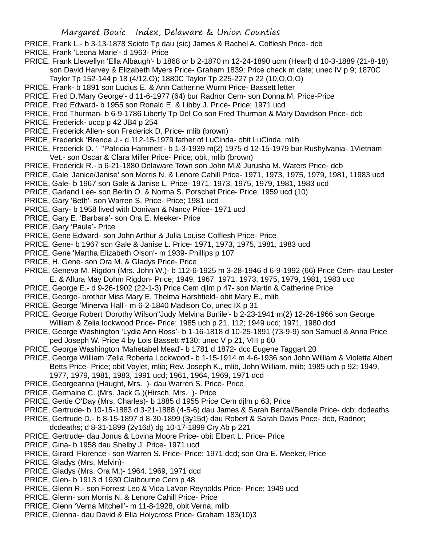- PRICE, Frank L.- b 3-13-1878 Scioto Tp dau (sic) James & Rachel A. Colflesh Price- dcb
- PRICE, Frank 'Leona Marie'- d 1963- Price
- PRICE, Frank Llewellyn 'Ella Albaugh'- b 1868 or b 2-1870 m 12-24-1890 ucm (Hearl) d 10-3-1889 (21-8-18) son David Harvey & Elizabeth Myers Price- Graham 1839; Price check m date; unec IV p 9; 1870C Taylor Tp 152-144 p 18 (4/12,O); 1880C Taylor Tp 225-227 p 22 (10,O,O,O)
- PRICE, Frank- b 1891 son Lucius E. & Ann Catherine Wurm Price- Bassett letter
- PRICE, Fred D.'Mary George'- d 11-6-1977 (64) bur Radnor Cem- son Donna M. Price-Price
- PRICE, Fred Edward- b 1955 son Ronald E. & Libby J. Price- Price; 1971 ucd
- PRICE, Fred Thurman- b 6-9-1786 Liberty Tp Del Co son Fred Thurman & Mary Davidson Price- dcb
- PRICE, Frederick- uccp p 42 JB4 p 254
- PRICE, Frederick Allen- son Frederick D. Price- mlib (brown)
- PRICE, Frederick 'Brenda J.- d 112-15-1979 father of LuCinda- obit LuCinda, mlib
- PRICE, Frederick D. ' ''Patricia Hammett'- b 1-3-1939 m(2) 1975 d 12-15-1979 bur Rushylvania- 1Vietnam Vet.- son Oscar & Clara Miller Price- Price; obit, mlib (brown)
- PRICE, Frederick R.- b 6-21-1880 Delaware Town son John M.& Jurusha M. Waters Price- dcb
- PRICE, Gale 'Janice/Janise' son Morris N. & Lenore Cahill Price- 1971, 1973, 1975, 1979, 1981, 11983 ucd
- PRICE, Gale- b 1967 son Gale & Janise L. Price- 1971, 1973, 1975, 1979, 1981, 1983 ucd
- PRICE, Garland Lee- son Berlin O. & Norma S. Porschet Price- Price; 1959 ucd (10)
- PRICE, Gary 'Beth'- son Warren S. Price- Price; 1981 ucd
- PRICE, Gary- b 1958 lived with Donivan & Nancy Price- 1971 ucd
- PRICE, Gary E. 'Barbara'- son Ora E. Meeker- Price
- PRICE, Gary 'Paula'- Price
- PRICE, Gene Edward- son John Arthur & Julia Louise Colflesh Price- Price
- PRICE, Gene- b 1967 son Gale & Janise L. Price- 1971, 1973, 1975, 1981, 1983 ucd
- PRICE, Gene 'Martha Elizabeth Olson'- m 1939- Phillips p 107
- PRICE, H. Gene- son Ora M. & Gladys Price- Price
- PRICE, Geneva M. Rigdon (Mrs. John W.)- b 112-6-1925 m 3-28-1946 d 6-9-1992 (66) Price Cem- dau Lester E. & Allura May Dohm Rigdon- Price; 1949, 1967, 1971, 1973, 1975, 1979, 1981, 1983 ucd
- PRICE, George E.- d 9-26-1902 (22-1-3) Price Cem djlm p 47- son Martin & Catherine Price
- PRICE, George- brother Miss Mary E. Thelma Harshfield- obit Mary E., mlib
- PRICE, George 'Minerva Hall'- m 6-2-1840 Madison Co, unec IX p 31
- PRICE, George Robert 'Dorothy Wilson''Judy Melvina Burlile'- b 2-23-1941 m(2) 12-26-1966 son George William & Zelia lockwood Price- Price; 1985 uch p 21, 112; 1949 ucd; 1971, 1980 dcd
- PRICE, George Washington 'Lydia Ann Ross'- b 1-16-1818 d 10-25-1891 (73-9-9) son Samuel & Anna Price ped Joseph W. Price 4 by Lois Bassett #130; unec V p 21, VIII p 60
- PRICE, George Washington 'Mahetabel Mead'- b 1781 d 1872- dcc Eugene Taggart 20
- PRICE, George William 'Zelia Roberta Lockwood'- b 1-15-1914 m 4-6-1936 son John William & Violetta Albert Betts Price- Price; obit Voylet, mlib; Rev. Joseph K., mlib, John William, mlib; 1985 uch p 92; 1949, 1977, 1979, 1981, 1983, 1991 ucd; 1961, 1964, 1969, 1971 dcd
- PRICE, Georgeanna (Haught, Mrs. )- dau Warren S. Price- Price
- PRICE, Germaine C. (Mrs. Jack G.)(Hirsch, Mrs. )- Price
- PRICE, Gertie O'Day (Mrs. Charles)- b 1885 d 1955 Price Cem djlm p 63; Price
- PRICE, Gertrude- b 10-15-1883 d 3-21-1888 (4-5-6) dau James & Sarah Bental/Bendle Price- dcb; dcdeaths
- PRICE, Gertrude D.- b 8-15-1897 d 8-30-1899 (3y15d) dau Robert & Sarah Davis Price- dcb, Radnor;
- dcdeaths; d 8-31-1899 (2y16d) dg 10-17-1899 Cry Ab p 221
- PRICE, Gertrude- dau Jonus & Lovina Moore Price- obit Elbert L. Price- Price
- PRICE, Gina- b 1958 dau Shelby J. Price- 1971 ucd
- PRICE, Girard 'Florence'- son Warren S. Price- Price; 1971 dcd; son Ora E. Meeker, Price
- PRICE, Gladys (Mrs. Melvin)-
- PRICE, Gladys (Mrs. Ora M.)- 1964. 1969, 1971 dcd
- PRICE, Glen- b 1913 d 1930 Claibourne Cem p 48
- PRICE, Glenn R.- son Forrest Leo & Vida LaVon Reynolds Price- Price; 1949 ucd
- PRICE, Glenn- son Morris N. & Lenore Cahill Price- Price
- PRICE, Glenn 'Verna Mitchell'- m 11-8-1928, obit Verna, mlib
- PRICE, Glenna- dau David & Ella Holycross Price- Graham 183(10)3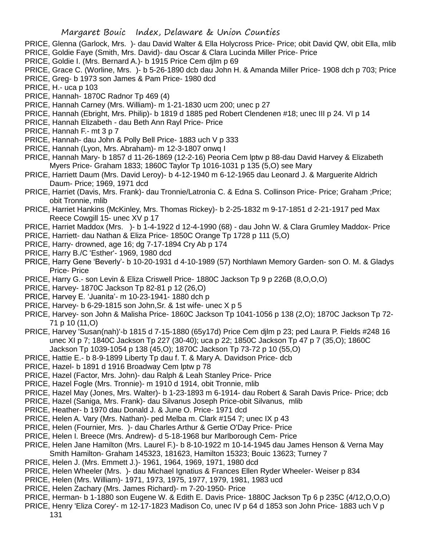- PRICE, Glenna (Garlock, Mrs. )- dau David Walter & Ella Holycross Price- Price; obit David QW, obit Ella, mlib
- PRICE, Goldie Faye (Smith, Mrs. David)- dau Oscar & Clara Lucinda Miller Price- Price
- PRICE, Goldie I. (Mrs. Bernard A.)- b 1915 Price Cem djlm p 69
- PRICE, Grace C. (Worline, Mrs. )- b 5-26-1890 dcb dau John H. & Amanda Miller Price- 1908 dch p 703; Price
- PRICE, Greg- b 1973 son James & Pam Price- 1980 dcd
- PRICE, H.- uca p 103
- PRICE, Hannah- 1870C Radnor Tp 469 (4)
- PRICE, Hannah Carney (Mrs. William)- m 1-21-1830 ucm 200; unec p 27
- PRICE, Hannah (Ebright, Mrs. Philip)- b 1819 d 1885 ped Robert Clendenen #18; unec III p 24. VI p 14
- PRICE, Hannah Elizabeth dau Beth Ann Rayl Price- Price
- PRICE, Hannah F.- mt 3 p 7
- PRICE, Hannah- dau John & Polly Bell Price- 1883 uch V p 333
- PRICE, Hannah (Lyon, Mrs. Abraham)- m 12-3-1807 onwq I
- PRICE, Hannah Mary- b 1857 d 11-26-1869 (12-2-16) Peoria Cem lptw p 88-dau David Harvey & Elizabeth Myers Price- Graham 1833; 1860C Taylor Tp 1016-1031 p 135 (5,O) see Mary
- PRICE, Harriett Daum (Mrs. David Leroy)- b 4-12-1940 m 6-12-1965 dau Leonard J. & Marguerite Aldrich Daum- Price; 1969, 1971 dcd
- PRICE, Harriet (Davis, Mrs. Frank)- dau Tronnie/Latronia C. & Edna S. Collinson Price- Price; Graham ;Price; obit Tronnie, mlib
- PRICE, Harriet Hankins (McKinley, Mrs. Thomas Rickey)- b 2-25-1832 m 9-17-1851 d 2-21-1917 ped Max Reece Cowgill 15- unec XV p 17
- PRICE, Harriet Maddox (Mrs. )- b 1-4-1922 d 12-4-1990 (68) dau John W. & Clara Grumley Maddox- Price
- PRICE, Harriett- dau Nathan & Eliza Price- 1850C Orange Tp 1728 p 111 (5,O)
- PRICE, Harry- drowned, age 16; dg 7-17-1894 Cry Ab p 174
- PRICE, Harry B./C 'Esther'- 1969, 1980 dcd
- PRICE, Harry Gene 'Beverly'- b 10-20-1931 d 4-10-1989 (57) Northlawn Memory Garden- son O. M. & Gladys Price- Price
- PRICE, Harry G.- son Levin & Eliza Criswell Price- 1880C Jackson Tp 9 p 226B (8,O,O,O)
- PRICE, Harvey- 1870C Jackson Tp 82-81 p 12 (26,O)
- PRICE, Harvey E. 'Juanita'- m 10-23-1941- 1880 dch p
- PRICE, Harvey- b 6-29-1815 son John,Sr. & 1st wife- unec X p 5
- PRICE, Harvey- son John & Malisha Price- 1860C Jackson Tp 1041-1056 p 138 (2,O); 1870C Jackson Tp 72- 71 p 10 (11,O)
- PRICE, Harvey 'Susan(nah)'-b 1815 d 7-15-1880 (65y17d) Price Cem djlm p 23; ped Laura P. Fields #248 16 unec XI p 7; 1840C Jackson Tp 227 (30-40); uca p 22; 1850C Jackson Tp 47 p 7 (35,O); 1860C Jackson Tp 1039-1054 p 138 (45,O); 1870C Jackson Tp 73-72 p 10 (55,O)
- PRICE, Hattie E.- b 8-9-1899 Liberty Tp dau f. T. & Mary A. Davidson Price- dcb
- PRICE, Hazel- b 1891 d 1916 Broadway Cem lptw p 78
- PRICE, Hazel (Factor, Mrs. John)- dau Ralph & Leah Stanley Price- Price
- PRICE, Hazel Fogle (Mrs. Tronnie)- m 1910 d 1914, obit Tronnie, mlib
- PRICE, Hazel May (Jones, Mrs. Walter)- b 1-23-1893 m 6-1914- dau Robert & Sarah Davis Price- Price; dcb
- PRICE, Hazel (Saniga, Mrs. Frank)- dau Silvanus Joseph Price-obit Silvanus, mlib
- PRICE, Heather- b 1970 dau Donald J. & June O. Price- 1971 dcd
- PRICE, Helen A. Vary (Mrs. Nathan)- ped Melba m. Clark #154 7; unec IX p 43
- PRICE, Helen (Fournier, Mrs. )- dau Charles Arthur & Gertie O'Day Price- Price
- PRICE, Helen I. Breece (Mrs. Andrew)- d 5-18-1968 bur Marlborough Cem- Price
- PRICE, Helen Jane Hamilton (Mrs. Laurel F.)- b 8-10-1922 m 10-14-1945 dau James Henson & Verna May Smith Hamilton- Graham 145323, 181623, Hamilton 15323; Bouic 13623; Turney 7
- PRICE, Helen J. (Mrs. Emmett J.)- 1961, 1964, 1969, 1971, 1980 dcd
- PRICE, Helen Wheeler (Mrs. )- dau Michael Ignatius & Frances Ellen Ryder Wheeler- Weiser p 834
- PRICE, Helen (Mrs. William)- 1971, 1973, 1975, 1977, 1979, 1981, 1983 ucd
- PRICE, Helen Zachary (Mrs. James Richard)- m 7-20-1950- Price
- PRICE, Herman- b 1-1880 son Eugene W. & Edith E. Davis Price- 1880C Jackson Tp 6 p 235C (4/12,O,O,O)
- PRICE, Henry 'Eliza Corey'- m 12-17-1823 Madison Co, unec IV p 64 d 1853 son John Price- 1883 uch V p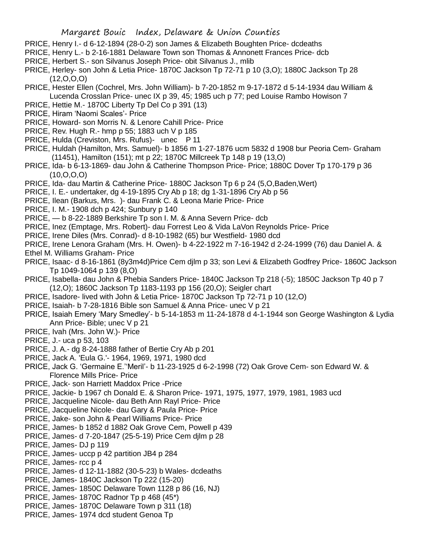- PRICE, Henry I.- d 6-12-1894 (28-0-2) son James & Elizabeth Boughten Price- dcdeaths
- PRICE, Henry L.- b 2-16-1881 Delaware Town son Thomas & Annonett Frances Price- dcb
- PRICE, Herbert S.- son Silvanus Joseph Price- obit Silvanus J., mlib
- PRICE, Herley- son John & Letia Price- 1870C Jackson Tp 72-71 p 10 (3,O); 1880C Jackson Tp 28 (12,O,O,O)
- PRICE, Hester Ellen (Cochrel, Mrs. John William)- b 7-20-1852 m 9-17-1872 d 5-14-1934 dau William & Lucenda Crosslan Price- unec IX p 39, 45; 1985 uch p 77; ped Louise Rambo Howison 7
- PRICE, Hettie M.- 1870C Liberty Tp Del Co p 391 (13)
- PRICE, Hiram 'Naomi Scales'- Price
- PRICE, Howard- son Morris N. & Lenore Cahill Price- Price
- PRICE, Rev. Hugh R.- hmp p 55; 1883 uch V p 185
- PRICE, Hulda (Creviston, Mrs. Rufus)- unec P 11
- PRICE, Huldah (Hamilton, Mrs. Samuel)- b 1856 m 1-27-1876 ucm 5832 d 1908 bur Peoria Cem- Graham (11451), Hamilton (151); mt p 22; 1870C Millcreek Tp 148 p 19 (13,O)
- PRICE, Ida- b 6-13-1869- dau John & Catherine Thompson Price- Price; 1880C Dover Tp 170-179 p 36 (10,O,O,O)
- PRICE, Ida- dau Martin & Catherine Price- 1880C Jackson Tp 6 p 24 (5,O,Baden,Wert)
- PRICE, I. E.- undertaker, dg 4-19-1895 Cry Ab p 18; dg 1-31-1896 Cry Ab p 56
- PRICE, Ilean (Barkus, Mrs. )- dau Frank C. & Leona Marie Price- Price
- PRICE, I. M.- 1908 dch p 424; Sunbury p 140
- PRICE, b 8-22-1889 Berkshire Tp son I. M. & Anna Severn Price- dcb
- PRICE, Inez (Emptage, Mrs. Robert)- dau Forrest Leo & Vida LaVon Reynolds Price- Price
- PRICE, Irene Diles (Mrs. Conrad)- d 8-10-1982 (65) bur Westfield- 1980 dcd
- PRICE, Irene Lenora Graham (Mrs. H. Owen)- b 4-22-1922 m 7-16-1942 d 2-24-1999 (76) dau Daniel A. & Ethel M. Williams Graham- Price
- PRICE, Isaac- d 8-16-1861 (8y3m4d)Price Cem djlm p 33; son Levi & Elizabeth Godfrey Price- 1860C Jackson Tp 1049-1064 p 139 (8,O)
- PRICE, Isabella- dau John & Phebia Sanders Price- 1840C Jackson Tp 218 (-5); 1850C Jackson Tp 40 p 7 (12,O); 1860C Jackson Tp 1183-1193 pp 156 (20,O); Seigler chart
- PRICE, Isadore- lived with John & Letia Price- 1870C Jackson Tp 72-71 p 10 (12,O)
- PRICE, Isaiah- b 7-28-1816 Bible son Samuel & Anna Price- unec V p 21
- PRICE, Isaiah Emery 'Mary Smedley'- b 5-14-1853 m 11-24-1878 d 4-1-1944 son George Washington & Lydia Ann Price- Bible; unec V p 21
- PRICE, Ivah (Mrs. John W.)- Price
- PRICE, J.- uca p 53, 103
- PRICE, J. A.- dg 8-24-1888 father of Bertie Cry Ab p 201
- PRICE, Jack A. 'Eula G.'- 1964, 1969, 1971, 1980 dcd
- PRICE, Jack G. 'Germaine E.''Meril'- b 11-23-1925 d 6-2-1998 (72) Oak Grove Cem- son Edward W. & Florence Mills Price- Price
- PRICE, Jack- son Harriett Maddox Price -Price
- PRICE, Jackie- b 1967 ch Donald E. & Sharon Price- 1971, 1975, 1977, 1979, 1981, 1983 ucd
- PRICE, Jacqueline Nicole- dau Beth Ann Rayl Price- Price
- PRICE, Jacqueline Nicole- dau Gary & Paula Price- Price
- PRICE, Jake- son John & Pearl Williams Price- Price
- PRICE, James- b 1852 d 1882 Oak Grove Cem, Powell p 439
- PRICE, James- d 7-20-1847 (25-5-19) Price Cem djlm p 28
- PRICE, James- DJ p 119
- PRICE, James- uccp p 42 partition JB4 p 284
- PRICE, James- rcc p 4
- PRICE, James- d 12-11-1882 (30-5-23) b Wales- dcdeaths
- PRICE, James- 1840C Jackson Tp 222 (15-20)
- PRICE, James- 1850C Delaware Town 1128 p 86 (16, NJ)
- PRICE, James- 1870C Radnor Tp p 468 (45\*)
- PRICE, James- 1870C Delaware Town p 311 (18)
- PRICE, James- 1974 dcd student Genoa Tp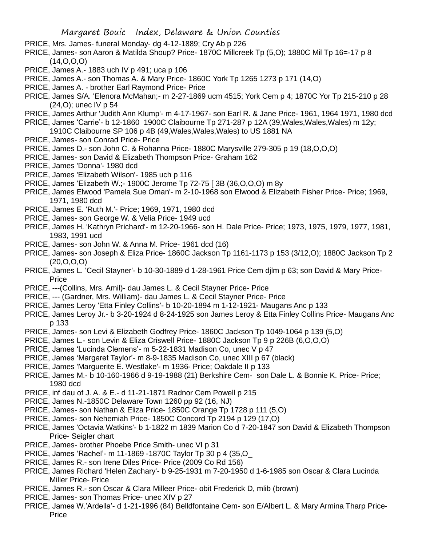- PRICE, Mrs. James- funeral Monday- dg 4-12-1889; Cry Ab p 226
- PRICE, James- son Aaron & Matilda Shoup? Price- 1870C Millcreek Tp (5,0); 1880C Mil Tp 16=-17 p 8  $(14, 0, 0, 0)$
- PRICE, James A.- 1883 uch IV p 491; uca p 106
- PRICE, James A.- son Thomas A. & Mary Price- 1860C York Tp 1265 1273 p 171 (14,O)
- PRICE, James A. brother Earl Raymond Price- Price
- PRICE, James S/A. 'Elenora McMahan;- m 2-27-1869 ucm 4515; York Cem p 4; 1870C Yor Tp 215-210 p 28 (24,O); unec IV p 54
- PRICE, James Arthur 'Judith Ann Klump'- m 4-17-1967- son Earl R. & Jane Price- 1961, 1964 1971, 1980 dcd
- PRICE, James 'Carrie'- b 12-1860 1900C Claibourne Tp 271-287 p 12A (39,Wales,Wales,Wales) m 12y;
- 1910C Claibourne SP 106 p 4B (49,Wales,Wales,Wales) to US 1881 NA
- PRICE, James- son Conrad Price- Price
- PRICE, James D.- son John C. & Rohanna Price- 1880C Marysville 279-305 p 19 (18,O,O,O)
- PRICE, James- son David & Elizabeth Thompson Price- Graham 162
- PRICE, James 'Donna'- 1980 dcd
- PRICE, James 'Elizabeth Wilson'- 1985 uch p 116
- PRICE, James 'Elizabeth W.;- 1900C Jerome Tp 72-75 [ 3B (36,O,O,O) m 8y
- PRICE, James Elwood 'Pamela Sue Oman'- m 2-10-1968 son Elwood & Elizabeth Fisher Price- Price; 1969, 1971, 1980 dcd
- PRICE, James E. 'Ruth M.'- Price; 1969, 1971, 1980 dcd
- PRICE, James- son George W. & Velia Price- 1949 ucd
- PRICE, James H. 'Kathryn Prichard'- m 12-20-1966- son H. Dale Price- Price; 1973, 1975, 1979, 1977, 1981, 1983, 1991 ucd
- PRICE, James- son John W. & Anna M. Price- 1961 dcd (16)
- PRICE, James- son Joseph & Eliza Price- 1860C Jackson Tp 1161-1173 p 153 (3/12,O); 1880C Jackson Tp 2 (20,O,O,O)
- PRICE, James L. 'Cecil Stayner'- b 10-30-1889 d 1-28-1961 Price Cem djlm p 63; son David & Mary Price-Price
- PRICE, ---(Collins, Mrs. Amil)- dau James L. & Cecil Stayner Price- Price
- PRICE, --- (Gardner, Mrs. William)- dau James L. & Cecil Stayner Price- Price
- PRICE, James Leroy 'Etta Finley Collins'- b 10-20-1894 m 1-12-1921- Maugans Anc p 133
- PRICE, James Leroy Jr.- b 3-20-1924 d 8-24-1925 son James Leroy & Etta Finley Collins Price- Maugans Anc p 133
- PRICE, James- son Levi & Elizabeth Godfrey Price- 1860C Jackson Tp 1049-1064 p 139 (5,O)
- PRICE, James L.- son Levin & Eliza Criswell Price- 1880C Jackson Tp 9 p 226B (6,O,O,O)
- PRICE, James 'Lucinda Clemens'- m 5-22-1831 Madison Co, unec V p 47
- PRICE, James 'Margaret Taylor'- m 8-9-1835 Madison Co, unec XIII p 67 (black)
- PRICE, James 'Marguerite E. Westlake'- m 1936- Price; Oakdale II p 133
- PRICE, James M.- b 10-160-1966 d 9-19-1988 (21) Berkshire Cem- son Dale L. & Bonnie K. Price- Price; 1980 dcd
- PRICE, inf dau of J. A. & E.- d 11-21-1871 Radnor Cem Powell p 215
- PRICE, James N.-1850C Delaware Town 1260 pp 92 (16, NJ)
- PRICE, James- son Nathan & Eliza Price- 1850C Orange Tp 1728 p 111 (5,O)
- PRICE, James- son Nehemiah Price- 1850C Concord Tp 2194 p 129 (17,O)
- PRICE, James 'Octavia Watkins'- b 1-1822 m 1839 Marion Co d 7-20-1847 son David & Elizabeth Thompson Price- Seigler chart
- PRICE, James- brother Phoebe Price Smith- unec VI p 31
- PRICE, James 'Rachel'- m 11-1869 -1870C Taylor Tp 30 p 4 (35,O\_
- PRICE, James R.- son Irene Diles Price- Price (2009 Co Rd 156)
- PRICE, James Richard 'Helen Zachary'- b 9-25-1931 m 7-20-1950 d 1-6-1985 son Oscar & Clara Lucinda Miller Price- Price
- PRICE, James R.- son Oscar & Clara Milleer Price- obit Frederick D, mlib (brown)
- PRICE, James- son Thomas Price- unec XIV p 27
- PRICE, James W.'Ardella'- d 1-21-1996 (84) Belldfontaine Cem- son E/Albert L. & Mary Armina Tharp Price-**Price**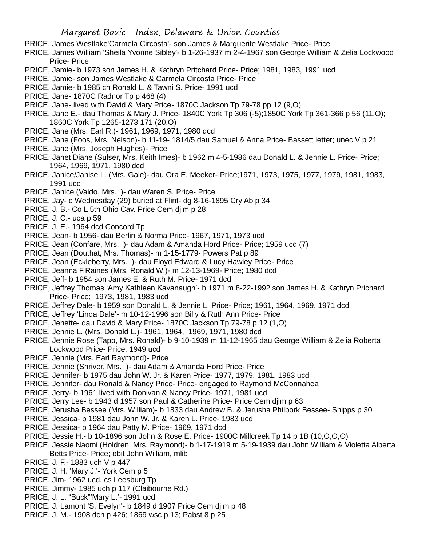- PRICE, James Westlake'Carmela Circosta'- son James & Marguerite Westlake Price- Price
- PRICE, James William 'Sheila Yvonne Sibley'- b 1-26-1937 m 2-4-1967 son George William & Zelia Lockwood Price- Price
- PRICE, Jamie- b 1973 son James H. & Kathryn Pritchard Price- Price; 1981, 1983, 1991 ucd
- PRICE, Jamie- son James Westlake & Carmela Circosta Price- Price
- PRICE, Jamie- b 1985 ch Ronald L. & Tawni S. Price- 1991 ucd
- PRICE, Jane- 1870C Radnor Tp p 468 (4)
- PRICE, Jane- lived with David & Mary Price- 1870C Jackson Tp 79-78 pp 12 (9,O)
- PRICE, Jane E.- dau Thomas & Mary J. Price- 1840C York Tp 306 (-5);1850C York Tp 361-366 p 56 (11,O); 1860C York Tp 1265-1273 171 (20,O)
- PRICE, Jane (Mrs. Earl R.)- 1961, 1969, 1971, 1980 dcd
- PRICE, Jane (Foos, Mrs. Nelson)- b 11-19- 1814/5 dau Samuel & Anna Price- Bassett letter; unec V p 21
- PRICE, Jane (Mrs. Joseph Hughes)- Price
- PRICE, Janet Diane (Sulser, Mrs. Keith Imes)- b 1962 m 4-5-1986 dau Donald L. & Jennie L. Price- Price; 1964, 1969, 1971, 1980 dcd
- PRICE, Janice/Janise L. (Mrs. Gale)- dau Ora E. Meeker- Price;1971, 1973, 1975, 1977, 1979, 1981, 1983, 1991 ucd
- PRICE, Janice (Vaido, Mrs. )- dau Waren S. Price- Price
- PRICE, Jay- d Wednesday (29) buried at Flint- dg 8-16-1895 Cry Ab p 34
- PRICE, J. B.- Co L 5th Ohio Cav. Price Cem djlm p 28
- PRICE, J. C.- uca p 59
- PRICE, J. E.- 1964 dcd Concord Tp
- PRICE, Jean- b 1956- dau Berlin & Norma Price- 1967, 1971, 1973 ucd
- PRICE, Jean (Confare, Mrs. )- dau Adam & Amanda Hord Price- Price; 1959 ucd (7)
- PRICE, Jean (Douthat, Mrs. Thomas)- m 1-15-1779- Powers Pat p 89
- PRICE, Jean (Eckleberry, Mrs. )- dau Floyd Edward & Lucy Hawley Price- Price
- PRICE, Jeanna F.Raines (Mrs. Ronald W.)- m 12-13-1969- Price; 1980 dcd
- PRICE, Jeff- b 1954 son James E. & Ruth M. Price- 1971 dcd
- PRICE, Jeffrey Thomas 'Amy Kathleen Kavanaugh'- b 1971 m 8-22-1992 son James H. & Kathryn Prichard Price- Price; 1973, 1981, 1983 ucd
- PRICE, Jeffrey Dale- b 1959 son Donald L. & Jennie L. Price- Price; 1961, 1964, 1969, 1971 dcd
- PRICE, Jeffrey 'Linda Dale'- m 10-12-1996 son Billy & Ruth Ann Price- Price
- PRICE, Jenette- dau David & Mary Price- 1870C Jackson Tp 79-78 p 12 (1,O)
- PRICE, Jennie L. (Mrs. Donald L.)- 1961, 1964, 1969, 1971, 1980 dcd
- PRICE, Jennie Rose (Tapp, Mrs. Ronald)- b 9-10-1939 m 11-12-1965 dau George William & Zelia Roberta Lockwood Price- Price; 1949 ucd
- PRICE, Jennie (Mrs. Earl Raymond)- Price
- PRICE, Jennie (Shriver, Mrs. )- dau Adam & Amanda Hord Price- Price
- PRICE, Jennifer- b 1975 dau John W. Jr. & Karen Price- 1977, 1979, 1981, 1983 ucd
- PRICE, Jennifer- dau Ronald & Nancy Price- Price- engaged to Raymond McConnahea
- PRICE, Jerry- b 1961 lived with Donivan & Nancy Price- 1971, 1981 ucd
- PRICE, Jerry Lee- b 1943 d 1957 son Paul & Catherine Price- Price Cem djlm p 63
- PRICE, Jerusha Bessee (Mrs. William)- b 1833 dau Andrew B. & Jerusha Philbork Bessee- Shipps p 30
- PRICE, Jessica- b 1981 dau John W. Jr. & Karen L. Price- 1983 ucd
- PRICE, Jessica- b 1964 dau Patty M. Price- 1969, 1971 dcd
- PRICE, Jessie H.- b 10-1896 son John & Rose E. Price- 1900C Millcreek Tp 14 p 1B (10,O,O,O)
- PRICE, Jessie Naomi (Holdren, Mrs. Raymond)- b 1-17-1919 m 5-19-1939 dau John William & Violetta Alberta Betts Price- Price; obit John William, mlib
- PRICE, J. F.- 1883 uch V p 447
- PRICE, J. H. 'Mary J.'- York Cem p 5
- PRICE, Jim- 1962 ucd, cs Leesburg Tp
- PRICE, Jimmy- 1985 uch p 117 (Claibourne Rd.)
- PRICE, J. L. "Buck"'Mary L.'- 1991 ucd
- PRICE, J. Lamont 'S. Evelyn'- b 1849 d 1907 Price Cem djlm p 48
- PRICE, J. M.- 1908 dch p 426; 1869 wsc p 13; Pabst 8 p 25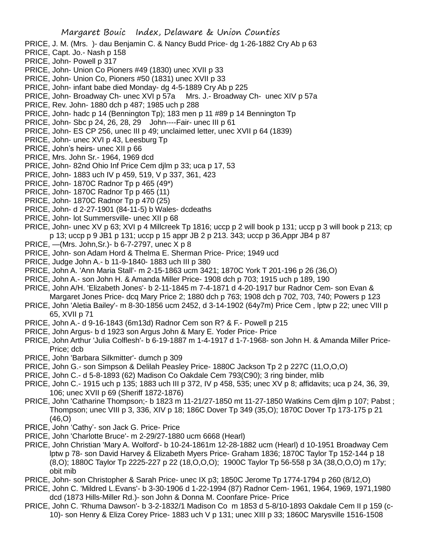- PRICE, J. M. (Mrs. )- dau Benjamin C. & Nancy Budd Price- dg 1-26-1882 Cry Ab p 63
- PRICE, Capt. Jo.- Nash p 158
- PRICE, John- Powell p 317
- PRICE, John- Union Co Pioners #49 (1830) unec XVII p 33
- PRICE, John- Union Co, Pioners #50 (1831) unec XVII p 33
- PRICE, John- infant babe died Monday- dg 4-5-1889 Cry Ab p 225
- PRICE, John- Broadway Ch- unec XVI p 57a Mrs. J.- Broadway Ch- unec XIV p 57a
- PRICE, Rev. John- 1880 dch p 487; 1985 uch p 288
- PRICE, John- hadc p 14 (Bennington Tp); 183 men p 11 #89 p 14 Bennington Tp
- PRICE, John- Sbc p 24, 26, 28, 29 John----Fair- unec III p 61
- PRICE, John- ES CP 256, unec III p 49; unclaimed letter, unec XVII p 64 (1839)
- PRICE, John- unec XVI p 43, Leesburg Tp
- PRICE, John's heirs- unec XII p 66
- PRICE, Mrs. John Sr.- 1964, 1969 dcd
- PRICE, John- 82nd Ohio Inf Price Cem djlm p 33; uca p 17, 53
- PRICE, John- 1883 uch IV p 459, 519, V p 337, 361, 423
- PRICE, John- 1870C Radnor Tp p 465 (49\*)
- PRICE, John- 1870C Radnor Tp p 465 (11)
- PRICE, John- 1870C Radnor Tp p 470 (25)
- PRICE, John- d 2-27-1901 (84-11-5) b Wales- dcdeaths
- PRICE, John- lot Summersville- unec XII p 68
- PRICE, John- unec XV p 63; XVI p 4 Millcreek Tp 1816; uccp p 2 will book p 131; uccp p 3 will book p 213; cp p 13; uccp p 9 JB1 p 131; uccp p 15 appr JB 2 p 213. 343; uccp p 36,Appr JB4 p 87
- PRICE, —(Mrs. John,Sr.)- b 6-7-2797, unec X p 8
- PRICE, John- son Adam Hord & Thelma E. Sherman Price- Price; 1949 ucd
- PRICE, Judge John A.- b 11-9-1840- 1883 uch III p 380
- PRICE, John A. 'Ann Maria Stall'- m 2-15-1863 ucm 3421; 1870C York T 201-196 p 26 (36,O)
- PRICE, John A.- son John H. & Amanda Miller Price- 1908 dch p 703; 1915 uch p 189, 190
- PRICE, John A/H. 'Elizabeth Jones'- b 2-11-1845 m 7-4-1871 d 4-20-1917 bur Radnor Cem- son Evan & Margaret Jones Price- dcq Mary Price 2; 1880 dch p 763; 1908 dch p 702, 703, 740; Powers p 123
- PRICE, John 'Aletia Bailey'- m 8-30-1856 ucm 2452, d 3-14-1902 (64y7m) Price Cem , lptw p 22; unec VIII p 65, XVII p 71
- PRICE, John A.- d 9-16-1843 (6m13d) Radnor Cem son R? & F.- Powell p 215
- PRICE, John Argus- b d 1923 son Argus John & Mary E. Yoder Price- Price
- PRICE, John Arthur 'Julia Colflesh'- b 6-19-1887 m 1-4-1917 d 1-7-1968- son John H. & Amanda Miller Price-Price; dcb
- PRICE, John 'Barbara Silkmitter'- dumch p 309
- PRICE, John G.- son Simpson & Delilah Peasley Price- 1880C Jackson Tp 2 p 227C (11,O,O,O)
- PRICE, John C.- d 5-8-1893 (62) Madison Co Oakdale Cem 793(C90); 3 ring binder, mlib
- PRICE, John C.- 1915 uch p 135; 1883 uch III p 372, IV p 458, 535; unec XV p 8; affidavits; uca p 24, 36, 39, 106; unec XVII p 69 (Sheriff 1872-1876)
- PRICE, John 'Catharine Thompson;- b 1823 m 11-21/27-1850 mt 11-27-1850 Watkins Cem djlm p 107; Pabst ; Thompson; unec VIII p 3, 336, XIV p 18; 186C Dover Tp 349 (35,O); 1870C Dover Tp 173-175 p 21 (46,O)
- PRICE, John 'Cathy'- son Jack G. Price- Price
- PRICE, John 'Charlotte Bruce'- m 2-29/27-1880 ucm 6668 (Hearl)
- PRICE, John Christian 'Mary A. Wolford'- b 10-24-1861m 12-28-1882 ucm (Hearl) d 10-1951 Broadway Cem lptw p 78- son David Harvey & Elizabeth Myers Price- Graham 1836; 1870C Taylor Tp 152-144 p 18 (8,O); 1880C Taylor Tp 2225-227 p 22 (18,O,O,O); 1900C Taylor Tp 56-558 p 3A (38,O,O,O) m 17y; obit mib
- PRICE, John- son Christopher & Sarah Price- unec IX p3; 1850C Jerome Tp 1774-1794 p 260 (8/12,O)
- PRICE, John C. 'Mildred L.Evans'- b 3-30-1906 d 1-22-1994 (87) Radnor Cem- 1961, 1964, 1969, 1971,1980 dcd (1873 Hills-Miller Rd.)- son John & Donna M. Coonfare Price- Price
- PRICE, John C. 'Rhuma Dawson'- b 3-2-1832/1 Madison Co m 1853 d 5-8/10-1893 Oakdale Cem II p 159 (c-10)- son Henry & Eliza Corey Price- 1883 uch V p 131; unec XIII p 33; 1860C Marysville 1516-1508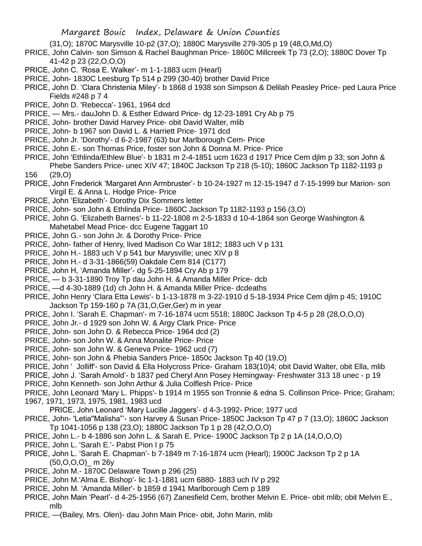(31,O); 1870C Marysville 10-p2 (37,O); 1880C Marysville 279-305 p 19 (48,O,Md,O)

- PRICE, John Calvin- son Simson & Rachel Baughman Price- 1860C Millcreek Tp 73 (2,O); 1880C Dover Tp 41-42 p 23 (22,O,O,O)
- PRICE, John C. 'Rosa E. Walker'- m 1-1-1883 ucm (Hearl)
- PRICE, John- 1830C Leesburg Tp 514 p 299 (30-40) brother David Price
- PRICE, John D. 'Clara Christenia Miley'- b 1868 d 1938 son Simpson & Delilah Peasley Price- ped Laura Price Fields #248 p 7 4
- PRICE, John D. 'Rebecca'- 1961, 1964 dcd
- PRICE, Mrs.- dauJohn D. & Esther Edward Price- dg 12-23-1891 Cry Ab p 75
- PRICE, John- brother David Harvey Price- obit David Walter, mlib
- PRICE, John- b 1967 son David L. & Harriett Price- 1971 dcd
- PRICE, John Jr. 'Dorothy'- d 6-2-1987 (63) bur Marlborough Cem- Price
- PRICE, John E.- son Thomas Price, foster son John & Donna M. Price- Price
- PRICE, John 'Ethlinda/Ethlew Blue'- b 1831 m 2-4-1851 ucm 1623 d 1917 Price Cem djlm p 33; son John & Phebe Sanders Price- unec XIV 47; 1840C Jackson Tp 218 (5-10); 1860C Jackson Tp 1182-1193 p 156 (29,O)
- PRICE, John Frederick 'Margaret Ann Armbruster'- b 10-24-1927 m 12-15-1947 d 7-15-1999 bur Marion- son Virgil E. & Anna L. Hodge Price- Price
- PRICE, John 'Elizabeth'- Dorothy Dix Sommers letter
- PRICE, John- son John & Ethlinda Price- 1860C Jackson Tp 1182-1193 p 156 (3,O)
- PRICE, John G. 'Elizabeth Barnes'- b 11-22-1808 m 2-5-1833 d 10-4-1864 son George Washington & Mahetabel Mead Price- dcc Eugene Taggart 10
- PRICE, John G.- son John Jr. & Dorothy Price- Price
- PRICE, John- father of Henry, lived Madison Co War 1812; 1883 uch V p 131
- PRICE, John H.- 1883 uch V p 541 bur Marysville; unec XIV p 8
- PRICE, John H.- d 3-31-1866(59) Oakdale Cem 814 (C177)
- PRICE, John H, 'Amanda Miller'- dg 5-25-1894 Cry Ab p 179
- PRICE, b 3-31-1890 Troy Tp dau John H. & Amanda Miller Price- dcb
- PRICE, —d 4-30-1889 (1d) ch John H. & Amanda Miller Price- dcdeaths
- PRICE, John Henry 'Clara Etta Lewis'- b 1-13-1878 m 3-22-1910 d 5-18-1934 Price Cem djlm p 45; 1910C Jackson Tp 159-160 p 7A (31,O,Ger,Ger) m in year
- PRICE, John I. 'Sarah E. Chapman'- m 7-16-1874 ucm 5518; 1880C Jackson Tp 4-5 p 28 (28,O,O,O)
- PRICE, John Jr.- d 1929 son John W. & Argy Clark Price- Price
- PRICE, John- son John D. & Rebecca Price- 1964 dcd (2)
- PRICE, John- son John W. & Anna Monalite Price- Price
- PRICE, John- son John W. & Geneva Price- 1962 ucd (7)
- PRICE, John- son John & Phebia Sanders Price- 1850c Jackson Tp 40 (19,O)
- PRICE, John ' Jolliff'- son David & Ella Holycross Price- Graham 183(10)4; obit David Walter, obit Ella, mlib
- PRICE, John J. 'Sarah Arnold'- b 1837 ped Cheryl Ann Posey Hemingway- Freshwater 313 18 unec p 19
- PRICE, John Kenneth- son John Arthur & Julia Colflesh Price- Price
- PRICE, John Leonard 'Mary L. Phipps'- b 1914 m 1955 son Tronnie & edna S. Collinson Price- Price; Graham; 1967, 1971, 1973, 1975, 1981, 1983 ucd
- PRICE, John Leonard 'Mary Lucille Jaggers'- d 4-3-1992- Price; 1977 ucd
- PRICE, John- 'Letia''Malisha"'- son Harvey & Susan Price- 1850C Jackson Tp 47 p 7 (13,O); 1860C Jackson Tp 1041-1056 p 138 (23,O); 1880C Jackson Tp 1 p 28 (42,O,O,O)
- PRICE, John L.- b 4-1886 son John L. & Sarah E. Price- 1900C Jackson Tp 2 p 1A (14,O,O,O)
- PRICE, John L. 'Sarah E.'- Pabst Pion I p 75
- PRICE, John L. 'Sarah E. Chapman'- b 7-1849 m 7-16-1874 ucm (Hearl); 1900C Jackson Tp 2 p 1A  $(50, O, O, O)$  m 26y
- PRICE, John M.- 1870C Delaware Town p 296 (25)
- PRICE, John M.'Alma E. Bishop'- lic 1-1-1881 ucm 6880- 1883 uch IV p 292
- PRICE, John M. 'Amanda Miller'- b 1859 d 1941 Marlborough Cem p 189
- PRICE, John Main 'Pearl'- d 4-25-1956 (67) Zanesfield Cem, brother Melvin E. Price- obit mlib; obit Melvin E., mlb
- PRICE, —(Bailey, Mrs. Olen)- dau John Main Price- obit, John Marin, mlib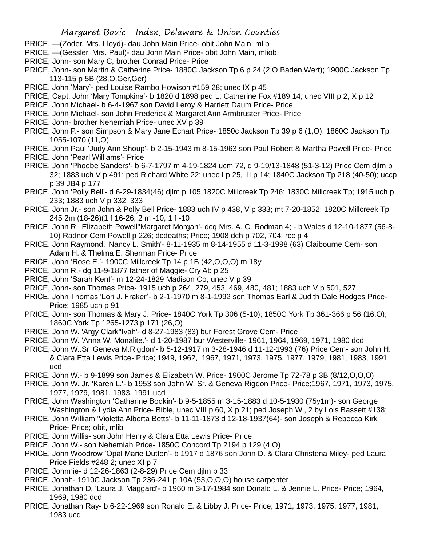- PRICE, —(Zoder, Mrs. Lloyd)- dau John Main Price- obit John Main, mlib
- PRICE, —(Gessler, Mrs. Paul)- dau John Main Price- obit John Main, mliob
- PRICE, John- son Mary C, brother Conrad Price- Price
- PRICE, John- son Martin & Catherine Price- 1880C Jackson Tp 6 p 24 (2,O,Baden,Wert); 1900C Jackson Tp 113-115 p 5B (28,O,Ger,Ger)
- PRICE, John 'Mary'- ped Louise Rambo Howison #159 28; unec IX p 45
- PRICE, Capt. John 'Mary Tompkins'- b 1820 d 1898 ped L. Catherine Fox #189 14; unec VIII p 2, X p 12
- PRICE, John Michael- b 6-4-1967 son David Leroy & Harriett Daum Price- Price
- PRICE, John Michael- son John Frederick & Margaret Ann Armbruster Price- Price
- PRICE, John- brother Nehemiah Price- unec XV p 39
- PRICE, John P.- son Simpson & Mary Jane Echart Price- 1850c Jackson Tp 39 p 6 (1,O); 1860C Jackson Tp 1055-1070 (11,O)
- PRICE, John Paul 'Judy Ann Shoup'- b 2-15-1943 m 8-15-1963 son Paul Robert & Martha Powell Price- Price
- PRICE, John 'Pearl Williams'- Price
- PRICE, John 'Phoebe Sanders'- b 6-7-1797 m 4-19-1824 ucm 72, d 9-19/13-1848 (51-3-12) Price Cem djlm p 32; 1883 uch V p 491; ped Richard White 22; unec I p 25, II p 14; 1840C Jackson Tp 218 (40-50); uccp p 39 JB4 p 177
- PRICE, John 'Polly Bell'- d 6-29-1834(46) djlm p 105 1820C Millcreek Tp 246; 1830C Millcreek Tp; 1915 uch p 233; 1883 uch V p 332, 333
- PRICE, John Jr.- son John & Polly Bell Price- 1883 uch IV p 438, V p 333; mt 7-20-1852; 1820C Millcreek Tp 245 2m (18-26)(1 f 16-26; 2 m -10, 1 f -10
- PRICE, John R. 'Elizabeth Powell''Margaret Morgan'- dcq Mrs. A. C. Rodman 4; b Wales d 12-10-1877 (56-8- 10) Radnor Cem Powell p 226; dcdeaths; Price; 1908 dch p 702, 704; rcc p 4
- PRICE, John Raymond. 'Nancy L. Smith'- 8-11-1935 m 8-14-1955 d 11-3-1998 (63) Claibourne Cem- son Adam H. & Thelma E. Sherman Price- Price
- PRICE, John 'Rose E.'- 1900C Millcreek Tp 14 p 1B (42,O,O,O) m 18y
- PRICE, John R.- dg 11-9-1877 father of Maggie- Cry Ab p 25
- PRICE, John 'Sarah Kent'- m 12-24-1829 Madison Co, unec V p 39
- PRICE, John- son Thomas Price- 1915 uch p 264, 279, 453, 469, 480, 481; 1883 uch V p 501, 527
- PRICE, John Thomas 'Lori J. Fraker'- b 2-1-1970 m 8-1-1992 son Thomas Earl & Judith Dale Hodges Price-Price; 1985 uch p 91
- PRICE, John- son Thomas & Mary J. Price- 1840C York Tp 306 (5-10); 1850C York Tp 361-366 p 56 (16,O); 1860C York Tp 1265-1273 p 171 (26,O)
- PRICE, John W. 'Argy Clark''Ivah'- d 8-27-1983 (83) bur Forest Grove Cem- Price
- PRICE, John W. 'Anna W. Monalite.'- d 1-20-1987 bur Westerville- 1961, 1964, 1969, 1971, 1980 dcd
- PRICE, John W..Sr 'Geneva M.Rigdon'- b 5-12-1917 m 3-28-1946 d 11-12-1993 (76) Price Cem- son John H. & Clara Etta Lewis Price- Price; 1949, 1962, 1967, 1971, 1973, 1975, 1977, 1979, 1981, 1983, 1991 ucd
- PRICE, John W.- b 9-1899 son James & Elizabeth W. Price- 1900C Jerome Tp 72-78 p 3B (8/12,O,O,O)
- PRICE, John W. Jr. 'Karen L.'- b 1953 son John W. Sr. & Geneva Rigdon Price- Price;1967, 1971, 1973, 1975, 1977, 1979, 1981, 1983, 1991 ucd
- PRICE, John Washington 'Catharine Bodkin'- b 9-5-1855 m 3-15-1883 d 10-5-1930 (75y1m)- son George Washington & Lydia Ann Price- Bible, unec VIII p 60, X p 21; ped Joseph W., 2 by Lois Bassett #138;
- PRICE, John William 'Violetta Alberta Betts'- b 11-11-1873 d 12-18-1937(64)- son Joseph & Rebecca Kirk Price- Price; obit, mlib
- PRICE, John Willis- son John Henry & Clara Etta Lewis Price- Price
- PRICE, John W.- son Nehemiah Price- 1850C Concord Tp 2194 p 129 (4,O)
- PRICE, John Woodrow 'Opal Marie Dutton'- b 1917 d 1876 son John D. & Clara Christena Miley- ped Laura Price Fields #248 2; unec XI p 7
- PRICE, Johnnie- d 12-26-1863 (2-8-29) Price Cem djlm p 33
- PRICE, Jonah- 1910C Jackson Tp 236-241 p 10A (53,O,O,O) house carpenter
- PRICE, Jonathan D. 'Laura J. Maggard'- b 1960 m 3-17-1984 son Donald L. & Jennie L. Price- Price; 1964, 1969, 1980 dcd
- PRICE, Jonathan Ray- b 6-22-1969 son Ronald E. & Libby J. Price- Price; 1971, 1973, 1975, 1977, 1981, 1983 ucd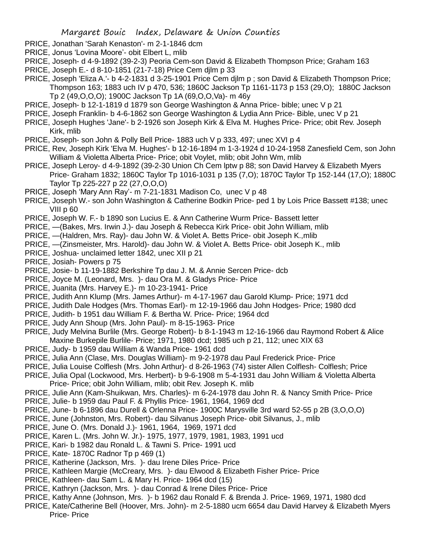- PRICE, Jonathan 'Sarah Kenaston'- m 2-1-1846 dcm
- PRICE, Jonus 'Lovina Moore'- obit Elbert L, mlib
- PRICE, Joseph- d 4-9-1892 (39-2-3) Peoria Cem-son David & Elizabeth Thompson Price; Graham 163
- PRICE, Joseph E.- d 8-10-1851 (21-7-18) Price Cem djlm p 33
- PRICE, Joseph 'Eliza A.'- b 4-2-1831 d 3-25-1901 Price Cem djlm p ; son David & Elizabeth Thompson Price; Thompson 163; 1883 uch IV p 470, 536; 1860C Jackson Tp 1161-1173 p 153 (29,O); 1880C Jackson Tp 2 (49,O,O,O); 1900C Jackson Tp 1A (69,O,O,Va)- m 46y
- PRICE, Joseph- b 12-1-1819 d 1879 son George Washington & Anna Price- bible; unec V p 21
- PRICE, Joseph Franklin- b 4-6-1862 son George Washington & Lydia Ann Price- Bible, unec V p 21
- PRICE, Joseph Hughes 'Jane'- b 2-1926 son Joseph Kirk & Elva M. Hughes Price- Price; obit Rev. Joseph Kirk, mlib
- PRICE, Joseph- son John & Polly Bell Price- 1883 uch V p 333, 497; unec XVI p 4
- PRICE, Rev, Joseph Kirk 'Elva M. Hughes'- b 12-16-1894 m 1-3-1924 d 10-24-1958 Zanesfield Cem, son John William & Violetta Alberta Price- Price; obit Voylet, mlib; obit John Wm, mlib
- PRICE, Joseph Leroy- d 4-9-1892 (39-2-30 Union Ch Cem lptw p 88; son David Harvey & Elizabeth Myers Price- Graham 1832; 1860C Taylor Tp 1016-1031 p 135 (7,O); 1870C Taylor Tp 152-144 (17,O); 1880C Taylor Tp 225-227 p 22 (27,O,O,O)
- PRICE, Joseph 'Mary Ann Ray'- m 7-21-1831 Madison Co, unec V p 48
- PRICE, Joseph W.- son John Washington & Catherine Bodkin Price- ped 1 by Lois Price Bassett #138; unec VIII p 60
- PRICE, Joseph W. F.- b 1890 son Lucius E. & Ann Catherine Wurm Price- Bassett letter
- PRICE, —(Bakes, Mrs. Irwin J.)- dau Joseph & Rebecca Kirk Price- obit John William, mlib
- PRICE, —(Haldren, Mrs. Ray)- dau John W. & Violet A. Betts Price- obit Joseph K.,mlib
- PRICE, —(Zinsmeister, Mrs. Harold)- dau John W. & Violet A. Betts Price- obit Joseph K., mlib
- PRICE, Joshua- unclaimed letter 1842, unec XII p 21
- PRICE, Josiah- Powers p 75
- PRICE, Josie- b 11-19-1882 Berkshire Tp dau J. M. & Annie Sercen Price- dcb
- PRICE, Joyce M. (Leonard, Mrs. )- dau Ora M. & Gladys Price- Price
- PRICE, Juanita (Mrs. Harvey E.)- m 10-23-1941- Price
- PRICE, Judith Ann Klump (Mrs. James Arthur)- m 4-17-1967 dau Garold Klump- Price; 1971 dcd
- PRICE, Judith Dale Hodges (Mrs. Thomas Earl)- m 12-19-1966 dau John Hodges- Price; 1980 dcd
- PRICE, Judith- b 1951 dau William F. & Bertha W. Price- Price; 1964 dcd
- PRICE, Judy Ann Shoup (Mrs. John Paul)- m 8-15-1963- Price
- PRICE, Judy Melvina Burlile (Mrs. George Robert)- b 8-1-1943 m 12-16-1966 dau Raymond Robert & Alice Maxine Burkepile Burlile- Price; 1971, 1980 dcd; 1985 uch p 21, 112; unec XIX 63
- PRICE, Judy- b 1959 dau William & Wanda Price- 1961 dcd
- PRICE, Julia Ann (Clase, Mrs. Douglas William)- m 9-2-1978 dau Paul Frederick Price- Price
- PRICE, Julia Louise Colflesh (Mrs. John Arthur)- d 8-26-1963 (74) sister Allen Colflesh- Colflesh; Price
- PRICE, Julia Opal (Lockwood, Mrs. Herbert)- b 9-6-1908 m 5-4-1931 dau John William & Violetta Alberta Price- Price; obit John William, mlib; obit Rev. Joseph K. mlib
- PRICE, Julie Ann (Kam-Shuikwan, Mrs. Charles)- m 6-24-1978 dau John R. & Nancy Smith Price- Price
- PRICE, Julie- b 1959 dau Paul F. & Phyllis Price- 1961, 1964, 1969 dcd
- PRICE, June- b 6-1896 dau Durell & Orlenna Price- 1900C Marysville 3rd ward 52-55 p 2B (3,O,O,O)
- PRICE, June (Johnston, Mrs. Robert)- dau Silvanus Joseph Price- obit Silvanus, J., mlib
- PRICE, June O. (Mrs. Donald J.)- 1961, 1964, 1969, 1971 dcd
- PRICE, Karen L. (Mrs. John W. Jr.)- 1975, 1977, 1979, 1981, 1983, 1991 ucd
- PRICE, Kari- b 1982 dau Ronald L. & Tawni S. Price- 1991 ucd
- PRICE, Kate- 1870C Radnor Tp p 469 (1)
- PRICE, Katherine (Jackson, Mrs. )- dau Irene Diles Price- Price
- PRICE, Kathleen Margie (McCreary, Mrs. )- dau Elwood & Elizabeth Fisher Price- Price
- PRICE, Kathleen- dau Sam L. & Mary H. Price- 1964 dcd (15)
- PRICE, Kathryn (Jackson, Mrs. )- dau Conrad & Irene Diles Price- Price
- PRICE, Kathy Anne (Johnson, Mrs. )- b 1962 dau Ronald F. & Brenda J. Price- 1969, 1971, 1980 dcd
- PRICE, Kate/Catherine Bell (Hoover, Mrs. John)- m 2-5-1880 ucm 6654 dau David Harvey & Elizabeth Myers Price- Price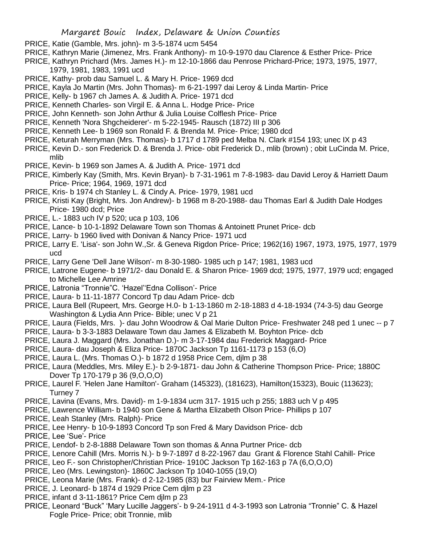- PRICE, Katie (Gamble, Mrs. john)- m 3-5-1874 ucm 5454
- PRICE, Kathryn Marie (Jimenez, Mrs. Frank Anthony)- m 10-9-1970 dau Clarence & Esther Price- Price
- PRICE, Kathryn Prichard (Mrs. James H.)- m 12-10-1866 dau Penrose Prichard-Price; 1973, 1975, 1977, 1979, 1981, 1983, 1991 ucd
- PRICE, Kathy- prob dau Samuel L. & Mary H. Price- 1969 dcd
- PRICE, Kayla Jo Martin (Mrs. John Thomas)- m 6-21-1997 dai Leroy & Linda Martin- Price
- PRICE, Kelly- b 1967 ch James A. & Judith A. Price- 1971 dcd
- PRICE, Kenneth Charles- son Virgil E. & Anna L. Hodge Price- Price
- PRICE, John Kenneth- son John Arthur & Julia Louise Colflesh Price- Price
- PRICE, Kenneth 'Nora Shgcheiderer'- m 5-22-1945- Rausch (1872) III p 306
- PRICE, Kenneth Lee- b 1969 son Ronald F. & Brenda M. Price- Price; 1980 dcd
- PRICE, Keturah Merryman (Mrs. Thomas)- b 1717 d 1789 ped Melba N. Clark #154 193; unec IX p 43
- PRICE, Kevin D.- son Frederick D. & Brenda J. Price- obit Frederick D., mlib (brown) ; obit LuCinda M. Price, mlib
- PRICE, Kevin- b 1969 son James A. & Judith A. Price- 1971 dcd
- PRICE, Kimberly Kay (Smith, Mrs. Kevin Bryan)- b 7-31-1961 m 7-8-1983- dau David Leroy & Harriett Daum Price- Price; 1964, 1969, 1971 dcd
- PRICE, Kris- b 1974 ch Stanley L. & Cindy A. Price- 1979, 1981 ucd
- PRICE, Kristi Kay (Bright, Mrs. Jon Andrew)- b 1968 m 8-20-1988- dau Thomas Earl & Judith Dale Hodges Price- 1980 dcd; Price
- PRICE, L.- 1883 uch IV p 520; uca p 103, 106
- PRICE, Lance- b 10-1-1892 Delaware Town son Thomas & Antoinett Prunet Price- dcb
- PRICE, Larry- b 1960 lived with Donivan & Nancy Price- 1971 ucd
- PRICE, Larry E. 'Lisa'- son John W.,Sr. & Geneva Rigdon Price- Price; 1962(16) 1967, 1973, 1975, 1977, 1979 ucd
- PRICE, Larry Gene 'Dell Jane Wilson'- m 8-30-1980- 1985 uch p 147; 1981, 1983 ucd
- PRICE, Latrone Eugene- b 1971/2- dau Donald E. & Sharon Price- 1969 dcd; 1975, 1977, 1979 ucd; engaged to Michelle Lee Amrine
- PRICE, Latronia "Tronnie"C. 'Hazel''Edna Collison'- Price
- PRICE, Laura- b 11-11-1877 Concord Tp dau Adam Price- dcb
- PRICE, Laura Bell (Rupeert, Mrs. George H.0- b 1-13-1860 m 2-18-1883 d 4-18-1934 (74-3-5) dau George Washington & Lydia Ann Price- Bible; unec V p 21
- PRICE, Laura (Fields, Mrs. )- dau John Woodrow & Oal Marie Dulton Price- Freshwater 248 ped 1 unec -- p 7
- PRICE, Laura- b 3-3-1883 Delaware Town dau James & Elizabeth M. Boyhton Price- dcb
- PRICE, Laura J. Maggard (Mrs. Jonathan D.)- m 3-17-1984 dau Frederick Maggard- Price
- PRICE, Laura- dau Joseph & Eliza Price- 1870C Jackson Tp 1161-1173 p 153 (6,O)
- PRICE, Laura L. (Mrs. Thomas O.)- b 1872 d 1958 Price Cem, djlm p 38
- PRICE, Laura (Meddles, Mrs. Miley E.)- b 2-9-1871- dau John & Catherine Thompson Price- Price; 1880C Dover Tp 170-179 p 36 (9,O,O,O)
- PRICE, Laurel F. 'Helen Jane Hamilton'- Graham (145323), (181623), Hamilton(15323), Bouic (113623); Turney 7
- PRICE, Lavina (Evans, Mrs. David)- m 1-9-1834 ucm 317- 1915 uch p 255; 1883 uch V p 495
- PRICE, Lawrence William- b 1940 son Gene & Martha Elizabeth Olson Price- Phillips p 107
- PRICE, Leah Stanley (Mrs. Ralph)- Price
- PRICE, Lee Henry- b 10-9-1893 Concord Tp son Fred & Mary Davidson Price- dcb
- PRICE, Lee 'Sue'- Price
- PRICE, Lendof- b 2-8-1888 Delaware Town son thomas & Anna Purtner Price- dcb
- PRICE, Lenore Cahill (Mrs. Morris N.)- b 9-7-1897 d 8-22-1967 dau Grant & Florence Stahl Cahill- Price
- PRICE, Leo F.- son Christopher/Christian Price- 1910C Jackson Tp 162-163 p 7A (6,O,O,O)
- PRICE, Leo (Mrs. Lewingston)- 1860C Jackson Tp 1040-1055 (19,O)
- PRICE, Leona Marie (Mrs. Frank)- d 2-12-1985 (83) bur Fairview Mem.- Price
- PRICE, J. Leonard- b 1874 d 1929 Price Cem djlm p 23
- PRICE, infant d 3-11-1861? Price Cem djlm p 23
- PRICE, Leonard "Buck" 'Mary Lucille Jaggers'- b 9-24-1911 d 4-3-1993 son Latronia "Tronnie" C. & Hazel Fogle Price- Price; obit Tronnie, mlib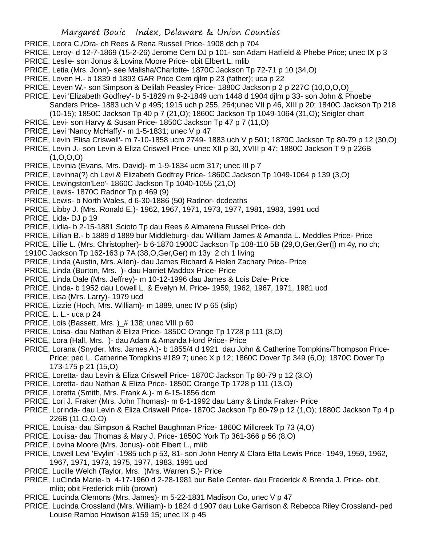- PRICE, Leora C./Ora- ch Rees & Rena Russell Price- 1908 dch p 704
- PRICE, Leroy- d 12-7-1869 (15-2-26) Jerome Cem DJ p 101- son Adam Hatfield & Phebe Price; unec IX p 3
- PRICE, Leslie- son Jonus & Lovina Moore Price- obit Elbert L. mlib
- PRICE, Letia (Mrs. John)- see Malisha/Charlotte- 1870C Jackson Tp 72-71 p 10 (34,O)
- PRICE, Leven H.- b 1839 d 1893 GAR Price Cem djlm p 23 (father); uca p 22
- PRICE, Leven W.- son Simpson & Delilah Peasley Price- 1880C Jackson p 2 p 227C (10,O,O,O)\_
- PRICE, Levi 'Elizabeth Godfrey'- b 5-1829 m 9-2-1849 ucm 1448 d 1904 djlm p 33- son John & Phoebe Sanders Price- 1883 uch V p 495; 1915 uch p 255, 264;unec VII p 46, XIII p 20; 1840C Jackson Tp 218 (10-15); 1850C Jackson Tp 40 p 7 (21,O); 1860C Jackson Tp 1049-1064 (31,O); Seigler chart
- PRICE, Levi- son Harvy & Susan Price- 1850C Jackson Tp 47 p 7 (11,O)
- PRICE, Levi 'Nancy McHaffy'- m 1-5-1831; unec V p 47
- PRICE, Levin 'Elisa Criswell'- m 7-10-1858 ucm 2749- 1883 uch V p 501; 1870C Jackson Tp 80-79 p 12 (30,O)
- PRICE, Levin J.- son Levin & Eliza Criswell Price- unec XII p 30, XVIII p 47; 1880C Jackson T 9 p 226B  $(1, 0, 0, 0)$
- PRICE, Levinia (Evans, Mrs. David)- m 1-9-1834 ucm 317; unec III p 7
- PRICE, Levinna(?) ch Levi & Elizabeth Godfrey Price- 1860C Jackson Tp 1049-1064 p 139 (3,O)
- PRICE, Lewingston'Leo'- 1860C Jackson Tp 1040-1055 (21,O)
- PRICE, Lewis- 1870C Radnor Tp p 469 (9)
- PRICE, Lewis- b North Wales, d 6-30-1886 (50) Radnor- dcdeaths
- PRICE, Libby J. (Mrs. Ronald E.)- 1962, 1967, 1971, 1973, 1977, 1981, 1983, 1991 ucd
- PRICE, Lida- DJ p 19
- PRICE, Lidia- b 2-15-1881 Scioto Tp dau Rees & Almarena Russel Price- dcb
- PRICE, Lillian B.- b 1889 d 1889 bur Middleburg- dau William James & Amanda L. Meddles Price- Price
- PRICE, Lillie L. (Mrs. Christopher)- b 6-1870 1900C Jackson Tp 108-110 5B (29,O,Ger,Ger(|) m 4y, no ch;
- 1910C Jackson Tp 162-163 p 7A (38,O,Ger,Ger) m 13y 2 ch 1 living
- PRICE, Linda (Austin, Mrs. Allen)- dau James Richard & Helen Zachary Price- Price
- PRICE, Linda (Burton, Mrs. )- dau Harriet Maddox Price- Price
- PRICE, Linda Dale (Mrs. Jeffrey)- m 10-12-1996 dau James & Lois Dale- Price
- PRICE, Linda- b 1952 dau Lowell L. & Evelyn M. Price- 1959, 1962, 1967, 1971, 1981 ucd
- PRICE, Lisa (Mrs. Larry)- 1979 ucd
- PRICE, Lizzie (Hoch, Mrs. William)- m 1889, unec IV p 65 (slip)
- PRICE, L. L.- uca p 24
- PRICE, Lois (Bassett, Mrs.) # 138; unec VIII p 60
- PRICE, Loisa- dau Nathan & Eliza Price- 1850C Orange Tp 1728 p 111 (8,O)
- PRICE, Lora (Hall, Mrs. )- dau Adam & Amanda Hord Price- Price
- PRICE, Lorana (Snyder, Mrs. James A.)- b 1855/4 d 1921 dau John & Catherine Tompkins/Thompson Price-Price; ped L. Catherine Tompkins #189 7; unec X p 12; 1860C Dover Tp 349 (6,O); 1870C Dover Tp 173-175 p 21 (15,O)
- PRICE, Loretta- dau Levin & Eliza Criswell Price- 1870C Jackson Tp 80-79 p 12 (3,O)
- PRICE, Loretta- dau Nathan & Eliza Price- 1850C Orange Tp 1728 p 111 (13,O)
- PRICE, Loretta (Smith, Mrs. Frank A.)- m 6-15-1856 dcm
- PRICE, Lori J. Fraker (Mrs. John Thomas)- m 8-1-1992 dau Larry & Linda Fraker- Price
- PRICE, Lorinda- dau Levin & Eliza Criswell Price- 1870C Jackson Tp 80-79 p 12 (1,O); 1880C Jackson Tp 4 p 226B (11,O,O,O)
- PRICE, Louisa- dau Simpson & Rachel Baughman Price- 1860C Millcreek Tp 73 (4,O)
- PRICE, Louisa- dau Thomas & Mary J. Price- 1850C York Tp 361-366 p 56 (8,O)
- PRICE, Lovina Moore (Mrs. Jonus)- obit Elbert L., mlib
- PRICE, Lowell Levi 'Evylin' -1985 uch p 53, 81- son John Henry & Clara Etta Lewis Price- 1949, 1959, 1962, 1967, 1971, 1973, 1975, 1977, 1983, 1991 ucd
- PRICE, Lucille Welch (Taylor, Mrs. )Mrs. Warren S.)- Price
- PRICE, LuCinda Marie- b 4-17-1960 d 2-28-1981 bur Belle Center- dau Frederick & Brenda J. Price- obit, mlib; obit Frederick mlib (brown)
- PRICE, Lucinda Clemons (Mrs. James)- m 5-22-1831 Madison Co, unec V p 47
- PRICE, Lucinda Crossland (Mrs. William)- b 1824 d 1907 dau Luke Garrison & Rebecca Riley Crossland- ped Louise Rambo Howison #159 15; unec IX p 45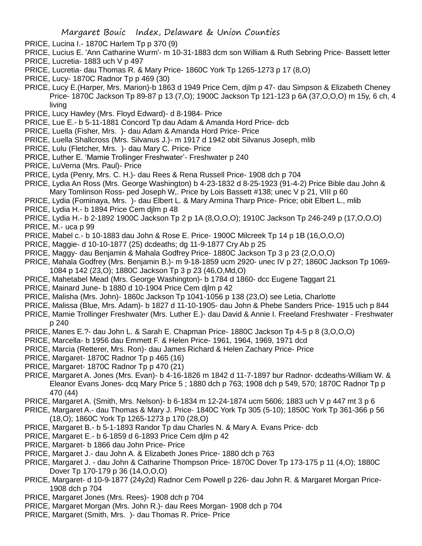- PRICE, Lucina I.- 1870C Harlem Tp p 370 (9)
- PRICE, Lucius E. 'Ann Catharine Wurm'- m 10-31-1883 dcm son William & Ruth Sebring Price- Bassett letter
- PRICE, Lucretia- 1883 uch V p 497
- PRICE, Lucretia- dau Thomas R. & Mary Price- 1860C York Tp 1265-1273 p 17 (8,O)
- PRICE, Lucy- 1870C Radnor Tp p 469 (30)
- PRICE, Lucy E.(Harper, Mrs. Marion)-b 1863 d 1949 Price Cem, djlm p 47- dau Simpson & Elizabeth Cheney Price- 1870C Jackson Tp 89-87 p 13 (7,O); 1900C Jackson Tp 121-123 p 6A (37,O,O,O) m 15y, 6 ch, 4 living
- PRICE, Lucy Hawley (Mrs. Floyd Edward)- d 8-1984- Price
- PRICE, Lue E.- b 5-11-1881 Concord Tp dau Adam & Amanda Hord Price- dcb
- PRICE, Luella (Fisher, Mrs. )- dau Adam & Amanda Hord Price- Price
- PRICE, Luella Shallcross (Mrs. Silvanus J.)- m 1917 d 1942 obit Silvanus Joseph, mlib
- PRICE, Lulu (Fletcher, Mrs. )- dau Mary C. Price- Price
- PRICE, Luther E. 'Mamie Trollinger Freshwater'- Freshwater p 240
- PRICE, LuVerna (Mrs. Paul)- Price
- PRICE, Lyda (Penry, Mrs. C. H.)- dau Rees & Rena Russell Price- 1908 dch p 704
- PRICE, Lydia An Ross (Mrs. George Washington) b 4-23-1832 d 8-25-1923 (91-4-2) Price Bible dau John & Mary Tomlinson Ross- ped Joseph W,. Price by Lois Bassett #138; unec V p 21, VIII p 60
- PRICE, Lydia (Fominaya, Mrs. )- dau Elbert L. & Mary Armina Tharp Price- Price; obit Elbert L., mlib
- PRICE, Lydia H.- b 1894 Price Cem djlm p 48
- PRICE, Lydia H.- b 2-1892 1900C Jackson Tp 2 p 1A (8,O,O,O); 1910C Jackson Tp 246-249 p (17,O,O,O)
- PRICE, M.- uca p 99
- PRICE, Mabel c.- b 10-1883 dau John & Rose E. Price- 1900C Milcreek Tp 14 p 1B (16,O,O,O)
- PRICE, Maggie- d 10-10-1877 (25) dcdeaths; dg 11-9-1877 Cry Ab p 25
- PRICE, Maggy- dau Benjamin & Mahala Godfrey Price- 1880C Jackson Tp 3 p 23 (2,O,O,O)
- PRICE, Mahala Godfrey (Mrs. Benjamin B.)- m 9-18-1859 ucm 2920- unec IV p 27; 1860C Jackson Tp 1069- 1084 p 142 (23,O); 1880C Jackson Tp 3 p 23 (46,O,Md,O)
- PRICE, Mahetabel Mead (Mrs. George Washington)- b 1784 d 1860- dcc Eugene Taggart 21
- PRICE, Mainard June- b 1880 d 10-1904 Price Cem djlm p 42
- PRICE, Malisha (Mrs. John)- 1860c Jackson Tp 1041-1056 p 138 (23,O) see Letia, Charlotte
- PRICE, Malissa (Blue, Mrs. Adam)- b 1827 d 11-10-1905- dau John & Phebe Sanders Price- 1915 uch p 844
- PRICE, Mamie Trollinger Freshwater (Mrs. Luther E.)- dau David & Annie I. Freeland Freshwater Freshwater p 240
- PRICE, Manes E.?- dau John L. & Sarah E. Chapman Price- 1880C Jackson Tp 4-5 p 8 (3,O,O,O)
- PRICE, Marcella- b 1956 dau Emmett F. & Helen Price- 1961, 1964, 1969, 1971 dcd
- PRICE, Marcia (Retterer, Mrs. Ron)- dau James Richard & Helen Zachary Price- Price
- PRICE, Margaret- 1870C Radnor Tp p 465 (16)
- PRICE, Margaret- 1870C Radnor Tp p 470 (21)
- PRICE, Margaret A. Jones (Mrs. Evan)- b 4-16-1826 m 1842 d 11-7-1897 bur Radnor- dcdeaths-William W. & Eleanor Evans Jones- dcq Mary Price 5 ; 1880 dch p 763; 1908 dch p 549, 570; 1870C Radnor Tp p 470 (44)
- PRICE, Margaret A. (Smith, Mrs. Nelson)- b 6-1834 m 12-24-1874 ucm 5606; 1883 uch V p 447 mt 3 p 6
- PRICE, Margaret A.- dau Thomas & Mary J. Price- 1840C York Tp 305 (5-10); 1850C York Tp 361-366 p 56 (18,O); 1860C York Tp 1265-1273 p 170 (28,O)
- PRICE, Margaret B.- b 5-1-1893 Randor Tp dau Charles N. & Mary A. Evans Price- dcb
- PRICE, Margaret E.- b 6-1859 d 6-1893 Price Cem djlm p 42
- PRICE, Margaret- b 1866 dau John Price- Price
- PRICE, Margaret J.- dau John A. & Elizabeth Jones Price- 1880 dch p 763
- PRICE, Margaret J. dau John & Catharine Thompson Price- 1870C Dover Tp 173-175 p 11 (4,O); 1880C Dover Tp 170-179 p 36 (14, O, O, O)
- PRICE, Margaret- d 10-9-1877 (24y2d) Radnor Cem Powell p 226- dau John R. & Margaret Morgan Price-1908 dch p 704
- PRICE, Margaret Jones (Mrs. Rees)- 1908 dch p 704
- PRICE, Margaret Morgan (Mrs. John R.)- dau Rees Morgan- 1908 dch p 704
- PRICE, Margaret (Smith, Mrs. )- dau Thomas R. Price- Price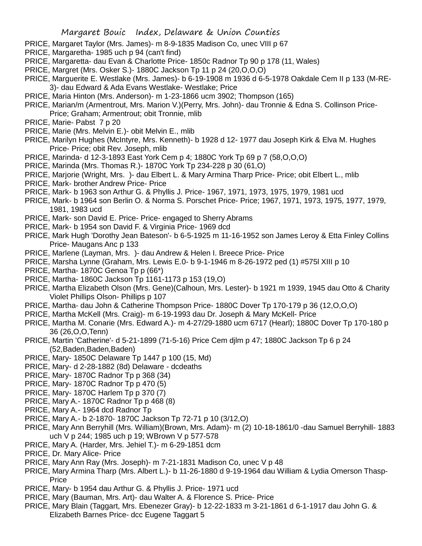- PRICE, Margaret Taylor (Mrs. James)- m 8-9-1835 Madison Co, unec VIII p 67
- PRICE, Margaretha- 1985 uch p 94 (can't find)
- PRICE, Margaretta- dau Evan & Charlotte Price- 1850c Radnor Tp 90 p 178 (11, Wales)
- PRICE, Margret (Mrs. Osker S.)- 1880C Jackson Tp 11 p 24 (20,O,O,O)
- PRICE, Marguerite E. Westlake (Mrs. James)- b 6-19-1908 m 1936 d 6-5-1978 Oakdale Cem II p 133 (M-RE-3)- dau Edward & Ada Evans Westlake- Westlake; Price
- PRICE, Maria Hinton (Mrs. Anderson)- m 1-23-1866 ucm 3902; Thompson (165)
- PRICE, Marian/m (Armentrout, Mrs. Marion V.)(Perry, Mrs. John)- dau Tronnie & Edna S. Collinson Price-Price; Graham; Armentrout; obit Tronnie, mlib
- PRICE, Marie- Pabst 7 p 20
- PRICE, Marie (Mrs. Melvin E.)- obit Melvin E., mlib
- PRICE, Marilyn Hughes (McIntyre, Mrs. Kenneth)- b 1928 d 12- 1977 dau Joseph Kirk & Elva M. Hughes Price- Price; obit Rev. Joseph, mlib
- PRICE, Marinda- d 12-3-1893 East York Cem p 4; 1880C York Tp 69 p 7 (58,O,O,O)
- PRICE, Marinda (Mrs. Thomas R.)- 1870C York Tp 234-228 p 30 (61,O)
- PRICE, Marjorie (Wright, Mrs. )- dau Elbert L. & Mary Armina Tharp Price- Price; obit Elbert L., mlib
- PRICE, Mark- brother Andrew Price- Price
- PRICE, Mark- b 1963 son Arthur G. & Phyllis J. Price- 1967, 1971, 1973, 1975, 1979, 1981 ucd
- PRICE, Mark- b 1964 son Berlin O. & Norma S. Porschet Price- Price; 1967, 1971, 1973, 1975, 1977, 1979, 1981, 1983 ucd
- PRICE, Mark- son David E. Price- Price- engaged to Sherry Abrams
- PRICE, Mark- b 1954 son David F. & Virginia Price- 1969 dcd
- PRICE, Mark Hugh 'Dorothy Jean Bateson'- b 6-5-1925 m 11-16-1952 son James Leroy & Etta Finley Collins Price- Maugans Anc p 133
- PRICE, Marlene (Layman, Mrs. )- dau Andrew & Helen I. Breece Price- Price
- PRICE, Marsha Lynne (Graham, Mrs. Lewis E.0- b 9-1-1946 m 8-26-1972 ped (1) #575l XIII p 10
- PRICE, Martha- 1870C Genoa Tp p (66\*)
- PRICE, Martha- 1860C Jackson Tp 1161-1173 p 153 (19,O)
- PRICE, Martha Elizabeth Olson (Mrs. Gene)(Calhoun, Mrs. Lester)- b 1921 m 1939, 1945 dau Otto & Charity Violet Phillips Olson- Phillips p 107
- PRICE, Martha- dau John & Catherine Thompson Price- 1880C Dover Tp 170-179 p 36 (12,O,O,O)
- PRICE, Martha McKell (Mrs. Craig)- m 6-19-1993 dau Dr. Joseph & Mary McKell- Price
- PRICE, Martha M. Conarie (Mrs. Edward A.)- m 4-27/29-1880 ucm 6717 (Hearl); 1880C Dover Tp 170-180 p 36 (26,O,O,Tenn)
- PRICE, Martin 'Catherine'- d 5-21-1899 (71-5-16) Price Cem djlm p 47; 1880C Jackson Tp 6 p 24 (52,Baden,Baden,Baden)
- PRICE, Mary- 1850C Delaware Tp 1447 p 100 (15, Md)
- PRICE, Mary- d 2-28-1882 (8d) Delaware dcdeaths
- PRICE, Mary- 1870C Radnor Tp p 368 (34)
- PRICE, Mary- 1870C Radnor Tp p 470 (5)
- PRICE, Mary- 1870C Harlem Tp p 370 (7)
- PRICE, Mary A.- 1870C Radnor Tp p 468 (8)
- PRICE, Mary A.- 1964 dcd Radnor Tp
- PRICE, Mary A.- b 2-1870- 1870C Jackson Tp 72-71 p 10 (3/12,O)
- PRICE, Mary Ann Berryhill (Mrs. William)(Brown, Mrs. Adam)- m (2) 10-18-1861/0 -dau Samuel Berryhill- 1883 uch V p 244; 1985 uch p 19; WBrown V p 577-578
- PRICE, Mary A. (Harder, Mrs. Jehiel T.)- m 6-29-1851 dcm
- PRICE, Dr. Mary Alice- Price
- PRICE, Mary Ann Ray (Mrs. Joseph)- m 7-21-1831 Madison Co, unec V p 48
- PRICE, Mary Armina Tharp (Mrs. Albert L.)- b 11-26-1880 d 9-19-1964 dau William & Lydia Omerson Thasp-**Price**
- PRICE, Mary- b 1954 dau Arthur G. & Phyllis J. Price- 1971 ucd
- PRICE, Mary (Bauman, Mrs. Art)- dau Walter A. & Florence S. Price- Price
- PRICE, Mary Blain (Taggart, Mrs. Ebenezer Gray)- b 12-22-1833 m 3-21-1861 d 6-1-1917 dau John G. & Elizabeth Barnes Price- dcc Eugene Taggart 5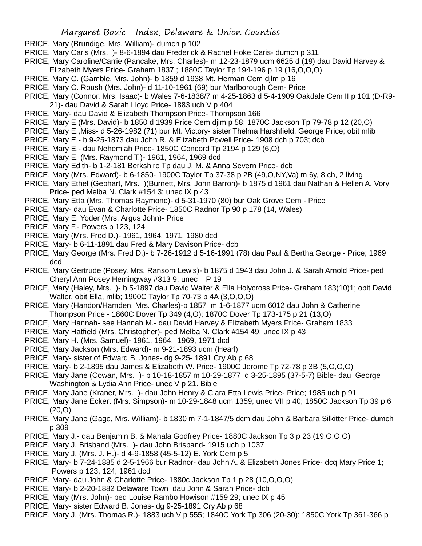- PRICE, Mary (Brundige, Mrs. William)- dumch p 102
- PRICE, Mary Caris (Mrs. )- 8-6-1894 dau Frederick & Rachel Hoke Caris- dumch p 311
- PRICE, Mary Caroline/Carrie (Pancake, Mrs. Charles)- m 12-23-1879 ucm 6625 d (19) dau David Harvey &
- Elizabeth Myers Price- Graham 1837 ; 1880C Taylor Tp 194-196 p 19 (16,O,O,O)
- PRICE, Mary C. (Gamble, Mrs. John)- b 1859 d 1938 Mt. Herman Cem djlm p 16
- PRICE, Mary C. Roush (Mrs. John)- d 11-10-1961 (69) bur Marlborough Cem- Price
- PRICE, Mary (Connor, Mrs. Isaac)- b Wales 7-6-1838/7 m 4-25-1863 d 5-4-1909 Oakdale Cem II p 101 (D-R9- 21)- dau David & Sarah Lloyd Price- 1883 uch V p 404
- PRICE, Mary- dau David & Elizabeth Thompson Price- Thompson 166
- PRICE, Mary E.(Mrs. David)- b 1850 d 1939 Price Cem djlm p 58; 1870C Jackson Tp 79-78 p 12 (20,O)
- PRICE, Mary E.,Miss- d 5-26-1982 (71) bur Mt. Victory- sister Thelma Harshfield, George Price; obit mlib
- PRICE, Mary E.- b 9-25-1873 dau John R. & Elizabeth Powell Price- 1908 dch p 703; dcb
- PRICE, Mary E.- dau Nehemiah Price- 1850C Concord Tp 2194 p 129 (6,O)
- PRICE, Mary E. (Mrs. Raymond T.)- 1961, 1964, 1969 dcd
- PRICE, Mary Edith- b 1-2-181 Berkshire Tp dau J. M. & Anna Severn Price- dcb
- PRICE, Mary (Mrs. Edward)- b 6-1850- 1900C Taylor Tp 37-38 p 2B (49,O,NY,Va) m 6y, 8 ch, 2 living
- PRICE, Mary Ethel (Gephart, Mrs. )(Burnett, Mrs. John Barron)- b 1875 d 1961 dau Nathan & Hellen A. Vory Price- ped Melba N. Clark #154 3; unec IX p 43
- PRICE, Mary Etta (Mrs. Thomas Raymond)- d 5-31-1970 (80) bur Oak Grove Cem Price
- PRICE, Mary- dau Evan & Charlotte Price- 1850C Radnor Tp 90 p 178 (14, Wales)
- PRICE, Mary E. Yoder (Mrs. Argus John)- Price
- PRICE, Mary F.- Powers p 123, 124
- PRICE, Mary (Mrs. Fred D.)- 1961, 1964, 1971, 1980 dcd
- PRICE, Mary- b 6-11-1891 dau Fred & Mary Davison Price- dcb
- PRICE, Mary George (Mrs. Fred D.)- b 7-26-1912 d 5-16-1991 (78) dau Paul & Bertha George Price; 1969 dcd
- PRICE, Mary Gertrude (Posey, Mrs. Ransom Lewis)- b 1875 d 1943 dau John J. & Sarah Arnold Price- ped Cheryl Ann Posey Hemingway #313 9; unec P 19
- PRICE, Mary (Haley, Mrs. )- b 5-1897 dau David Walter & Ella Holycross Price- Graham 183(10)1; obit David Walter, obit Ella, mlib; 1900C Taylor Tp 70-73 p 4A (3,O,O,O)
- PRICE, Mary (Handon/Hamden, Mrs. Charles)-b 1857 m 1-6-1877 ucm 6012 dau John & Catherine Thompson Price - 1860C Dover Tp 349 (4,O); 1870C Dover Tp 173-175 p 21 (13,O)
- PRICE, Mary Hannah- see Hannah M.- dau David Harvey & Elizabeth Myers Price- Graham 1833
- PRICE, Mary Hatfield (Mrs. Christopher)- ped Melba N. Clark #154 49; unec IX p 43
- PRICE, Mary H. (Mrs. Samuel)- 1961, 1964, 1969, 1971 dcd
- PRICE, Mary Jackson (Mrs. Edward)- m 9-21-1893 ucm (Hearl)
- PRICE, Mary- sister of Edward B. Jones- dg 9-25- 1891 Cry Ab p 68
- PRICE, Mary- b 2-1895 dau James & Elizabeth W. Price- 1900C Jerome Tp 72-78 p 3B (5,O,O,O)
- PRICE, Mary Jane (Cowan, Mrs. )- b 10-18-1857 m 10-29-1877 d 3-25-1895 (37-5-7) Bible- dau George Washington & Lydia Ann Price- unec V p 21. Bible
- PRICE, Mary Jane (Kraner, Mrs. )- dau John Henry & Clara Etta Lewis Price- Price; 1985 uch p 91
- PRICE, Mary Jane Eckert (Mrs. Simpson)- m 10-29-1848 ucm 1359; unec VII p 40; 1850C Jackson Tp 39 p 6 (20,O)
- PRICE, Mary Jane (Gage, Mrs. William)- b 1830 m 7-1-1847/5 dcm dau John & Barbara Silkitter Price- dumch p 309
- PRICE, Mary J.- dau Benjamin B. & Mahala Godfrey Price- 1880C Jackson Tp 3 p 23 (19,O,O,O)
- PRICE, Mary J. Brisband (Mrs. )- dau John Brisband- 1915 uch p 1037
- PRICE, Mary J. (Mrs. J. H.)- d 4-9-1858 (45-5-12) E. York Cem p 5
- PRICE, Mary- b 7-24-1885 d 2-5-1966 bur Radnor- dau John A. & Elizabeth Jones Price- dcq Mary Price 1; Powers p 123, 124; 1961 dcd
- PRICE, Mary- dau John & Charlotte Price- 1880c Jackson Tp 1 p 28 (10,O,O,O)
- PRICE, Mary- b 2-20-1882 Delaware Town dau John & Sarah Price- dcb
- PRICE, Mary (Mrs. John)- ped Louise Rambo Howison #159 29; unec IX p 45
- PRICE, Mary- sister Edward B. Jones- dg 9-25-1891 Cry Ab p 68
- PRICE, Mary J. (Mrs. Thomas R.)- 1883 uch V p 555; 1840C York Tp 306 (20-30); 1850C York Tp 361-366 p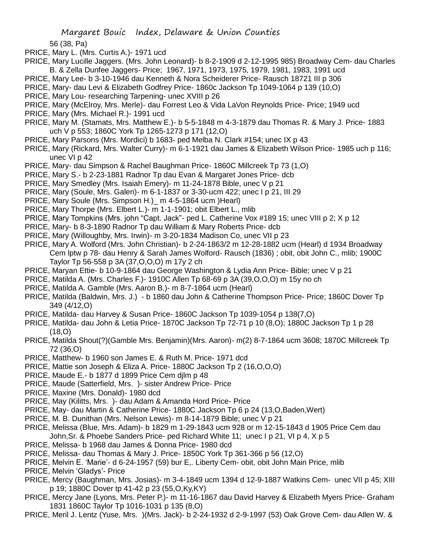56 (38, Pa)

- PRICE, Mary L. (Mrs. Curtis A.)- 1971 ucd
- PRICE, Mary Lucille Jaggers. (Mrs. John Leonard)- b 8-2-1909 d 2-12-1995 985) Broadway Cem- dau Charles B. & Zella Dunfee Jaggers- Price; 1967, 1971, 1973, 1975, 1979, 1981, 1983, 1991 ucd
- PRICE, Mary Lee- b 3-10-1946 dau Kenneth & Nora Scheiderer Price- Rausch 18721 III p 306
- PRICE, Mary- dau Levi & Elizabeth Godfrey Price- 1860c Jackson Tp 1049-1064 p 139 (10,O)
- PRICE, Mary Lou- researching Tarpening- unec XVIII p 26
- PRICE, Mary (McElroy, Mrs. Merle)- dau Forrest Leo & Vida LaVon Reynolds Price- Price; 1949 ucd
- PRICE, Mary (Mrs. Michael R.)- 1991 ucd
- PRICE, Mary M. (Stamats, Mrs. Matthew E.)- b 5-5-1848 m 4-3-1879 dau Thomas R. & Mary J. Price- 1883 uch V p 553; 1860C York Tp 1265-1273 p 171 (12,O)
- PRICE, Mary Parsons (Mrs. Mordici) b 1683- ped Melba N. Clark #154; unec IX p 43
- PRICE, Mary (Rickard, Mrs. Walter Curry)- m 6-1-1921 dau James & Elizabeth Wilson Price- 1985 uch p 116; unec VI p 42
- PRICE, Mary- dau Simpson & Rachel Baughman Price- 1860C Millcreek Tp 73 (1,O)
- PRICE, Mary S.- b 2-23-1881 Radnor Tp dau Evan & Margaret Jones Price- dcb
- PRICE, Mary Smedley (Mrs. Isaiah Emery)- m 11-24-1878 Bible, unec V p 21
- PRICE, Mary (Soule, Mrs. Galen)- m 6-1-1837 or 3-30-ucm 422; unec I p 21, III 29
- PRICE, Mary Soule (Mrs. Simpson H.)\_ m 4-5-1864 ucm )Hearl)
- PRICE, Mary Thorpe (Mrs. Elbert L.)- m 1-1-1901; obit Elbert L., mlib
- PRICE, Mary Tompkins (Mrs. john "Capt. Jack"- ped L. Catherine Vox #189 15; unec VIII p 2; X p 12
- PRICE, Mary- b 8-3-1890 Radnor Tp dau William & Mary Roberts Price- dcb
- PRICE, Mary (Willoughby, Mrs. Irwin)- m 3-20-1834 Madison Co, unec VII p 23
- PRICE, Mary A. Wolford (Mrs. John Christian)- b 2-24-1863/2 m 12-28-1882 ucm (Hearl) d 1934 Broadway Cem lptw p 78- dau Henry & Sarah James Wolford- Rausch (1836) ; obit, obit John C., mlib; 1900C Taylor Tp 56-558 p 3A (37,O,O,O) m 17y 2 ch
- PRICE, Maryan Ettie- b 10-9-1864 dau George Washington & Lydia Ann Price- Bible; unec V p 21
- PRICE, Matilda A. (Mrs. Charles F.)- 1910C Allen Tp 68-69 p 3A (39,O,O,O) m 15y no ch
- PRICE, Matilda A. Gamble (Mrs. Aaron B.)- m 8-7-1864 ucm (Hearl)
- PRICE, Matilda (Baldwin, Mrs. J.) b 1860 dau John & Catherine Thompson Price- Price; 1860C Dover Tp 349 (4/12,O)
- PRICE, Matilda- dau Harvey & Susan Price- 1860C Jackson Tp 1039-1054 p 138(7,O)
- PRICE, Matilda- dau John & Letia Price- 1870C Jackson Tp 72-71 p 10 (8,O); 1880C Jackson Tp 1 p 28 (18,O)
- PRICE, Matilda Shout(?)(Gamble Mrs. Benjamin)(Mrs. Aaron)- m(2) 8-7-1864 ucm 3608; 1870C Millcreek Tp 72 (36,O)
- PRICE, Matthew- b 1960 son James E. & Ruth M. Price- 1971 dcd
- PRICE, Mattie son Joseph & Eliza A. Price- 1880C Jackson Tp 2 (16,O,O,O)
- PRICE, Maude E.- b 1877 d 1899 Price Cem djlm p 48
- PRICE, Maude (Satterfield, Mrs. )- sister Andrew Price- Price
- PRICE, Maxine (Mrs. Donald)- 1980 dcd
- PRICE, May (Kilitts, Mrs. )- dau Adam & Amanda Hord Price- Price
- PRICE, May- dau Martin & Catherine Price- 1880C Jackson Tp 6 p 24 (13,O,Baden,Wert)
- PRICE, M. B. Dunithan (Mrs. Nelson Lewis)- m 8-14-1879 Bible; unec V p 21
- PRICE, Melissa (Blue, Mrs. Adam)- b 1829 m 1-29-1843 ucm 928 or m 12-15-1843 d 1905 Price Cem dau John,Sr. & Phoebe Sanders Price- ped Richard White 11; unec I p 21, VI p 4, X p 5
- PRICE, Melissa- b 1968 dau James & Donna Price- 1980 dcd
- PRICE, Melissa- dau Thomas & Mary J. Price- 1850C York Tp 361-366 p 56 (12,O)
- PRICE, Melvin E. 'Marie'- d 6-24-1957 (59) bur E,. Liberty Cem- obit, obit John Main Price, mlib
- PRICE, Melvin 'Gladys'- Price
- PRICE, Mercy (Baughman, Mrs. Josias)- m 3-4-1849 ucm 1394 d 12-9-1887 Watkins Cem- unec VII p 45; XIII p 19; 1880C Dover tp 41-42 p 23 (55,O,Ky,KY)
- PRICE, Mercy Jane (Lyons, Mrs. Peter P.)- m 11-16-1867 dau David Harvey & Elizabeth Myers Price- Graham 1831 1860C Taylor Tp 1016-1031 p 135 (8,O)
- PRICE, Meril J. Lentz (Yuse, Mrs. )(Mrs. Jack)- b 2-24-1932 d 2-9-1997 (53) Oak Grove Cem- dau Allen W. &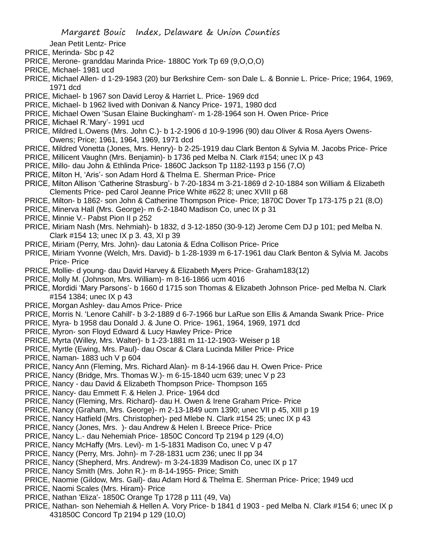Jean Petit Lentz- Price

- PRICE, Merinda- Sbc p 42
- PRICE, Merone- granddau Marinda Price- 1880C York Tp 69 (9,O,O,O)
- PRICE, Michael- 1981 ucd
- PRICE, Michael Allen- d 1-29-1983 (20) bur Berkshire Cem- son Dale L. & Bonnie L. Price- Price; 1964, 1969, 1971 dcd
- PRICE, Michael- b 1967 son David Leroy & Harriet L. Price- 1969 dcd
- PRICE, Michael- b 1962 lived with Donivan & Nancy Price- 1971, 1980 dcd
- PRICE, Michael Owen 'Susan Elaine Buckingham'- m 1-28-1964 son H. Owen Price- Price
- PRICE, Michael R.'Mary'- 1991 ucd
- PRICE, Mildred L.Owens (Mrs. John C.)- b 1-2-1906 d 10-9-1996 (90) dau Oliver & Rosa Ayers Owens-Owens; Price; 1961, 1964, 1969, 1971 dcd
- PRICE, Mildred Vonetta (Jones, Mrs. Henry)- b 2-25-1919 dau Clark Benton & Sylvia M. Jacobs Price- Price
- PRICE, Millicent Vaughn (Mrs. Benjamin)- b 1736 ped Melba N. Clark #154; unec IX p 43
- PRICE, Millo- dau John & Ethlinda Price- 1860C Jackson Tp 1182-1193 p 156 (7,O)
- PRICE, Milton H, 'Aris'- son Adam Hord & Thelma E. Sherman Price- Price
- PRICE, Milton Allison 'Catherine Strasburg'- b 7-20-1834 m 3-21-1869 d 2-10-1884 son William & Elizabeth Clements Price- ped Carol Jeanne Price White #622 8; unec XVIII p 68
- PRICE, Milton- b 1862- son John & Catherine Thompson Price- Price; 1870C Dover Tp 173-175 p 21 (8,O)
- PRICE, Minerva Hall (Mrs. George)- m 6-2-1840 Madison Co, unec IX p 31
- PRICE, Minnie V.- Pabst Pion II p 252
- PRICE, Miriam Nash (Mrs. Nehmiah)- b 1832, d 3-12-1850 (30-9-12) Jerome Cem DJ p 101; ped Melba N. Clark #154 13; unec IX p 3. 43, XI p 39
- PRICE, Miriam (Perry, Mrs. John)- dau Latonia & Edna Collison Price- Price
- PRICE, Miriam Yvonne (Welch, Mrs. David)- b 1-28-1939 m 6-17-1961 dau Clark Benton & Sylvia M. Jacobs Price- Price
- PRICE, Mollie- d young- dau David Harvey & Elizabeth Myers Price- Graham183(12)
- PRICE, Molly M. (Johnson, Mrs. William)- m 8-16-1866 ucm 4016
- PRICE, Mordidi 'Mary Parsons'- b 1660 d 1715 son Thomas & Elizabeth Johnson Price- ped Melba N. Clark #154 1384; unec IX p 43
- PRICE, Morgan Ashley- dau Amos Price- Price
- PRICE, Morris N. 'Lenore Cahill'- b 3-2-1889 d 6-7-1966 bur LaRue son Ellis & Amanda Swank Price- Price
- PRICE, Myra- b 1958 dau Donald J. & June O. Price- 1961, 1964, 1969, 1971 dcd
- PRICE, Myron- son Floyd Edward & Lucy Hawley Price- Price
- PRICE, Myrta (Willey, Mrs. Walter)- b 1-23-1881 m 11-12-1903- Weiser p 18
- PRICE, Myrtle (Ewing, Mrs. Paul)- dau Oscar & Clara Lucinda Miller Price- Price
- PRICE, Naman- 1883 uch V p 604
- PRICE, Nancy Ann (Fleming, Mrs. Richard Alan)- m 8-14-1966 dau H. Owen Price- Price
- PRICE, Nancy (Bridge, Mrs. Thomas W.)- m 6-15-1840 ucm 639; unec V p 23
- PRICE, Nancy dau David & Elizabeth Thompson Price- Thompson 165
- PRICE, Nancy- dau Emmett F. & Helen J. Price- 1964 dcd
- PRICE, Nancy (Fleming, Mrs. Richard)- dau H. Owen & Irene Graham Price- Price
- PRICE, Nancy (Graham, Mrs. George)- m 2-13-1849 ucm 1390; unec VII p 45, XIII p 19
- PRICE, Nancy Hatfield (Mrs. Christopher)- ped Mlebe N. Clark #154 25; unec IX p 43
- PRICE, Nancy (Jones, Mrs. )- dau Andrew & Helen I. Breece Price- Price
- PRICE, Nancy L.- dau Nehemiah Price- 1850C Concord Tp 2194 p 129 (4,O)
- PRICE, Nancy McHaffy (Mrs. Levi)- m 1-5-1831 Madison Co, unec V p 47
- PRICE, Nancy (Perry, Mrs. John)- m 7-28-1831 ucm 236; unec II pp 34
- PRICE, Nancy (Shepherd, Mrs. Andrew)- m 3-24-1839 Madison Co, unec IX p 17
- PRICE, Nancy Smith (Mrs. John R.)- m 8-14-1955- Price; Smith
- PRICE, Naomie (Gildow, Mrs. Gail)- dau Adam Hord & Thelma E. Sherman Price- Price; 1949 ucd
- PRICE, Naomi Scales (Mrs. Hiram)- Price
- PRICE, Nathan 'Eliza'- 1850C Orange Tp 1728 p 111 (49, Va)
- PRICE, Nathan- son Nehemiah & Hellen A. Vory Price- b 1841 d 1903 ped Melba N. Clark #154 6; unec IX p 431850C Concord Tp 2194 p 129 (10,O)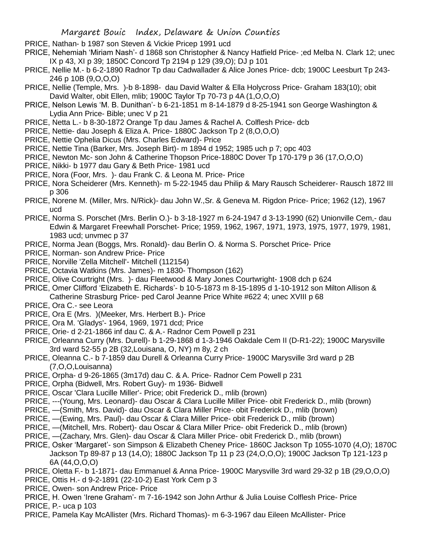- PRICE, Nathan- b 1987 son Steven & Vickie Pricep 1991 ucd
- PRICE, Nehemiah 'Miriam Nash'- d 1868 son Christopher & Nancy Hatfield Price- ;ed Melba N. Clark 12; unec IX p 43, XI p 39; 1850C Concord Tp 2194 p 129 (39,O); DJ p 101
- PRICE, Nellie M.- b 6-2-1890 Radnor Tp dau Cadwallader & Alice Jones Price- dcb; 1900C Leesburt Tp 243- 246 p 10B (9,O,O,O)
- PRICE, Nellie (Temple, Mrs. )-b 8-1898- dau David Walter & Ella Holycross Price- Graham 183(10); obit David Walter, obit Ellen, mlib; 1900C Taylor Tp 70-73 p 4A (1,O,O,O)
- PRICE, Nelson Lewis 'M. B. Dunithan'- b 6-21-1851 m 8-14-1879 d 8-25-1941 son George Washington & Lydia Ann Price- Bible; unec V p 21
- PRICE, Netta L.- b 8-30-1872 Orange Tp dau James & Rachel A. Colflesh Price- dcb
- PRICE, Nettie- dau Joseph & Eliza A. Price- 1880C Jackson Tp 2 (8,O,O,O)
- PRICE, Nettie Ophelia Dicus (Mrs. Charles Edward)- Price
- PRICE, Nettie Tina (Barker, Mrs. Joseph Birt)- m 1894 d 1952; 1985 uch p 7; opc 403
- PRICE, Newton Mc- son John & Catherine Thopson Price-1880C Dover Tp 170-179 p 36 (17,O,O,O)
- PRICE, Nikki- b 1977 dau Gary & Beth Price- 1981 ucd
- PRICE, Nora (Foor, Mrs. )- dau Frank C. & Leona M. Price- Price
- PRICE, Nora Scheiderer (Mrs. Kenneth)- m 5-22-1945 dau Philip & Mary Rausch Scheiderer- Rausch 1872 III p 306
- PRICE, Norene M. (Miller, Mrs. N/Rick)- dau John W.,Sr. & Geneva M. Rigdon Price- Price; 1962 (12), 1967 ucd
- PRICE, Norma S. Porschet (Mrs. Berlin O.)- b 3-18-1927 m 6-24-1947 d 3-13-1990 (62) Unionville Cem,- dau Edwin & Margaret Freewhall Porschet- Price; 1959, 1962, 1967, 1971, 1973, 1975, 1977, 1979, 1981, 1983 ucd; unvmec p 37
- PRICE, Norma Jean (Boggs, Mrs. Ronald)- dau Berlin O. & Norma S. Porschet Price- Price
- PRICE, Norman- son Andrew Price- Price
- PRICE, Norville 'Zella Mitchell'- Mitchell (112154)
- PRICE, Octavia Watkins (Mrs. James)- m 1830- Thompson (162)
- PRICE, Olive Courtright (Mrs. )- dau Fleetwood & Mary Jones Courtwright- 1908 dch p 624
- PRICE, Omer Clifford 'Elizabeth E. Richards'- b 10-5-1873 m 8-15-1895 d 1-10-1912 son Milton Allison & Catherine Strasburg Price- ped Carol Jeanne Price White #622 4; unec XVIII p 68
- PRICE, Ora C.- see Leora
- PRICE, Ora E (Mrs. )(Meeker, Mrs. Herbert B.)- Price
- PRICE, Ora M. 'Gladys'- 1964, 1969, 1971 dcd; Price
- PRICE, Orie- d 2-21-1866 inf dau C. & A.- Radnor Cem Powell p 231
- PRICE, Orleanna Curry (Mrs. Durell)- b 1-29-1868 d 1-3-1946 Oakdale Cem II (D-R1-22); 1900C Marysville 3rd ward 52-55 p 2B (32,Louisana, O, NY) m 8y, 2 ch
- PRICE, Oleanna C.- b 7-1859 dau Durell & Orleanna Curry Price- 1900C Marysville 3rd ward p 2B (7,O,O,Louisanna)
- PRICE, Orpha- d 9-26-1865 (3m17d) dau C. & A. Price- Radnor Cem Powell p 231
- PRICE, Orpha (Bidwell, Mrs. Robert Guy)- m 1936- Bidwell
- PRICE, Oscar 'Clara Lucille Miller'- Price; obit Frederick D., mlib (brown)
- PRICE, ---(Young, Mrs. Leonard)- dau Oscar & Clara Lucille Miller Price- obit Frederick D., mlib (brown)
- PRICE, —(Smith, Mrs. David)- dau Oscar & Clara Miller Price- obit Frederick D., mlib (brown)
- PRICE, —(Ewing, Mrs. Paul)- dau Oscar & Clara Miller Price- obit Frederick D., mlib (brown)
- PRICE, —(Mitchell, Mrs. Robert)- dau Oscar & Clara Miller Price- obit Frederick D., mlib (brown)
- PRICE, —(Zachary, Mrs. Glen)- dau Oscar & Clara Miller Price- obit Frederick D., mlib (brown)
- PRICE, Osker 'Margaret'- son Simpson & Elizabeth Cheney Price- 1860C Jackson Tp 1055-1070 (4,O); 1870C Jackson Tp 89-87 p 13 (14,O); 1880C Jackson Tp 11 p 23 (24,O,O,O); 1900C Jackson Tp 121-123 p 6A (44,O,O,O)
- PRICE, Oletta F.- b 1-1871- dau Emmanuel & Anna Price- 1900C Marysville 3rd ward 29-32 p 1B (29,O,O,O)
- PRICE, Ottis H.- d 9-2-1891 (22-10-2) East York Cem p 3
- PRICE, Owen- son Andrew Price- Price
- PRICE, H. Owen 'Irene Graham'- m 7-16-1942 son John Arthur & Julia Louise Colflesh Price- Price
- PRICE, P.- uca p 103
- PRICE, Pamela Kay McAllister (Mrs. Richard Thomas)- m 6-3-1967 dau Eileen McAllister- Price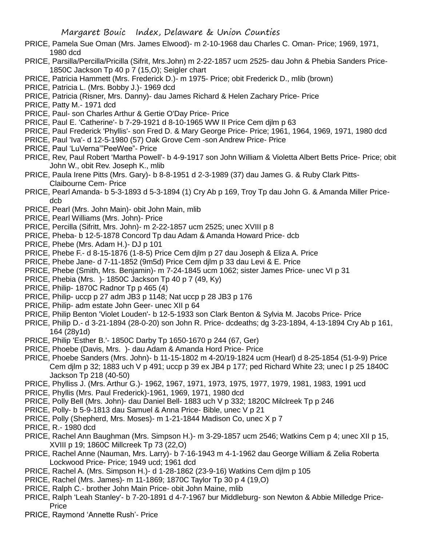- PRICE, Pamela Sue Oman (Mrs. James Elwood)- m 2-10-1968 dau Charles C. Oman- Price; 1969, 1971, 1980 dcd
- PRICE, Parsilla/Percilla/Pricilla (Sifrit, Mrs.John) m 2-22-1857 ucm 2525- dau John & Phebia Sanders Price-1850C Jackson Tp 40 p 7 (15,O); Seigler chart
- PRICE, Patricia Hammett (Mrs. Frederick D.)- m 1975- Price; obit Frederick D., mlib (brown)
- PRICE, Patricia L. (Mrs. Bobby J.)- 1969 dcd
- PRICE, Patricia (Risner, Mrs. Danny)- dau James Richard & Helen Zachary Price- Price
- PRICE, Patty M.- 1971 dcd
- PRICE, Paul- son Charles Arthur & Gertie O'Day Price- Price
- PRICE, Paul E. 'Catherine'- b 7-29-1921 d 8-10-1965 WW II Price Cem djlm p 63
- PRICE, Paul Frederick 'Phyllis'- son Fred D. & Mary George Price- Price; 1961, 1964, 1969, 1971, 1980 dcd
- PRICE, Paul 'Iva'- d 12-5-1980 (57) Oak Grove Cem -son Andrew Price- Price
- PRICE, Paul 'LuVerna'"PeeWee"- Price
- PRICE, Rev, Paul Robert 'Martha Powell'- b 4-9-1917 son John William & Violetta Albert Betts Price- Price; obit John W., obit Rev. Joseph K., mlib
- PRICE, Paula Irene Pitts (Mrs. Gary)- b 8-8-1951 d 2-3-1989 (37) dau James G. & Ruby Clark Pitts-Claibourne Cem- Price
- PRICE, Pearl Amanda- b 5-3-1893 d 5-3-1894 (1) Cry Ab p 169, Troy Tp dau John G. & Amanda Miller Pricedcb
- PRICE, Pearl (Mrs. John Main)- obit John Main, mlib
- PRICE, Pearl Williams (Mrs. John)- Price
- PRICE, Percilla (Sifritt, Mrs. John)- m 2-22-1857 ucm 2525; unec XVIII p 8
- PRICE, Pheba- b 12-5-1878 Concord Tp dau Adam & Amanda Howard Price- dcb
- PRICE, Phebe (Mrs. Adam H.)- DJ p 101
- PRICE, Phebe F.- d 8-15-1876 (1-8-5) Price Cem djlm p 27 dau Joseph & Eliza A. Price
- PRICE, Phebe Jane- d 7-11-1852 (9m5d) Price Cem djlm p 33 dau Levi & E. Price
- PRICE, Phebe (Smith, Mrs. Benjamin)- m 7-24-1845 ucm 1062; sister James Price- unec VI p 31
- PRICE, Phebia (Mrs. )- 1850C Jackson Tp 40 p 7 (49, Ky)
- PRICE, Philip- 1870C Radnor Tp p 465 (4)
- PRICE, Philip- uccp p 27 adm JB3 p 1148; Nat uccp p 28 JB3 p 176
- PRICE, Philip- adm estate John Geer- unec XII p 64
- PRICE, Philip Benton 'Violet Louden'- b 12-5-1933 son Clark Benton & Sylvia M. Jacobs Price- Price
- PRICE, Philip D.- d 3-21-1894 (28-0-20) son John R. Price- dcdeaths; dg 3-23-1894, 4-13-1894 Cry Ab p 161, 164 (28y1d)
- PRICE, Philip 'Esther B.'- 1850C Darby Tp 1650-1670 p 244 (67, Ger)
- PRICE, Phoebe (Davis, Mrs. )- dau Adam & Amanda Hord Price- Price
- PRICE, Phoebe Sanders (Mrs. John)- b 11-15-1802 m 4-20/19-1824 ucm (Hearl) d 8-25-1854 (51-9-9) Price Cem djlm p 32; 1883 uch V p 491; uccp p 39 ex JB4 p 177; ped Richard White 23; unec I p 25 1840C Jackson Tp 218 (40-50)
- PRICE, Phylliss J. (Mrs. Arthur G.)- 1962, 1967, 1971, 1973, 1975, 1977, 1979, 1981, 1983, 1991 ucd
- PRICE, Phyllis (Mrs. Paul Frederick)-1961, 1969, 1971, 1980 dcd
- PRICE, Polly Bell (Mrs. John)- dau Daniel Bell- 1883 uch V p 332; 1820C Milclreek Tp p 246
- PRICE, Polly- b 5-9-1813 dau Samuel & Anna Price- Bible, unec V p 21
- PRICE, Polly (Shepherd, Mrs. Moses)- m 1-21-1844 Madison Co, unec X p 7
- PRICE, R.- 1980 dcd
- PRICE, Rachel Ann Baughman (Mrs. Simpson H.)- m 3-29-1857 ucm 2546; Watkins Cem p 4; unec XII p 15, XVIII p 19; 1860C Millcreek Tp 73 (22,O)
- PRICE, Rachel Anne (Nauman, Mrs. Larry)- b 7-16-1943 m 4-1-1962 dau George William & Zelia Roberta Lockwood Price- Price; 1949 ucd; 1961 dcd
- PRICE, Rachel A. (Mrs. Simpson H.)- d 1-28-1862 (23-9-16) Watkins Cem djlm p 105
- PRICE, Rachel (Mrs. James)- m 11-1869; 1870C Taylor Tp 30 p 4 (19,O)
- PRICE, Ralph C.- brother John Main Price- obit John Maine, mlib
- PRICE, Ralph 'Leah Stanley'- b 7-20-1891 d 4-7-1967 bur Middleburg- son Newton & Abbie Milledge Price-Price
- PRICE, Raymond 'Annette Rush'- Price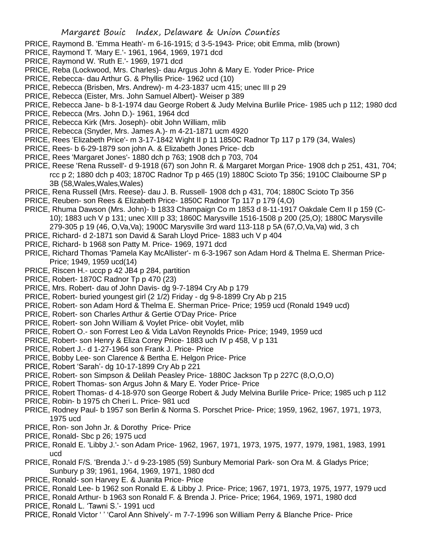- PRICE, Raymond B. 'Emma Heath'- m 6-16-1915; d 3-5-1943- Price; obit Emma, mlib (brown)
- PRICE, Raymond T. 'Mary E.'- 1961, 1964, 1969, 1971 dcd
- PRICE, Raymond W. 'Ruth E.'- 1969, 1971 dcd
- PRICE, Reba (Lockwood, Mrs. Charles)- dau Argus John & Mary E. Yoder Price- Price
- PRICE, Rebecca- dau Arthur G. & Phyllis Price- 1962 ucd (10)
- PRICE, Rebecca (Brisben, Mrs. Andrew)- m 4-23-1837 ucm 415; unec III p 29
- PRICE, Rebecca (Eister, Mrs. John Samuel Albert)- Weiser p 389
- PRICE, Rebecca Jane- b 8-1-1974 dau George Robert & Judy Melvina Burlile Price- 1985 uch p 112; 1980 dcd
- PRICE, Rebecca (Mrs. John D.)- 1961, 1964 dcd
- PRICE, Rebecca Kirk (Mrs. Joseph)- obit John William, mlib
- PRICE, Rebecca (Snyder, Mrs. James A.)- m 4-21-1871 ucm 4920
- PRICE, Rees 'Elizabeth Price'- m 3-17-1842 Wight II p 11 1850C Radnor Tp 117 p 179 (34, Wales)
- PRICE, Rees- b 6-29-1879 son john A. & Elizabeth Jones Price- dcb
- PRICE, Rees 'Margaret Jones'- 1880 dch p 763; 1908 dch p 703, 704
- PRICE, Reese 'Rena Russell'- d 9-1918 (67) son John R. & Margaret Morgan Price- 1908 dch p 251, 431, 704; rcc p 2; 1880 dch p 403; 1870C Radnor Tp p 465 (19) 1880C Scioto Tp 356; 1910C Claibourne SP p 3B (58,Wales,Wales,Wales)
- PRICE, Rena Russell (Mrs. Reese)- dau J. B. Russell- 1908 dch p 431, 704; 1880C Scioto Tp 356
- PRICE, Reuben- son Rees & Elizabeth Price- 1850C Radnor Tp 117 p 179 (4,O)
- PRICE, Rhuma Dawson (Mrs. John)- b 1833 Champaign Co m 1853 d 8-11-1917 Oakdale Cem II p 159 (C-10); 1883 uch V p 131; unec XIII p 33; 1860C Marysville 1516-1508 p 200 (25,O); 1880C Marysville 279-305 p 19 (46, O,Va,Va); 1900C Marysville 3rd ward 113-118 p 5A (67,O,Va,Va) wid, 3 ch
- PRICE, Richard- d 2-1871 son David & Sarah Lloyd Price- 1883 uch V p 404
- PRICE, Richard- b 1968 son Patty M. Price- 1969, 1971 dcd
- PRICE, Richard Thomas 'Pamela Kay McAllister'- m 6-3-1967 son Adam Hord & Thelma E. Sherman Price-Price; 1949, 1959 ucd(14)
- PRICE, Riscen H.- uccp p 42 JB4 p 284, partition
- PRICE, Robert- 1870C Radnor Tp p 470 (23)
- PRICE, Mrs. Robert- dau of John Davis- dg 9-7-1894 Cry Ab p 179
- PRICE, Robert- buried youngest girl (2 1/2) Friday dg 9-8-1899 Cry Ab p 215
- PRICE, Robert- son Adam Hord & Thelma E. Sherman Price- Price; 1959 ucd (Ronald 1949 ucd)
- PRICE, Robert- son Charles Arthur & Gertie O'Day Price- Price
- PRICE, Robert- son John William & Voylet Price- obit Voylet, mlib
- PRICE, Robert O.- son Forrest Leo & Vida LaVon Reynolds Price- Price; 1949, 1959 ucd
- PRICE, Robert- son Henry & Eliza Corey Price- 1883 uch IV p 458, V p 131
- PRICE, Robert J.- d 1-27-1964 son Frank J. Price- Price
- PRICE, Bobby Lee- son Clarence & Bertha E. Helgon Price- Price
- PRICE, Robert 'Sarah'- dg 10-17-1899 Cry Ab p 221
- PRICE, Robert- son Simpson & Delilah Peasley Price- 1880C Jackson Tp p 227C (8,O,O,O)
- PRICE, Robert Thomas- son Argus John & Mary E. Yoder Price- Price
- PRICE, Robert Thomas- d 4-18-970 son George Robert & Judy Melvina Burlile Price- Price; 1985 uch p 112
- PRICE, Robin- b 1975 ch Cheri L. Price- 981 ucd
- PRICE, Rodney Paul- b 1957 son Berlin & Norma S. Porschet Price- Price; 1959, 1962, 1967, 1971, 1973, 1975 ucd
- PRICE, Ron- son John Jr. & Dorothy Price- Price
- PRICE, Ronald- Sbc p 26; 1975 ucd
- PRICE, Ronald E. 'Libby J.'- son Adam Price- 1962, 1967, 1971, 1973, 1975, 1977, 1979, 1981, 1983, 1991 ucd
- PRICE, Ronald F/S. 'Brenda J.'- d 9-23-1985 (59) Sunbury Memorial Park- son Ora M. & Gladys Price; Sunbury p 39; 1961, 1964, 1969, 1971, 1980 dcd
- PRICE, Ronald- son Harvey E. & Juanita Price- Price
- PRICE, Ronald Lee- b 1962 son Ronald E. & Libby J. Price- Price; 1967, 1971, 1973, 1975, 1977, 1979 ucd
- PRICE, Ronald Arthur- b 1963 son Ronald F. & Brenda J. Price- Price; 1964, 1969, 1971, 1980 dcd
- PRICE, Ronald L. 'Tawni S.'- 1991 ucd
- PRICE, Ronald Victor ' ' 'Carol Ann Shively'- m 7-7-1996 son William Perry & Blanche Price- Price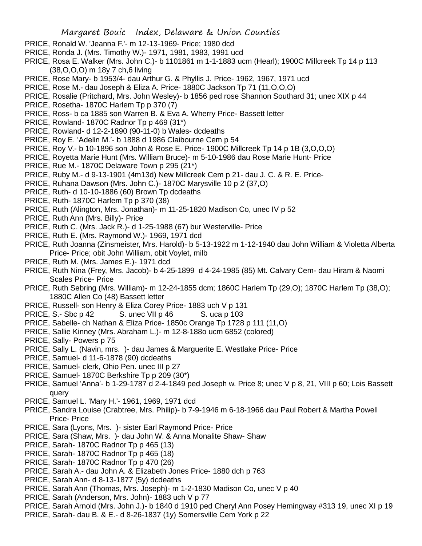- PRICE, Ronald W. 'Jeanna F.'- m 12-13-1969- Price; 1980 dcd
- PRICE, Ronda J. (Mrs. Timothy W.)- 1971, 1981, 1983, 1991 ucd
- PRICE, Rosa E. Walker (Mrs. John C.)- b 1101861 m 1-1-1883 ucm (Hearl); 1900C Millcreek Tp 14 p 113 (38,O,O,O) m 18y 7 ch,6 living
- PRICE, Rose Mary- b 1953/4- dau Arthur G. & Phyllis J. Price- 1962, 1967, 1971 ucd
- PRICE, Rose M.- dau Joseph & Eliza A. Price- 1880C Jackson Tp 71 (11,O,O,O)
- PRICE, Rosalie (Pritchard, Mrs. John Wesley)- b 1856 ped rose Shannon Southard 31; unec XIX p 44
- PRICE, Rosetha- 1870C Harlem Tp p 370 (7)
- PRICE, Ross- b ca 1885 son Warren B. & Eva A. Wherry Price- Bassett letter
- PRICE, Rowland- 1870C Radnor Tp p 469 (31\*)
- PRICE, Rowland- d 12-2-1890 (90-11-0) b Wales- dcdeaths
- PRICE, Roy E. 'Adelin M.'- b 1888 d 1986 Claibourne Cem p 54
- PRICE, Roy V.- b 10-1896 son John & Rose E. Price- 1900C Millcreek Tp 14 p 1B (3,O,O,O)
- PRICE, Royetta Marie Hunt (Mrs. William Bruce)- m 5-10-1986 dau Rose Marie Hunt- Price
- PRICE, Rue M.- 1870C Delaware Town p 295 (21\*)
- PRICE, Ruby M.- d 9-13-1901 (4m13d) New Millcreek Cem p 21- dau J. C. & R. E. Price-
- PRICE, Ruhana Dawson (Mrs. John C.)- 1870C Marysville 10 p 2 (37,O)
- PRICE, Ruth- d 10-10-1886 (60) Brown Tp dcdeaths
- PRICE, Ruth- 1870C Harlem Tp p 370 (38)
- PRICE, Ruth (Alington, Mrs. Jonathan)- m 11-25-1820 Madison Co, unec IV p 52
- PRICE, Ruth Ann (Mrs. Billy)- Price
- PRICE, Ruth C. (Mrs. Jack R.)- d 1-25-1988 (67) bur Westerville- Price
- PRICE, Ruth E. (Mrs. Raymond W.)- 1969, 1971 dcd
- PRICE, Ruth Joanna (Zinsmeister, Mrs. Harold)- b 5-13-1922 m 1-12-1940 dau John William & Violetta Alberta Price- Price; obit John William, obit Voylet, milb
- PRICE, Ruth M. (Mrs. James E.)- 1971 dcd
- PRICE, Ruth Nina (Frey, Mrs. Jacob)- b 4-25-1899 d 4-24-1985 (85) Mt. Calvary Cem- dau Hiram & Naomi Scales Price- Price
- PRICE, Ruth Sebring (Mrs. William)- m 12-24-1855 dcm; 1860C Harlem Tp (29,O); 1870C Harlem Tp (38,O); 1880C Allen Co (48) Bassett letter
- PRICE, Russell- son Henry & Eliza Corey Price- 1883 uch V p 131
- PRICE, S.- Sbc p 42 S. unec VII p 46 S. uca p 103
- PRICE, Sabelle- ch Nathan & Eliza Price- 1850c Orange Tp 1728 p 111 (11,O)
- PRICE, Sallie Kinney (Mrs. Abraham L.)- m 12-8-188o ucm 6852 (colored)
- PRICE, Sally- Powers p 75
- PRICE, Sally L. (Navin, mrs. )- dau James & Marguerite E. Westlake Price- Price
- PRICE, Samuel- d 11-6-1878 (90) dcdeaths
- PRICE, Samuel- clerk, Ohio Pen. unec III p 27
- PRICE, Samuel- 1870C Berkshire Tp p 209 (30\*)
- PRICE, Samuel 'Anna'- b 1-29-1787 d 2-4-1849 ped Joseph w. Price 8; unec V p 8, 21, VIII p 60; Lois Bassett query
- PRICE, Samuel L. 'Mary H.'- 1961, 1969, 1971 dcd
- PRICE, Sandra Louise (Crabtree, Mrs. Philip)- b 7-9-1946 m 6-18-1966 dau Paul Robert & Martha Powell Price- Price
- PRICE, Sara (Lyons, Mrs. )- sister Earl Raymond Price- Price
- PRICE, Sara (Shaw, Mrs. )- dau John W. & Anna Monalite Shaw- Shaw
- PRICE, Sarah- 1870C Radnor Tp p 465 (13)
- PRICE, Sarah- 1870C Radnor Tp p 465 (18)
- PRICE, Sarah- 1870C Radnor Tp p 470 (26)
- PRICE, Sarah A.- dau John A. & Elizabeth Jones Price- 1880 dch p 763
- PRICE, Sarah Ann- d 8-13-1877 (5y) dcdeaths
- PRICE, Sarah Ann (Thomas, Mrs. Joseph)- m 1-2-1830 Madison Co, unec V p 40
- PRICE, Sarah (Anderson, Mrs. John)- 1883 uch V p 77
- PRICE, Sarah Arnold (Mrs. John J.)- b 1840 d 1910 ped Cheryl Ann Posey Hemingway #313 19, unec XI p 19
- PRICE, Sarah- dau B. & E.- d 8-26-1837 (1y) Somersville Cem York p 22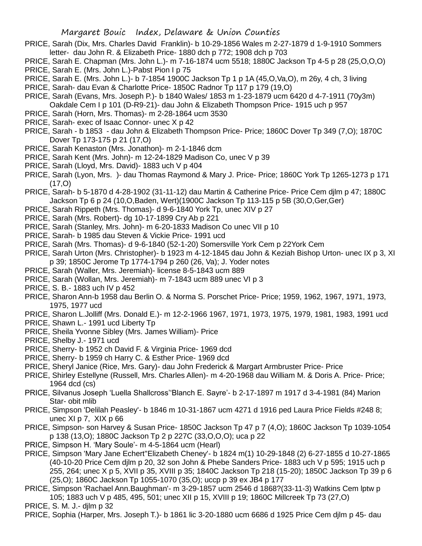- PRICE, Sarah (Dix, Mrs. Charles David Franklin)- b 10-29-1856 Wales m 2-27-1879 d 1-9-1910 Sommers letter- dau John R. & Elizabeth Price- 1880 dch p 772; 1908 dch p 703
- PRICE, Sarah E. Chapman (Mrs. John L.)- m 7-16-1874 ucm 5518; 1880C Jackson Tp 4-5 p 28 (25,O,O,O) PRICE, Sarah E. (Mrs. John L.)-Pabst Pion I p 75
- 
- PRICE, Sarah E. (Mrs. John L.)- b 7-1854 1900C Jackson Tp 1 p 1A (45,O,Va,O), m 26y, 4 ch, 3 living
- PRICE, Sarah- dau Evan & Charlotte Price- 1850C Radnor Tp 117 p 179 (19,O)
- PRICE, Sarah (Evans, Mrs. Joseph P.)- b 1840 Wales/ 1853 m 1-23-1879 ucm 6420 d 4-7-1911 (70y3m) Oakdale Cem I p 101 (D-R9-21)- dau John & Elizabeth Thompson Price- 1915 uch p 957
- PRICE, Sarah (Horn, Mrs. Thomas)- m 2-28-1864 ucm 3530
- PRICE, Sarah- exec of Isaac Connor- unec X p 42
- PRICE, Sarah b 1853 dau John & Elizabeth Thompson Price- Price; 1860C Dover Tp 349 (7,O); 1870C Dover Tp 173-175 p 21 (17,O)
- PRICE, Sarah Kenaston (Mrs. Jonathon)- m 2-1-1846 dcm
- PRICE, Sarah Kent (Mrs. John)- m 12-24-1829 Madison Co, unec V p 39
- PRICE, Sarah (Lloyd, Mrs. David)- 1883 uch V p 404
- PRICE, Sarah (Lyon, Mrs. )- dau Thomas Raymond & Mary J. Price- Price; 1860C York Tp 1265-1273 p 171  $(17, 0)$
- PRICE, Sarah- b 5-1870 d 4-28-1902 (31-11-12) dau Martin & Catherine Price- Price Cem djlm p 47; 1880C Jackson Tp 6 p 24 (10,O,Baden, Wert)(1900C Jackson Tp 113-115 p 5B (30,O,Ger,Ger)
- PRICE, Sarah Rippeth (Mrs. Thomas)- d 9-6-1840 York Tp, unec XIV p 27
- PRICE, Sarah (Mrs. Robert)- dg 10-17-1899 Cry Ab p 221
- PRICE, Sarah (Stanley, Mrs. John)- m 6-20-1833 Madison Co unec VII p 10
- PRICE, Sarah- b 1985 dau Steven & Vickie Price- 1991 ucd
- PRICE, Sarah (Mrs. Thomas)- d 9-6-1840 (52-1-20) Somersville York Cem p 22York Cem
- PRICE, Sarah Urton (Mrs. Christopher)- b 1923 m 4-12-1845 dau John & Keziah Bishop Urton- unec IX p 3, XI p 39; 1850C Jerome Tp 1774-1794 p 260 (26, Va); J. Yoder notes
- PRICE, Sarah (Waller, Mrs. Jeremiah)- license 8-5-1843 ucm 889
- PRICE, Sarah (Wollan, Mrs. Jeremiah)- m 7-1843 ucm 889 unec VI p 3
- PRICE, S. B.- 1883 uch IV p 452
- PRICE, Sharon Ann-b 1958 dau Berlin O. & Norma S. Porschet Price- Price; 1959, 1962, 1967, 1971, 1973, 1975, 1977 ucd
- PRICE, Sharon L.Jolliff (Mrs. Donald E.)- m 12-2-1966 1967, 1971, 1973, 1975, 1979, 1981, 1983, 1991 ucd
- PRICE, Shawn L.- 1991 ucd Liberty Tp
- PRICE, Sheila Yvonne Sibley (Mrs. James William)- Price
- PRICE, Shelby J.- 1971 ucd
- PRICE, Sherry- b 1952 ch David F. & Virginia Price- 1969 dcd
- PRICE, Sherry- b 1959 ch Harry C. & Esther Price- 1969 dcd
- PRICE, Sheryl Janice (Rice, Mrs. Gary)- dau John Frederick & Margart Armbruster Price- Price
- PRICE, Shirley Estellyne (Russell, Mrs. Charles Allen)- m 4-20-1968 dau William M. & Doris A. Price- Price; 1964 dcd (cs)
- PRICE, Silvanus Joseph 'Luella Shallcross''Blanch E. Sayre'- b 2-17-1897 m 1917 d 3-4-1981 (84) Marion Star- obit mlib
- PRICE, Simpson 'Delilah Peasley'- b 1846 m 10-31-1867 ucm 4271 d 1916 ped Laura Price Fields #248 8; unec  $XI$  p 7,  $XIX$  p 66
- PRICE, Simpson- son Harvey & Susan Price- 1850C Jackson Tp 47 p 7 (4,O); 1860C Jackson Tp 1039-1054 p 138 (13,O); 1880C Jackson Tp 2 p 227C (33,O,O,O); uca p 22
- PRICE, Simpson H. 'Mary Soule'- m 4-5-1864 ucm (Hearl)
- PRICE, Simpson 'Mary Jane Echert''Elizabeth Cheney'- b 1824 m(1) 10-29-1848 (2) 6-27-1855 d 10-27-1865 (40-10-20 Price Cem djlm p 20, 32 son John & Phebe Sanders Price- 1883 uch V p 595; 1915 uch p 255, 264; unec X p 5, XVII p 35, XVIII p 35; 1840C Jackson Tp 218 (15-20); 1850C Jackson Tp 39 p 6 (25,O); 1860C Jackson Tp 1055-1070 (35,O); uccp p 39 ex JB4 p 177
- PRICE, Simpson 'Rachael Ann.Baughman'- m 3-29-1857 ucm 2546 d 1868?(33-11-3) Watkins Cem lptw p 105; 1883 uch V p 485, 495, 501; unec XII p 15, XVIII p 19; 1860C Millcreek Tp 73 (27,O)
- PRICE, S. M. J.- djlm p 32
- PRICE, Sophia (Harper, Mrs. Joseph T.)- b 1861 lic 3-20-1880 ucm 6686 d 1925 Price Cem djlm p 45- dau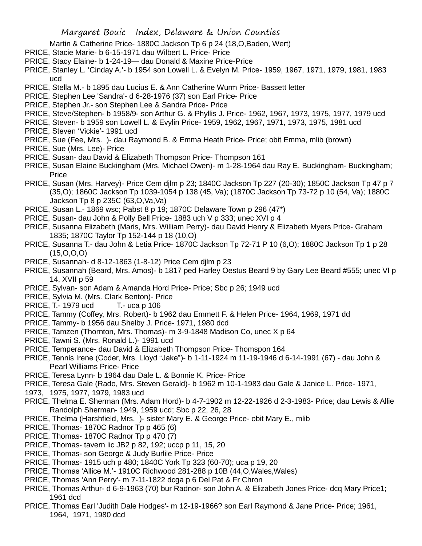- Martin & Catherine Price- 1880C Jackson Tp 6 p 24 (18,O,Baden, Wert)
- PRICE, Stacie Marie- b 6-15-1971 dau Wilbert L. Price- Price
- PRICE, Stacy Elaine- b 1-24-19— dau Donald & Maxine Price-Price
- PRICE, Stanley L. 'Cinday A.'- b 1954 son Lowell L. & Evelyn M. Price- 1959, 1967, 1971, 1979, 1981, 1983 ucd
- PRICE, Stella M.- b 1895 dau Lucius E. & Ann Catherine Wurm Price- Bassett letter
- PRICE, Stephen Lee 'Sandra'- d 6-28-1976 (37) son Earl Price- Price
- PRICE, Stephen Jr.- son Stephen Lee & Sandra Price- Price
- PRICE, Steve/Stephen- b 1958/9- son Arthur G. & Phyllis J. Price- 1962, 1967, 1973, 1975, 1977, 1979 ucd
- PRICE, Steven- b 1959 son Lowell L. & Evylin Price- 1959, 1962, 1967, 1971, 1973, 1975, 1981 ucd
- PRICE, Steven 'Vickie'- 1991 ucd
- PRICE, Sue (Fee, Mrs. )- dau Raymond B. & Emma Heath Price- Price; obit Emma, mlib (brown)
- PRICE, Sue (Mrs. Lee)- Price
- PRICE, Susan- dau David & Elizabeth Thompson Price- Thompson 161
- PRICE, Susan Elaine Buckingham (Mrs. Michael Owen)- m 1-28-1964 dau Ray E. Buckingham- Buckingham; **Price**
- PRICE, Susan (Mrs. Harvey)- Price Cem djlm p 23; 1840C Jackson Tp 227 (20-30); 1850C Jackson Tp 47 p 7 (35,O); 1860C Jackson Tp 1039-1054 p 138 (45, Va); (1870C Jackson Tp 73-72 p 10 (54, Va); 1880C Jackson Tp 8 p 235C (63,O,Va,Va)
- PRICE, Susan L.- 1869 wsc; Pabst 8 p 19; 1870C Delaware Town p 296 (47\*)
- PRICE, Susan- dau John & Polly Bell Price- 1883 uch V p 333; unec XVI p 4
- PRICE, Susanna Elizabeth (Maris, Mrs. William Perry)- dau David Henry & Elizabeth Myers Price- Graham 1835; 1870C Taylor Tp 152-144 p 18 (10,O)
- PRICE, Susanna T.- dau John & Letia Price- 1870C Jackson Tp 72-71 P 10 (6,O); 1880C Jackson Tp 1 p 28  $(15, O, O, O)$
- PRICE, Susannah- d 8-12-1863 (1-8-12) Price Cem djlm p 23
- PRICE, Susannah (Beard, Mrs. Amos)- b 1817 ped Harley Oestus Beard 9 by Gary Lee Beard #555; unec VI p 14, XVII p 59
- PRICE, Sylvan- son Adam & Amanda Hord Price- Price; Sbc p 26; 1949 ucd
- PRICE, Sylvia M. (Mrs. Clark Benton)- Price
- PRICE, T.- 1979 ucd T.- uca p 106
- PRICE, Tammy (Coffey, Mrs. Robert)- b 1962 dau Emmett F. & Helen Price- 1964, 1969, 1971 dd
- PRICE, Tammy- b 1956 dau Shelby J. Price- 1971, 1980 dcd
- PRICE, Tamzen (Thornton, Mrs. Thomas)- m 3-9-1848 Madison Co, unec X p 64
- PRICE, Tawni S. (Mrs. Ronald L.)- 1991 ucd
- PRICE, Temperance- dau David & Elizabeth Thompson Price- Thomspon 164
- PRICE, Tennis Irene (Coder, Mrs. Lloyd "Jake")- b 1-11-1924 m 11-19-1946 d 6-14-1991 (67) dau John & Pearl Williams Price- Price
- PRICE, Teresa Lynn- b 1964 dau Dale L. & Bonnie K. Price- Price
- PRICE, Teresa Gale (Rado, Mrs. Steven Gerald)- b 1962 m 10-1-1983 dau Gale & Janice L. Price- 1971,
- 1973, 1975, 1977, 1979, 1983 ucd
- PRICE, Thelma E. Sherman (Mrs. Adam Hord)- b 4-7-1902 m 12-22-1926 d 2-3-1983- Price; dau Lewis & Allie Randolph Sherman- 1949, 1959 ucd; Sbc p 22, 26, 28
- PRICE, Thelma (Harshfield, Mrs. )- sister Mary E. & George Price- obit Mary E., mlib
- PRICE, Thomas- 1870C Radnor Tp p 465 (6)
- PRICE, Thomas- 1870C Radnor Tp p 470 (7)
- PRICE, Thomas- tavern lic JB2 p 82, 192; uccp p 11, 15, 20
- PRICE, Thomas- son George & Judy Burlile Price- Price
- PRICE, Thomas- 1915 uch p 480; 1840C York Tp 323 (60-70); uca p 19, 20
- PRICE. Thomas 'Allice M.'- 1910C Richwood 281-288 p 10B (44, O, Wales, Wales)
- PRICE, Thomas 'Ann Perry'- m 7-11-1822 dcga p 6 Del Pat & Fr Chron
- PRICE, Thomas Arthur- d 6-9-1963 (70) bur Radnor- son John A. & Elizabeth Jones Price- dcq Mary Price1; 1961 dcd
- PRICE, Thomas Earl 'Judith Dale Hodges'- m 12-19-1966? son Earl Raymond & Jane Price- Price; 1961, 1964, 1971, 1980 dcd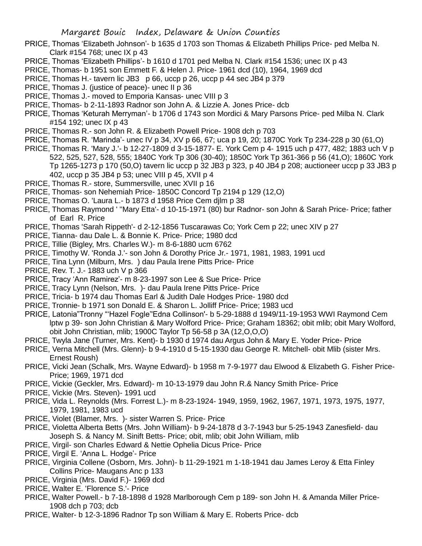- PRICE, Thomas 'Elizabeth Johnson'- b 1635 d 1703 son Thomas & Elizabeth Phillips Price- ped Melba N. Clark #154 768; unec IX p 43
- PRICE, Thomas 'Elizabeth Phillips'- b 1610 d 1701 ped Melba N. Clark #154 1536; unec IX p 43
- PRICE, Thomas- b 1951 son Emmett F. & Helen J. Price- 1961 dcd (10), 1964, 1969 dcd
- PRICE, Thomas H.- tavern lic JB3 p 66, uccp p 26, uccp p 44 sec JB4 p 379
- PRICE, Thomas J. (justice of peace)- unec II p 36
- PRICE, Thomas J.- moved to Emporia Kansas- unec VIII p 3
- PRICE, Thomas- b 2-11-1893 Radnor son John A. & Lizzie A. Jones Price- dcb
- PRICE, Thomas 'Keturah Merryman'- b 1706 d 1743 son Mordici & Mary Parsons Price- ped Milba N. Clark #154 192; unec IX p 43
- PRICE, Thomas R.- son John R. & Elizabeth Powell Price- 1908 dch p 703
- PRICE, Thomas R. 'Marinda'- unec IV p 34, XV p 66, 67; uca p 19, 20; 1870C York Tp 234-228 p 30 (61,O)
- PRICE, Thomas R. 'Mary J.'- b 12-27-1809 d 3-15-1877- E. York Cem p 4- 1915 uch p 477, 482; 1883 uch V p 522, 525, 527, 528, 555; 1840C York Tp 306 (30-40); 1850C York Tp 361-366 p 56 (41,O); 1860C York Tp 1265-1273 p 170 (50,O) tavern lic uccp p 32 JB3 p 323, p 40 JB4 p 208; auctioneer uccp p 33 JB3 p 402, uccp p 35 JB4 p 53; unec VIII p 45, XVII p 4
- PRICE, Thomas R.- store, Summersville, unec XVII p 16
- PRICE, Thomas- son Nehemiah Price- 1850C Concord Tp 2194 p 129 (12,O)
- PRICE, Thomas O. 'Laura L.- b 1873 d 1958 Price Cem djlm p 38
- PRICE, Thomas Raymond ' ''Mary Etta'- d 10-15-1971 (80) bur Radnor- son John & Sarah Price- Price; father of Earl R. Price
- PRICE, Thomas 'Sarah Rippeth'- d 2-12-1856 Tuscarawas Co; York Cem p 22; unec XIV p 27
- PRICE, Tianna- dau Dale L. & Bonnie K. Price- Price; 1980 dcd
- PRICE, Tillie (Bigley, Mrs. Charles W.)- m 8-6-1880 ucm 6762
- PRICE, Timothy W. 'Ronda J.'- son John & Dorothy Price Jr.- 1971, 1981, 1983, 1991 ucd
- PRICE, Tina Lynn (Milburn, Mrs. ) dau Paula Irene Pitts Price- Price
- PRICE, Rev. T. J.- 1883 uch V p 366
- PRICE, Tracy 'Ann Ramirez'- m 8-23-1997 son Lee & Sue Price- Price
- PRICE, Tracy Lynn (Nelson, Mrs. )- dau Paula Irene Pitts Price- Price
- PRICE, Tricia- b 1974 dau Thomas Earl & Judith Dale Hodges Price- 1980 dcd
- PRICE, Tronnie- b 1971 son Donald E. & Sharon L. Jolliff Price- Price; 1983 ucd
- PRICE, Latonia"Tronny "'Hazel Fogle''Edna Collinson'- b 5-29-1888 d 1949/11-19-1953 WWI Raymond Cem lptw p 39- son John Christian & Mary Wolford Price- Price; Graham 18362; obit mlib; obit Mary Wolford, obit John Christian, mlib; 1900C Taylor Tp 56-58 p 3A (12,O,O,O)
- PRICE, Twyla Jane (Turner, Mrs. Kent)- b 1930 d 1974 dau Argus John & Mary E. Yoder Price- Price
- PRICE, Verna Mitchell (Mrs. Glenn)- b 9-4-1910 d 5-15-1930 dau George R. Mitchell- obit Mlib (sister Mrs. Ernest Roush)
- PRICE, Vicki Jean (Schalk, Mrs. Wayne Edward)- b 1958 m 7-9-1977 dau Elwood & Elizabeth G. Fisher Price-Price; 1969, 1971 dcd
- PRICE, Vickie (Geckler, Mrs. Edward)- m 10-13-1979 dau John R.& Nancy Smith Price- Price
- PRICE, Vickie (Mrs. Steven)- 1991 ucd
- PRICE, Vida L. Reynolds (Mrs. Forrest L.)- m 8-23-1924- 1949, 1959, 1962, 1967, 1971, 1973, 1975, 1977, 1979, 1981, 1983 ucd
- PRICE, Violet (Blamer, Mrs. )- sister Warren S. Price- Price
- PRICE, Violetta Alberta Betts (Mrs. John William)- b 9-24-1878 d 3-7-1943 bur 5-25-1943 Zanesfield- dau Joseph S. & Nancy M. Sinift Betts- Price; obit, mlib; obit John William, mlib
- PRICE, Virgil- son Charles Edward & Nettie Ophelia Dicus Price- Price
- PRICE, Virgil E. 'Anna L. Hodge'- Price
- PRICE, Virginia Collene (Osborn, Mrs. John)- b 11-29-1921 m 1-18-1941 dau James Leroy & Etta Finley Collins Price- Maugans Anc p 133
- PRICE, Virginia (Mrs. David F.)- 1969 dcd
- PRICE, Walter E. 'Florence S.'- Price
- PRICE, Walter Powell.- b 7-18-1898 d 1928 Marlborough Cem p 189- son John H. & Amanda Miller Price-1908 dch p 703; dcb
- PRICE, Walter- b 12-3-1896 Radnor Tp son William & Mary E. Roberts Price- dcb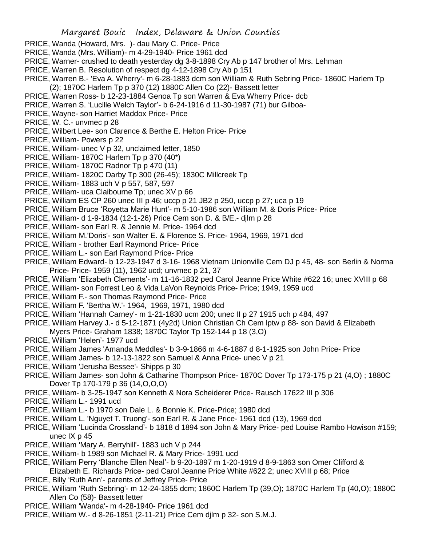- PRICE, Wanda (Howard, Mrs. )- dau Mary C. Price- Price
- PRICE, Wanda (Mrs. William)- m 4-29-1940- Price 1961 dcd
- PRICE, Warner- crushed to death yesterday dg 3-8-1898 Cry Ab p 147 brother of Mrs. Lehman
- PRICE, Warren B. Resolution of respect dg 4-12-1898 Cry Ab p 151
- PRICE, Warren B.- 'Eva A. Wherry'- m 6-28-1883 dcm son William & Ruth Sebring Price- 1860C Harlem Tp (2); 1870C Harlem Tp p 370 (12) 1880C Allen Co (22)- Bassett letter
- PRICE, Warren Ross- b 12-23-1884 Genoa Tp son Warren & Eva Wherry Price- dcb
- PRICE, Warren S. 'Lucille Welch Taylor'- b 6-24-1916 d 11-30-1987 (71) bur Gilboa-
- PRICE, Wayne- son Harriet Maddox Price- Price
- PRICE, W. C.- unvmec p 28
- PRICE, Wilbert Lee- son Clarence & Berthe E. Helton Price- Price
- PRICE, William- Powers p 22
- PRICE, William- unec V p 32, unclaimed letter, 1850
- PRICE, William- 1870C Harlem Tp p 370 (40\*)
- PRICE, William- 1870C Radnor Tp p 470 (11)
- PRICE, William- 1820C Darby Tp 300 (26-45); 1830C Millcreek Tp
- PRICE, William- 1883 uch V p 557, 587, 597
- PRICE, William- uca Claibourne Tp; unec XV p 66
- PRICE, William ES CP 260 unec III p 46; uccp p 21 JB2 p 250, uccp p 27; uca p 19
- PRICE, William Bruce 'Royetta Marie Hunt'- m 5-10-1986 son William M. & Doris Price- Price
- PRICE, William- d 1-9-1834 (12-1-26) Price Cem son D. & B/E.- djlm p 28
- PRICE, William- son Earl R. & Jennie M. Price- 1964 dcd
- PRICE, William M.'Doris'- son Walter E. & Florence S. Price- 1964, 1969, 1971 dcd
- PRICE, William brother Earl Raymond Price- Price
- PRICE, William L.- son Earl Raymond Price- Price
- PRICE, William Edward- b 12-23-1947 d 3-16- 1968 Vietnam Unionville Cem DJ p 45, 48- son Berlin & Norma Price- Price- 1959 (11), 1962 ucd; unvmec p 21, 37
- PRICE, William 'Elizabeth Clements'- m 11-16-1832 ped Carol Jeanne Price White #622 16; unec XVIII p 68
- PRICE, William- son Forrest Leo & Vida LaVon Reynolds Price- Price; 1949, 1959 ucd
- PRICE, William F.- son Thomas Raymond Price- Price
- PRICE, William F. 'Bertha W.'- 1964, 1969, 1971, 1980 dcd
- PRICE, William 'Hannah Carney'- m 1-21-1830 ucm 200; unec II p 27 1915 uch p 484, 497
- PRICE, William Harvey J.- d 5-12-1871 (4y2d) Union Christian Ch Cem lptw p 88- son David & Elizabeth Myers Price- Graham 1838; 1870C Taylor Tp 152-144 p 18 (3,O)
- PRICE, William 'Helen'- 1977 ucd
- PRICE, William James 'Amanda Meddles'- b 3-9-1866 m 4-6-1887 d 8-1-1925 son John Price- Price
- PRICE, William James- b 12-13-1822 son Samuel & Anna Price- unec V p 21
- PRICE, William 'Jerusha Bessee'- Shipps p 30
- PRICE, William James- son John & Catharine Thompson Price- 1870C Dover Tp 173-175 p 21 (4,O) ; 1880C Dover Tp 170-179 p 36 (14,O,O,O)
- PRICE, William- b 3-25-1947 son Kenneth & Nora Scheiderer Price- Rausch 17622 III p 306
- PRICE, William L.- 1991 ucd
- PRICE, William L.- b 1970 son Dale L. & Bonnie K. Price-Price; 1980 dcd
- PRICE, William L. 'Nguyet T. Truong'- son Earl R. & Jane Price- 1961 dcd (13), 1969 dcd
- PRICE, William 'Lucinda Crossland'- b 1818 d 1894 son John & Mary Price- ped Louise Rambo Howison #159; unec IX p 45
- PRICE, William 'Mary A. Berryhill'- 1883 uch V p 244
- PRICE, William- b 1989 son Michael R. & Mary Price- 1991 ucd
- PRICE, William Perry 'Blanche Ellen Neal'- b 9-20-1897 m 1-20-1919 d 8-9-1863 son Omer Clifford &
- Elizabeth E. Richards Price- ped Carol Jeanne Price White #622 2; unec XVIII p 68; Price
- PRICE, Billy 'Ruth Ann'- parents of Jeffrey Price- Price
- PRICE, William 'Ruth Sebring'- m 12-24-1855 dcm; 1860C Harlem Tp (39,O); 1870C Harlem Tp (40,O); 1880C Allen Co (58)- Bassett letter
- PRICE, William 'Wanda'- m 4-28-1940- Price 1961 dcd
- PRICE, William W.- d 8-26-1851 (2-11-21) Price Cem djlm p 32- son S.M.J.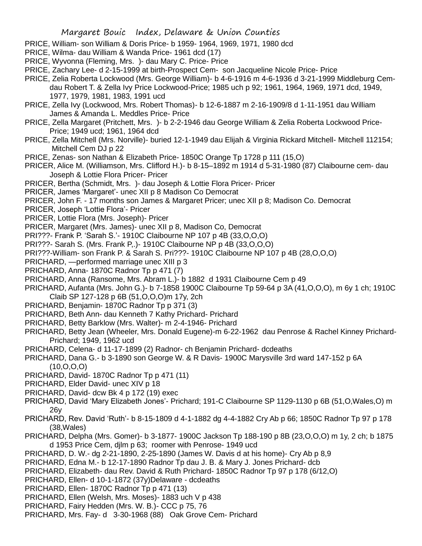- PRICE, William- son William & Doris Price- b 1959- 1964, 1969, 1971, 1980 dcd
- PRICE, Wilma- dau William & Wanda Price- 1961 dcd (17)
- PRICE, Wyvonna (Fleming, Mrs. )- dau Mary C. Price- Price
- PRICE, Zachary Lee- d 2-15-1999 at birth-Prospect Cem- son Jacqueline Nicole Price- Price
- PRICE, Zelia Roberta Lockwood (Mrs. George William)- b 4-6-1916 m 4-6-1936 d 3-21-1999 Middleburg Cemdau Robert T. & Zella Ivy Price Lockwood-Price; 1985 uch p 92; 1961, 1964, 1969, 1971 dcd, 1949, 1977, 1979, 1981, 1983, 1991 ucd
- PRICE, Zella Ivy (Lockwood, Mrs. Robert Thomas)- b 12-6-1887 m 2-16-1909/8 d 1-11-1951 dau William James & Amanda L. Meddles Price- Price
- PRICE, Zella Margaret (Pritchett, Mrs. )- b 2-2-1946 dau George William & Zelia Roberta Lockwood Price-Price; 1949 ucd; 1961, 1964 dcd
- PRICE, Zella Mitchell (Mrs. Norville)- buried 12-1-1949 dau Elijah & Virginia Rickard Mitchell- Mitchell 112154; Mitchell Cem DJ p 22
- PRICE, Zenas- son Nathan & Elizabeth Price- 1850C Orange Tp 1728 p 111 (15,O)
- PRICER, Alice M. (Williamson, Mrs. Clifford H.)- b 8-15–1892 m 1914 d 5-31-1980 (87) Claibourne cem- dau Joseph & Lottie Flora Pricer- Pricer
- PRICER, Bertha (Schmidt, Mrs. )- dau Joseph & Lottie Flora Pricer- Pricer
- PRICER, James 'Margaret'- unec XII p 8 Madison Co Democrat
- PRICER, John F. 17 months son James & Margaret Pricer; unec XII p 8; Madison Co. Democrat
- PRICER, Joseph 'Lottie Flora'- Pricer
- PRICER, Lottie Flora (Mrs. Joseph)- Pricer
- PRICER, Margaret (Mrs. James)- unec XII p 8, Madison Co, Democrat
- PRI???- Frank P. 'Sarah S.'- 1910C Claibourne NP 107 p 4B (33,O,O,O)
- PRI???- Sarah S. (Mrs. Frank P,.)- 1910C Claibourne NP p 4B (33,O,O,O)
- PRI???-William- son Frank P. & Sarah S. Pri???- 1910C Claibourne NP 107 p 4B (28,O,O,O)
- PRICHARD, —performed marriage unec XIII p 3
- PRICHARD, Anna-1870C Radnor Tp p 471 (7)
- PRICHARD, Anna (Ransome, Mrs. Abram L.)- b 1882 d 1931 Claibourne Cem p 49
- PRICHARD, Aufanta (Mrs. John G.)- b 7-1858 1900C Claibourne Tp 59-64 p 3A (41,O,O,O), m 6y 1 ch; 1910C Claib SP 127-128 p 6B (51,O,O,O)m 17y, 2ch
- PRICHARD, Benjamin- 1870C Radnor Tp p 371 (3)
- PRICHARD, Beth Ann- dau Kenneth 7 Kathy Prichard- Prichard
- PRICHARD, Betty Barklow (Mrs. Walter)- m 2-4-1946- Prichard
- PRICHARD, Betty Jean (Wheeler, Mrs. Donald Eugene)-m 6-22-1962 dau Penrose & Rachel Kinney Prichard-Prichard; 1949, 1962 ucd
- PRICHARD, Celena- d 11-17-1899 (2) Radnor- ch Benjamin Prichard- dcdeaths
- PRICHARD, Dana G.- b 3-1890 son George W. & R Davis- 1900C Marysville 3rd ward 147-152 p 6A (10,O,O,O)
- PRICHARD, David- 1870C Radnor Tp p 471 (11)
- PRICHARD, Elder David- unec XIV p 18
- PRICHARD, David- dcw Bk 4 p 172 (19) exec
- PRICHARD, David 'Mary Elizabeth Jones'- Prichard; 191-C Claibourne SP 1129-1130 p 6B (51,O,Wales,O) m 26y
- PRICHARD, Rev. David 'Ruth'- b 8-15-1809 d 4-1-1882 dg 4-4-1882 Cry Ab p 66; 1850C Radnor Tp 97 p 178 (38,Wales)
- PRICHARD, Delpha (Mrs. Gomer)- b 3-1877- 1900C Jackson Tp 188-190 p 8B (23,O,O,O) m 1y, 2 ch; b 1875 d 1953 Price Cem, djlm p 63; roomer with Penrose- 1949 ucd
- PRICHARD, D. W.- dg 2-21-1890, 2-25-1890 (James W. Davis d at his home)- Cry Ab p 8,9
- PRICHARD, Edna M.- b 12-17-1890 Radnor Tp dau J. B. & Mary J. Jones Prichard- dcb
- PRICHARD, Elizabeth- dau Rev. David & Ruth Prichard- 1850C Radnor Tp 97 p 178 (6/12,O)
- PRICHARD, Ellen- d 10-1-1872 (37y)Delaware dcdeaths
- PRICHARD, Ellen- 1870C Radnor Tp p 471 (13)
- PRICHARD, Ellen (Welsh, Mrs. Moses)- 1883 uch V p 438
- PRICHARD, Fairy Hedden (Mrs. W. B.)- CCC p 75, 76
- PRICHARD, Mrs. Fay- d 3-30-1968 (88) Oak Grove Cem- Prichard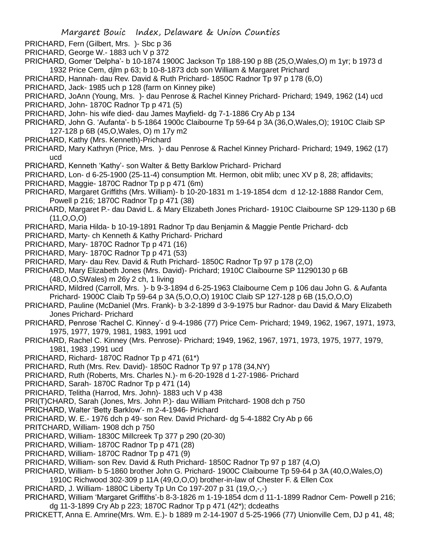- PRICHARD, Fern (Gilbert, Mrs. )- Sbc p 36
- PRICHARD, George W.- 1883 uch V p 372
- PRICHARD, Gomer 'Delpha'- b 10-1874 1900C Jackson Tp 188-190 p 8B (25,O,Wales,O) m 1yr; b 1973 d 1932 Price Cem, djlm p 63; b 10-8-1873 dcb son William & Margaret Prichard
- PRICHARD, Hannah- dau Rev. David & Ruth Prichard- 1850C Radnor Tp 97 p 178 (6,O)
- PRICHARD, Jack- 1985 uch p 128 (farm on Kinney pike)
- PRICHARD, JoAnn (Young, Mrs.)- dau Penrose & Rachel Kinney Prichard- Prichard; 1949, 1962 (14) ucd
- PRICHARD, John- 1870C Radnor Tp p 471 (5)
- PRICHARD, John- his wife died- dau James Mayfield- dg 7-1-1886 Cry Ab p 134
- PRICHARD, John G. 'Aufanta'- b 5-1864 1900c Claibourne Tp 59-64 p 3A (36,O,Wales,O); 1910C Claib SP 127-128 p 6B (45,O,Wales, O) m 17y m2
- PRICHARD, Kathy (Mrs. Kenneth)-Prichard
- PRICHARD, Mary Kathryn (Price, Mrs. )- dau Penrose & Rachel Kinney Prichard- Prichard; 1949, 1962 (17) ucd
- PRICHARD, Kenneth 'Kathy'- son Walter & Betty Barklow Prichard- Prichard
- PRICHARD, Lon- d 6-25-1900 (25-11-4) consumption Mt. Hermon, obit mlib; unec XV p 8, 28; affidavits;
- PRICHARD, Maggie- 1870C Radnor Tp p p 471 (6m)
- PRICHARD, Margaret Griffiths (Mrs. William)- b 10-20-1831 m 1-19-1854 dcm d 12-12-1888 Randor Cem, Powell p 216; 1870C Radnor Tp p 471 (38)
- PRICHARD, Margaret P.- dau David L. & Mary Elizabeth Jones Prichard- 1910C Claibourne SP 129-1130 p 6B  $(11, 0.0, 0)$
- PRICHARD, Maria Hilda- b 10-19-1891 Radnor Tp dau Benjamin & Maggie Pentle Prichard- dcb
- PRICHARD, Marty- ch Kenneth & Kathy Prichard- Prichard
- PRICHARD, Mary- 1870C Radnor Tp p 471 (16)
- PRICHARD, Mary- 1870C Radnor Tp p 471 (53)
- PRICHARD, Mary- dau Rev. David & Ruth Prichard- 1850C Radnor Tp 97 p 178 (2,O)
- PRICHARD, Mary Elizabeth Jones (Mrs. David)- Prichard; 1910C Claibourne SP 11290130 p 6B (48,O,O,SWales) m 26y 2 ch, 1 living
- PRICHARD, Mildred (Carroll, Mrs. )- b 9-3-1894 d 6-25-1963 Claibourne Cem p 106 dau John G. & Aufanta Prichard- 1900C Claib Tp 59-64 p 3A (5,O,O,O) 1910C Claib SP 127-128 p 6B (15,O,O,O)
- PRICHARD, Pauline (McDaniel (Mrs. Frank)- b 3-2-1899 d 3-9-1975 bur Radnor- dau David & Mary Elizabeth Jones Prichard- Prichard
- PRICHARD, Penrose 'Rachel C. Kinney'- d 9-4-1986 (77) Price Cem- Prichard; 1949, 1962, 1967, 1971, 1973, 1975, 1977, 1979, 1981, 1983, 1991 ucd
- PRICHARD, Rachel C. Kinney (Mrs. Penrose)- Prichard; 1949, 1962, 1967, 1971, 1973, 1975, 1977, 1979, 1981, 1983 ,1991 ucd
- PRICHARD, Richard- 1870C Radnor Tp p 471 (61\*)
- PRICHARD, Ruth (Mrs. Rev. David)- 1850C Radnor Tp 97 p 178 (34,NY)
- PRICHARD, Ruth (Roberts, Mrs. Charles N.)- m 6-20-1928 d 1-27-1986- Prichard
- PRICHARD, Sarah- 1870C Radnor Tp p 471 (14)
- PRICHARD, Telitha (Harrod, Mrs. John)- 1883 uch V p 438
- PRI(T)CHARD, Sarah (Jones, Mrs. John P.)- dau William Pritchard- 1908 dch p 750
- PRICHARD, Walter 'Betty Barklow'- m 2-4-1946- Prichard
- PRICHARD, W. E.- 1976 dch p 49- son Rev. David Prichard- dg 5-4-1882 Cry Ab p 66
- PRITCHARD, William- 1908 dch p 750
- PRICHARD, William- 1830C Millcreek Tp 377 p 290 (20-30)
- PRICHARD, William- 1870C Radnor Tp p 471 (28)
- PRICHARD, William- 1870C Radnor Tp p 471 (9)
- PRICHARD, William- son Rev. David & Ruth Prichard- 1850C Radnor Tp 97 p 187 (4,O)
- PRICHARD, William- b 5-1860 brother John G. Prichard- 1900C Claibourne Tp 59-64 p 3A (40,O,Wales,O) 1910C Richwood 302-309 p 11A (49,O,O,O) brother-in-law of Chester F. & Ellen Cox
- 
- PRICHARD, J. William- 1880C Liberty Tp Un Co 197-207 p 31 (19,O,-,-)
- PRICHARD, William 'Margaret Griffiths'-b 8-3-1826 m 1-19-1854 dcm d 11-1-1899 Radnor Cem- Powell p 216; dg 11-3-1899 Cry Ab p 223; 1870C Radnor Tp p 471 (42\*); dcdeaths
- PRICKETT, Anna E. Amrine(Mrs. Wm. E.)- b 1889 m 2-14-1907 d 5-25-1966 (77) Unionville Cem, DJ p 41, 48;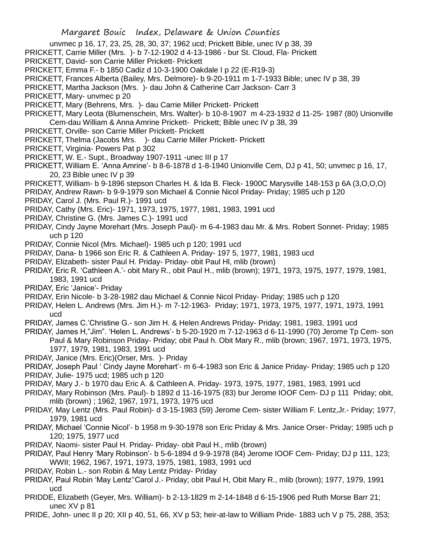- unvmec p 16, 17, 23, 25, 28, 30, 37; 1962 ucd; Prickett Bible, unec IV p 38, 39
- PRICKETT, Carrie Miller (Mrs. )- b 7-12-1902 d 4-13-1986 bur St. Cloud, Fla- Prickett
- PRICKETT, David- son Carrie Miller Prickett- Prickett
- PRICKETT, Emma F.- b 1850 Cadiz d 10-3-1900 Oakdale I p 22 (E-R19-3)
- PRICKETT, Frances Alberta (Bailey, Mrs. Delmore)- b 9-20-1911 m 1-7-1933 Bible; unec IV p 38, 39
- PRICKETT, Martha Jackson (Mrs. )- dau John & Catherine Carr Jackson- Carr 3
- PRICKETT, Mary- unvmec p 20
- PRICKETT, Mary (Behrens, Mrs. )- dau Carrie Miller Prickett- Prickett
- PRICKETT, Mary Leota (Blumenschein, Mrs. Walter)- b 10-8-1907 m 4-23-1932 d 11-25- 1987 (80) Unionville Cem-dau William & Anna Amrine Prickett- Prickett; Bible unec IV p 38, 39
- PRICKETT, Orville- son Carrie Miller Prickett- Prickett
- PRICKETT, Thelma (Jacobs Mrs. )- dau Carrie Miller Prickett- Prickett
- PRICKETT, Virginia- Powers Pat p 302
- PRICKETT, W. E.- Supt., Broadway 1907-1911 -unec III p 17
- PRICKETT, William E. 'Anna Amrine'- b 8-6-1878 d 1-8-1940 Unionville Cem, DJ p 41, 50; unvmec p 16, 17, 20, 23 Bible unec IV p 39
- PRICKETT, William- b 9-1896 stepson Charles H. & Ida B. Fleck- 1900C Marysville 148-153 p 6A (3,O,O,O)
- PRIDAY, Andrew Rawn- b 9-9-1979 son Michael & Connie Nicol Priday- Priday; 1985 uch p 120
- PRIDAY, Carol J. (Mrs. Paul R.)- 1991 ucd
- PRIDAY, Cathy (Mrs. Eric)- 1971, 1973, 1975, 1977, 1981, 1983, 1991 ucd
- PRIDAY, Christine G. (Mrs. James C.)- 1991 ucd
- PRIDAY, Cindy Jayne Morehart (Mrs. Joseph Paul)- m 6-4-1983 dau Mr. & Mrs. Robert Sonnet- Priday; 1985 uch p 120
- PRIDAY, Connie Nicol (Mrs. Michael)- 1985 uch p 120; 1991 ucd
- PRIDAY, Dana- b 1966 son Eric R. & Cathleen A. Priday- 197 5, 1977, 1981, 1983 ucd
- PRIDAY, Elizabeth- sister Paul H. Priday- Priday- obit Paul Hl, mlib (brown)
- PRIDAY, Eric R. 'Cathleen A.'- obit Mary R., obit Paul H., mlib (brown); 1971, 1973, 1975, 1977, 1979, 1981, 1983, 1991 ucd
- PRIDAY, Eric 'Janice'- Priday
- PRIDAY, Erin Nicole- b 3-28-1982 dau Michael & Connie Nicol Priday- Priday; 1985 uch p 120
- PRIDAY, Helen L. Andrews (Mrs. Jim H.)- m 7-12-1963- Priday; 1971, 1973, 1975, 1977, 1971, 1973, 1991 ucd
- PRIDAY, James C.'Christine G.- son Jim H. & Helen Andrews Priday- Priday; 1981, 1983, 1991 ucd
- PRIDAY, James H,"Jim". 'Helen L. Andrews'- b 5-20-1920 m 7-12-1963 d 6-11-1990 (70) Jerome Tp Cem- son Paul & Mary Robinson Priday- Priday; obit Paul h. Obit Mary R., mlib (brown; 1967, 1971, 1973, 1975,
- 1977, 1979, 1981, 1983, 1991 ucd PRIDAY, Janice (Mrs. Eric)(Orser, Mrs. )- Priday
- PRIDAY, Joseph Paul ' Cindy Jayne Morehart'- m 6-4-1983 son Eric & Janice Priday- Priday; 1985 uch p 120
- PRIDAY, Julie- 1975 ucd; 1985 uch p 120
- PRIDAY, Mary J.- b 1970 dau Eric A. & Cathleen A. Priday- 1973, 1975, 1977, 1981, 1983, 1991 ucd
- PRIDAY, Mary Robinson (Mrs. Paul)- b 1892 d 11-16-1975 (83) bur Jerome IOOF Cem- DJ p 111 Priday; obit, mlib (brown) ; 1962, 1967, 1971, 1973, 1975 ucd
- PRIDAY, May Lentz (Mrs. Paul Robin)- d 3-15-1983 (59) Jerome Cem- sister William F. Lentz,Jr.- Priday; 1977, 1979, 1981 ucd
- PRIDAY, Michael 'Connie Nicol'- b 1958 m 9-30-1978 son Eric Priday & Mrs. Janice Orser- Priday; 1985 uch p 120; 1975, 1977 ucd
- PRIDAY, Naomi- sister Paul H. Priday- Priday- obit Paul H., mlib (brown)
- PRIDAY, Paul Henry 'Mary Robinson'- b 5-6-1894 d 9-9-1978 (84) Jerome IOOF Cem- Priday; DJ p 111, 123; WWII; 1962, 1967, 1971, 1973, 1975, 1981, 1983, 1991 ucd
- PRIDAY, Robin L.- son Robin & May Lentz Priday- Priday
- PRIDAY, Paul Robin 'May Lentz''Carol J.- Priday; obit Paul H, Obit Mary R., mlib (brown); 1977, 1979, 1991 ucd
- PRIDDE, Elizabeth (Geyer, Mrs. William)- b 2-13-1829 m 2-14-1848 d 6-15-1906 ped Ruth Morse Barr 21; unec XV p 81
- PRIDE, John- unec II p 20; XII p 40, 51, 66, XV p 53; heir-at-law to William Pride- 1883 uch V p 75, 288, 353;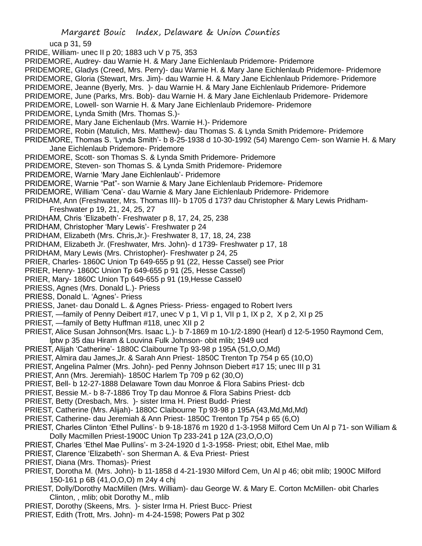uca p 31, 59

PRIDE, William- unec II p 20; 1883 uch V p 75, 353

- PRIDEMORE, Audrey- dau Warnie H. & Mary Jane Eichlenlaub Pridemore- Pridemore
- PRIDEMORE, Gladys (Creed, Mrs. Perry)- dau Warnie H. & Mary Jane Eichlenlaub Pridemore- Pridemore
- PRIDEMORE, Gloria (Stewart, Mrs. Jim)- dau Warnie H. & Mary Jane Eichlenlaub Pridemore- Pridemore
- PRIDEMORE, Jeanne (Byerly, Mrs. )- dau Warnie H. & Mary Jane Eichlenlaub Pridemore- Pridemore
- PRIDEMORE, June (Parks, Mrs. Bob)- dau Warnie H. & Mary Jane Eichlenlaub Pridemore- Pridemore
- PRIDEMORE, Lowell- son Warnie H. & Mary Jane Eichlenlaub Pridemore- Pridemore
- PRIDEMORE, Lynda Smith (Mrs. Thomas S.)-
- PRIDEMORE, Mary Jane Eichenlaub (Mrs. Warnie H.)- Pridemore
- PRIDEMORE, Robin (Matulich, Mrs. Matthew)- dau Thomas S. & Lynda Smith Pridemore- Pridemore
- PRIDEMORE, Thomas S. 'Lynda Smith'- b 8-25-1938 d 10-30-1992 (54) Marengo Cem- son Warnie H. & Mary Jane Eichlenlaub Pridemore- Pridemore
- PRIDEMORE, Scott- son Thomas S. & Lynda Smith Pridemore- Pridemore
- PRIDEMORE, Steven- son Thomas S. & Lynda Smith Pridemore- Pridemore
- PRIDEMORE, Warnie 'Mary Jane Eichlenlaub'- Pridemore
- PRIDEMORE, Warnie "Pat"- son Warnie & Mary Jane Eichlenlaub Pridemore- Pridemore
- PRIDEMORE, William 'Cena'- dau Warnie & Mary Jane Eichlenlaub Pridemore- Pridemore
- PRIDHAM, Ann (Freshwater, Mrs. Thomas III)- b 1705 d 173? dau Christopher & Mary Lewis Pridham-Freshwater p 19, 21, 24, 25, 27
- PRIDHAM, Chris 'Elizabeth'- Freshwater p 8, 17, 24, 25, 238
- PRIDHAM, Christopher 'Mary Lewis'- Freshwater p 24
- PRIDHAM, Elizabeth (Mrs. Chris,Jr.)- Freshwater 8, 17, 18, 24, 238
- PRIDHAM, Elizabeth Jr. (Freshwater, Mrs. John)- d 1739- Freshwater p 17, 18
- PRIDHAM, Mary Lewis (Mrs. Christopher)- Freshwater p 24, 25
- PRIER, Charles- 1860C Union Tp 649-655 p 91 (22, Hesse Cassel) see Prior
- PRIER, Henry- 1860C Union Tp 649-655 p 91 (25, Hesse Cassel)
- PRIER, Mary- 1860C Union Tp 649-655 p 91 (19,Hesse Cassel0
- PRIESS, Agnes (Mrs. Donald L.)- Priess
- PRIESS, Donald L. 'Agnes'- Priess
- PRIESS, Janet- dau Donald L. & Agnes Priess- Priess- engaged to Robert Ivers
- PRIEST, —family of Penny Deibert #17, unec V p 1, VI p 1, VII p 1, IX p 2, X p 2, XI p 25
- PRIEST, —family of Betty Huffman #118, unec XII p 2
- PRIEST, Alice Susan Johnson(Mrs. Isaac L.)- b 7-1869 m 10-1/2-1890 (Hearl) d 12-5-1950 Raymond Cem, lptw p 35 dau Hiram & Louvina Fulk Johnson- obit mlib; 1949 ucd
- PRIEST, Alijah 'Catherine'- 1880C Claibourne Tp 93-98 p 195A (51,O,O,Md)
- PRIEST, Almira dau James,Jr. & Sarah Ann Priest- 1850C Trenton Tp 754 p 65 (10,O)
- PRIEST, Angelina Palmer (Mrs. John)- ped Penny Johnson Diebert #17 15; unec III p 31
- PRIEST, Ann (Mrs. Jeremiah)- 1850C Harlem Tp 709 p 62 (30,O)
- PRIEST, Bell- b 12-27-1888 Delaware Town dau Monroe & Flora Sabins Priest- dcb
- PRIEST, Bessie M.- b 8-7-1886 Troy Tp dau Monroe & Flora Sabins Priest- dcb
- PRIEST, Betty (Dresbach, Mrs. )- sister Irma H. Priest Budd- Priest
- PRIEST, Catherine (Mrs. Alijah)- 1880C Claibourne Tp 93-98 p 195A (43,Md,Md,Md)
- PRIEST, Catherine- dau Jeremiah & Ann Priest- 1850C Trenton Tp 754 p 65 (6,O)
- PRIEST, Charles Clinton 'Ethel Pullins'- b 9-18-1876 m 1920 d 1-3-1958 Milford Cem Un Al p 71- son William & Dolly Macmillen Priest-1900C Union Tp 233-241 p 12A (23,O,O,O)
- PRIEST, Charles 'Ethel Mae Pullins'- m 3-24-1920 d 1-3-1958- Priest; obit, Ethel Mae, mlib
- PRIEST, Clarence 'Elizabeth'- son Sherman A. & Eva Priest- Priest
- PRIEST, Diana (Mrs. Thomas)- Priest
- PRIEST, Dorotha M. (Mrs. John)- b 11-1858 d 4-21-1930 Milford Cem, Un Al p 46; obit mlib; 1900C Milford 150-161 p 6B (41,O,O,O) m 24y 4 chj
- PRIEST, Dolly/Dorothy MacMillen (Mrs. William)- dau George W. & Mary E. Corton McMillen- obit Charles Clinton, , mlib; obit Dorothy M., mlib
- PRIEST, Dorothy (Skeens, Mrs. )- sister Irma H. Priest Bucc- Priest
- PRIEST, Edith (Trott, Mrs. John)- m 4-24-1598; Powers Pat p 302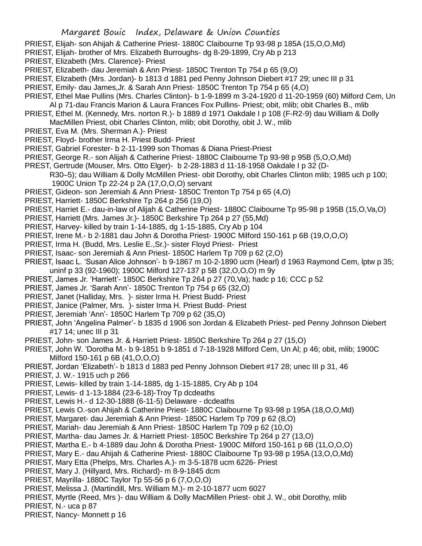- PRIEST, Elijah- son Ahijah & Catherine Priest- 1880C Claibourne Tp 93-98 p 185A (15,O,O,Md)
- PRIEST, Elijah- brother of Mrs. Elizabeth Burroughs- dg 8-29-1899, Cry Ab p 213
- PRIEST, Elizabeth (Mrs. Clarence)- Priest
- PRIEST, Elizabeth- dau Jeremiah & Ann Priest- 1850C Trenton Tp 754 p 65 (9,O)
- PRIEST, Elizabeth (Mrs. Jordan)- b 1813 d 1881 ped Penny Johnson Diebert #17 29; unec III p 31
- PRIEST, Emily- dau James,Jr. & Sarah Ann Priest- 1850C Trenton Tp 754 p 65 (4,O)
- PRIEST, Ethel Mae Pullins (Mrs. Charles Clinton)- b 1-9-1899 m 3-24-1920 d 11-20-1959 (60) Milford Cem, Un Al p 71-dau Francis Marion & Laura Frances Fox Pullins- Priest; obit, mlib; obit Charles B., mlib
- PRIEST, Ethel M. (Kennedy, Mrs. norton R.)- b 1889 d 1971 Oakdale I p 108 (F-R2-9) dau William & Dolly MacMillen Priest, obit Charles Clinton, mlib; obit Dorothy, obit J. W., mlib
- PRIEST, Eva M. (Mrs. Sherman A.)- Priest
- PRIEST, Floyd- brother Irma H. Priest Budd- Priest
- PRIEST, Gabriel Forester- b 2-11-1999 son Thomas & Diana Priest-Priest
- PRIEST, George R.- son Alijah & Catherine Priest- 1880C Claibourne Tp 93-98 p 95B (5,O,O,Md)
- PREST, Gertrude (Mouser, Mrs. Otto Elger)- b 2-28-1883 d 11-18-1958 Oakdale I p 32 (D-R30–5); dau William & Dolly McMillen Priest- obit Dorothy, obit Charles Clinton mlib; 1985 uch p 100; 1900C Union Tp 22-24 p 2A (17,O,O,O) servant
- PRIEST, Gideon- son Jeremiah & Ann Priest- 1850C Trenton Tp 754 p 65 (4,O)
- PRIEST, Harriett- 1850C Berkshire Tp 264 p 256 (19,O)
- PRIEST, Harriet E.- dau-in-law of Alijah & Catherine Priest- 1880C Claibourne Tp 95-98 p 195B (15,O,Va,O)
- PRIEST, Harriett (Mrs. James Jr.)- 1850C Berkshire Tp 264 p 27 (55,Md)
- PRIEST, Harvey- killed by train 1-14-1885, dg 1-15-1885, Cry Ab p 104
- PRIEST, Irene M.- b 2-1881 dau John & Dorotha Priest- 1900C Milford 150-161 p 6B (19,O,O,O)
- PRIEST, Irma H. (Budd, Mrs. Leslie E.,Sr.)- sister Floyd Priest- Priest
- PRIEST, Isaac- son Jeremiah & Ann Priest- 1850C Harlem Tp 709 p 62 (2,O)
- PRIEST, Isaac L. 'Susan Alice Johnson'- b 9-1867 m 10-2-1890 ucm (Hearl) d 1963 Raymond Cem, lptw p 35; uninf p 33 (92-1960); 1900C Milford 127-137 p 5B (32,O,O,O) m 9y
- PRIEST, James Jr. 'Harriett'- 1850C Berkshire Tp 264 p 27 (70,Va); hadc p 16; CCC p 52
- PRIEST, James Jr. 'Sarah Ann'- 1850C Trenton Tp 754 p 65 (32,O)
- PRIEST, Janet (Halliday, Mrs. )- sister Irma H. Priest Budd- Priest
- PRIEST, Janice (Palmer, Mrs. )- sister Irma H. Priest Budd- Priest
- PRIEST, Jeremiah 'Ann'- 1850C Harlem Tp 709 p 62 (35,O)
- PRIEST, John 'Angelina Palmer'- b 1835 d 1906 son Jordan & Elizabeth Priest- ped Penny Johnson Diebert #17 14; unec III p 31
- PRIEST, John- son James Jr. & Harriett Priest- 1850C Berkshire Tp 264 p 27 (15,O)
- PRIEST, John W. 'Dorotha M.- b 9-1851 b 9-1851 d 7-18-1928 Milford Cem, Un Al; p 46; obit, mlib; 1900C Milford 150-161 p 6B (41,O,O,O)
- PRIEST, Jordan 'Elizabeth'- b 1813 d 1883 ped Penny Johnson Diebert #17 28; unec III p 31, 46
- PRIEST, J. W.- 1915 uch p 266
- PRIEST, Lewis- killed by train 1-14-1885, dg 1-15-1885, Cry Ab p 104
- PRIEST, Lewis- d 1-13-1884 (23-6-18)-Troy Tp dcdeaths
- PRIEST, Lewis H.- d 12-30-1888 (6-11-5) Delaware dcdeaths
- PRIEST, Lewis O.-son Ahijah & Catherine Priest- 1880C Claibourne Tp 93-98 p 195A (18,O,O,Md)
- PRIEST, Margaret- dau Jeremiah & Ann Priest- 1850C Harlem Tp 709 p 62 (8,O)
- PRIEST, Mariah- dau Jeremiah & Ann Priest- 1850C Harlem Tp 709 p 62 (10,O)
- PRIEST, Martha- dau James Jr. & Harriett Priest- 1850C Berkshire Tp 264 p 27 (13,O)
- PRIEST, Martha E.- b 4-1889 dau John & Dorotha Priest- 1900C Milford 150-161 p 6B (11,O,O,O)
- PRIEST, Mary E.- dau Ahijah & Catherine Priest- 1880C Claibourne Tp 93-98 p 195A (13,O,O,Md)
- PRIEST, Mary Etta (Phelps, Mrs. Charles A.)- m 3-5-1878 ucm 6226- Priest
- PRIEST, Mary J. (Hillyard, Mrs. Richard)- m 8-9-1845 dcm
- PRIEST, Mayrilla- 1880C Taylor Tp 55-56 p 6 (7,O,O,O)
- PRIEST, Melissa J. (Martindill, Mrs. William M.)- m 2-10-1877 ucm 6027
- PRIEST, Myrtle (Reed, Mrs )- dau William & Dolly MacMillen Priest- obit J. W., obit Dorothy, mlib

PRIEST, N.- uca p 87

PRIEST, Nancy- Monnett p 16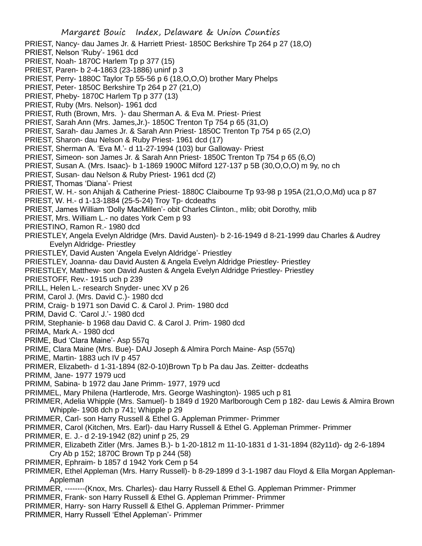- PRIEST, Nancy- dau James Jr. & Harriett Priest- 1850C Berkshire Tp 264 p 27 (18,O)
- PRIEST, Nelson 'Ruby'- 1961 dcd
- PRIEST, Noah- 1870C Harlem Tp p 377 (15)
- PRIEST, Paren- b 2-4-1863 (23-1886) uninf p 3
- PRIEST, Perry- 1880C Taylor Tp 55-56 p 6 (18,O,O,O) brother Mary Phelps
- PRIEST, Peter- 1850C Berkshire Tp 264 p 27 (21,O)
- PRIEST, Pheby-1870C Harlem Tp p 377 (13)
- PRIEST, Ruby (Mrs. Nelson)- 1961 dcd
- PRIEST, Ruth (Brown, Mrs. )- dau Sherman A. & Eva M. Priest- Priest
- PRIEST, Sarah Ann (Mrs. James,Jr.)- 1850C Trenton Tp 754 p 65 (31,O)
- PRIEST, Sarah- dau James Jr. & Sarah Ann Priest- 1850C Trenton Tp 754 p 65 (2,O)
- PRIEST, Sharon- dau Nelson & Ruby Priest- 1961 dcd (17)
- PRIEST, Sherman A. 'Eva M.'- d 11-27-1994 (103) bur Galloway- Priest
- PRIEST, Simeon- son James Jr. & Sarah Ann Priest- 1850C Trenton Tp 754 p 65 (6,O)
- PRIEST, Susan A. (Mrs. Isaac)- b 1-1869 1900C Milford 127-137 p 5B (30,O,O,O) m 9y, no ch
- PRIEST, Susan- dau Nelson & Ruby Priest- 1961 dcd (2)
- PRIEST, Thomas 'Diana'- Priest
- PRIEST, W. H.- son Ahijah & Catherine Priest- 1880C Claibourne Tp 93-98 p 195A (21,O,O,Md) uca p 87
- PRIEST, W. H.- d 1-13-1884 (25-5-24) Troy Tp- dcdeaths
- PRIEST, James William 'Dolly MacMillen'- obit Charles Clinton., mlib; obit Dorothy, mlib
- PRIEST, Mrs. William L.- no dates York Cem p 93
- PRIESTINO, Ramon R.- 1980 dcd
- PRIESTLEY, Angela Evelyn Aldridge (Mrs. David Austen)- b 2-16-1949 d 8-21-1999 dau Charles & Audrey Evelyn Aldridge- Priestley
- PRIESTLEY, David Austen 'Angela Evelyn Aldridge'- Priestley
- PRIESTLEY, Joanna- dau David Austen & Angela Evelyn Aldridge Priestley- Priestley
- PRIESTLEY, Matthew- son David Austen & Angela Evelyn Aldridge Priestley- Priestley
- PRIESTOFF, Rev.- 1915 uch p 239
- PRILL, Helen L.- research Snyder- unec XV p 26
- PRIM, Carol J. (Mrs. David C.)- 1980 dcd
- PRIM, Craig- b 1971 son David C. & Carol J. Prim- 1980 dcd
- PRIM, David C. 'Carol J.'- 1980 dcd
- PRIM, Stephanie- b 1968 dau David C. & Carol J. Prim- 1980 dcd
- PRIMA, Mark A.- 1980 dcd
- PRIME, Bud 'Clara Maine'- Asp 557q
- PRIME, Clara Maine (Mrs. Bue)- DAU Joseph & Almira Porch Maine- Asp (557q)
- PRIME, Martin- 1883 uch IV p 457
- PRIMER, Elizabeth- d 1-31-1894 (82-0-10)Brown Tp b Pa dau Jas. Zeitter- dcdeaths
- PRIMM, Jane- 1977 1979 ucd
- PRIMM, Sabina- b 1972 dau Jane Primm- 1977, 1979 ucd
- PRIMMEL, Mary Philena (Hartlerode, Mrs. George Washington)- 1985 uch p 81
- PRIMMER, Adelia Whipple (Mrs. Samuel)- b 1849 d 1920 Marlborough Cem p 182- dau Lewis & Almira Brown Whipple- 1908 dch p 741; Whipple p 29
- PRIMMER, Carl- son Harry Russell & Ethel G. Appleman Primmer- Primmer
- PRIMMER, Carol (Kitchen, Mrs. Earl)- dau Harry Russell & Ethel G. Appleman Primmer- Primmer
- PRIMMER, E. J.- d 2-19-1942 (82) uninf p 25, 29
- PRIMMER, Elizabeth Zitler (Mrs. James B.)- b 1-20-1812 m 11-10-1831 d 1-31-1894 (82y11d)- dg 2-6-1894 Cry Ab p 152; 1870C Brown Tp p 244 (58)
- PRIMMER, Ephraim- b 1857 d 1942 York Cem p 54
- PRIMMER, Ethel Appleman (Mrs. Harry Russell)- b 8-29-1899 d 3-1-1987 dau Floyd & Ella Morgan Appleman-Appleman
- PRIMMER, --------(Knox, Mrs. Charles)- dau Harry Russell & Ethel G. Appleman Primmer- Primmer
- PRIMMER, Frank- son Harry Russell & Ethel G. Appleman Primmer- Primmer
- PRIMMER, Harry- son Harry Russell & Ethel G. Appleman Primmer- Primmer
- PRIMMER, Harry Russell 'Ethel Appleman'- Primmer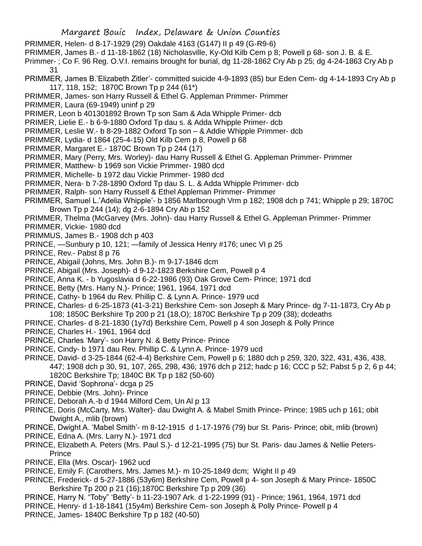- PRIMMER, Helen- d 8-17-1929 (29) Oakdale 4163 (G147) II p 49 (G-R9-6)
- PRIMMER, James B.- d 11-18-1862 (18) Nicholasville, Ky-Old Kilb Cem p 8; Powell p 68- son J. B. & E.

Primmer- ; Co F. 96 Reg. O.V.I. remains brought for burial, dg 11-28-1862 Cry Ab p 25; dg 4-24-1863 Cry Ab p 31

- PRIMMER, James B.'Elizabeth Zitler'- committed suicide 4-9-1893 (85) bur Eden Cem- dg 4-14-1893 Cry Ab p 117, 118, 152; 1870C Brown Tp p 244 (61\*)
- PRIMMER, James- son Harry Russell & Ethel G. Appleman Primmer- Primmer
- PRIMMER, Laura (69-1949) uninf p 29
- PRIMER, Leon b 401301892 Brown Tp son Sam & Ada Whipple Primer- dcb
- PRIMER, Lielie E.- b 6-9-1880 Oxford Tp dau s. & Adda Whipple Primer- dcb
- PRIMMER, Leslie W.- b 8-29-1882 Oxford Tp son & Addie Whipple Primmer- dcb
- PRIMMER, Lydia- d 1864 (25-4-15) Old Kilb Cem p 8, Powell p 68
- PRIMMER, Margaret E.- 1870C Brown Tp p 244 (17)
- PRIMMER, Mary (Perry, Mrs. Worley)- dau Harry Russell & Ethel G. Appleman Primmer- Primmer
- PRIMMER, Matthew- b 1969 son Vickie Primmer- 1980 dcd
- PRIMMER, Michelle- b 1972 dau Vickie Primmer- 1980 dcd
- PRIMMER, Nera- b 7-28-1890 Oxford Tp dau S. L. & Adda Whipple Primmer- dcb
- PRIMMER, Ralph- son Harry Russell & Ethel Appleman Primmer- Primmer
- PRIMMER, Samuel L.'Adelia Whipple'- b 1856 Marlborough Vrm p 182; 1908 dch p 741; Whipple p 29; 1870C Brown Tp p 244 (14); dg 2-6-1894 Cry Ab p 152
- PRIMMER, Thelma (McGarvey (Mrs. John)- dau Harry Russell & Ethel G. Appleman Primmer- Primmer
- PRIMMER, Vickie- 1980 dcd
- PRIMMUS, James B.- 1908 dch p 403
- PRINCE, —Sunbury p 10, 121; —family of Jessica Henry #176; unec VI p 25
- PRINCE, Rev.- Pabst 8 p 76
- PRINCE, Abigail (Johns, Mrs. John B.)- m 9-17-1846 dcm
- PRINCE, Abigail (Mrs. Joseph)- d 9-12-1823 Berkshire Cem, Powell p 4
- PRINCE, Anna K. b Yugoslavia d 6-22-1986 (93) Oak Grove Cem- Prince; 1971 dcd
- PRINCE, Betty (Mrs. Harry N.)- Prince; 1961, 1964, 1971 dcd
- PRINCE, Cathy- b 1964 du Rev. Phillip C. & Lynn A. Prince- 1979 ucd
- PRINCE, Charles- d 6-25-1873 (41-3-21) Berkshire Cem- son Joseph & Mary Prince- dg 7-11-1873, Cry Ab p 108; 1850C Berkshire Tp 200 p 21 (18,O); 1870C Berkshire Tp p 209 (38); dcdeaths
- PRINCE, Charles- d 8-21-1830 (1y7d) Berkshire Cem, Powell p 4 son Joseph & Polly Prince
- PRINCE, Charles H.- 1961, 1964 dcd
- PRINCE, Charles 'Mary'- son Harry N. & Betty Prince- Prince
- PRINCE, Cindy- b 1971 dau Rev. Phillip C. & Lynn A. Prince- 1979 ucd
- PRINCE, David- d 3-25-1844 (62-4-4) Berkshire Cem, Powell p 6; 1880 dch p 259, 320, 322, 431, 436, 438, 447; 1908 dch p 30, 91, 107, 265, 298, 436; 1976 dch p 212; hadc p 16; CCC p 52; Pabst 5 p 2, 6 p 44; 1820C Berkshire Tp; 1840C BK Tp p 182 (50-60)
- PRINCE, David 'Sophrona'- dcga p 25
- PRINCE, Debbie (Mrs. John)- Prince
- PRINCE, Deborah A.-b d 1944 Milford Cem, Un Al p 13
- PRINCE, Doris (McCarty, Mrs. Walter)- dau Dwight A. & Mabel Smith Prince- Prince; 1985 uch p 161; obit Dwight A., mlib (brown)
- PRINCE, Dwight A. 'Mabel Smith'- m 8-12-1915 d 1-17-1976 (79) bur St. Paris- Prince; obit, mlib (brown)
- PRINCE, Edna A. (Mrs. Larry N.)- 1971 dcd
- PRINCE, Elizabeth A. Peters (Mrs. Paul S.)- d 12-21-1995 (75) bur St. Paris- dau James & Nellie Peters-Prince
- PRINCE, Ella (Mrs. Oscar)- 1962 ucd
- PRINCE, Emily F. (Carothers, Mrs. James M.)- m 10-25-1849 dcm; Wight II p 49
- PRINCE, Frederick- d 5-27-1886 (53y6m) Berkshire Cem, Powell p 4- son Joseph & Mary Prince- 1850C Berkshire Tp 200 p 21 (16);1870C Berkshire Tp p 209 (36)
- PRINCE, Harry N. "Toby" 'Betty'- b 11-23-1907 Ark. d 1-22-1999 (91) Prince; 1961, 1964, 1971 dcd
- PRINCE, Henry- d 1-18-1841 (15y4m) Berkshire Cem- son Joseph & Polly Prince- Powell p 4 PRINCE, James- 1840C Berkshire Tp p 182 (40-50)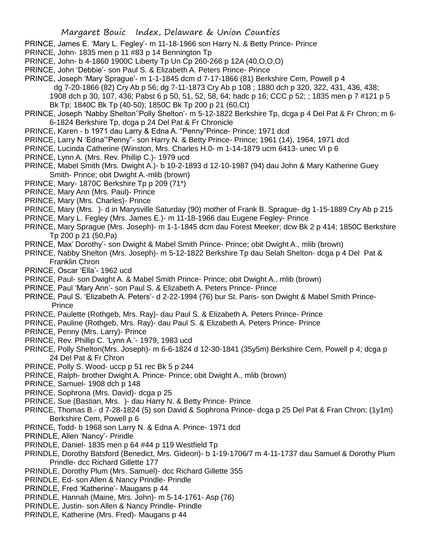- PRINCE, James E. 'Mary L. Fegley'- m 11-18-1966 son Harry N. & Betty Prince- Prince
- PRINCE, John- 1835 men p 11 #83 p 14 Bennington Tp
- PRINCE, John- b 4-1860 1900C Liberty Tp Un Cp 260-266 p 12A (40,O,O,O)
- PRINCE, John 'Debbie'- son Paul S. & Elizabeth A. Peters Prince- Prince
- PRINCE, Joseph 'Mary Sprague'- m 1-1-1845 dcm d 7-17-1866 (81) Berkshire Cem, Powell p 4
	- dg 7-20-1866 (82) Cry Ab p 56; dg 7-11-1873 Cry Ab p 108 ; 1880 dch p 320, 322, 431, 436, 438;
	- 1908 dch p 30, 107, 436; Pabst 6 p 50, 51, 52, 58, 64; hadc p 16; CCC p 52; ; 1835 men p 7 #121 p 5 Bk Tp; 1840C Bk Tp (40-50); 1850C Bk Tp 200 p 21 (60,Ct)
- PRINCE, Joseph 'Nabby Shelton''Polly Shelton'- m 5-12-1822 Berkshire Tp, dcga p 4 Del Pat & Fr Chron; m 6- 6-1824 Berkshire Tp, dcga p 24 Del Pat & Fr Chronicle
- PRINCE, Karen b 1971 dau Larry & Edna A. "Penny"Prince- Prince; 1971 dcd
- PRINCE, Larry N 'Edna'"Penny"- son Harry N. & Betty Prince- Prince; 1961 (14), 1964, 1971 dcd
- PRINCE, Lucinda Catherine (Winston, Mrs. Charles H.0- m 1-14-1879 ucm 6413- unec VI p 6
- PRINCE, Lynn A. (Mrs. Rev. Phillip C.)- 1979 ucd
- PRINCE, Mabel Smith (Mrs. Dwight A.)- b 10-2-1893 d 12-10-1987 (94) dau John & Mary Katherine Guey Smith- Prince; obit Dwight A.-mlib (brown)
- PRINCE, Mary- 1870C Berkshire Tp p 209 (71\*)
- PRINCE, Mary Ann (Mrs. Paul)- Prince
- PRINCE, Mary (Mrs. Charles)- Prince
- PRINCE, Mary (Mrs. )- d in Marysville Saturday (90) mother of Frank B. Sprague- dg 1-15-1889 Cry Ab p 215
- PRINCE, Mary L. Fegley (Mrs. James E.)- m 11-18-1966 dau Eugene Fegley- Prince
- PRINCE, Mary Sprague (Mrs. Joseph)- m 1-1-1845 dcm dau Forest Meeker; dcw Bk 2 p 414; 1850C Berkshire Tp 200 p 21 (50,Pa)
- PRINCE, Max' Dorothy'- son Dwight & Mabel Smith Prince- Prince; obit Dwight A., mlib (brown)
- PRINCE, Nabby Shelton (Mrs. Joseph)- m 5-12-1822 Berkshire Tp dau Selah Shelton- dcga p 4 Del Pat & Franklin Chron
- PRINCE, Oscar 'Ella'- 1962 ucd
- PRINCE, Paul- son Dwight A. & Mabel Smith Prince- Prince; obit Dwight A., mlib (brown)
- PRINCE, Paul 'Mary Ann'- son Paul S. & Elizabeth A. Peters Prince- Prince
- PRINCE, Paul S. 'Elizabeth A. Peters'- d 2-22-1994 (76) bur St. Paris- son Dwight & Mabel Smith Prince-**Prince**
- PRINCE, Paulette (Rothgeb, Mrs. Ray)- dau Paul S. & Elizabeth A. Peters Prince- Prince
- PRINCE, Pauline (Rothgeb, Mrs. Ray)- dau Paul S. & Elizabeth A. Peters Prince- Prince
- PRINCE, Penny (Mrs. Larry)- Prince
- PRINCE, Rev. Phillip C. 'Lynn A.'- 1979, 1983 ucd
- PRINCE, Polly Shelton(Mrs. Joseph)- m 6-6-1824 d 12-30-1841 (35y5m) Berkshire Cem, Powell p 4; dcga p 24 Del Pat & Fr Chron
- PRINCE, Polly S. Wood- uccp p 51 rec Bk 5 p 244
- PRINCE, Ralph- brother Dwight A. Prince- Prince; obit Dwight A., mlib (brown)
- PRINCE, Samuel- 1908 dch p 148
- PRINCE, Sophrona (Mrs. David)- dcga p 25
- PRINCE, Sue (Bastian, Mrs. )- dau Harry N. & Betty Prince- Prince
- PRINCE, Thomas B.- d 7-28-1824 (5) son David & Sophrona Prince- dcga p 25 Del Pat & Fran Chron; (1y1m) Berkshire Cem, Powell p 6
- PRINCE, Todd- b 1968 son Larry N. & Edna A. Prince- 1971 dcd
- PRINDLE, Allen 'Nancy'- Prindle
- PRINDLE, Daniel- 1835 men p 64 #44 p 119 Westfield Tp
- PRINDLE, Dorothy Batsford (Benedict, Mrs. Gideon)- b 1-19-1706/7 m 4-11-1737 dau Samuel & Dorothy Plum Prindle- dcc Richard Gillette 177
- PRINDLE, Dorothy Plum (Mrs. Samuel)- dcc Richard Gillette 355
- PRINDLE, Ed- son Allen & Nancy Prindle- Prindle
- PRINDLE, Fred 'Katherine'- Maugans p 44
- PRINDLE, Hannah (Maine, Mrs. John)- m 5-14-1761- Asp (76)
- PRINDLE, Justin- son Allen & Nancy Prindle- Prindle
- PRINDLE, Katherine (Mrs. Fred)- Maugans p 44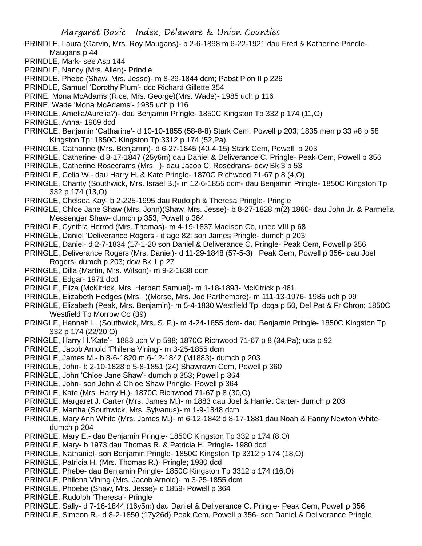- PRINDLE, Laura (Garvin, Mrs. Roy Maugans)- b 2-6-1898 m 6-22-1921 dau Fred & Katherine Prindle-Maugans p 44
- PRINDLE, Mark- see Asp 144
- PRINDLE, Nancy (Mrs. Allen)- Prindle
- PRINDLE, Phebe (Shaw, Mrs. Jesse)- m 8-29-1844 dcm; Pabst Pion II p 226
- PRINDLE, Samuel 'Dorothy Plum'- dcc Richard Gillette 354
- PRINE, Mona McAdams (Rice, Mrs. George)(Mrs. Wade)- 1985 uch p 116
- PRINE, Wade 'Mona McAdams'- 1985 uch p 116
- PRINGLE, Amelia/Aurelia?)- dau Benjamin Pringle- 1850C Kingston Tp 332 p 174 (11,O)
- PRINGLE, Anna- 1969 dcd
- PRINGLE, Benjamin 'Catharine'- d 10-10-1855 (58-8-8) Stark Cem, Powell p 203; 1835 men p 33 #8 p 58 Kingston Tp; 1850C Kingston Tp 3312 p 174 (52,Pa)
- PRINGLE, Catharine (Mrs. Benjamin)- d 6-27-1845 (40-4-15) Stark Cem, Powell p 203
- PRINGLE, Catherine- d 8-17-1847 (25y6m) dau Daniel & Deliverance C. Pringle- Peak Cem, Powell p 356
- PRINGLE, Catherine Rosecrams (Mrs. )- dau Jacob C. Rosedrans- dcw Bk 3 p 53
- PRINGLE, Celia W.- dau Harry H. & Kate Pringle- 1870C Richwood 71-67 p 8 (4,O)
- PRINGLE, Charity (Southwick, Mrs. Israel B.)- m 12-6-1855 dcm- dau Benjamin Pringle- 1850C Kingston Tp 332 p 174 (13,O)
- PRINGLE, Chelsea Kay- b 2-225-1995 dau Rudolph & Theresa Pringle- Pringle
- PRINGLE, Chloe Jane Shaw (Mrs. John)(Shaw, Mrs. Jesse)- b 8-27-1828 m(2) 1860- dau John Jr. & Parmelia Messenger Shaw- dumch p 353; Powell p 364
- PRINGLE, Cynthia Herrod (Mrs. Thomas)- m 4-19-1837 Madison Co, unec VIII p 68
- PRINGLE, Daniel 'Deliverance Rogers'- d age 82; son James Pringle- dumch p 203
- PRINGLE, Daniel- d 2-7-1834 (17-1-20 son Daniel & Deliverance C. Pringle- Peak Cem, Powell p 356
- PRINGLE, Deliverance Rogers (Mrs. Daniel)- d 11-29-1848 (57-5-3) Peak Cem, Powell p 356- dau Joel Rogers- dumch p 203; dcw Bk 1 p 27
- PRINGLE, Dilla (Martin, Mrs. Wilson)- m 9-2-1838 dcm
- PRINGLE, Edgar- 1971 dcd
- PRINGLE, Eliza (McKitrick, Mrs. Herbert Samuel)- m 1-18-1893- McKitrick p 461
- PRINGLE, Elizabeth Hedges (Mrs. )(Morse, Mrs. Joe Parthemore)- m 111-13-1976- 1985 uch p 99
- PRINGLE, Elizabeth (Peak, Mrs. Benjamin)- m 5-4-1830 Westfield Tp, dcga p 50, Del Pat & Fr Chron; 1850C Westfield Tp Morrow Co (39)
- PRINGLE, Hannah L. (Southwick, Mrs. S. P.)- m 4-24-1855 dcm- dau Benjamin Pringle- 1850C Kingston Tp 332 p 174 (22/20,O)
- PRINGLE, Harry H.'Kate'- 1883 uch V p 598; 1870C Richwood 71-67 p 8 (34,Pa); uca p 92
- PRINGLE, Jacob Arnold 'Philena Vining'- m 3-25-1855 dcm
- PRINGLE, James M.- b 8-6-1820 m 6-12-1842 (M1883)- dumch p 203
- PRINGLE, John- b 2-10-1828 d 5-8-1851 (24) Shawrown Cem, Powell p 360
- PRINGLE, John 'Chloe Jane Shaw'- dumch p 353; Powell p 364
- PRINGLE, John- son John & Chloe Shaw Pringle- Powell p 364
- PRINGLE, Kate (Mrs. Harry H.)- 1870C Richwood 71-67 p 8 (30,O)
- PRINGLE, Margaret J. Carter (Mrs. James M.)- m 1883 dau Joel & Harriet Carter- dumch p 203
- PRINGLE, Martha (Southwick, Mrs. Sylvanus)- m 1-9-1848 dcm
- PRINGLE, Mary Ann White (Mrs. James M.)- m 6-12-1842 d 8-17-1881 dau Noah & Fanny Newton Whitedumch p 204
- PRINGLE, Mary E.- dau Benjamin Pringle- 1850C Kingston Tp 332 p 174 (8,O)
- PRINGLE, Mary- b 1973 dau Thomas R. & Patricia H. Pringle- 1980 dcd
- PRINGLE, Nathaniel- son Benjamin Pringle- 1850C Kingston Tp 3312 p 174 (18,O)
- PRINGLE, Patricia H. (Mrs. Thomas R.)- Pringle; 1980 dcd
- PRINGLE, Phebe- dau Benjamin Pringle- 1850C Kingston Tp 3312 p 174 (16,O)
- PRINGLE, Philena Vining (Mrs. Jacob Arnold)- m 3-25-1855 dcm
- PRINGLE, Phoebe (Shaw, Mrs. Jesse)- c 1859- Powell p 364
- PRINGLE, Rudolph 'Theresa'- Pringle
- PRINGLE, Sally- d 7-16-1844 (16y5m) dau Daniel & Deliverance C. Pringle- Peak Cem, Powell p 356
- PRINGLE, Simeon R.- d 8-2-1850 (17y26d) Peak Cem, Powell p 356- son Daniel & Deliverance Pringle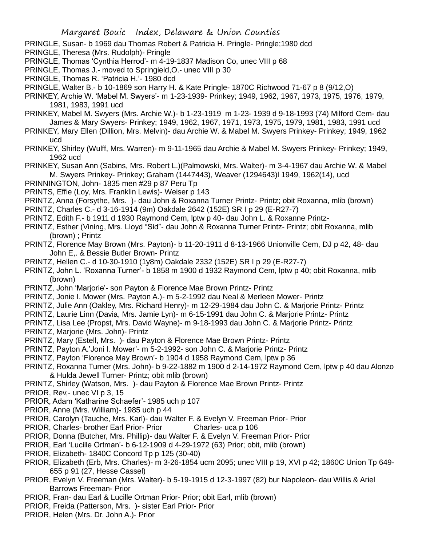- PRINGLE, Susan- b 1969 dau Thomas Robert & Patricia H. Pringle- Pringle;1980 dcd
- PRINGLE, Theresa (Mrs. Rudolph)- Pringle
- PRINGLE, Thomas 'Cynthia Herrod'- m 4-19-1837 Madison Co, unec VIII p 68
- PRINGLE, Thomas J.- moved to Springield,O.- unec VIII p 30
- PRINGLE, Thomas R. 'Patricia H.'- 1980 dcd
- PRINGLE, Walter B.- b 10-1869 son Harry H. & Kate Pringle- 1870C Richwood 71-67 p 8 (9/12,O)
- PRINKEY, Archie W. 'Mabel M. Swyers'- m 1-23-1939- Prinkey; 1949, 1962, 1967, 1973, 1975, 1976, 1979, 1981, 1983, 1991 ucd
- PRINKEY, Mabel M. Swyers (Mrs. Archie W.)- b 1-23-1919 m 1-23- 1939 d 9-18-1993 (74) Milford Cem- dau James & Mary Swyers- Prinkey; 1949, 1962, 1967, 1971, 1973, 1975, 1979, 1981, 1983, 1991 ucd
- PRINKEY, Mary Ellen (Dillion, Mrs. Melvin)- dau Archie W. & Mabel M. Swyers Prinkey- Prinkey; 1949, 1962 ucd
- PRINKEY, Shirley (Wulff, Mrs. Warren)- m 9-11-1965 dau Archie & Mabel M. Swyers Prinkey- Prinkey; 1949, 1962 ucd
- PRINKEY, Susan Ann (Sabins, Mrs. Robert L.)(Palmowski, Mrs. Walter)- m 3-4-1967 dau Archie W. & Mabel M. Swyers Prinkey- Prinkey; Graham (1447443), Weaver (1294643)l 1949, 1962(14), ucd
- PRINNINGTON, John- 1835 men #29 p 87 Peru Tp
- PRINTS, Effie (Loy, Mrs. Franklin Lewis)- Weiser p 143
- PRINTZ, Anna (Forsythe, Mrs. )- dau John & Roxanna Turner Printz- Printz; obit Roxanna, mlib (brown)
- PRINTZ, Charles C.- d 3-16-1914 (9m) Oakdale 2642 (152E) SR I p 29 (E-R27-7)
- PRINTZ, Edith F.- b 1911 d 1930 Raymond Cem, lptw p 40- dau John L. & Roxanne Printz-
- PRINTZ, Esther (Vining, Mrs. Lloyd "Sid"- dau John & Roxanna Turner Printz- Printz; obit Roxanna, mlib (brown) ; Printz
- PRINTZ, Florence May Brown (Mrs. Payton)- b 11-20-1911 d 8-13-1966 Unionville Cem, DJ p 42, 48- dau John E,. & Bessie Butler Brown- Printz
- PRINTZ, Hellen C.- d 10-30-1910 (1y8m) Oakdale 2332 (152E) SR I p 29 (E-R27-7)
- PRINTZ, John L. 'Roxanna Turner'- b 1858 m 1900 d 1932 Raymond Cem, lptw p 40; obit Roxanna, mlib (brown)
- PRINTZ, John 'Marjorie'- son Payton & Florence Mae Brown Printz- Printz
- PRINTZ, Jonie I. Mower (Mrs. Payton A.)- m 5-2-1992 dau Neal & Merleen Mower- Printz
- PRINTZ, Julie Ann (Oakley, Mrs. Richard Henry)- m 12-29-1984 dau John C. & Marjorie Printz- Printz
- PRINTZ, Laurie Linn (Davia, Mrs. Jamie Lyn)- m 6-15-1991 dau John C. & Marjorie Printz- Printz
- PRINTZ, Lisa Lee (Propst, Mrs. David Wayne)- m 9-18-1993 dau John C. & Marjorie Printz- Printz
- PRINTZ, Marjorie (Mrs. John)- Printz
- PRINTZ, Mary (Estell, Mrs. )- dau Payton & Florence Mae Brown Printz- Printz
- PRINTZ, Payton A.'Joni l. Mower'- m 5-2-1992- son John C. & Marjorie Printz- Printz
- PRINTZ, Payton 'Florence May Brown'- b 1904 d 1958 Raymond Cem, lptw p 36
- PRINTZ, Roxanna Turner (Mrs. John)- b 9-22-1882 m 1900 d 2-14-1972 Raymond Cem, lptw p 40 dau Alonzo & Hulda Jewell Turner- Printz; obit mlib (brown)
- PRINTZ, Shirley (Watson, Mrs. )- dau Payton & Florence Mae Brown Printz- Printz
- PRIOR, Rev,- unec VI p 3, 15
- PRIOR, Adam 'Katharine Schaefer'- 1985 uch p 107
- PRIOR, Anne (Mrs. William)- 1985 uch p 44
- PRIOR, Carolyn (Tauche, Mrs. Karl)- dau Walter F. & Evelyn V. Freeman Prior- Prior
- PRIOR, Charles- brother Earl Prior- Prior Charles- uca p 106
- PRIOR, Donna (Butcher, Mrs. Phillip)- dau Walter F. & Evelyn V. Freeman Prior- Prior
- PRIOR, Earl 'Lucille Ortman'- b 6-12-1909 d 4-29-1972 (63) Prior; obit, mlib (brown)
- PRIOR, Elizabeth- 1840C Concord Tp p 125 (30-40)
- PRIOR, Elizabeth (Erb, Mrs. Charles)- m 3-26-1854 ucm 2095; unec VIII p 19, XVI p 42; 1860C Union Tp 649- 655 p 91 (27, Hesse Cassel)
- PRIOR, Evelyn V. Freeman (Mrs. Walter)- b 5-19-1915 d 12-3-1997 (82) bur Napoleon- dau Willis & Ariel Barrows Freeman- Prior
- PRIOR, Fran- dau Earl & Lucille Ortman Prior- Prior; obit Earl, mlib (brown)
- PRIOR, Freida (Patterson, Mrs. )- sister Earl Prior- Prior
- PRIOR, Helen (Mrs. Dr. John A.)- Prior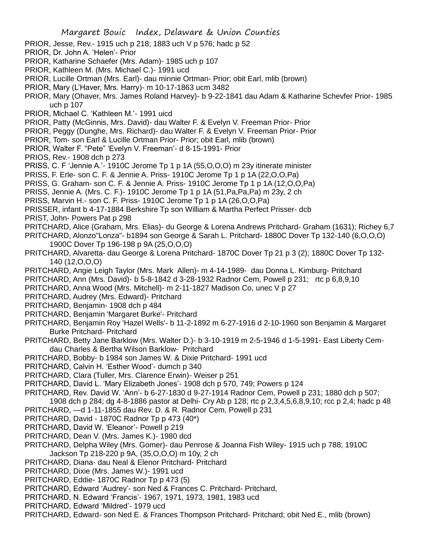- PRIOR, Jesse, Rev.- 1915 uch p 218; 1883 uch V p 576; hadc p 52
- PRIOR, Dr. John A. 'Helen'- Prior
- PRIOR, Katharine Schaefer (Mrs. Adam)- 1985 uch p 107
- PRIOR, Kathleen M. (Mrs. Michael C.)- 1991 ucd
- PRIOR, Lucille Ortman (Mrs. Earl)- dau minnie Ortman- Prior; obit Earl, mlib (brown)
- PRIOR, Mary (L'Haver, Mrs. Harry)- m 10-17-1863 ucm 3482
- PRIOR, Mary (Ohaver, Mrs. James Roland Harvey)- b 9-22-1841 dau Adam & Katharine Schevfer Prior- 1985 uch p 107
- PRIOR, Michael C. 'Kathleen M.'- 1991 uicd
- PRIOR, Patty (McGinnis, Mrs. David)- dau Walter F. & Evelyn V. Freeman Prior- Prior
- PRIOR, Peggy (Dunghe, Mrs. Richard)- dau Walter F. & Evelyn V. Freeman Prior- Prior
- PRIOR, Tom- son Earl & Lucille Ortman Prior- Prior; obit Earl, mlib (brown)
- PRIOR, Walter F. "Pete" 'Evelyn V. Freeman'- d 8-15-1991- Prior
- PRIOS, Rev.- 1908 dch p 273
- PRISS, C. F 'Jennie A.'- 1910C Jerome Tp 1 p 1A (55, O, O, O) m 23y itinerate minister
- PRISS, F. Erle- son C. F. & Jennie A. Priss- 1910C Jerome Tp 1 p 1A (22,O,O,Pa)
- PRISS, G. Graham- son C. F. & Jennie A. Priss- 1910C Jerome Tp 1 p 1A (12,O,O,Pa)
- PRISS, Jennie A. (Mrs. C. F.)- 1910C Jerome Tp 1 p 1A (51,Pa,Pa,Pa) m 23y, 2 ch
- PRISS, Marvin H.- son C. F. Priss- 1910C Jerome Tp 1 p 1A (26,O,O,Pa)
- PRISSER, infant b 4-17-1884 Berkshire Tp son William & Martha Perfect Prisser- dcb
- PRIST, John- Powers Pat p 298
- PRITCHARD, Alice (Graham, Mrs. Elias)- du George & Lorena Andrews Pritchard- Graham (1631); Richey 6,7
- PRITCHARD, Alonzo"Lonza"- b1894 son George & Sarah L. Pritchard- 1880C Dover Tp 132-140 (6,O,O,O)
	- 1900C Dover Tp 196-198 p 9A (25,O,O,O)
- PRITCHARD, Alvaretta- dau George & Lorena Pritchard- 1870C Dover Tp 21 p 3 (2); 1880C Dover Tp 132- 140 (12,O,O,O)
- PRITCHARD, Angie Leigh Taylor (Mrs. Mark Allen)- m 4-14-1989- dau Donna L. Kimburg- Pritchard
- PRITCHARD, Ann (Mrs. David)- b 5-8-1842 d 3-28-1932 Radnor Cem, Powell p 231; rtc p 6,8,9,10
- PRITCHARD, Anna Wood (Mrs. Mitchell)- m 2-11-1827 Madison Co, unec V p 27
- PRITCHARD, Audrey (Mrs. Edward)- Pritchard
- PRITCHARD, Benjamin- 1908 dch p 484
- PRITCHARD, Benjamin 'Margaret Burke'- Pritchard
- PRITCHARD, Benjamin Roy 'Hazel Wells'- b 11-2-1892 m 6-27-1916 d 2-10-1960 son Benjamin & Margaret Burke Pritchard- Pritchard
- PRITCHARD, Betty Jane Barklow (Mrs. Walter D.)- b 3-10-1919 m 2-5-1946 d 1-5-1991- East Liberty Cemdau Charles & Bertha Wilson Barklow- Pritchard
- PRITCHARD, Bobby- b 1984 son James W. & Dixie Pritchard- 1991 ucd
- PRITCHARD, Calvin H. 'Esther Wood'- dumch p 340
- PRITCHARD, Clara (Tuller, Mrs. Clarence Erwin)- Weiser p 251
- PRITCHARD, David L. 'Mary Elizabeth Jones'- 1908 dch p 570, 749; Powers p 124
- PRITCHARD, Rev. David W. 'Ann'- b 6-27-1830 d 9-27-1914 Radnor Cem, Powell p 231; 1880 dch p 507;
- 1908 dch p 284; dg 4-8-1886 pastor at Delhi- Cry Ab p 128; rtc p 2,3,4,5,6,8,9,10; rcc p 2,4; hadc p 48 PRITCHARD, —d 1-11-1855 dau Rev. D. & R. Radnor Cem, Powell p 231
- PRITCHARD, David 1870C Radnor Tp p 473 (40\*)
- PRITCHARD, David W. 'Eleanor'- Powell p 219
- PRITCHARD, Dean V. (Mrs. James K.)- 1980 dcd
- PRITCHARD, Delpha Wiley (Mrs. Gomer)- dau Penrose & Joanna Fish Wiley- 1915 uch p 788; 1910C Jackson Tp 218-220 p 9A, (35,O,O,O) m 10y, 2 ch
- PRITCHARD, Diana- dau Neal & Elenor Pritchard- Pritchard
- PRITCHARD, Dixie (Mrs. James W.)- 1991 ucd
- PRITCHARD, Eddie- 1870C Radnor Tp p 473 (5)
- PRITCHARD, Edward 'Audrey'- son Ned & Frances C. Pritchard- Pritchard,
- PRITCHARD, N. Edward 'Francis'- 1967, 1971, 1973, 1981, 1983 ucd
- PRITCHARD, Edward 'Mildred'- 1979 ucd
- PRITCHARD, Edward- son Ned E. & Frances Thompson Pritchard- Pritchard; obit Ned E., mlib (brown)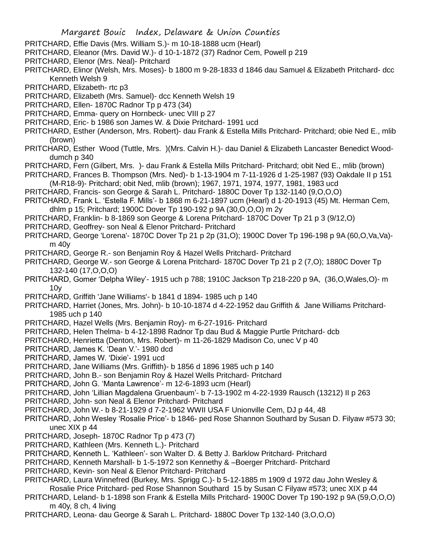- PRITCHARD, Effie Davis (Mrs. William S.)- m 10-18-1888 ucm (Hearl)
- PRITCHARD, Eleanor (Mrs. David W.)- d 10-1-1872 (37) Radnor Cem, Powell p 219
- PRITCHARD, Elenor (Mrs. Neal)- Pritchard
- PRITCHARD, Elinor (Welsh, Mrs. Moses)- b 1800 m 9-28-1833 d 1846 dau Samuel & Elizabeth Pritchard- dcc Kenneth Welsh 9
- PRITCHARD, Elizabeth- rtc p3
- PRITCHARD, Elizabeth (Mrs. Samuel)- dcc Kenneth Welsh 19
- PRITCHARD, Ellen-1870C Radnor Tp p 473 (34)
- PRITCHARD, Emma- query on Hornbeck- unec VIII p 27
- PRITCHARD, Eric- b 1986 son James W. & Dixie Pritchard- 1991 ucd
- PRITCHARD, Esther (Anderson, Mrs. Robert)- dau Frank & Estella Mills Pritchard- Pritchard; obie Ned E., mlib (brown)
- PRITCHARD, Esther Wood (Tuttle, Mrs. )(Mrs. Calvin H.)- dau Daniel & Elizabeth Lancaster Benedict Wooddumch p 340
- PRITCHARD, Fern (Gilbert, Mrs. )- dau Frank & Estella Mills Pritchard- Pritchard; obit Ned E., mlib (brown)
- PRITCHARD, Frances B. Thompson (Mrs. Ned)- b 1-13-1904 m 7-11-1926 d 1-25-1987 (93) Oakdale II p 151 (M-R18-9)- Pritchard; obit Ned, mlib (brown); 1967, 1971, 1974, 1977, 1981, 1983 ucd
- PRITCHARD, Francis- son George & Sarah L. Pritchard- 1880C Dover Tp 132-1140 (9,O,O,O)
- PRITCHARD, Frank L. 'Estella F. Mills'- b 1868 m 6-21-1897 ucm (Hearl) d 1-20-1913 (45) Mt. Herman Cem, dhlm p 15; Pritchard; 1900C Dover Tp 190-192 p 9A (30,O,O,O) m 2y
- PRITCHARD, Franklin- b 8-1869 son George & Lorena Pritchard- 1870C Dover Tp 21 p 3 (9/12,O)
- PRITCHARD, Geoffrey- son Neal & Elenor Pritchard- Pritchard
- PRITCHARD, George 'Lorena'- 1870C Dover Tp 21 p 2p (31,O); 1900C Dover Tp 196-198 p 9A (60,O,Va,Va) m 40y
- PRITCHARD, George R.- son Benjamin Roy & Hazel Wells Pritchard- Pritchard
- PRITCHARD, George W.- son George & Lorena Pritchard- 1870C Dover Tp 21 p 2 (7,O); 1880C Dover Tp 132-140 (17,O,O,O)
- PRITCHARD, Gomer 'Delpha Wiley'- 1915 uch p 788; 1910C Jackson Tp 218-220 p 9A, (36,O,Wales,O)- m 10y
- PRITCHARD, Griffith 'Jane Williams'- b 1841 d 1894- 1985 uch p 140
- PRITCHARD, Harriet (Jones, Mrs. John)- b 10-10-1874 d 4-22-1952 dau Griffith & Jane Williams Pritchard-1985 uch p 140
- PRITCHARD, Hazel Wells (Mrs. Benjamin Roy)- m 6-27-1916- Pritchard
- PRITCHARD, Helen Thelma- b 4-12-1898 Radnor Tp dau Bud & Maggie Purtle Pritchard- dcb
- PRITCHARD, Henrietta (Denton, Mrs. Robert)- m 11-26-1829 Madison Co, unec V p 40
- PRITCHARD, James K. 'Dean V.'- 1980 dcd
- PRITCHARD, James W. 'Dixie'- 1991 ucd
- PRITCHARD, Jane Williams (Mrs. Griffith)- b 1856 d 1896 1985 uch p 140
- PRITCHARD, John B.- son Benjamin Roy & Hazel Wells Pritchard- Pritchard
- PRITCHARD, John G. 'Manta Lawrence'- m 12-6-1893 ucm (Hearl)
- PRITCHARD, John 'Lillian Magdalena Gruenbaum'- b 7-13-1902 m 4-22-1939 Rausch (13212) II p 263
- PRITCHARD, John- son Neal & Elenor Pritchard- Pritchard
- PRITCHARD, John W.- b 8-21-1929 d 7-2-1962 WWII USA F Unionville Cem, DJ p 44, 48
- PRITCHARD, John Wesley 'Rosalie Price'- b 1846- ped Rose Shannon Southard by Susan D. Filyaw #573 30; unec XIX p 44
- PRITCHARD, Joseph- 1870C Radnor Tp p 473 (7)
- PRITCHARD, Kathleen (Mrs. Kenneth L.)- Pritchard
- PRITCHARD, Kenneth L. 'Kathleen'- son Walter D. & Betty J. Barklow Pritchard- Pritchard
- PRITCHARD, Kenneth Marshall- b 1-5-1972 son Kennethy & –Boerger Pritchard- Pritchard
- PRITCHARD, Kevin- son Neal & Elenor Pritchard- Pritchard
- PRITCHARD, Laura Winnefred (Burkey, Mrs. Sprigg C.)- b 5-12-1885 m 1909 d 1972 dau John Wesley & Rosalie Price Pritchard- ped Rose Shannon Southard 15 by Susan C Filyaw #573; unec XIX p 44
- PRITCHARD, Leland- b 1-1898 son Frank & Estella Mills Pritchard- 1900C Dover Tp 190-192 p 9A (59,O,O,O) m 40y, 8 ch, 4 living
- PRITCHARD, Leona- dau George & Sarah L. Pritchard- 1880C Dover Tp 132-140 (3,O,O,O)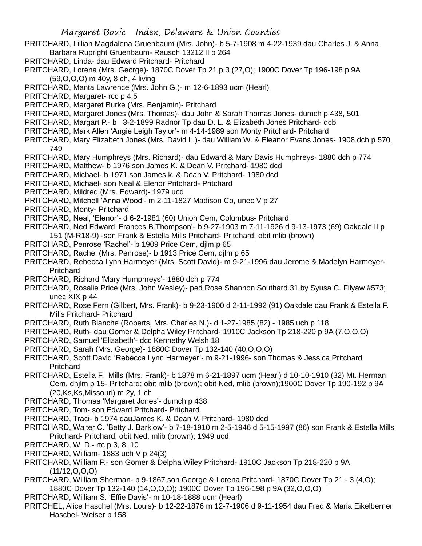- PRITCHARD, Lillian Magdalena Gruenbaum (Mrs. John)- b 5-7-1908 m 4-22-1939 dau Charles J. & Anna Barbara Rupright Gruenbaum- Rausch 13212 II p 264
- PRITCHARD, Linda- dau Edward Pritchard- Pritchard
- PRITCHARD, Lorena (Mrs. George)- 1870C Dover Tp 21 p 3 (27,O); 1900C Dover Tp 196-198 p 9A (59,O,O,O) m 40y, 8 ch, 4 living
- PRITCHARD, Manta Lawrence (Mrs. John G.)- m 12-6-1893 ucm (Hearl)
- PRITCHARD, Margaret- rcc p 4.5
- PRITCHARD, Margaret Burke (Mrs. Benjamin)- Pritchard
- PRITCHARD, Margaret Jones (Mrs. Thomas)- dau John & Sarah Thomas Jones- dumch p 438, 501
- PRITCHARD, Margart P.- b 3-2-1899 Radnor Tp dau D. L. & Elizabeth Jones Pritchard- dcb
- PRITCHARD, Mark Allen 'Angie Leigh Taylor'- m 4-14-1989 son Monty Pritchard- Pritchard
- PRITCHARD, Mary Elizabeth Jones (Mrs. David L.)- dau William W. & Eleanor Evans Jones- 1908 dch p 570, 749
- PRITCHARD, Mary Humphreys (Mrs. Richard)- dau Edward & Mary Davis Humphreys- 1880 dch p 774
- PRITCHARD, Matthew- b 1976 son James K. & Dean V. Pritchard- 1980 dcd
- PRITCHARD, Michael- b 1971 son James k. & Dean V. Pritchard- 1980 dcd
- PRITCHARD, Michael- son Neal & Elenor Pritchard- Pritchard
- PRITCHARD, Mildred (Mrs. Edward)- 1979 ucd
- PRITCHARD, Mitchell 'Anna Wood'- m 2-11-1827 Madison Co, unec V p 27
- PRITCHARD, Monty- Pritchard
- PRITCHARD, Neal, 'Elenor'- d 6-2-1981 (60) Union Cem, Columbus- Pritchard
- PRITCHARD, Ned Edward 'Frances B.Thompson'- b 9-27-1903 m 7-11-1926 d 9-13-1973 (69) Oakdale II p 151 (M-R18-9) -son Frank & Estella Mills Pritchard- Pritchard; obit mlib (brown)
- PRITCHARD, Penrose 'Rachel'- b 1909 Price Cem, djlm p 65
- PRITCHARD, Rachel (Mrs. Penrose)- b 1913 Price Cem, djlm p 65
- PRITCHARD, Rebecca Lynn Harmeyer (Mrs. Scott David)- m 9-21-1996 dau Jerome & Madelyn Harmeyer-**Pritchard**
- PRITCHARD, Richard 'Mary Humphreys'- 1880 dch p 774
- PRITCHARD, Rosalie Price (Mrs. John Wesley)- ped Rose Shannon Southard 31 by Syusa C. Filyaw #573; unec XIX p 44
- PRITCHARD, Rose Fern (Gilbert, Mrs. Frank)- b 9-23-1900 d 2-11-1992 (91) Oakdale dau Frank & Estella F. Mills Pritchard- Pritchard
- PRITCHARD, Ruth Blanche (Roberts, Mrs. Charles N.)- d 1-27-1985 (82) 1985 uch p 118
- PRITCHARD, Ruth- dau Gomer & Delpha Wiley Pritchard- 1910C Jackson Tp 218-220 p 9A (7,O,O,O)
- PRITCHARD, Samuel 'Elizabeth'- dcc Kennethy Welsh 18
- PRITCHARD, Sarah (Mrs. George)- 1880C Dover Tp 132-140 (40,O,O,O)
- PRITCHARD, Scott David 'Rebecca Lynn Harmeyer'- m 9-21-1996- son Thomas & Jessica Pritchard Pritchard
- PRITCHARD, Estella F. Mills (Mrs. Frank)- b 1878 m 6-21-1897 ucm (Hearl) d 10-10-1910 (32) Mt. Herman Cem, dhjlm p 15- Pritchard; obit mlib (brown); obit Ned, mlib (brown);1900C Dover Tp 190-192 p 9A (20,Ks,Ks,Missouri) m 2y, 1 ch
- PRITCHARD, Thomas 'Margaret Jones'- dumch p 438
- PRITCHARD, Tom- son Edward Pritchard- Pritchard
- PRITCHARD, Traci- b 1974 dauJames K. & Dean V. Pritchard- 1980 dcd
- PRITCHARD, Walter C. 'Betty J. Barklow'- b 7-18-1910 m 2-5-1946 d 5-15-1997 (86) son Frank & Estella Mills Pritchard- Pritchard; obit Ned, mlib (brown); 1949 ucd
- PRITCHARD, W. D.- rtc p 3, 8, 10
- PRITCHARD, William- 1883 uch V p 24(3)
- PRITCHARD, William P.- son Gomer & Delpha Wiley Pritchard- 1910C Jackson Tp 218-220 p 9A  $(11/12, 0.0, 0)$
- PRITCHARD, William Sherman- b 9-1867 son George & Lorena Pritchard- 1870C Dover Tp 21 3 (4,O); 1880C Dover Tp 132-140 (14,O,O,O); 1900C Dover Tp 196-198 p 9A (32,O,O,O)
- PRITCHARD, William S. 'Effie Davis'- m 10-18-1888 ucm (Hearl)
- PRITCHEL, Alice Haschel (Mrs. Louis)- b 12-22-1876 m 12-7-1906 d 9-11-1954 dau Fred & Maria Eikelberner Haschel- Weiser p 158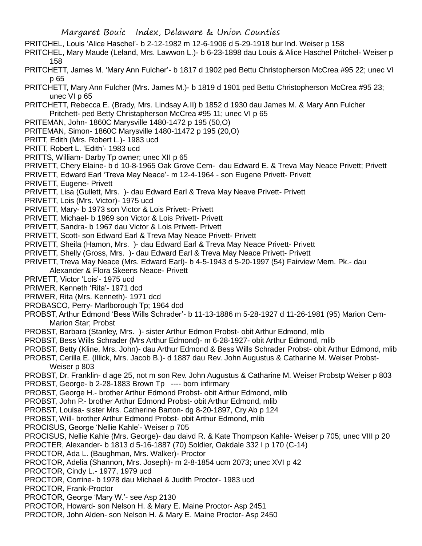- PRITCHEL, Louis 'Alice Haschel'- b 2-12-1982 m 12-6-1906 d 5-29-1918 bur Ind. Weiser p 158
- PRITCHEL, Mary Maude (Leland, Mrs. Lawwon L.)- b 6-23-1898 dau Louis & Alice Haschel Pritchel- Weiser p 158
- PRITCHETT, James M. 'Mary Ann Fulcher'- b 1817 d 1902 ped Bettu Christopherson McCrea #95 22; unec VI p 65
- PRITCHETT, Mary Ann Fulcher (Mrs. James M.)- b 1819 d 1901 ped Bettu Christopherson McCrea #95 23; unec VI p 65
- PRITCHETT, Rebecca E. (Brady, Mrs. Lindsay A.II) b 1852 d 1930 dau James M. & Mary Ann Fulcher Pritchett- ped Betty Christapherson McCrea #95 11; unec VI p 65
- PRITEMAN, John- 1860C Marysville 1480-1472 p 195 (50,O)
- PRITEMAN, Simon- 1860C Marysville 1480-11472 p 195 (20,O)
- PRITT, Edith (Mrs. Robert L.)- 1983 ucd
- PRITT, Robert L. 'Edith'- 1983 ucd
- PRITTS, William- Darby Tp owner; unec XII p 65
- PRIVETT, Chery Elaine- b d 10-8-1965 Oak Grove Cem- dau Edward E. & Treva May Neace Privett; Privett
- PRIVETT, Edward Earl 'Treva May Neace'- m 12-4-1964 son Eugene Privett- Privett
- PRIVETT, Eugene- Privett
- PRIVETT, Lisa (Gullett, Mrs. )- dau Edward Earl & Treva May Neave Privett- Privett
- PRIVETT, Lois (Mrs. Victor)- 1975 ucd
- PRIVETT, Mary- b 1973 son Victor & Lois Privett- Privett
- PRIVETT, Michael- b 1969 son Victor & Lois Privett- Privett
- PRIVETT, Sandra- b 1967 dau Victor & Lois Privett- Privett
- PRIVETT, Scott- son Edward Earl & Treva May Neace Privett- Privett
- PRIVETT, Sheila (Hamon, Mrs. )- dau Edward Earl & Treva May Neace Privett- Privett
- PRIVETT, Shelly (Gross, Mrs. )- dau Edward Earl & Treva May Neace Privett- Privett
- PRIVETT, Treva May Neace (Mrs. Edward Earl)- b 4-5-1943 d 5-20-1997 (54) Fairview Mem. Pk.- dau Alexander & Flora Skeens Neace- Privett
- PRIVETT, Victor 'Lois'- 1975 ucd
- PRIWER, Kenneth 'Rita'- 1971 dcd
- PRIWER, Rita (Mrs. Kenneth)- 1971 dcd
- PROBASCO, Perry- Marlborough Tp; 1964 dcd
- PROBST, Arthur Edmond 'Bess Wills Schrader'- b 11-13-1886 m 5-28-1927 d 11-26-1981 (95) Marion Cem-Marion Star; Probst
- PROBST, Barbara (Stanley, Mrs. )- sister Arthur Edmon Probst- obit Arthur Edmond, mlib
- PROBST, Bess Wills Schrader (Mrs Arthur Edmond)- m 6-28-1927- obit Arthur Edmond, mlib
- PROBST, Betty (Kline, Mrs. John)- dau Arthur Edmond & Bess Wills Schrader Probst- obit Arthur Edmond, mlib
- PROBST, Cerilla E. (Illick, Mrs. Jacob B.)- d 1887 dau Rev. John Augustus & Catharine M. Weiser Probst-
- Weiser p 803
- PROBST, Dr. Franklin- d age 25, not m son Rev. John Augustus & Catharine M. Weiser Probstp Weiser p 803 PROBST, George- b 2-28-1883 Brown Tp ---- born infirmary
- PROBST, George H.- brother Arthur Edmond Probst- obit Arthur Edmond, mlib
- PROBST, John P.- brother Arthur Edmond Probst- obit Arthur Edmond, mlib
- PROBST, Louisa- sister Mrs. Catherine Barton- dg 8-20-1897, Cry Ab p 124
- PROBST, Will- brother Arthur Edmond Probst- obit Arthur Edmond, mlib
- PROCISUS, George 'Nellie Kahle'- Weiser p 705
- PROCISUS, Nellie Kahle (Mrs. George)- dau daivd R. & Kate Thompson Kahle- Weiser p 705; unec VIII p 20 PROCTER, Alexander- b 1813 d 5-16-1887 (70) Soldier, Oakdale 332 I p 170 (C-14)
- PROCTOR, Ada L. (Baughman, Mrs. Walker)- Proctor
- PROCTOR, Adelia (Shannon, Mrs. Joseph)- m 2-8-1854 ucm 2073; unec XVI p 42
- PROCTOR, Cindy L.- 1977, 1979 ucd
- PROCTOR, Corrine- b 1978 dau Michael & Judith Proctor- 1983 ucd
- PROCTOR, Frank-Proctor
- PROCTOR, George 'Mary W.'- see Asp 2130
- PROCTOR, Howard- son Nelson H. & Mary E. Maine Proctor- Asp 2451
- PROCTOR, John Alden- son Nelson H. & Mary E. Maine Proctor- Asp 2450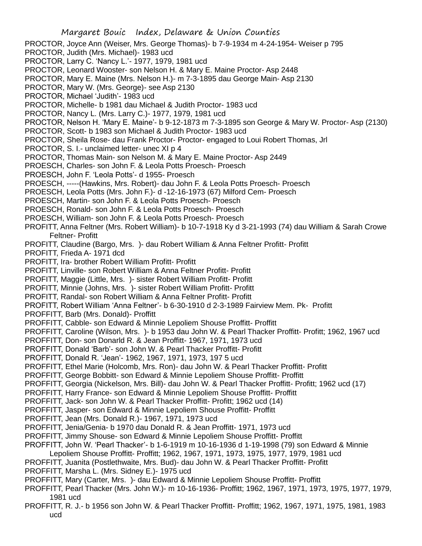- PROCTOR, Joyce Ann (Weiser, Mrs. George Thomas)- b 7-9-1934 m 4-24-1954- Weiser p 795
- PROCTOR, Judith (Mrs. Michael)- 1983 ucd
- PROCTOR, Larry C. 'Nancy L.'- 1977, 1979, 1981 ucd
- PROCTOR, Leonard Wooster- son Nelson H. & Mary E. Maine Proctor- Asp 2448
- PROCTOR, Mary E. Maine (Mrs. Nelson H.)- m 7-3-1895 dau George Main- Asp 2130
- PROCTOR, Mary W. (Mrs. George)- see Asp 2130
- PROCTOR, Michael 'Judith'- 1983 ucd
- PROCTOR, Michelle- b 1981 dau Michael & Judith Proctor- 1983 ucd
- PROCTOR, Nancy L. (Mrs. Larry C.)- 1977, 1979, 1981 ucd
- PROCTOR, Nelson H. 'Mary E. Maine'- b 9-12-1873 m 7-3-1895 son George & Mary W. Proctor- Asp (2130)
- PROCTOR, Scott- b 1983 son Michael & Judith Proctor- 1983 ucd
- PROCTOR, Sheila Rose- dau Frank Proctor- Proctor- engaged to Loui Robert Thomas, Jrl
- PROCTOR, S. I.- unclaimed letter- unec XI p 4
- PROCTOR, Thomas Main- son Nelson M. & Mary E. Maine Proctor- Asp 2449
- PROESCH, Charles- son John F. & Leola Potts Proesch- Proesch
- PROESCH, John F. 'Leola Potts'- d 1955- Proesch
- PROESCH, -----(Hawkins, Mrs. Robert)- dau John F. & Leola Potts Proesch- Proesch
- PROESCH, Leola Potts (Mrs. John F.)- d -12-16-1973 (67) Milford Cem- Proesch
- PROESCH, Martin- son John F. & Leola Potts Proesch- Proesch
- PROESCH, Ronald- son John F. & Leola Potts Proesch- Proesch
- PROESCH, William- son John F. & Leola Potts Proesch- Proesch
- PROFITT, Anna Feltner (Mrs. Robert William)- b 10-7-1918 Ky d 3-21-1993 (74) dau William & Sarah Crowe Feltner- Profitt
- PROFITT, Claudine (Bargo, Mrs. )- dau Robert William & Anna Feltner Profitt- Profitt
- PROFITT, Frieda A- 1971 dcd
- PROFITT, Ira- brother Robert William Profitt- Profitt
- PROFITT, Linville- son Robert William & Anna Feltner Profitt- Profitt
- PROFITT, Maggie (Little, Mrs. )- sister Robert William Profitt- Profitt
- PROFITT, Minnie (Johns, Mrs. )- sister Robert William Profitt- Profitt
- PROFITT, Randal- son Robert William & Anna Feltner Profitt- Profitt
- PROFITT, Robert William 'Anna Feltner'- b 6-30-1910 d 2-3-1989 Fairview Mem. Pk- Profitt
- PROFFITT, Barb (Mrs. Donald)- Proffitt
- PROFFITT, Cabble- son Edward & Minnie Lepoliem Shouse Proffitt- Proffitt
- PROFFITT, Caroline (Wilson, Mrs. )- b 1953 dau John W. & Pearl Thacker Proffitt- Profitt; 1962, 1967 ucd
- PROFFITT, Don- son Donarld R. & Jean Proffitt- 1967, 1971, 1973 ucd
- PROFFITT, Donald 'Barb'- son John W. & Pearl Thacker Proffitt- Profitt
- PROFFITT, Donald R. 'Jean'- 1962, 1967, 1971, 1973, 197 5 ucd
- PROFFITT, Ethel Marie (Holcomb, Mrs. Ron)- dau John W. & Pearl Thacker Proffitt- Profitt
- PROFFITT, George Bobbitt- son Edward & Minnie Lepoliem Shouse Proffitt- Proffitt
- PROFFITT, Georgia (Nickelson, Mrs. Bill)- dau John W. & Pearl Thacker Proffitt- Profitt; 1962 ucd (17)
- PROFFITT, Harry France- son Edward & Minnie Lepoliem Shouse Proffitt- Proffitt
- PROFFITT, Jack- son John W. & Pearl Thacker Proffitt- Profitt; 1962 ucd (14)
- PROFFITT, Jasper- son Edward & Minnie Lepoliem Shouse Proffitt- Proffitt
- PROFFITT, Jean (Mrs. Donald R.)- 1967, 1971, 1973 ucd
- PROFFITT, Jenia/Genia- b 1970 dau Donald R. & Jean Proffitt- 1971, 1973 ucd
- PROFFITT, Jimmy Shouse- son Edward & Minnie Lepoliem Shouse Proffitt- Proffitt
- PROFFITT, John W. 'Pearl Thacker'- b 1-6-1919 m 10-16-1936 d 1-19-1998 (79) son Edward & Minnie
- Lepoliem Shouse Proffitt- Proffitt; 1962, 1967, 1971, 1973, 1975, 1977, 1979, 1981 ucd
- PROFFITT, Juanita (Postlethwaite, Mrs. Bud)- dau John W. & Pearl Thacker Proffitt- Profitt
- PROFFITT, Marsha L. (Mrs. Sidney E.)- 1975 ucd
- PROFFITT, Mary (Carter, Mrs. )- dau Edward & Minnie Lepoliem Shouse Proffitt- Proffitt
- PROFFITT, Pearl Thacker (Mrs. John W.)- m 10-16-1936- Proffitt; 1962, 1967, 1971, 1973, 1975, 1977, 1979, 1981 ucd
- PROFFITT, R. J.- b 1956 son John W. & Pearl Thacker Proffitt- Proffitt; 1962, 1967, 1971, 1975, 1981, 1983 ucd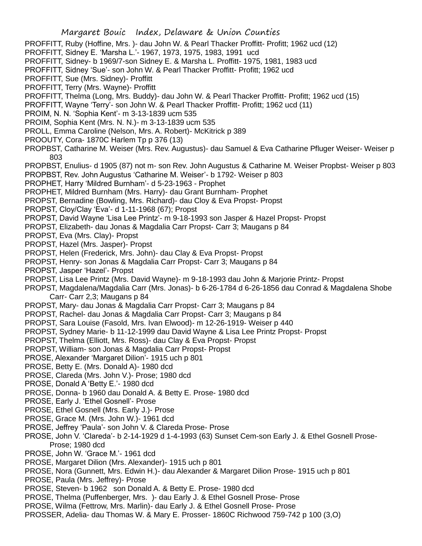- PROFFITT, Ruby (Hoffine, Mrs. )- dau John W. & Pearl Thacker Proffitt- Profitt; 1962 ucd (12)
- PROFFITT, Sidney E. 'Marsha L.'- 1967, 1973, 1975, 1983, 1991 ucd
- PROFFITT, Sidney- b 1969/7-son Sidney E. & Marsha L. Proffitt- 1975, 1981, 1983 ucd
- PROFFITT, Sidney 'Sue'- son John W. & Pearl Thacker Proffitt- Profitt; 1962 ucd
- PROFFITT, Sue (Mrs. Sidney)- Proffitt
- PROFFITT, Terry (Mrs. Wayne)- Proffitt
- PROFFITT, Thelma (Long, Mrs. Buddy)- dau John W. & Pearl Thacker Proffitt- Profitt; 1962 ucd (15)
- PROFFITT, Wayne 'Terry'- son John W. & Pearl Thacker Proffitt- Profitt; 1962 ucd (11)
- PROIM, N. N. 'Sophia Kent'- m 3-13-1839 ucm 535
- PROIM, Sophia Kent (Mrs. N. N.)- m 3-13-1839 ucm 535
- PROLL, Emma Caroline (Nelson, Mrs. A. Robert)- McKitrick p 389
- PROOUTY, Cora- 1870C Harlem Tp p 376 (13)
- PROPBST, Catharine M. Weiser (Mrs. Rev. Augustus)- dau Samuel & Eva Catharine Pfluger Weiser- Weiser p 803
- PROPBST, Enulius- d 1905 (87) not m- son Rev. John Augustus & Catharine M. Weiser Propbst- Weiser p 803
- PROPBST, Rev. John Augustus 'Catharine M. Weiser'- b 1792- Weiser p 803
- PROPHET, Harry 'Mildred Burnham'- d 5-23-1963 Prophet
- PROPHET, Mildred Burnham (Mrs. Harry)- dau Grant Burnham- Prophet
- PROPST, Bernadine (Bowling, Mrs. Richard)- dau Cloy & Eva Propst- Propst
- PROPST, Cloy/Clay 'Eva'- d 1-11-1968 (67); Propst
- PROPST, David Wayne 'Lisa Lee Printz'- m 9-18-1993 son Jasper & Hazel Propst- Propst
- PROPST, Elizabeth- dau Jonas & Magdalia Carr Propst- Carr 3; Maugans p 84
- PROPST, Eva (Mrs. Clay)- Propst
- PROPST, Hazel (Mrs. Jasper)- Propst
- PROPST, Helen (Frederick, Mrs. John)- dau Clay & Eva Propst- Propst
- PROPST, Henry- son Jonas & Magdalia Carr Propst- Carr 3; Maugans p 84
- PROPST, Jasper 'Hazel'- Propst
- PROPST, Lisa Lee Printz (Mrs. David Wayne)- m 9-18-1993 dau John & Marjorie Printz- Propst
- PROPST, Magdalena/Magdalia Carr (Mrs. Jonas)- b 6-26-1784 d 6-26-1856 dau Conrad & Magdalena Shobe Carr- Carr 2,3; Maugans p 84
- PROPST, Mary- dau Jonas & Magdalia Carr Propst- Carr 3; Maugans p 84
- PROPST, Rachel- dau Jonas & Magdalia Carr Propst- Carr 3; Maugans p 84
- PROPST, Sara Louise (Fasold, Mrs. Ivan Elwood)- m 12-26-1919- Weiser p 440
- PROPST, Sydney Marie- b 11-12-1999 dau David Wayne & Lisa Lee Printz Propst- Propst
- PROPST, Thelma (Elliott, Mrs. Ross)- dau Clay & Eva Propst- Propst
- PROPST, William- son Jonas & Magdalia Carr Propst- Propst
- PROSE, Alexander 'Margaret Dilion'- 1915 uch p 801
- PROSE, Betty E. (Mrs. Donald A)- 1980 dcd
- PROSE, Clareda (Mrs. John V.)- Prose; 1980 dcd
- PROSE, Donald A 'Betty E.'- 1980 dcd
- PROSE, Donna- b 1960 dau Donald A. & Betty E. Prose- 1980 dcd
- PROSE, Early J. 'Ethel Gosnell'- Prose
- PROSE, Ethel Gosnell (Mrs. Early J.)- Prose
- PROSE, Grace M. (Mrs. John W.)- 1961 dcd
- PROSE, Jeffrey 'Paula'- son John V. & Clareda Prose- Prose
- PROSE, John V. 'Clareda'- b 2-14-1929 d 1-4-1993 (63) Sunset Cem-son Early J. & Ethel Gosnell Prose-Prose; 1980 dcd
- PROSE, John W. 'Grace M.'- 1961 dcd
- PROSE, Margaret Dilion (Mrs. Alexander)- 1915 uch p 801
- PROSE, Nora (Gunnett, Mrs. Edwin H.)- dau Alexander & Margaret Dilion Prose- 1915 uch p 801
- PROSE, Paula (Mrs. Jeffrey)- Prose
- PROSE, Steven- b 1962 son Donald A. & Betty E. Prose- 1980 dcd
- PROSE, Thelma (Puffenberger, Mrs. )- dau Early J. & Ethel Gosnell Prose- Prose
- PROSE, Wilma (Fettrow, Mrs. Marlin)- dau Early J. & Ethel Gosnell Prose- Prose
- PROSSER, Adelia- dau Thomas W. & Mary E. Prosser- 1860C Richwood 759-742 p 100 (3,O)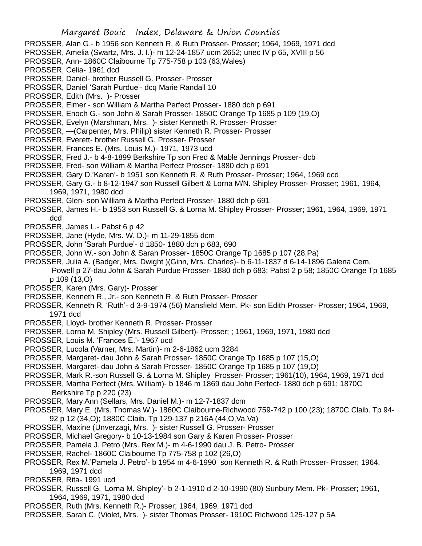PROSSER, Alan G.- b 1956 son Kenneth R. & Ruth Prosser- Prosser; 1964, 1969, 1971 dcd

- PROSSER, Amelia (Swartz, Mrs. J. I.)- m 12-24-1857 ucm 2652; unec IV p 65, XVIII p 56
- PROSSER, Ann- 1860C Claibourne Tp 775-758 p 103 (63,Wales)
- PROSSER, Celia- 1961 dcd
- PROSSER, Daniel- brother Russell G. Prosser- Prosser
- PROSSER, Daniel 'Sarah Purdue'- dcq Marie Randall 10
- PROSSER, Edith (Mrs. )- Prosser
- PROSSER, Elmer son William & Martha Perfect Prosser- 1880 dch p 691
- PROSSER, Enoch G.- son John & Sarah Prosser- 1850C Orange Tp 1685 p 109 (19,O)
- PROSSER, Evelyn (Marshman, Mrs. )- sister Kenneth R. Prosser- Prosser
- PROSSER, —(Carpenter, Mrs. Philip) sister Kenneth R. Prosser- Prosser
- PROSSER, Everett- brother Russell G. Prosser- Prosser
- PROSSER, Frances E. (Mrs. Louis M.)- 1971, 1973 ucd
- PROSSER, Fred J.- b 4-8-1899 Berkshire Tp son Fred & Mable Jennings Prosser- dcb
- PROSSER, Fred- son William & Martha Perfect Prosser- 1880 dch p 691
- PROSSER, Gary D.'Karen'- b 1951 son Kenneth R. & Ruth Prosser- Prosser; 1964, 1969 dcd
- PROSSER, Gary G.- b 8-12-1947 son Russell Gilbert & Lorna M/N. Shipley Prosser- Prosser; 1961, 1964, 1969, 1971, 1980 dcd
- PROSSER, Glen- son William & Martha Perfect Prosser- 1880 dch p 691
- PROSSER, James H.- b 1953 son Russell G. & Lorna M. Shipley Prosser- Prosser; 1961, 1964, 1969, 1971 dcd
- PROSSER, James L.- Pabst 6 p 42
- PROSSER, Jane (Hyde, Mrs. W. D.)- m 11-29-1855 dcm
- PROSSER, John 'Sarah Purdue'- d 1850- 1880 dch p 683, 690
- PROSSER, John W.- son John & Sarah Prosser- 1850C Orange Tp 1685 p 107 (28,Pa)
- PROSSER, Julia A. (Badger, Mrs. Dwight )(Ginn, Mrs. Charles)- b 6-11-1837 d 6-14-1896 Galena Cem, Powell p 27-dau John & Sarah Purdue Prosser- 1880 dch p 683; Pabst 2 p 58; 1850C Orange Tp 1685
	- p 109 (13,O)
- PROSSER, Karen (Mrs. Gary)- Prosser
- PROSSER, Kenneth R., Jr.- son Kenneth R. & Ruth Prosser- Prosser
- PROSSER, Kenneth R. 'Ruth'- d 3-9-1974 (56) Mansfield Mem. Pk- son Edith Prosser- Prosser; 1964, 1969, 1971 dcd
- PROSSER, Lloyd- brother Kenneth R. Prosser- Prosser
- PROSSER, Lorna M. Shipley (Mrs. Russell Gilbert)- Prosser; ; 1961, 1969, 1971, 1980 dcd
- PROSSER, Louis M. 'Frances E.'- 1967 ucd
- PROSSER, Lucola (Varner, Mrs. Martin)- m 2-6-1862 ucm 3284
- PROSSER, Margaret- dau John & Sarah Prosser- 1850C Orange Tp 1685 p 107 (15,O)
- PROSSER, Margaret- dau John & Sarah Prosser- 1850C Orange Tp 1685 p 107 (19,O)
- PROSSER, Mark R.-son Russell G. & Lorna M. Shipley Prosser- Prosser; 1961(10), 1964, 1969, 1971 dcd
- PROSSER, Martha Perfect (Mrs. William)- b 1846 m 1869 dau John Perfect- 1880 dch p 691; 1870C Berkshire Tp p 220 (23)
- PROSSER, Mary Ann (Sellars, Mrs. Daniel M.)- m 12-7-1837 dcm
- PROSSER, Mary E. (Mrs. Thomas W.)- 1860C Claibourne-Richwood 759-742 p 100 (23); 1870C Claib. Tp 94- 92 p 12 (34,O); 1880C Claib. Tp 129-137 p 216A (44,O,Va,Va)
- PROSSER, Maxine (Unverzagi, Mrs. )- sister Russell G. Prosser- Prosser
- PROSSER, Michael Gregory- b 10-13-1984 son Gary & Karen Prosser- Prosser
- PROSSER, Pamela J. Petro (Mrs. Rex M.)- m 4-6-1990 dau J. B. Petro- Prosser
- PROSSER, Rachel- 1860C Claibourne Tp 775-758 p 102 (26,O)
- PROSSER, Rex M.'Pamela J. Petro'- b 1954 m 4-6-1990 son Kenneth R. & Ruth Prosser- Prosser; 1964, 1969, 1971 dcd
- PROSSER, Rita- 1991 ucd
- PROSSER, Russell G. 'Lorna M. Shipley'- b 2-1-1910 d 2-10-1990 (80) Sunbury Mem. Pk- Prosser; 1961, 1964, 1969, 1971, 1980 dcd
- PROSSER, Ruth (Mrs. Kenneth R.)- Prosser; 1964, 1969, 1971 dcd
- PROSSER, Sarah C. (Violet, Mrs. )- sister Thomas Prosser- 1910C Richwood 125-127 p 5A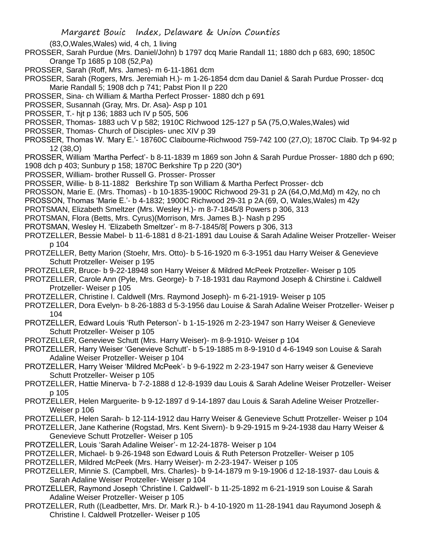(83,O,Wales,Wales) wid, 4 ch, 1 living

- PROSSER, Sarah Purdue (Mrs. Daniel/John) b 1797 dcq Marie Randall 11; 1880 dch p 683, 690; 1850C Orange Tp 1685 p 108 (52,Pa)
- PROSSER, Sarah (Roff, Mrs. James)- m 6-11-1861 dcm
- PROSSER, Sarah (Rogers, Mrs. Jeremiah H.)- m 1-26-1854 dcm dau Daniel & Sarah Purdue Prosser- dcq Marie Randall 5; 1908 dch p 741; Pabst Pion II p 220
- PROSSER, Sina- ch William & Martha Perfect Prosser- 1880 dch p 691
- PROSSER, Susannah (Gray, Mrs. Dr. Asa)- Asp p 101
- PROSSER, T.- hjt p 136; 1883 uch IV p 505, 506
- PROSSER, Thomas- 1883 uch V p 582; 1910C Richwood 125-127 p 5A (75,O,Wales,Wales) wid
- PROSSER, Thomas- Church of Disciples- unec XIV p 39
- PROSSER, Thomas W. 'Mary E.'- 18760C Claibourne-Richwood 759-742 100 (27,O); 1870C Claib. Tp 94-92 p 12 (38,O)
- PROSSER, William 'Martha Perfect'- b 8-11-1839 m 1869 son John & Sarah Purdue Prosser- 1880 dch p 690; 1908 dch p 403; Sunbury p 158; 1870C Berkshire Tp p 220 (30\*)
- PROSSER, William- brother Russell G. Prosser- Prosser
- PROSSER, Willie- b 8-11-1882 Berkshire Tp son William & Martha Perfect Prosser- dcb
- PROSSON, Marie E. (Mrs. Thomas) b 10-1835-1900C Richwood 29-31 p 2A (64,O,Md,Md) m 42y, no ch
- PROSSON, Thomas 'Marie E.'- b 4-1832; 1900C Richwood 29-31 p 2A (69, O, Wales,Wales) m 42y
- PROTSMAN, Elizabeth Smeltzer (Mrs. Wesley H.)- m 8-7-1845/8 Powers p 306, 313
- PROTSMAN, Flora (Betts, Mrs. Cyrus)(Morrison, Mrs. James B.)- Nash p 295
- PROTSMAN, Wesley H. 'Elizabeth Smeltzer'- m 8-7-1845/8[ Powers p 306, 313
- PROTZELLER, Bessie Mabel- b 11-6-1881 d 8-21-1891 dau Louise & Sarah Adaline Weiser Protzeller- Weiser p 104
- PROTZELLER, Betty Marion (Stoehr, Mrs. Otto)- b 5-16-1920 m 6-3-1951 dau Harry Weiser & Genevieve Schutt Protzeller- Weiser p 195
- PROTZELLER, Bruce- b 9-22-18948 son Harry Weiser & Mildred McPeek Protzeller- Weiser p 105
- PROTZELLER, Carole Ann (Pyle, Mrs. George)- b 7-18-1931 dau Raymond Joseph & Chirstine i. Caldwell Protzeller- Weiser p 105
- PROTZELLER, Christine I. Caldwell (Mrs. Raymond Joseph)- m 6-21-1919- Weiser p 105
- PROTZELLER, Dora Evelyn- b 8-26-1883 d 5-3-1956 dau Louise & Sarah Adaline Weiser Protzeller- Weiser p 104
- PROTZELLER, Edward Louis 'Ruth Peterson'- b 1-15-1926 m 2-23-1947 son Harry Weiser & Genevieve Schutt Protzeller- Weiser p 105
- PROTZELLER, Genevieve Schutt (Mrs. Harry Weiser)- m 8-9-1910- Weiser p 104
- PROTZELLER, Harry Weiser 'Genevieve Schutt'- b 5-19-1885 m 8-9-1910 d 4-6-1949 son Louise & Sarah Adaline Weiser Protzeller- Weiser p 104
- PROTZELLER, Harry Weiser 'Mildred McPeek'- b 9-6-1922 m 2-23-1947 son Harry weiser & Genevieve Schutt Protzeller- Weiser p 105
- PROTZELLER, Hattie Minerva- b 7-2-1888 d 12-8-1939 dau Louis & Sarah Adeline Weiser Protzeller- Weiser p 105
- PROTZELLER, Helen Marguerite- b 9-12-1897 d 9-14-1897 dau Louis & Sarah Adeline Weiser Protzeller-Weiser p 106
- PROTZELLER, Helen Sarah- b 12-114-1912 dau Harry Weiser & Genevieve Schutt Protzeller- Weiser p 104
- PROTZELLER, Jane Katherine (Rogstad, Mrs. Kent Sivern)- b 9-29-1915 m 9-24-1938 dau Harry Weiser & Genevieve Schutt Protzeller- Weiser p 105
- PROTZELLER, Louis 'Sarah Adaline Weiser'- m 12-24-1878- Weiser p 104
- PROTZELLER, Michael- b 9-26-1948 son Edward Louis & Ruth Peterson Protzeller- Weiser p 105
- PROTZELLER, Mildred McPeek (Mrs. Harry Weiser)- m 2-23-1947- Weiser p 105
- PROTZELLER, Minnie S. (Campbell, Mrs. Charles)- b 9-14-1879 m 9-19-1906 d 12-18-1937- dau Louis & Sarah Adaline Weiser Protzeller- Weiser p 104
- PROTZELLER, Raymond Joseph 'Christine I. Caldwell'- b 11-25-1892 m 6-21-1919 son Louise & Sarah Adaline Weiser Protzeller- Weiser p 105
- PROTZELLER, Ruth ((Leadbetter, Mrs. Dr. Mark R.)- b 4-10-1920 m 11-28-1941 dau Rayumond Joseph & Christine I. Caldwell Protzeller- Weiser p 105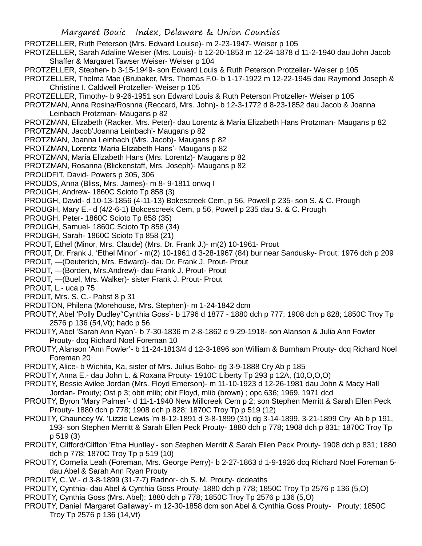PROTZELLER, Ruth Peterson (Mrs. Edward Louise)- m 2-23-1947- Weiser p 105

PROTZELLER, Sarah Adaline Weiser (Mrs. Louis)- b 12-20-1853 m 12-24-1878 d 11-2-1940 dau John Jacob Shaffer & Margaret Tawser Weiser- Weiser p 104

PROTZELLER, Stephen- b 3-15-1949- son Edward Louis & Ruth Peterson Protzeller- Weiser p 105

PROTZELLER, Thelma Mae (Brubaker, Mrs. Thomas F.0- b 1-17-1922 m 12-22-1945 dau Raymond Joseph & Christine I. Caldwell Protzeller- Weiser p 105

- PROTZELLER, Timothy- b 9-26-1951 son Edward Louis & Ruth Peterson Protzeller- Weiser p 105
- PROTZMAN, Anna Rosina/Rosnna (Reccard, Mrs. John)- b 12-3-1772 d 8-23-1852 dau Jacob & Joanna Leinbach Protzman- Maugans p 82

PROTZMAN, Elizabeth (Racker, Mrs. Peter)- dau Lorentz & Maria Elizabeth Hans Protzman- Maugans p 82

- PROTZMAN, Jacob'Joanna Leinbach'- Maugans p 82
- PROTZMAN, Joanna Leinbach (Mrs. Jacob)- Maugans p 82
- PROTZMAN, Lorentz 'Maria Elizabeth Hans'- Maugans p 82
- PROTZMAN, Maria Elizabeth Hans (Mrs. Lorentz)- Maugans p 82
- PROTZMAN, Rosanna (Blickenstaff, Mrs. Joseph)- Maugans p 82
- PROUDFIT, David- Powers p 305, 306
- PROUDS, Anna (Bliss, Mrs. James)- m 8- 9-1811 onwq I
- PROUGH, Andrew- 1860C Scioto Tp 858 (3)
- PROUGH, David- d 10-13-1856 (4-11-13) Bokescreek Cem, p 56, Powell p 235- son S. & C. Prough
- PROUGH, Mary E.- d (4/2-6-1) Bokcescreek Cem, p 56, Powell p 235 dau S. & C. Prough
- PROUGH, Peter- 1860C Scioto Tp 858 (35)
- PROUGH, Samuel- 1860C Scioto Tp 858 (34)
- PROUGH, Sarah- 1860C Scioto Tp 858 (21)
- PROUT, Ethel (Minor, Mrs. Claude) (Mrs. Dr. Frank J.)- m(2) 10-1961- Prout
- PROUT, Dr. Frank J. 'Ethel Minor' m(2) 10-1961 d 3-28-1967 (84) bur near Sandusky- Prout; 1976 dch p 209
- PROUT, —(Deuterich, Mrs. Edward)- dau Dr. Frank J. Prout- Prout
- PROUT, —(Borden, Mrs.Andrew)- dau Frank J. Prout- Prout
- PROUT, —(Buel, Mrs. Walker)- sister Frank J. Prout- Prout
- PROUT, L.- uca p 75
- PROUT, Mrs. S. C.- Pabst 8 p 31
- PROUTON, Philena (Morehouse, Mrs. Stephen)- m 1-24-1842 dcm
- PROUTY, Abel 'Polly Dudley''Cynthia Goss'- b 1796 d 1877 1880 dch p 777; 1908 dch p 828; 1850C Troy Tp 2576 p 136 (54,Vt); hadc p 56
- PROUTY, Abel 'Sarah Ann Ryan'- b 7-30-1836 m 2-8-1862 d 9-29-1918- son Alanson & Julia Ann Fowler Prouty- dcq Richard Noel Foreman 10
- PROUTY, Alanson 'Ann Fowler'- b 11-24-1813/4 d 12-3-1896 son William & Burnham Prouty- dcq Richard Noel Foreman 20
- PROUTY, Alice- b Wichita, Ka, sister of Mrs. Julius Bobo- dg 3-9-1888 Cry Ab p 185
- PROUTY, Anna E.- dau John L. & Roxana Prouty- 1910C Liberty Tp 293 p 12A, (10,O,O,O)
- PROUTY, Bessie Avilee Jordan (Mrs. Floyd Emerson)- m 11-10-1923 d 12-26-1981 dau John & Macy Hall Jordan- Prouty; Ost p 3; obit mlib; obit Floyd, mlib (brown) ; opc 636; 1969, 1971 dcd
- PROUTY, Byron 'Mary Palmer'- d 11-1-1940 New Millcreek Cem p 2; son Stephen Merritt & Sarah Ellen Peck Prouty- 1880 dch p 778; 1908 dch p 828; 1870C Troy Tp p 519 (12)
- PROUTY, Chauncey W. 'Lizzie Lewis 'm 8-12-1891 d 3-8-1899 (31) dg 3-14-1899, 3-21-1899 Cry Ab b p 191, 193- son Stephen Merritt & Sarah Ellen Peck Prouty- 1880 dch p 778; 1908 dch p 831; 1870C Troy Tp p 519 (3)
- PROUTY, Clifford/Clifton 'Etna Huntley'- son Stephen Merritt & Sarah Ellen Peck Prouty- 1908 dch p 831; 1880 dch p 778; 1870C Troy Tp p 519 (10)
- PROUTY, Cornelia Leah (Foreman, Mrs. George Perry)- b 2-27-1863 d 1-9-1926 dcq Richard Noel Foreman 5 dau Abel & Sarah Ann Ryan Prouty
- PROUTY, C. W.- d 3-8-1899 (31-7-7) Radnor- ch S. M. Prouty- dcdeaths
- PROUTY, Cynthia- dau Abel & Cynthia Goss Prouty- 1880 dch p 778; 1850C Troy Tp 2576 p 136 (5,O)
- PROUTY, Cynthia Goss (Mrs. Abel); 1880 dch p 778; 1850C Troy Tp 2576 p 136 (5,O)
- PROUTY, Daniel 'Margaret Gallaway'- m 12-30-1858 dcm son Abel & Cynthia Goss Prouty- Prouty; 1850C Troy Tp 2576 p 136 (14,Vt)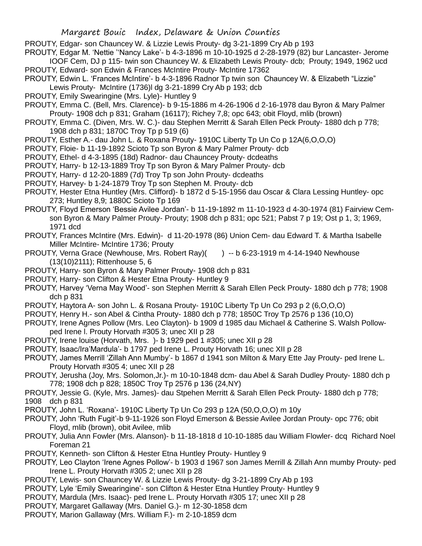PROUTY, Edgar- son Chauncey W. & Lizzie Lewis Prouty- dg 3-21-1899 Cry Ab p 193

PROUTY, Edgar M. 'Nettie ''Nancy Lake'- b 4-3-1896 m 10-10-1925 d 2-28-1979 (82) bur Lancaster- Jerome IOOF Cem, DJ p 115- twin son Chauncey W. & Elizabeth Lewis Prouty- dcb; Prouty; 1949, 1962 ucd PROUTY, Edward- son Edwin & Frances McIntire Prouty- McIntire 17362

- PROUTY, Edwin L. 'Frances McIntire'- b 4-3-1896 Radnor Tp twin son Chauncey W. & Elizabeth "Lizzie" Lewis Prouty- McIntire (1736)l dg 3-21-1899 Cry Ab p 193; dcb
- PROUTY, Emily Swearingine (Mrs. Lyle)- Huntley 9
- PROUTY, Emma C. (Bell, Mrs. Clarence)- b 9-15-1886 m 4-26-1906 d 2-16-1978 dau Byron & Mary Palmer Prouty- 1908 dch p 831; Graham (16117); Richey 7,8; opc 643; obit Floyd, mlib (brown)
- PROUTY, Emma C. (Diven, Mrs. W. C.)- dau Stephen Merritt & Sarah Ellen Peck Prouty- 1880 dch p 778; 1908 dch p 831; 1870C Troy Tp p 519 (6)
- PROUTY, Esther A.- dau John L. & Roxana Prouty- 1910C Liberty Tp Un Co p 12A(6,O,O,O)
- PROUTY, Floie- b 11-19-1892 Scioto Tp son Byron & Mary Palmer Prouty- dcb
- PROUTY, Ethel- d 4-3-1895 (18d) Radnor- dau Chauncey Prouty- dcdeaths
- PROUTY, Harry- b 12-13-1889 Troy Tp son Byron & Mary Palmer Prouty- dcb
- PROUTY, Harry- d 12-20-1889 (7d) Troy Tp son John Prouty- dcdeaths
- PROUTY, Harvey- b 1-24-1879 Troy Tp son Stephen M. Prouty- dcb
- PROUTY, Hester Etna Huntley (Mrs. Clifford)- b 1872 d 5-15-1956 dau Oscar & Clara Lessing Huntley- opc 273; Huntley 8,9; 1880C Scioto Tp 169
- PROUTY, Floyd Emerson 'Bessie Avilee Jordan'- b 11-19-1892 m 11-10-1923 d 4-30-1974 (81) Fairview Cemson Byron & Mary Palmer Prouty- Prouty; 1908 dch p 831; opc 521; Pabst 7 p 19; Ost p 1, 3; 1969, 1971 dcd
- PROUTY, Frances McIntire (Mrs. Edwin)- d 11-20-1978 (86) Union Cem- dau Edward T. & Martha Isabelle Miller McIntire- McIntire 1736; Prouty
- PROUTY, Verna Grace (Newhouse, Mrs. Robert Ray)( ) -- b 6-23-1919 m 4-14-1940 Newhouse (13(10)2111); Rittenhouse 5, 6
- PROUTY, Harry- son Byron & Mary Palmer Prouty- 1908 dch p 831
- PROUTY, Harry- son Clifton & Hester Etna Prouty- Huntley 9
- PROUTY, Harvey 'Verna May Wood'- son Stephen Merritt & Sarah Ellen Peck Prouty- 1880 dch p 778; 1908 dch p 831
- PROUTY, Haytora A- son John L. & Rosana Prouty- 1910C Liberty Tp Un Co 293 p 2 (6,O,O,O)
- PROUTY, Henry H.- son Abel & Cintha Prouty- 1880 dch p 778; 1850C Troy Tp 2576 p 136 (10,O)
- PROUTY, Irene Agnes Pollow (Mrs. Leo Clayton)- b 1909 d 1985 dau Michael & Catherine S. Walsh Pollowped Irene l. Prouty Horvath #305 3; unec XII p 28
- PROUTY, Irene louise (Horvath, Mrs. )- b 1929 ped 1 #305; unec XII p 28
- PROUTY, Isaac/Ira'Mardula'- b 1797 ped Irene L. Prouty Horvath 16; unec XII p 28
- PROUTY, James Merrill 'Zillah Ann Mumby'- b 1867 d 1941 son Milton & Mary Ette Jay Prouty- ped Irene L. Prouty Horvath #305 4; unec XII p 28
- PROUTY, Jerusha (Joy, Mrs. Solomon,Jr.)- m 10-10-1848 dcm- dau Abel & Sarah Dudley Prouty- 1880 dch p 778; 1908 dch p 828; 1850C Troy Tp 2576 p 136 (24,NY)
- PROUTY, Jessie G. (Kyle, Mrs. James)- dau Stpehen Merritt & Sarah Ellen Peck Prouty- 1880 dch p 778; 1908 dch p 831
- PROUTY, John L. 'Roxana'- 1910C Liberty Tp Un Co 293 p 12A (50,O,O,O) m 10y
- PROUTY, John 'Ruth Fugit'-b 9-11-1926 son Floyd Emerson & Bessie Avilee Jordan Prouty- opc 776; obit Floyd, mlib (brown), obit Avilee, mlib
- PROUTY, Julia Ann Fowler (Mrs. Alanson)- b 11-18-1818 d 10-10-1885 dau William Flowler- dcq Richard Noel Foreman 21
- PROUTY, Kenneth- son Clifton & Hester Etna Huntley Prouty- Huntley 9
- PROUTY, Leo Clayton 'Irene Agnes Pollow'- b 1903 d 1967 son James Merrill & Zillah Ann mumby Prouty- ped Irene L. Prouty Horvath #305 2; unec XII p 28
- PROUTY, Lewis- son Chauncey W. & Lizzie Lewis Prouty- dg 3-21-1899 Cry Ab p 193
- PROUTY, Lyle 'Emily Swearingine'- son Clifton & Hester Etna Huntley Prouty- Huntley 9
- PROUTY, Mardula (Mrs. Isaac)- ped Irene L. Prouty Horvath #305 17; unec XII p 28
- PROUTY, Margaret Gallaway (Mrs. Daniel G.)- m 12-30-1858 dcm
- PROUTY, Marion Gallaway (Mrs. William F.)- m 2-10-1859 dcm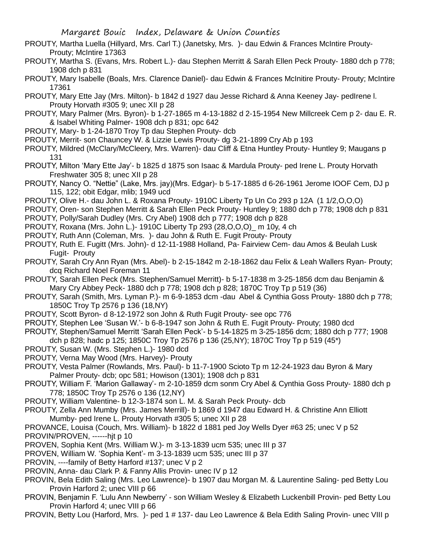- PROUTY, Martha Luella (Hillyard, Mrs. Carl T.) (Janetsky, Mrs. )- dau Edwin & Frances McIntire Prouty-Prouty; McIntire 17363
- PROUTY, Martha S. (Evans, Mrs. Robert L.)- dau Stephen Merritt & Sarah Ellen Peck Prouty- 1880 dch p 778; 1908 dch p 831
- PROUTY, Mary Isabelle (Boals, Mrs. Clarence Daniel)- dau Edwin & Frances McInitire Prouty- Prouty; McIntire 17361
- PROUTY, Mary Ette Jay (Mrs. Milton)- b 1842 d 1927 dau Jesse Richard & Anna Keeney Jay- pedIrene l. Prouty Horvath #305 9; unec XII p 28
- PROUTY, Mary Palmer (Mrs. Byron)- b 1-27-1865 m 4-13-1882 d 2-15-1954 New Millcreek Cem p 2- dau E. R. & Isabel Whiting Palmer- 1908 dch p 831; opc 642
- PROUTY, Mary- b 1-24-1870 Troy Tp dau Stephen Prouty- dcb
- PROUTY, Merrit- son Chauncey W. & Lizzie Lewis Prouty- dg 3-21-1899 Cry Ab p 193
- PROUTY, Mildred (McClary/McCleery, Mrs. Warren)- dau Cliff & Etna Huntley Prouty- Huntley 9; Maugans p 131
- PROUTY, Milton 'Mary Ette Jay'- b 1825 d 1875 son Isaac & Mardula Prouty- ped Irene L. Prouty Horvath Freshwater 305 8; unec XII p 28
- PROUTY, Nancy O. "Nettie" (Lake, Mrs. jay)(Mrs. Edgar)- b 5-17-1885 d 6-26-1961 Jerome IOOF Cem, DJ p 115, 122; obit Edgar, mlib; 1949 ucd
- PROUTY, Olive H.- dau John L. & Roxana Prouty- 1910C Liberty Tp Un Co 293 p 12A (1 1/2,O,O,O)
- PROUTY, Oren- son Stephen Merritt & Sarah Ellen Peck Prouty- Huntley 9; 1880 dch p 778; 1908 dch p 831 PROUTY, Polly/Sarah Dudley (Mrs. Cry Abel) 1908 dch p 777; 1908 dch p 828
- PROUTY, Roxana (Mrs. John L.)- 1910C Liberty Tp 293 (28,O,O,O)\_ m 10y, 4 ch
- PROUTY, Ruth Ann (Coleman, Mrs. )- dau John & Ruth E. Fugit Prouty- Prouty
- PROUTY, Ruth E. Fugitt (Mrs. John)- d 12-11-1988 Holland, Pa- Fairview Cem- dau Amos & Beulah Lusk Fugit- Prouty
- PROUTY, Sarah Cry Ann Ryan (Mrs. Abel)- b 2-15-1842 m 2-18-1862 dau Felix & Leah Wallers Ryan- Prouty; dcq Richard Noel Foreman 11
- PROUTY, Sarah Ellen Peck (Mrs. Stephen/Samuel Merritt)- b 5-17-1838 m 3-25-1856 dcm dau Benjamin & Mary Cry Abbey Peck- 1880 dch p 778; 1908 dch p 828; 1870C Troy Tp p 519 (36)
- PROUTY, Sarah (Smith, Mrs. Lyman P.)- m 6-9-1853 dcm -dau Abel & Cynthia Goss Prouty- 1880 dch p 778; 1850C Troy Tp 2576 p 136 (18,NY)
- PROUTY, Scott Byron- d 8-12-1972 son John & Ruth Fugit Prouty- see opc 776
- PROUTY, Stephen Lee 'Susan W.'- b 6-8-1947 son John & Ruth E. Fugit Prouty- Prouty; 1980 dcd
- PROUTY, Stephen/Samuel Merritt 'Sarah Ellen Peck'- b 5-14-1825 m 3-25-1856 dcm; 1880 dch p 777; 1908 dch p 828; hadc p 125; 1850C Troy Tp 2576 p 136 (25,NY); 1870C Troy Tp p 519 (45\*)
- PROUTY, Susan W. (Mrs. Stephen L.)- 1980 dcd
- PROUTY, Verna May Wood (Mrs. Harvey)- Prouty
- PROUTY, Vesta Palmer (Rowlands, Mrs. Paul)- b 11-7-1900 Scioto Tp m 12-24-1923 dau Byron & Mary Palmer Prouty- dcb; opc 581; Howison (1301); 1908 dch p 831
- PROUTY, William F. 'Marion Gallaway'- m 2-10-1859 dcm sonm Cry Abel & Cynthia Goss Prouty- 1880 dch p 778; 1850C Troy Tp 2576 o 136 (12,NY)
- PROUTY, William Valentine- b 12-3-1874 son L. M. & Sarah Peck Prouty- dcb
- PROUTY, Zella Ann Mumby (Mrs. James Merrill)- b 1869 d 1947 dau Edward H. & Christine Ann Elliott Mumby- ped Irene L. Prouty Horvath #305 5; unec XII p 28
- PROVANCE, Louisa (Couch, Mrs. William)- b 1822 d 1881 ped Joy Wells Dyer #63 25; unec V p 52 PROVIN/PROVEN, ------hjt p 10
- PROVEN, Sophia Kent (Mrs. William W.)- m 3-13-1839 ucm 535; unec III p 37
- PROVEN, William W. 'Sophia Kent'- m 3-13-1839 ucm 535; unec III p 37
- PROVIN, ----family of Betty Harford #137; unec V p 2
- PROVIN, Anna- dau Clark P. & Fanny Allis Provin- unec IV p 12
- PROVIN, Bela Edith Saling (Mrs. Leo Lawrence)- b 1907 dau Morgan M. & Laurentine Saling- ped Betty Lou Provin Harford 2; unec VIII p 66
- PROVIN, Benjamin F. 'Lulu Ann Newberry' son William Wesley & Elizabeth Luckenbill Provin- ped Betty Lou Provin Harford 4; unec VIII p 66
- PROVIN, Betty Lou (Harford, Mrs. )- ped 1 # 137- dau Leo Lawrence & Bela Edith Saling Provin- unec VIII p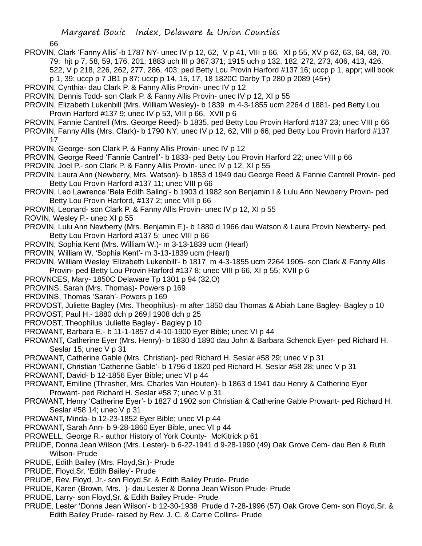66

- PROVIN, Clark 'Fanny Allis"-b 1787 NY- unec IV p 12, 62, V p 41, VIII p 66, XI p 55, XV p 62, 63, 64, 68, 70. 79; hjt p 7, 58, 59, 176, 201; 1883 uch III p 367,371; 1915 uch p 132, 182, 272, 273, 406, 413, 426, 522, V p 218, 226, 262, 277, 286, 403; ped Betty Lou Provin Harford #137 16; uccp p 1, appr; will book p 1, 39; uccp p 7 JB1 p 87; uccp p 14, 15, 17, 18 1820C Darby Tp 280 p 2089 (45+)
- PROVIN, Cynthia- dau Clark P. & Fanny Allis Provin- unec IV p 12
- PROVIN, Dennis Todd- son Clark P. & Fanny Allis Provin- unec IV p 12, XI p 55
- PROVIN, Elizabeth Lukenbill (Mrs. William Wesley)- b 1839 m 4-3-1855 ucm 2264 d 1881- ped Betty Lou Provin Harford #137 9; unec IV p 53, VIII p 66, XVII p 6
- PROVIN, Fannie Cantrell (Mrs. George Reed)- b 1835, ped Betty Lou Provin Harford #137 23; unec VIII p 66
- PROVIN, Fanny Allis (Mrs. Clark)- b 1790 NY; unec IV p 12, 62, VIII p 66; ped Betty Lou Provin Harford #137 17
- PROVIN, George- son Clark P. & Fanny Allis Provin- unec IV p 12
- PROVIN, George Reed 'Fannie Cantrell'- b 1833- ped Betty Lou Provin Harford 22; unec VIII p 66
- PROVIN, Joel P.- son Clark P. & Fanny Allis Provin- unec IV p 12, XI p 55
- PROVIN, Laura Ann (Newberry, Mrs. Watson)- b 1853 d 1949 dau George Reed & Fannie Cantrell Provin- ped Betty Lou Provin Harford #137 11; unec VIII p 66
- PROVIN, Leo Lawrence 'Bela Edith Saling'- b 1903 d 1982 son Benjamin I & Lulu Ann Newberry Provin- ped Betty Lou Provin Harford, #137 2; unec VIII p 66
- PROVIN, Leonard- son Clark P. & Fanny Allis Provin- unec IV p 12, XI p 55
- ROVIN, Wesley P.- unec XI p 55
- PROVIN, Lulu Ann Newberry (Mrs. Benjamin F.)- b 1880 d 1966 dau Watson & Laura Provin Newberry- ped Betty Lou Provin Harford #137 5; unec VIII p 66
- PROVIN, Sophia Kent (Mrs. William W.)- m 3-13-1839 ucm (Hearl)
- PROVIN, William W. 'Sophia Kent'- m 3-13-1839 ucm (Hearl)
- PROVIN, William Wesley 'Elizabeth Lukenbill'- b 1817 m 4-3-1855 ucm 2264 1905- son Clark & Fanny Allis Provin- ped Betty Lou Provin Harford #137 8; unec VIII p 66, XI p 55; XVII p 6
- PROVNCES, Mary- 1850C Delaware Tp 1301 p 94 (32,O)
- PROVINS, Sarah (Mrs. Thomas)- Powers p 169
- PROVINS, Thomas 'Sarah'- Powers p 169
- PROVOST, Juliette Bagley (Mrs. Theophilus)- m after 1850 dau Thomas & Abiah Lane Bagley- Bagley p 10
- PROVOST, Paul H.- 1880 dch p 269;l 1908 dch p 25
- PROVOST, Theophilus 'Juliette Bagley'- Bagley p 10
- PROWANT, Barbara E.- b 11-1-1857 d 4-10-1900 Eyer Bible; unec VI p 44
- PROWANT, Catherine Eyer (Mrs. Henry)- b 1830 d 1890 dau John & Barbara Schenck Eyer- ped Richard H. Seslar 15; unec V p 31
- PROWANT, Catherine Gable (Mrs. Christian)- ped Richard H. Seslar #58 29; unec V p 31
- PROWANT, Christian 'Catherine Gable'- b 1796 d 1820 ped Richard H. Seslar #58 28; unec V p 31
- PROWANT, David- b 12-1856 Eyer Bible; unec VI p 44
- PROWANT, Emiline (Thrasher, Mrs. Charles Van Houten)- b 1863 d 1941 dau Henry & Catherine Eyer Prowant- ped Richard H. Seslar #58 7; unec V p 31
- PROWANT, Henry 'Catherine Eyer'- b 1827 d 1902 son Christian & Catherine Gable Prowant- ped Richard H. Seslar #58 14; unec V p 31
- PROWANT, Minda- b 12-23-1852 Eyer Bible; unec VI p 44
- PROWANT, Sarah Ann- b 9-28-1860 Eyer Bible, unec VI p 44
- PROWELL, George R.- author History of York County- McKitrick p 61
- PRUDE, Donna Jean Wilson (Mrs. Lester)- b 6-22-1941 d 9-28-1990 (49) Oak Grove Cem- dau Ben & Ruth Wilson- Prude
- PRUDE, Edith Bailey (Mrs. Floyd,Sr.)- Prude
- PRUDE, Floyd,Sr. 'Edith Bailey'- Prude
- PRUDE, Rev. Floyd, Jr.- son Floyd,Sr. & Edith Bailey Prude- Prude
- PRUDE, Karen (Brown, Mrs. )- dau Lester & Donna Jean Wilson Prude- Prude
- PRUDE, Larry- son Floyd,Sr. & Edith Bailey Prude- Prude
- PRUDE, Lester 'Donna Jean Wilson'- b 12-30-1938 Prude d 7-28-1996 (57) Oak Grove Cem- son Floyd,Sr. & Edith Bailey Prude- raised by Rev. J. C. & Carrie Collins- Prude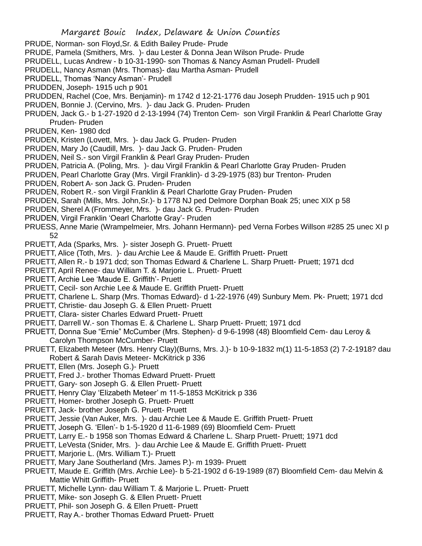- PRUDE, Norman- son Floyd,Sr. & Edith Bailey Prude- Prude
- PRUDE, Pamela (Smithers, Mrs. )- dau Lester & Donna Jean Wilson Prude- Prude
- PRUDELL, Lucas Andrew b 10-31-1990- son Thomas & Nancy Asman Prudell- Prudell
- PRUDELL, Nancy Asman (Mrs. Thomas)- dau Martha Asman- Prudell
- PRUDELL, Thomas 'Nancy Asman'- Prudell
- PRUDDEN, Joseph- 1915 uch p 901
- PRUDDEN, Rachel (Coe, Mrs. Benjamin)- m 1742 d 12-21-1776 dau Joseph Prudden- 1915 uch p 901
- PRUDEN, Bonnie J. (Cervino, Mrs. )- dau Jack G. Pruden- Pruden
- PRUDEN, Jack G.- b 1-27-1920 d 2-13-1994 (74) Trenton Cem- son Virgil Franklin & Pearl Charlotte Gray Pruden- Pruden
- PRUDEN, Ken- 1980 dcd
- PRUDEN, Kristen (Lovett, Mrs. )- dau Jack G. Pruden- Pruden
- PRUDEN, Mary Jo (Caudill, Mrs. )- dau Jack G. Pruden- Pruden
- PRUDEN, Neil S.- son Virgil Franklin & Pearl Gray Pruden- Pruden
- PRUDEN, Patricia A. (Poling, Mrs. )- dau Virgil Franklin & Pearl Charlotte Gray Pruden- Pruden
- PRUDEN, Pearl Charlotte Gray (Mrs. Virgil Franklin)- d 3-29-1975 (83) bur Trenton- Pruden
- PRUDEN, Robert A- son Jack G. Pruden- Pruden
- PRUDEN, Robert R.- son Virgil Franklin & Pearl Charlotte Gray Pruden- Pruden
- PRUDEN, Sarah (Mills, Mrs. John,Sr.)- b 1778 NJ ped Delmore Dorphan Boak 25; unec XIX p 58
- PRUDEN, Sherel A (Frommeyer, Mrs. )- dau Jack G. Pruden- Pruden
- PRUDEN, Virgil Franklin 'Oearl Charlotte Gray'- Pruden
- PRUESS, Anne Marie (Wrampelmeier, Mrs. Johann Hermann)- ped Verna Forbes Willson #285 25 unec XI p 52
- PRUETT, Ada (Sparks, Mrs. )- sister Joseph G. Pruett- Pruett
- PRUETT, Alice (Toth, Mrs. )- dau Archie Lee & Maude E. Griffith Pruett- Pruett
- PRUETT, Allen R.- b 1971 dcd; son Thomas Edward & Charlene L. Sharp Pruett- Pruett; 1971 dcd
- PRUETT, April Renee- dau William T. & Marjorie L. Pruett- Pruett
- PRUETT, Archie Lee 'Maude E. Griffith'- Pruett
- PRUETT, Cecil- son Archie Lee & Maude E. Griffith Pruett- Pruett
- PRUETT, Charlene L. Sharp (Mrs. Thomas Edward)- d 1-22-1976 (49) Sunbury Mem. Pk- Pruett; 1971 dcd
- PRUETT, Christie- dau Joseph G. & Ellen Pruett- Pruett
- PRUETT, Clara- sister Charles Edward Pruett- Pruett
- PRUETT, Darrell W.- son Thomas E. & Charlene L. Sharp Pruett- Pruett; 1971 dcd
- PRUETT, Donna Sue "Ernie" McCumber (Mrs. Stephen)- d 9-6-1998 (48) Bloomfield Cem- dau Leroy & Carolyn Thompson McCumber- Pruett
- PRUETT, Elizabeth Meteer (Mrs. Henry Clay)(Burns, Mrs. J.)- b 10-9-1832 m(1) 11-5-1853 (2) 7-2-1918? dau Robert & Sarah Davis Meteer- McKitrick p 336
- PRUETT, Ellen (Mrs. Joseph G.)- Pruett
- PRUETT, Fred J.- brother Thomas Edward Pruett- Pruett
- PRUETT, Gary- son Joseph G. & Ellen Pruett- Pruett
- PRUETT, Henry Clay 'Elizabeth Meteer' m 11-5-1853 McKitrick p 336
- PRUETT, Homer- brother Joseph G. Pruett- Pruett
- PRUETT, Jack- brother Joseph G. Pruett- Pruett
- PRUETT, Jessie (Van Auker, Mrs. )- dau Archie Lee & Maude E. Griffith Pruett- Pruett
- PRUETT, Joseph G. 'Ellen'- b 1-5-1920 d 11-6-1989 (69) Bloomfield Cem- Pruett
- PRUETT, Larry E.- b 1958 son Thomas Edward & Charlene L. Sharp Pruett- Pruett; 1971 dcd
- PRUETT, LeVesta (Snider, Mrs. )- dau Archie Lee & Maude E. Griffith Pruett- Pruett
- PRUETT, Marjorie L. (Mrs. William T.)- Pruett
- PRUETT, Mary Jane Southerland (Mrs. James P.)- m 1939- Pruett
- PRUETT, Maude E. Griffith (Mrs. Archie Lee)- b 5-21-1902 d 6-19-1989 (87) Bloomfield Cem- dau Melvin & Mattie Whitt Griffith- Pruett
- PRUETT, Michelle Lynn- dau William T. & Marjorie L. Pruett- Pruett
- PRUETT, Mike- son Joseph G. & Ellen Pruett- Pruett
- PRUETT, Phil- son Joseph G. & Ellen Pruett- Pruett
- PRUETT, Ray A.- brother Thomas Edward Pruett- Pruett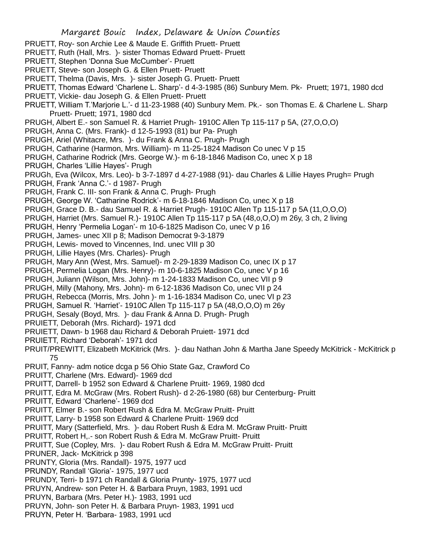- PRUETT, Roy- son Archie Lee & Maude E. Griffith Pruett- Pruett
- PRUETT, Ruth (Hall, Mrs. )- sister Thomas Edward Pruett- Pruett
- PRUETT, Stephen 'Donna Sue McCumber'- Pruett
- PRUETT, Steve- son Joseph G. & Ellen Pruett- Pruett
- PRUETT, Thelma (Davis, Mrs. )- sister Joseph G. Pruett- Pruett
- PRUETT, Thomas Edward 'Charlene L. Sharp'- d 4-3-1985 (86) Sunbury Mem. Pk- Pruett; 1971, 1980 dcd
- PRUETT, Vickie- dau Joseph G. & Ellen Pruett- Pruett
- PRUETT, William T.'Marjorie L.'- d 11-23-1988 (40) Sunbury Mem. Pk.- son Thomas E. & Charlene L. Sharp Pruett- Pruett; 1971, 1980 dcd
- PRUGH, Albert E.- son Samuel R. & Harriet Prugh- 1910C Allen Tp 115-117 p 5A, (27,O,O,O)
- PRUGH, Anna C. (Mrs. Frank)- d 12-5-1993 (81) bur Pa- Prugh
- PRUGH, Ariel (Whitacre, Mrs. )- du Frank & Anna C. Prugh- Prugh
- PRUGH, Catharine (Harmon, Mrs. William)- m 11-25-1824 Madison Co unec V p 15
- PRUGH, Catharine Rodrick (Mrs. George W.)- m 6-18-1846 Madison Co, unec X p 18
- PRUGH, Charles 'Lillie Hayes'- Prugh
- PRUGh, Eva (Wilcox, Mrs. Leo)- b 3-7-1897 d 4-27-1988 (91)- dau Charles & Lillie Hayes Prugh= Prugh
- PRUGH, Frank 'Anna C.'- d 1987- Prugh
- PRUGH, Frank C. III- son Frank & Anna C. Prugh- Prugh
- PRUGH, George W. 'Catharine Rodrick'- m 6-18-1846 Madison Co, unec X p 18
- PRUGH, Grace D. B.- dau Samuel R. & Harriet Prugh- 1910C Allen Tp 115-117 p 5A (11,O,O,O)
- PRUGH, Harriet (Mrs. Samuel R.)- 1910C Allen Tp 115-117 p 5A (48,o,O,O) m 26y, 3 ch, 2 living
- PRUGH, Henry 'Permelia Logan'- m 10-6-1825 Madison Co, unec V p 16
- PRUGH, James- unec XII p 8; Madison Democrat 9-3-1879
- PRUGH, Lewis- moved to Vincennes, Ind. unec VIII p 30
- PRUGH, Lillie Hayes (Mrs. Charles)- Prugh
- PRUGH, Mary Ann (West, Mrs. Samuel)- m 2-29-1839 Madison Co, unec IX p 17
- PRUGH, Permelia Logan (Mrs. Henry)- m 10-6-1825 Madison Co, unec V p 16
- PRUGH, Juliann (Wilson, Mrs. John)- m 1-24-1833 Madison Co, unec VII p 9
- PRUGH, Milly (Mahony, Mrs. John)- m 6-12-1836 Madison Co, unec VII p 24
- PRUGH, Rebecca (Morris, Mrs. John )- m 1-16-1834 Madison Co, unec VI p 23
- PRUGH, Samuel R. 'Harriet'- 1910C Allen Tp 115-117 p 5A (48,O,O,O) m 26y
- PRUGH, Sesaly (Boyd, Mrs. )- dau Frank & Anna D. Prugh- Prugh
- PRUIETT, Deborah (Mrs. Richard)- 1971 dcd
- PRUIETT, Dawn- b 1968 dau Richard & Deborah Pruiett- 1971 dcd
- PRUIETT, Richard 'Deborah'- 1971 dcd
- PRUIT/PREWITT, Elizabeth McKitrick (Mrs. )- dau Nathan John & Martha Jane Speedy McKitrick McKitrick p 75
- PRUIT, Fanny- adm notice dcga p 56 Ohio State Gaz, Crawford Co
- PRUITT, Charlene (Mrs. Edward)- 1969 dcd
- PRUITT, Darrell- b 1952 son Edward & Charlene Pruitt- 1969, 1980 dcd
- PRUITT, Edra M. McGraw (Mrs. Robert Rush)- d 2-26-1980 (68) bur Centerburg- Pruitt
- PRUITT, Edward 'Charlene'- 1969 dcd
- PRUITT, Elmer B.- son Robert Rush & Edra M. McGraw Pruitt- Pruitt
- PRUITT, Larry- b 1958 son Edward & Charlene Pruitt- 1969 dcd
- PRUITT, Mary (Satterfield, Mrs. )- dau Robert Rush & Edra M. McGraw Pruitt- Pruitt
- PRUITT, Robert H,.- son Robert Rush & Edra M. McGraw Pruitt- Pruitt
- PRUITT, Sue (Copley, Mrs. )- dau Robert Rush & Edra M. McGraw Pruitt- Pruitt
- PRUNER, Jack- McKitrick p 398
- PRUNTY, Gloria (Mrs. Randall)- 1975, 1977 ucd
- PRUNDY, Randall 'Gloria'- 1975, 1977 ucd
- PRUNDY, Terri- b 1971 ch Randall & Gloria Prunty- 1975, 1977 ucd
- PRUYN, Andrew- son Peter H. & Barbara Pruyn, 1983, 1991 ucd
- PRUYN, Barbara (Mrs. Peter H.)- 1983, 1991 ucd
- PRUYN, John- son Peter H. & Barbara Pruyn- 1983, 1991 ucd
- PRUYN, Peter H. 'Barbara- 1983, 1991 ucd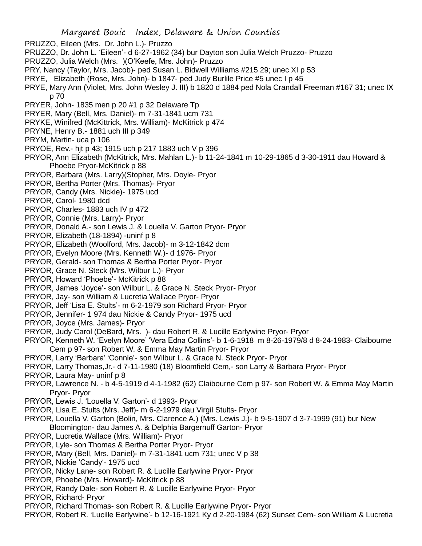- PRUZZO, Eileen (Mrs. Dr. John L.)- Pruzzo
- PRUZZO, Dr. John L. 'Eileen'- d 6-27-1962 (34) bur Dayton son Julia Welch Pruzzo- Pruzzo
- PRUZZO, Julia Welch (Mrs. )(O'Keefe, Mrs. John)- Pruzzo
- PRY, Nancy (Taylor, Mrs. Jacob)- ped Susan L. Bidwell Williams #215 29; unec XI p 53
- PRYE, Elizabeth (Rose, Mrs. John)- b 1847- ped Judy Burlile Price #5 unec I p 45
- PRYE, Mary Ann (Violet, Mrs. John Wesley J. III) b 1820 d 1884 ped Nola Crandall Freeman #167 31; unec IX p 70
- PRYER, John- 1835 men p 20 #1 p 32 Delaware Tp
- PRYER, Mary (Bell, Mrs. Daniel)- m 7-31-1841 ucm 731
- PRYKE, Winifred (McKittrick, Mrs. William)- McKitrick p 474
- PRYNE, Henry B.- 1881 uch III p 349
- PRYM, Martin- uca p 106
- PRYOE, Rev.- hjt p 43; 1915 uch p 217 1883 uch V p 396
- PRYOR, Ann Elizabeth (McKitrick, Mrs. Mahlan L.)- b 11-24-1841 m 10-29-1865 d 3-30-1911 dau Howard & Phoebe Pryor-McKitrick p 88
- PRYOR, Barbara (Mrs. Larry)(Stopher, Mrs. Doyle- Pryor
- PRYOR, Bertha Porter (Mrs. Thomas)- Pryor
- PRYOR, Candy (Mrs. Nickie)- 1975 ucd
- PRYOR, Carol- 1980 dcd
- PRYOR, Charles- 1883 uch IV p 472
- PRYOR, Connie (Mrs. Larry)- Pryor
- PRYOR, Donald A.- son Lewis J. & Louella V. Garton Pryor- Pryor
- PRYOR, Elizabeth (18-1894) -uninf p 8
- PRYOR, Elizabeth (Woolford, Mrs. Jacob)- m 3-12-1842 dcm
- PRYOR, Evelyn Moore (Mrs. Kenneth W.)- d 1976- Pryor
- PRYOR, Gerald- son Thomas & Bertha Porter Pryor- Pryor
- PRYOR, Grace N. Steck (Mrs. Wilbur L.)- Pryor
- PRYOR, Howard 'Phoebe'- McKitrick p 88
- PRYOR, James 'Joyce'- son Wilbur L. & Grace N. Steck Pryor- Pryor
- PRYOR, Jay- son William & Lucretia Wallace Pryor- Pryor
- PRYOR, Jeff 'Lisa E. Stults'- m 6-2-1979 son Richard Pryor- Pryor
- PRYOR, Jennifer- 1 974 dau Nickie & Candy Pryor- 1975 ucd
- PRYOR, Joyce (Mrs. James)- Pryor
- PRYOR, Judy Carol (DeBard, Mrs. )- dau Robert R. & Lucille Earlywine Pryor- Pryor
- PRYOR, Kenneth W. 'Evelyn Moore' 'Vera Edna Collins'- b 1-6-1918 m 8-26-1979/8 d 8-24-1983- Claibourne Cem p 97- son Robert W. & Emma May Martin Pryor- Pryor
- PRYOR, Larry 'Barbara' 'Connie'- son Wilbur L. & Grace N. Steck Pryor- Pryor
- PRYOR, Larry Thomas,Jr.- d 7-11-1980 (18) Bloomfield Cem,- son Larry & Barbara Pryor- Pryor
- PRYOR, Laura May- uninf p 8
- PRYOR, Lawrence N. b 4-5-1919 d 4-1-1982 (62) Claibourne Cem p 97- son Robert W. & Emma May Martin Pryor- Pryor
- PRYOR, Lewis J. 'Louella V. Garton'- d 1993- Pryor
- PRYOR, Lisa E. Stults (Mrs. Jeff)- m 6-2-1979 dau Virgil Stults- Pryor
- PRYOR, Louella V. Garton (Bolin, Mrs. Clarence A.) (Mrs. Lewis J.)- b 9-5-1907 d 3-7-1999 (91) bur New Bloomington- dau James A. & Delphia Bargernuff Garton- Pryor
- PRYOR, Lucretia Wallace (Mrs. William)- Pryor
- PRYOR, Lyle- son Thomas & Bertha Porter Pryor- Pryor
- PRYOR, Mary (Bell, Mrs. Daniel)- m 7-31-1841 ucm 731; unec V p 38
- PRYOR, Nickie 'Candy'- 1975 ucd
- PRYOR, Nicky Lane- son Robert R. & Lucille Earlywine Pryor- Pryor
- PRYOR, Phoebe (Mrs. Howard)- McKitrick p 88
- PRYOR, Randy Dale- son Robert R. & Lucille Earlywine Pryor- Pryor
- PRYOR, Richard- Pryor
- PRYOR, Richard Thomas- son Robert R. & Lucille Earlywine Pryor- Pryor
- PRYOR, Robert R. 'Lucille Earlywine'- b 12-16-1921 Ky d 2-20-1984 (62) Sunset Cem- son William & Lucretia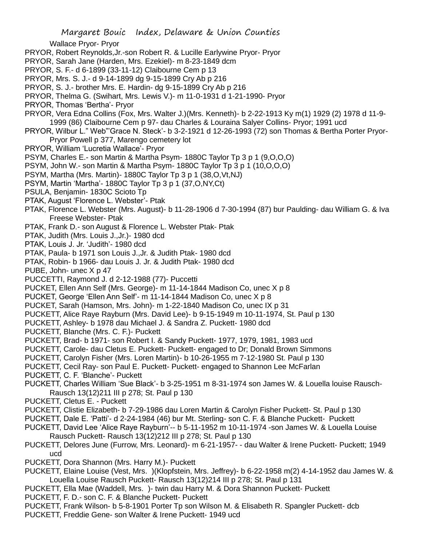Wallace Pryor- Pryor PRYOR, Robert Reynolds,Jr.-son Robert R. & Lucille Earlywine Pryor- Pryor

- PRYOR, Sarah Jane (Harden, Mrs. Ezekiel)- m 8-23-1849 dcm
- PRYOR, S. F.- d 6-1899 (33-11-12) Claibourne Cem p 13
- PRYOR, Mrs. S. J.- d 9-14-1899 dg 9-15-1899 Cry Ab p 216
- PRYOR, S. J.- brother Mrs. E. Hardin- dg 9-15-1899 Cry Ab p 216
- PRYOR, Thelma G. (Swihart, Mrs. Lewis V.)- m 11-0-1931 d 1-21-1990- Pryor
- PRYOR, Thomas 'Bertha'- Pryor
- PRYOR, Vera Edna Collins (Fox, Mrs. Walter J.)(Mrs. Kenneth)- b 2-22-1913 Ky m(1) 1929 (2) 1978 d 11-9- 1999 (86) Claibourne Cem p 97- dau Charles & Louraina Salyer Collins- Pryor; 1991 ucd
- PRYOR, Wilbur L." Web"'Grace N. Steck'- b 3-2-1921 d 12-26-1993 (72) son Thomas & Bertha Porter Pryor-Pryor Powell p 377, Marengo cemetery lot
- PRYOR, William 'Lucretia Wallace'- Pryor
- PSYM, Charles E.- son Martin & Martha Psym- 1880C Taylor Tp 3 p 1 (9,O,O,O)
- PSYM, John W.- son Martin & Martha Psym- 1880C Taylor Tp 3 p 1 (10,O,O,O)
- PSYM, Martha (Mrs. Martin)- 1880C Taylor Tp 3 p 1 (38,O,Vt,NJ)
- PSYM, Martin 'Martha'- 1880C Taylor Tp 3 p 1 (37,O,NY,Ct)
- PSULA, Benjamin- 1830C Scioto Tp
- PTAK, August 'Florence L. Webster'- Ptak
- PTAK, Florence L. Webster (Mrs. August)- b 11-28-1906 d 7-30-1994 (87) bur Paulding- dau William G. & Iva Freese Webster- Ptak
- PTAK, Frank D.- son August & Florence L. Webster Ptak- Ptak
- PTAK, Judith (Mrs. Louis J.,Jr.)- 1980 dcd
- PTAK, Louis J. Jr. 'Judith'- 1980 dcd
- PTAK, Paula- b 1971 son Louis J.,Jr. & Judith Ptak- 1980 dcd
- PTAK, Robin- b 1966- dau Louis J. Jr. & Judith Ptak- 1980 dcd
- PUBE, John- unec X p 47
- PUCCETTI, Raymond J. d 2-12-1988 (77)- Puccetti
- PUCKET, Ellen Ann Self (Mrs. George)- m 11-14-1844 Madison Co, unec X p 8
- PUCKET, George 'Ellen Ann Self'- m 11-14-1844 Madison Co, unec X p 8
- PUCKET, Sarah (Hamson, Mrs. John)- m 1-22-1840 Madison Co, unec IX p 31
- PUCKETT, Alice Raye Rayburn (Mrs. David Lee)- b 9-15-1949 m 10-11-1974, St. Paul p 130
- PUCKETT, Ashley- b 1978 dau Michael J. & Sandra Z. Puckett- 1980 dcd
- PUCKETT, Blanche (Mrs. C. F.)- Puckett
- PUCKETT, Brad- b 1971- son Robert I. & Sandy Puckett- 1977, 1979, 1981, 1983 ucd
- PUCKETT, Carole- dau Cletus E. Puckett- Puckett- engaged to Dr; Donald Brown Simmons
- PUCKETT, Carolyn Fisher (Mrs. Loren Martin)- b 10-26-1955 m 7-12-1980 St. Paul p 130
- PUCKETT, Cecil Ray- son Paul E. Puckett- Puckett- engaged to Shannon Lee McFarlan
- PUCKETT, C. F. 'Blanche'- Puckett
- PUCKETT, Charles William 'Sue Black'- b 3-25-1951 m 8-31-1974 son James W. & Louella louise Rausch-Rausch 13(12)211 III p 278; St. Paul p 130
- PUCKETT, Cletus E. Puckett
- PUCKETT, Clistie Elizabeth- b 7-29-1986 dau Loren Martin & Carolyn Fisher Puckett- St. Paul p 130
- PUCKETT, Dale E. 'Patti'- d 2-24-1984 (46) bur Mt. Sterling- son C. F. & Blanche Puckett- Puckett
- PUCKETT, David Lee 'Alice Raye Rayburn'-- b 5-11-1952 m 10-11-1974 -son James W. & Louella Louise Rausch Puckett- Rausch 13(12)212 III p 278; St. Paul p 130
- PUCKETT, Delores June (Furrow, Mrs. Leonard)- m 6-21-1957- dau Walter & Irene Puckett- Puckett; 1949 ucd
- PUCKETT, Dora Shannon (Mrs. Harry M.)- Puckett
- PUCKETT, Elaine Louise (Vest, Mrs. )(Klopfstein, Mrs. Jeffrey)- b 6-22-1958 m(2) 4-14-1952 dau James W. & Louella Louise Rausch Puckett- Rausch 13(12)214 III p 278; St. Paul p 131
- PUCKETT, Ella Mae (Waddell, Mrs. )- twin dau Harry M. & Dora Shannon Puckett- Puckett
- PUCKETT, F. D.- son C. F. & Blanche Puckett- Puckett
- PUCKETT, Frank Wilson- b 5-8-1901 Porter Tp son Wilson M. & Elisabeth R. Spangler Puckett- dcb
- PUCKETT, Freddie Gene- son Walter & Irene Puckett- 1949 ucd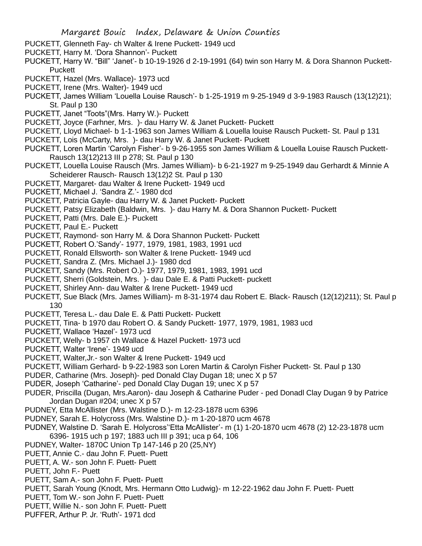- PUCKETT, Glenneth Fay- ch Walter & Irene Puckett- 1949 ucd
- PUCKETT, Harry M. 'Dora Shannon'- Puckett
- PUCKETT, Harry W. "Bill" 'Janet'- b 10-19-1926 d 2-19-1991 (64) twin son Harry M. & Dora Shannon Puckett-**Puckett**
- PUCKETT, Hazel (Mrs. Wallace)- 1973 ucd
- PUCKETT, Irene (Mrs. Walter)- 1949 ucd
- PUCKETT, James William 'Louella Louise Rausch'- b 1-25-1919 m 9-25-1949 d 3-9-1983 Rausch (13(12)21); St. Paul p 130
- PUCKETT, Janet "Toots"(Mrs. Harry W.)- Puckett
- PUCKETT, Joyce (Farhner, Mrs. )- dau Harry W. & Janet Puckett- Puckett
- PUCKETT, Lloyd Michael- b 1-1-1963 son James William & Louella louise Rausch Puckett- St. Paul p 131
- PUCKETT, Lois (McCarty, Mrs. )- dau Harry W. & Janet Puckett- Puckett
- PUCKETT, Loren Martin 'Carolyn Fisher'- b 9-26-1955 son James William & Louella Louise Rausch Puckett-Rausch 13(12)213 III p 278; St. Paul p 130
- PUCKETT, Louella Louise Rausch (Mrs. James William)- b 6-21-1927 m 9-25-1949 dau Gerhardt & Minnie A Scheiderer Rausch- Rausch 13(12)2 St. Paul p 130
- PUCKETT, Margaret- dau Walter & Irene Puckett- 1949 ucd
- PUCKETT, Michael J. 'Sandra Z.'- 1980 dcd
- PUCKETT, Patricia Gayle- dau Harry W. & Janet Puckett- Puckett
- PUCKETT, Patsy Elizabeth (Baldwin, Mrs. )- dau Harry M. & Dora Shannon Puckett- Puckett
- PUCKETT, Patti (Mrs. Dale E.)- Puckett
- PUCKETT, Paul E.- Puckett
- PUCKETT, Raymond- son Harry M. & Dora Shannon Puckett- Puckett
- PUCKETT, Robert O.'Sandy'- 1977, 1979, 1981, 1983, 1991 ucd
- PUCKETT, Ronald Ellsworth- son Walter & Irene Puckett- 1949 ucd
- PUCKETT, Sandra Z. (Mrs. Michael J.)- 1980 dcd
- PUCKETT, Sandy (Mrs. Robert O.)- 1977, 1979, 1981, 1983, 1991 ucd
- PUCKETT, Sherri (Goldstein, Mrs. )- dau Dale E. & Patti Puckett- puckett
- PUCKETT, Shirley Ann- dau Walter & Irene Puckett- 1949 ucd
- PUCKETT, Sue Black (Mrs. James William)- m 8-31-1974 dau Robert E. Black- Rausch (12(12)211); St. Paul p 130
- PUCKETT, Teresa L.- dau Dale E. & Patti Puckett- Puckett
- PUCKETT, Tina- b 1970 dau Robert O. & Sandy Puckett- 1977, 1979, 1981, 1983 ucd
- PUCKETT, Wallace 'Hazel'- 1973 ucd
- PUCKETT, Welly- b 1957 ch Wallace & Hazel Puckett- 1973 ucd
- PUCKETT, Walter 'Irene'- 1949 ucd
- PUCKETT, Walter,Jr.- son Walter & Irene Puckett- 1949 ucd
- PUCKETT, William Gerhard- b 9-22-1983 son Loren Martin & Carolyn Fisher Puckett- St. Paul p 130
- PUDER, Catharine (Mrs. Joseph)- ped Donald Clay Dugan 18; unec X p 57
- PUDER, Joseph 'Catharine'- ped Donald Clay Dugan 19; unec X p 57
- PUDER, Priscilla (Dugan, Mrs.Aaron)- dau Joseph & Catharine Puder ped Donadl Clay Dugan 9 by Patrice Jordan Dugan #204; unec X p 57
- PUDNEY, Etta McAllister (Mrs. Walstine D.)- m 12-23-1878 ucm 6396
- PUDNEY, Sarah E. Holycross (Mrs. Walstine D.)- m 1-20-1870 ucm 4678
- PUDNEY, Walstine D. 'Sarah E. Holycross''Etta McAllister'- m (1) 1-20-1870 ucm 4678 (2) 12-23-1878 ucm 6396- 1915 uch p 197; 1883 uch III p 391; uca p 64, 106
- PUDNEY, Walter- 1870C Union Tp 147-146 p 20 (25,NY)
- PUETT, Annie C.- dau John F. Puett- Puett
- PUETT, A. W.- son John F. Puett- Puett
- PUETT, John F.- Puett
- PUETT, Sam A.- son John F. Puett- Puett
- PUETT, Sarah Young (Knodt, Mrs. Hermann Otto Ludwig)- m 12-22-1962 dau John F. Puett- Puett
- PUETT, Tom W.- son John F. Puett- Puett
- PUETT, Willie N.- son John F. Puett- Puett
- PUFFER, Arthur P. Jr. 'Ruth'- 1971 dcd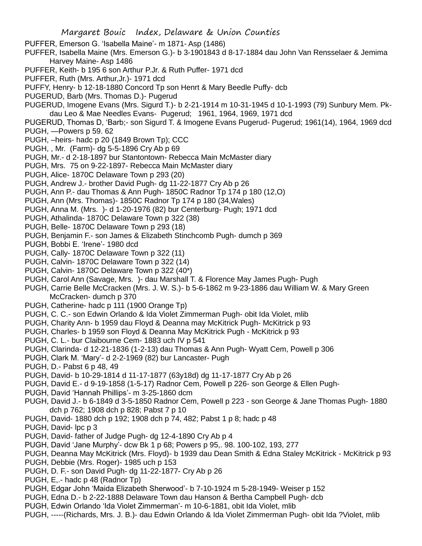- PUFFER, Emerson G. 'Isabella Maine'- m 1871- Asp (1486)
- PUFFER, Isabella Maine (Mrs. Emerson G.)- b 3-1901843 d 8-17-1884 dau John Van Rensselaer & Jemima Harvey Maine- Asp 1486
- PUFFER, Keith- b 195 6 son Arthur P.Jr. & Ruth Puffer- 1971 dcd
- PUFFER, Ruth (Mrs. Arthur,Jr.)- 1971 dcd
- PUFFY, Henry- b 12-18-1880 Concord Tp son Henrt & Mary Beedle Puffy- dcb
- PUGERUD, Barb (Mrs. Thomas D.)- Pugerud
- PUGERUD, Imogene Evans (Mrs. Sigurd T.)- b 2-21-1914 m 10-31-1945 d 10-1-1993 (79) Sunbury Mem. Pkdau Leo & Mae Needles Evans- Pugerud; 1961, 1964, 1969, 1971 dcd
- PUGERUD, Thomas D, 'Barb;- son Sigurd T. & Imogene Evans Pugerud- Pugerud; 1961(14), 1964, 1969 dcd PUGH, —Powers p 59. 62
- PUGH, –heirs- hadc p 20 (1849 Brown Tp); CCC
- PUGH, , Mr. (Farm)- dg 5-5-1896 Cry Ab p 69
- PUGH, Mr.- d 2-18-1897 bur Stantontown- Rebecca Main McMaster diary
- PUGH, Mrs. 75 on 9-22-1897- Rebecca Main McMaster diary
- PUGH, Alice- 1870C Delaware Town p 293 (20)
- PUGH, Andrew J.- brother David Pugh- dg 11-22-1877 Cry Ab p 26
- PUGH, Ann P.- dau Thomas & Ann Pugh- 1850C Radnor Tp 174 p 180 (12,O)
- PUGH, Ann (Mrs. Thomas)- 1850C Radnor Tp 174 p 180 (34,Wales)
- PUGH, Anna M. (Mrs. )- d 1-20-1976 (82) bur Centerburg- Pugh; 1971 dcd
- PUGH, Athalinda- 1870C Delaware Town p 322 (38)
- PUGH, Belle- 1870C Delaware Town p 293 (18)
- PUGH, Benjamin F.- son James & Elizabeth Stinchcomb Pugh- dumch p 369
- PUGH, Bobbi E. 'Irene'- 1980 dcd
- PUGH, Cally- 1870C Delaware Town p 322 (11)
- PUGH, Calvin- 1870C Delaware Town p 322 (14)
- PUGH, Calvin- 1870C Delaware Town p 322 (40\*)
- PUGH, Carol Ann (Savage, Mrs. )- dau Marshall T. & Florence May James Pugh- Pugh
- PUGH, Carrie Belle McCracken (Mrs. J. W. S.)- b 5-6-1862 m 9-23-1886 dau William W. & Mary Green McCracken- dumch p 370
- PUGH, Catherine- hadc p 111 (1900 Orange Tp)
- PUGH, C. C.- son Edwin Orlando & Ida Violet Zimmerman Pugh- obit Ida Violet, mlib
- PUGH, Charity Ann- b 1959 dau Floyd & Deanna may McKitrick Pugh- McKitrick p 93
- PUGH, Charles- b 1959 son Floyd & Deanna May McKitrick Pugh McKitrick p 93
- PUGH, C. L.- bur Claibourne Cem- 1883 uch IV p 541
- PUGH, Clarinda- d 12-21-1836 (1-2-13) dau Thomas & Ann Pugh- Wyatt Cem, Powell p 306
- PUGH, Clark M. 'Mary'- d 2-2-1969 (82) bur Lancaster- Pugh
- PUGH, D.- Pabst 6 p 48, 49
- PUGH, David- b 10-29-1814 d 11-17-1877 (63y18d) dg 11-17-1877 Cry Ab p 26
- PUGH, David E.- d 9-19-1858 (1-5-17) Radnor Cem, Powell p 226- son George & Ellen Pugh-
- PUGH, David 'Hannah Phillips'- m 3-25-1860 dcm
- PUGH, David J.- b 6-1849 d 3-5-1850 Radnor Cem, Powell p 223 son George & Jane Thomas Pugh- 1880 dch p 762; 1908 dch p 828; Pabst 7 p 10
- PUGH, David- 1880 dch p 192; 1908 dch p 74, 482; Pabst 1 p 8; hadc p 48
- PUGH, David- lpc p 3
- PUGH, David- father of Judge Pugh- dg 12-4-1890 Cry Ab p 4
- PUGH, David 'Jane Murphy'- dcw Bk 1 p 68; Powers p 95,. 98. 100-102, 193, 277
- PUGH, Deanna May McKitrick (Mrs. Floyd)- b 1939 dau Dean Smith & Edna Staley McKitrick McKitrick p 93
- PUGH, Debbie (Mrs. Roger)- 1985 uch p 153
- PUGH, D. F.- son David Pugh- dg 11-22-1877- Cry Ab p 26
- PUGH, E,.- hadc p 48 (Radnor Tp)
- PUGH, Edgar John 'Maida Elizabeth Sherwood'- b 7-10-1924 m 5-28-1949- Weiser p 152
- PUGH, Edna D.- b 2-22-1888 Delaware Town dau Hanson & Bertha Campbell Pugh- dcb
- PUGH, Edwin Orlando 'Ida Violet Zimmerman'- m 10-6-1881, obit Ida Violet, mlib
- PUGH, -----(Richards, Mrs. J. B.)- dau Edwin Orlando & Ida Violet Zimmerman Pugh- obit Ida ?Violet, mlib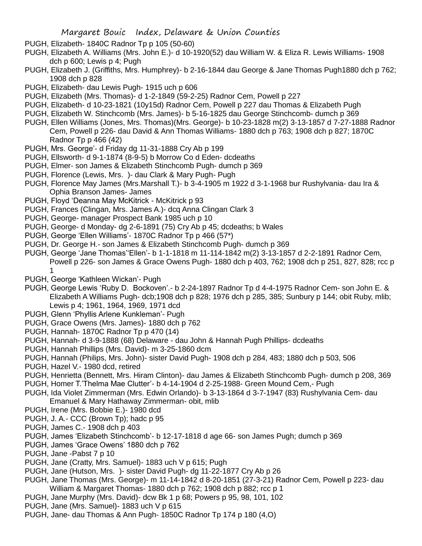- PUGH, Elizabeth- 1840C Radnor Tp p 105 (50-60)
- PUGH, Elizabeth A. Williams (Mrs. John E.)- d 10-1920(52) dau William W. & Eliza R. Lewis Williams- 1908 dch p 600; Lewis p 4; Pugh
- PUGH, Elizabeth J. (Griffiths, Mrs. Humphrey)- b 2-16-1844 dau George & Jane Thomas Pugh1880 dch p 762; 1908 dch p 828
- PUGH, Elizabeth- dau Lewis Pugh- 1915 uch p 606
- PUGH, Elizabeth (Mrs. Thomas)- d 1-2-1849 (59-2-25) Radnor Cem, Powell p 227
- PUGH, Elizabeth- d 10-23-1821 (10y15d) Radnor Cem, Powell p 227 dau Thomas & Elizabeth Pugh
- PUGH, Elizabeth W. Stinchcomb (Mrs. James)- b 5-16-1825 dau George Stinchcomb- dumch p 369
- PUGH, Ellen Williams (Jones, Mrs. Thomas)(Mrs. George)- b 10-23-1828 m(2) 3-13-1857 d 7-27-1888 Radnor Cem, Powell p 226- dau David & Ann Thomas Williams- 1880 dch p 763; 1908 dch p 827; 1870C Radnor Tp p 466 (42)
- PUGH, Mrs. George'- d Friday dg 11-31-1888 Cry Ab p 199
- PUGH, Ellsworth- d 9-1-1874 (8-9-5) b Morrow Co d Eden- dcdeaths
- PUGH, Elmer- son James & Elizabeth Stinchcomb Pugh- dumch p 369
- PUGH, Florence (Lewis, Mrs. )- dau Clark & Mary Pugh- Pugh
- PUGH, Florence May James (Mrs.Marshall T.)- b 3-4-1905 m 1922 d 3-1-1968 bur Rushylvania- dau Ira & Ophia Branson James- James
- PUGH, Floyd 'Deanna May McKitrick McKitrick p 93
- PUGH, Frances (Clingan, Mrs. James A.)- dcq Anna Clingan Clark 3
- PUGH, George- manager Prospect Bank 1985 uch p 10
- PUGH, George- d Monday- dg 2-6-1891 (75) Cry Ab p 45; dcdeaths; b Wales
- PUGH, George 'Ellen Williams'- 1870C Radnor Tp p 466 (57\*)
- PUGH, Dr. George H.- son James & Elizabeth Stinchcomb Pugh- dumch p 369
- PUGH, George 'Jane Thomas''Ellen'- b 1-1-1818 m 11-114-1842 m(2) 3-13-1857 d 2-2-1891 Radnor Cem, Powell p 226- son James & Grace Owens Pugh- 1880 dch p 403, 762; 1908 dch p 251, 827, 828; rcc p 1
- PUGH, George 'Kathleen Wickan'- Pugh
- PUGH, George Lewis 'Ruby D. Bockoven'.- b 2-24-1897 Radnor Tp d 4-4-1975 Radnor Cem- son John E. & Elizabeth A Williams Pugh- dcb;1908 dch p 828; 1976 dch p 285, 385; Sunbury p 144; obit Ruby, mlib; Lewis p 4; 1961, 1964, 1969, 1971 dcd
- PUGH, Glenn 'Phyllis Arlene Kunkleman'- Pugh
- PUGH, Grace Owens (Mrs. James)- 1880 dch p 762
- PUGH, Hannah- 1870C Radnor Tp p 470 (14)
- PUGH, Hannah- d 3-9-1888 (68) Delaware dau John & Hannah Pugh Phillips- dcdeaths
- PUGH, Hannah Phillips (Mrs. David)- m 3-25-1860 dcm
- PUGH, Hannah (Philips, Mrs. John)- sister David Pugh- 1908 dch p 284, 483; 1880 dch p 503, 506
- PUGH, Hazel V.- 1980 dcd, retired
- PUGH, Henrietta (Bennett, Mrs. Hiram Clinton)- dau James & Elizabeth Stinchcomb Pugh- dumch p 208, 369
- PUGH, Homer T.'Thelma Mae Clutter'- b 4-14-1904 d 2-25-1988- Green Mound Cem,- Pugh
- PUGH, Ida Violet Zimmerman (Mrs. Edwin Orlando)- b 3-13-1864 d 3-7-1947 (83) Rushylvania Cem- dau Emanuel & Mary Hathaway Zimmerman- obit, mlib
- PUGH, Irene (Mrs. Bobbie E.)- 1980 dcd
- PUGH, J. A.- CCC (Brown Tp); hadc p 95
- PUGH, James C.- 1908 dch p 403
- PUGH, James 'Elizabeth Stinchcomb'- b 12-17-1818 d age 66- son James Pugh; dumch p 369
- PUGH, James 'Grace Owens' 1880 dch p 762
- PUGH, Jane -Pabst 7 p 10
- PUGH, Jane (Cratty, Mrs. Samuel)- 1883 uch V p 615; Pugh
- PUGH, Jane (Hutson, Mrs. )- sister David Pugh- dg 11-22-1877 Cry Ab p 26
- PUGH, Jane Thomas (Mrs. George)- m 11-14-1842 d 8-20-1851 (27-3-21) Radnor Cem, Powell p 223- dau William & Margaret Thomas- 1880 dch p 762; 1908 dch p 882; rcc p 1
- PUGH, Jane Murphy (Mrs. David)- dcw Bk 1 p 68; Powers p 95, 98, 101, 102
- PUGH, Jane (Mrs. Samuel)- 1883 uch V p 615
- PUGH, Jane- dau Thomas & Ann Pugh- 1850C Radnor Tp 174 p 180 (4,O)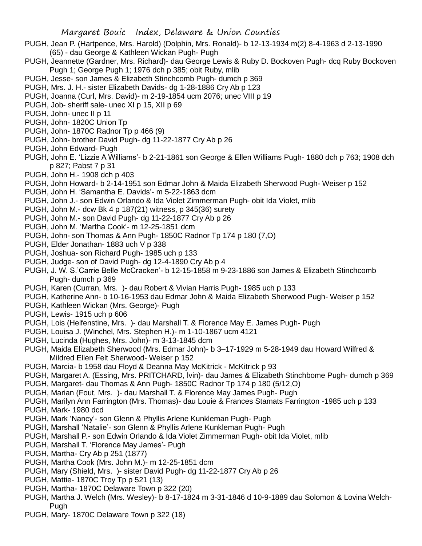- PUGH, Jean P. (Hartpence, Mrs. Harold) (Dolphin, Mrs. Ronald)- b 12-13-1934 m(2) 8-4-1963 d 2-13-1990 (65) - dau George & Kathleen Wickan Pugh- Pugh
- PUGH, Jeannette (Gardner, Mrs. Richard)- dau George Lewis & Ruby D. Bockoven Pugh- dcq Ruby Bockoven Pugh 1; George Pugh 1; 1976 dch p 385; obit Ruby, mlib
- PUGH, Jesse- son James & Elizabeth Stinchcomb Pugh- dumch p 369
- PUGH, Mrs. J. H.- sister Elizabeth Davids- dg 1-28-1886 Cry Ab p 123
- PUGH, Joanna (Curl, Mrs. David)- m 2-19-1854 ucm 2076; unec VIII p 19
- PUGH, Job- sheriff sale- unec XI p 15, XII p 69
- PUGH, John- unec II p 11
- PUGH, John- 1820C Union Tp
- PUGH, John- 1870C Radnor Tp p 466 (9)
- PUGH, John- brother David Pugh- dg 11-22-1877 Cry Ab p 26
- PUGH, John Edward- Pugh
- PUGH, John E. 'Lizzie A Williams'- b 2-21-1861 son George & Ellen Williams Pugh- 1880 dch p 763; 1908 dch p 827; Pabst 7 p 31
- PUGH, John H.- 1908 dch p 403
- PUGH, John Howard- b 2-14-1951 son Edmar John & Maida Elizabeth Sherwood Pugh- Weiser p 152
- PUGH, John H. 'Samantha E. Davids'- m 5-22-1863 dcm
- PUGH, John J.- son Edwin Orlando & Ida Violet Zimmerman Pugh- obit Ida Violet, mlib
- PUGH, John M.- dcw Bk 4 p 187(21) witness, p 345(36) surety
- PUGH, John M.- son David Pugh- dg 11-22-1877 Cry Ab p 26
- PUGH, John M. 'Martha Cook'- m 12-25-1851 dcm
- PUGH, John- son Thomas & Ann Pugh- 1850C Radnor Tp 174 p 180 (7,O)
- PUGH, Elder Jonathan- 1883 uch V p 338
- PUGH, Joshua- son Richard Pugh- 1985 uch p 133
- PUGH, Judge- son of David Pugh- dg 12-4-1890 Cry Ab p 4
- PUGH, J. W. S.'Carrie Belle McCracken'- b 12-15-1858 m 9-23-1886 son James & Elizabeth Stinchcomb Pugh- dumch p 369
- PUGH, Karen (Curran, Mrs. )- dau Robert & Vivian Harris Pugh- 1985 uch p 133
- PUGH, Katherine Ann- b 10-16-1953 dau Edmar John & Maida Elizabeth Sherwood Pugh- Weiser p 152
- PUGH, Kathleen Wickan (Mrs. George)- Pugh
- PUGH, Lewis- 1915 uch p 606
- PUGH, Lois (Helfenstine, Mrs. )- dau Marshall T. & Florence May E. James Pugh- Pugh
- PUGH, Louisa J. (Winchel, Mrs. Stephen H.)- m 1-10-1867 ucm 4121
- PUGH, Lucinda (Hughes, Mrs. John)- m 3-13-1845 dcm
- PUGH, Maida Elizabeth Sherwood (Mrs. Edmar John)- b 3–17-1929 m 5-28-1949 dau Howard Wilfred & Mildred Ellen Felt Sherwood- Weiser p 152
- PUGH, Marcia- b 1958 dau Floyd & Deanna May McKitrick McKitrick p 93
- PUGH, Margaret A. (Essing, Mrs. PRITCHARD, lvin)- dau James & Elizabeth Stinchbome Pugh- dumch p 369
- PUGH, Margaret- dau Thomas & Ann Pugh- 1850C Radnor Tp 174 p 180 (5/12,O)
- PUGH, Marian (Fout, Mrs. )- dau Marshall T. & Florence May James Pugh- Pugh
- PUGH, Marilyn Ann Farrington (Mrs. Thomas)- dau Louie & Frances Stamats Farrington -1985 uch p 133
- PUGH, Mark- 1980 dcd
- PUGH, Mark 'Nancy'- son Glenn & Phyllis Arlene Kunkleman Pugh- Pugh
- PUGH, Marshall 'Natalie'- son Glenn & Phyllis Arlene Kunkleman Pugh- Pugh
- PUGH, Marshall P.- son Edwin Orlando & Ida Violet Zimmerman Pugh- obit Ida Violet, mlib
- PUGH, Marshall T. 'Florence May James'- Pugh
- PUGH, Martha- Cry Ab p 251 (1877)
- PUGH, Martha Cook (Mrs. John M.)- m 12-25-1851 dcm
- PUGH, Mary (Shield, Mrs. )- sister David Pugh- dg 11-22-1877 Cry Ab p 26
- PUGH, Mattie- 1870C Troy Tp p 521 (13)
- PUGH, Martha- 1870C Delaware Town p 322 (20)
- PUGH, Martha J. Welch (Mrs. Wesley)- b 8-17-1824 m 3-31-1846 d 10-9-1889 dau Solomon & Lovina Welch-Pugh
- PUGH, Mary- 1870C Delaware Town p 322 (18)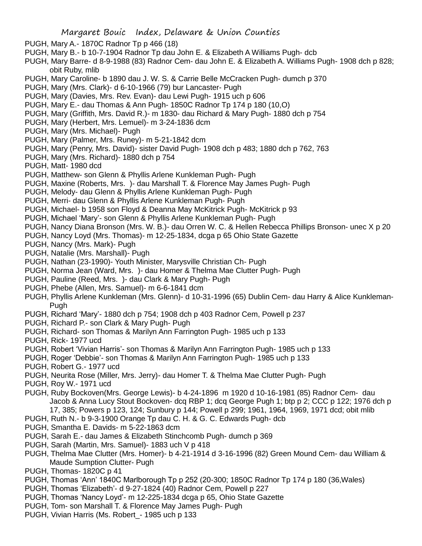- PUGH, Mary A.- 1870C Radnor Tp p 466 (18)
- PUGH, Mary B.- b 10-7-1904 Radnor Tp dau John E. & Elizabeth A Williams Pugh- dcb
- PUGH, Mary Barre- d 8-9-1988 (83) Radnor Cem- dau John E. & Elizabeth A. Williams Pugh- 1908 dch p 828; obit Ruby, mlib
- PUGH, Mary Caroline- b 1890 dau J. W. S. & Carrie Belle McCracken Pugh- dumch p 370
- PUGH, Mary (Mrs. Clark)- d 6-10-1966 (79) bur Lancaster- Pugh
- PUGH, Mary (Davies, Mrs. Rev. Evan)- dau Lewi Pugh- 1915 uch p 606
- PUGH, Mary E.- dau Thomas & Ann Pugh- 1850C Radnor Tp 174 p 180 (10,O)
- PUGH, Mary (Griffith, Mrs. David R.)- m 1830- dau Richard & Mary Pugh- 1880 dch p 754
- PUGH, Mary (Herbert, Mrs. Lemuel)- m 3-24-1836 dcm
- PUGH, Mary (Mrs. Michael)- Pugh
- PUGH, Mary (Palmer, Mrs. Runey)- m 5-21-1842 dcm
- PUGH, Mary (Penry, Mrs. David)- sister David Pugh- 1908 dch p 483; 1880 dch p 762, 763
- PUGH, Mary (Mrs. Richard)- 1880 dch p 754
- PUGH, Matt- 1980 dcd
- PUGH, Matthew- son Glenn & Phyllis Arlene Kunkleman Pugh- Pugh
- PUGH, Maxine (Roberts, Mrs. )- dau Marshall T. & Florence May James Pugh- Pugh
- PUGH, Melody- dau Glenn & Phyllis Arlene Kunkleman Pugh- Pugh
- PUGH, Merri- dau Glenn & Phyllis Arlene Kunkleman Pugh- Pugh
- PUGH, Michael- b 1958 son Floyd & Deanna May McKitrick Pugh- McKitrick p 93
- PUGH, Michael 'Mary'- son Glenn & Phyllis Arlene Kunkleman Pugh- Pugh
- PUGH, Nancy Diana Bronson (Mrs. W. B.)- dau Orren W. C. & Hellen Rebecca Phillips Bronson- unec X p 20
- PUGH, Nancy Loyd (Mrs. Thomas)- m 12-25-1834, dcga p 65 Ohio State Gazette
- PUGH, Nancy (Mrs. Mark)- Pugh
- PUGH, Natalie (Mrs. Marshall)- Pugh
- PUGH, Nathan (23-1990)- Youth Minister, Marysville Christian Ch- Pugh
- PUGH, Norma Jean (Ward, Mrs. )- dau Homer & Thelma Mae Clutter Pugh- Pugh
- PUGH, Pauline (Reed, Mrs. )- dau Clark & Mary Pugh- Pugh
- PUGH, Phebe (Allen, Mrs. Samuel)- m 6-6-1841 dcm
- PUGH, Phyllis Arlene Kunkleman (Mrs. Glenn)- d 10-31-1996 (65) Dublin Cem- dau Harry & Alice Kunkleman-Pugh
- PUGH, Richard 'Mary'- 1880 dch p 754; 1908 dch p 403 Radnor Cem, Powell p 237
- PUGH, Richard P.- son Clark & Mary Pugh- Pugh
- PUGH, Richard- son Thomas & Marilyn Ann Farrington Pugh- 1985 uch p 133
- PUGH, Rick- 1977 ucd
- PUGH, Robert 'Vivian Harris'- son Thomas & Marilyn Ann Farrington Pugh- 1985 uch p 133
- PUGH, Roger 'Debbie'- son Thomas & Marilyn Ann Farrington Pugh- 1985 uch p 133
- PUGH, Robert G.- 1977 ucd
- PUGH, Neurita Rose (Miller, Mrs. Jerry)- dau Homer T. & Thelma Mae Clutter Pugh- Pugh
- PUGH, Roy W.- 1971 ucd
- PUGH, Ruby Bockoven(Mrs. George Lewis)- b 4-24-1896 m 1920 d 10-16-1981 (85) Radnor Cem- dau Jacob & Anna Lucy Stout Bockoven- dcq RBP 1; dcq George Pugh 1; btp p 2; CCC p 122; 1976 dch p 17, 385; Powers p 123, 124; Sunbury p 144; Powell p 299; 1961, 1964, 1969, 1971 dcd; obit mlib
- PUGH, Ruth N.- b 9-3-1900 Orange Tp dau C. H. & G. C. Edwards Pugh- dcb
- PUGH, Smantha E. Davids- m 5-22-1863 dcm
- PUGH, Sarah E.- dau James & Elizabeth Stinchcomb Pugh- dumch p 369
- PUGH, Sarah (Martin, Mrs. Samuel)- 1883 uch V p 418
- PUGH, Thelma Mae Clutter (Mrs. Homer)- b 4-21-1914 d 3-16-1996 (82) Green Mound Cem- dau William & Maude Sumption Clutter- Pugh
- PUGH, Thomas- 1820C p 41
- PUGH, Thomas 'Ann' 1840C Marlborough Tp p 252 (20-300; 1850C Radnor Tp 174 p 180 (36,Wales)
- PUGH, Thomas 'Elizabeth'- d 9-27-1824 (40) Radnor Cem, Powell p 227
- PUGH, Thomas 'Nancy Loyd'- m 12-225-1834 dcga p 65, Ohio State Gazette
- PUGH, Tom- son Marshall T. & Florence May James Pugh- Pugh
- PUGH, Vivian Harris (Ms. Robert\_- 1985 uch p 133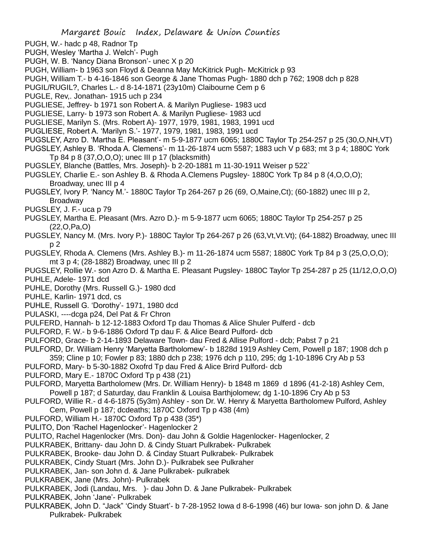- PUGH, W.- hadc p 48, Radnor Tp
- PUGH, Wesley 'Martha J. Welch'- Pugh
- PUGH, W. B. 'Nancy Diana Bronson'- unec X p 20
- PUGH, William- b 1963 son Floyd & Deanna May McKitrick Pugh- McKitrick p 93
- PUGH, William T.- b 4-16-1846 son George & Jane Thomas Pugh- 1880 dch p 762; 1908 dch p 828
- PUGIL/RUGIL?, Charles L.- d 8-14-1871 (23y10m) Claibourne Cem p 6
- PUGLE, Rev,. Jonathan- 1915 uch p 234
- PUGLIESE, Jeffrey- b 1971 son Robert A. & Marilyn Pugliese- 1983 ucd
- PUGLIESE, Larry- b 1973 son Robert A. & Marilyn Pugliese- 1983 ucd
- PUGLIESE, Marilyn S. (Mrs. Robert A)- 1977, 1979, 1981, 1983, 1991 ucd
- PUGLIESE, Robert A. 'Marilyn S.'- 1977, 1979, 1981, 1983, 1991 ucd
- PUGSLEY, Azro D. 'Martha E. Pleasant'- m 5-9-1877 ucm 6065; 1880C Taylor Tp 254-257 p 25 (30,O,NH,VT)
- PUGSLEY, Ashley B. 'Rhoda A. Clemens'- m 11-26-1874 ucm 5587; 1883 uch V p 683; mt 3 p 4; 1880C York Tp 84 p 8 (37,O,O,O); unec III p 17 (blacksmith)
- PUGSLEY, Blanche (Battles, Mrs. Joseph)- b 2-20-1881 m 11-30-1911 Weiser p 522`
- PUGSLEY, Charlie E.- son Ashley B. & Rhoda A.Clemens Pugsley- 1880C York Tp 84 p 8 (4,O,O,O); Broadway, unec III p 4
- PUGSLEY, Ivory P. 'Nancy M.'- 1880C Taylor Tp 264-267 p 26 (69, O,Maine,Ct); (60-1882) unec III p 2, Broadway
- PUGSLEY, J. F.- uca p 79
- PUGSLEY, Martha E. Pleasant (Mrs. Azro D.)- m 5-9-1877 ucm 6065; 1880C Taylor Tp 254-257 p 25 (22,O,Pa,O)
- PUGSLEY, Nancy M. (Mrs. Ivory P.)- 1880C Taylor Tp 264-267 p 26 (63,Vt,Vt.Vt); (64-1882) Broadway, unec III p 2
- PUGSLEY, Rhoda A. Clemens (Mrs. Ashley B.)- m 11-26-1874 ucm 5587; 1880C York Tp 84 p 3 (25,O,O,O); mt 3 p 4; (28-1882) Broadway, unec III p 2
- PUGSLEY, Rollie W.- son Azro D. & Martha E. Pleasant Pugsley- 1880C Taylor Tp 254-287 p 25 (11/12,O,O,O) PUHLE, Adele- 1971 dcd
- PUHLE, Dorothy (Mrs. Russell G.)- 1980 dcd
- PUHLE, Karlin- 1971 dcd, cs
- PUHLE, Russell G. 'Dorothy'- 1971, 1980 dcd
- PULASKI, ----dcga p24, Del Pat & Fr Chron
- PULFERD, Hannah- b 12-12-1883 Oxford Tp dau Thomas & Alice Shuler Pulferd dcb
- PULFORD, F. W.- b 9-6-1886 Oxford Tp dau F. & Alice Beard Pulford- dcb
- PULFORD, Grace- b 2-14-1893 Delaware Town- dau Fred & Allise Pulford dcb; Pabst 7 p 21
- PULFORD, Dr. William Henry 'Maryetta Bartholomew'- b 1828d 1919 Ashley Cem, Powell p 187; 1908 dch p
- 359; Cline p 10; Fowler p 83; 1880 dch p 238; 1976 dch p 110, 295; dg 1-10-1896 Cry Ab p 53
- PULFORD, Mary- b 5-30-1882 Oxofrd Tp dau Fred & Alice Brird Pulford- dcb
- PULFORD, Mary E.- 1870C Oxford Tp p 438 (21)
- PULFORD, Maryetta Bartholomew (Mrs. Dr. William Henry)- b 1848 m 1869 d 1896 (41-2-18) Ashley Cem, Powell p 187; d Saturday, dau Franklin & Louisa Barthjolomew; dg 1-10-1896 Cry Ab p 53
- PULFORD, Willie R.- d 4-6-1875 (5y3m) Ashley son Dr. W. Henry & Maryetta Bartholomew Pulford, Ashley Cem, Powell p 187; dcdeaths; 1870C Oxford Tp p 438 (4m)
- PULFORD, William H.- 1870C Oxford Tp p 438 (35\*)
- PULITO, Don 'Rachel Hagenlocker'- Hagenlocker 2
- PULITO, Rachel Hagenlocker (Mrs. Don)- dau John & Goldie Hagenlocker- Hagenlocker, 2
- PULKRABEK, Brittany- dau John D. & Cindy Stuart Pulkrabek- Pulkrabek
- PULKRABEK, Brooke- dau John D. & Cinday Stuart Pulkrabek- Pulkrabek
- PULKRABEK, Cindy Stuart (Mrs. John D.)- Pulkrabek see Pulkraher
- PULKRABEK, Jan- son John d. & Jane Pulkrabek- pulkrabek
- PULKRABEK, Jane (Mrs. John)- Pulkrabek
- PULKRABEK, Jodi (Landau, Mrs. )- dau John D. & Jane Pulkrabek- Pulkrabek
- PULKRABEK, John 'Jane'- Pulkrabek
- PULKRABEK, John D. "Jack" 'Cindy Stuart'- b 7-28-1952 Iowa d 8-6-1998 (46) bur Iowa- son john D. & Jane Pulkrabek- Pulkrabek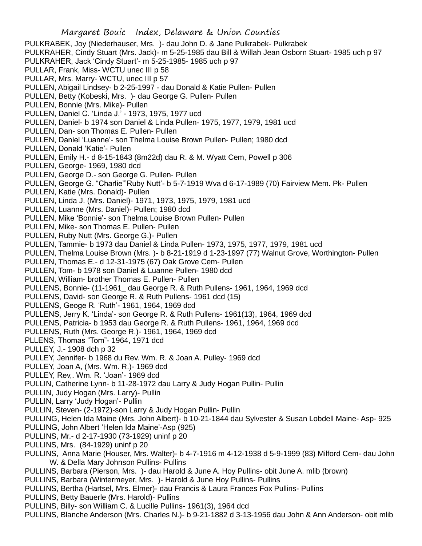Margaret Bouic Index, Delaware & Union Counties PULKRABEK, Joy (Niederhauser, Mrs. )- dau John D. & Jane Pulkrabek- Pulkrabek PULKRAHER, Cindy Stuart (Mrs. Jack)- m 5-25-1985 dau Bill & Willah Jean Osborn Stuart- 1985 uch p 97 PULKRAHER, Jack 'Cindy Stuart'- m 5-25-1985- 1985 uch p 97 PULLAR, Frank, Miss- WCTU unec III p 58 PULLAR, Mrs. Marry- WCTU, unec III p 57 PULLEN, Abigail Lindsey- b 2-25-1997 - dau Donald & Katie Pullen- Pullen PULLEN, Betty (Kobeski, Mrs. )- dau George G. Pullen- Pullen PULLEN, Bonnie (Mrs. Mike)- Pullen PULLEN, Daniel C. 'Linda J.' - 1973, 1975, 1977 ucd PULLEN, Daniel- b 1974 son Daniel & Linda Pullen- 1975, 1977, 1979, 1981 ucd PULLEN, Dan- son Thomas E. Pullen- Pullen PULLEN, Daniel 'Luanne'- son Thelma Louise Brown Pullen- Pullen; 1980 dcd PULLEN, Donald 'Katie'- Pullen PULLEN, Emily H.- d 8-15-1843 (8m22d) dau R. & M. Wyatt Cem, Powell p 306 PULLEN, George- 1969, 1980 dcd PULLEN, George D.- son George G. Pullen- Pullen PULLEN, George G. "Charlie"'Ruby Nutt'- b 5-7-1919 Wva d 6-17-1989 (70) Fairview Mem. Pk- Pullen PULLEN, Katie (Mrs. Donald)- Pullen PULLEN, Linda J. (Mrs. Daniel)- 1971, 1973, 1975, 1979, 1981 ucd PULLEN, Luanne (Mrs. Daniel)- Pullen; 1980 dcd PULLEN, Mike 'Bonnie'- son Thelma Louise Brown Pullen- Pullen PULLEN, Mike- son Thomas E. Pullen- Pullen PULLEN, Ruby Nutt (Mrs. George G.)- Pullen PULLEN, Tammie- b 1973 dau Daniel & Linda Pullen- 1973, 1975, 1977, 1979, 1981 ucd PULLEN, Thelma Louise Brown (Mrs. )- b 8-21-1919 d 1-23-1997 (77) Walnut Grove, Worthington- Pullen PULLEN, Thomas E.- d 12-31-1975 (67) Oak Grove Cem- Pullen PULLEN, Tom- b 1978 son Daniel & Luanne Pullen- 1980 dcd PULLEN, William- brother Thomas E. Pullen- Pullen PULLENS, Bonnie- (11-1961\_ dau George R. & Ruth Pullens- 1961, 1964, 1969 dcd PULLENS, David- son George R. & Ruth Pullens- 1961 dcd (15) PULLENS, Geoge R. 'Ruth'- 1961, 1964, 1969 dcd PULLENS, Jerry K. 'Linda'- son George R. & Ruth Pullens- 1961(13), 1964, 1969 dcd PULLENS, Patricia- b 1953 dau George R. & Ruth Pullens- 1961, 1964, 1969 dcd PULLENS, Ruth (Mrs. George R.)- 1961, 1964, 1969 dcd PLLENS, Thomas "Tom"- 1964, 1971 dcd PULLEY, J.- 1908 dch p 32 PULLEY, Jennifer- b 1968 du Rev. Wm. R. & Joan A. Pulley- 1969 dcd PULLEY, Joan A, (Mrs. Wm. R.)- 1969 dcd PULLEY, Rev,. Wm. R. 'Joan'- 1969 dcd PULLIN, Catherine Lynn- b 11-28-1972 dau Larry & Judy Hogan Pullin- Pullin PULLIN, Judy Hogan (Mrs. Larry)- Pullin PULLIN, Larry 'Judy Hogan'- Pullin PULLIN, Steven- (2-1972)-son Larry & Judy Hogan Pullin- Pullin PULLING, Helen Ida Maine (Mrs. John Albert)- b 10-21-1844 dau Sylvester & Susan Lobdell Maine- Asp- 925 PULLING, John Albert 'Helen Ida Maine'-Asp (925) PULLINS, Mr.- d 2-17-1930 (73-1929) uninf p 20

- PULLINS, Mrs. (84-1929) uninf p 20
- PULLINS, Anna Marie (Houser, Mrs. Walter)- b 4-7-1916 m 4-12-1938 d 5-9-1999 (83) Milford Cem- dau John W. & Della Mary Johnson Pullins- Pullins
- PULLINS, Barbara (Pierson, Mrs. )- dau Harold & June A. Hoy Pullins- obit June A. mlib (brown)
- PULLINS, Barbara (Wintermeyer, Mrs. )- Harold & June Hoy Pullins- Pullins
- PULLINS, Bertha (Hartsel, Mrs. Elmer)- dau Francis & Laura Frances Fox Pullins- Pullins
- PULLINS, Betty Bauerle (Mrs. Harold)- Pullins
- PULLINS, Billy- son William C. & Lucille Pullins- 1961(3), 1964 dcd
- PULLINS, Blanche Anderson (Mrs. Charles N.)- b 9-21-1882 d 3-13-1956 dau John & Ann Anderson- obit mlib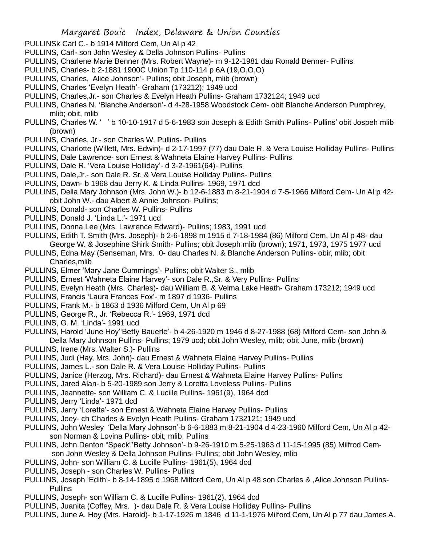- PULLINSk Carl C.- b 1914 Milford Cem, Un Al p 42
- PULLINS, Carl- son John Wesley & Della Johnson Pullins- Pullins
- PULLINS, Charlene Marie Benner (Mrs. Robert Wayne)- m 9-12-1981 dau Ronald Benner- Pullins
- PULLINS, Charles- b 2-1881 1900C Union Tp 110-114 p 6A (19,O,O,O)
- PULLINS, Charles, Alice Johnson'- Pullins; obit Joseph, mlib (brown)
- PULLINS, Charles 'Evelyn Heath'- Graham (173212); 1949 ucd
- PULLINS, Charles,Jr.- son Charles & Evelyn Heath Pullins- Graham 1732124; 1949 ucd
- PULLINS, Charles N. 'Blanche Anderson'- d 4-28-1958 Woodstock Cem- obit Blanche Anderson Pumphrey, mlib; obit, mlib
- PULLINS, Charles W. ' ' b 10-10-1917 d 5-6-1983 son Joseph & Edith Smith Pullins- Pullins' obit Jospeh mlib (brown)
- PULLINS, Charles, Jr.- son Charles W. Pullins- Pullins
- PULLINS, Charlotte (Willett, Mrs. Edwin)- d 2-17-1997 (77) dau Dale R. & Vera Louise Holliday Pullins- Pullins
- PULLINS, Dale Lawrence- son Ernest & Wahneta Elaine Harvey Pullins- Pullins
- PULLINS, Dale R. 'Vera Louise Holliday'- d 3-2-1961(64)- Pullins
- PULLINS, Dale,Jr.- son Dale R. Sr. & Vera Louise Holliday Pullins- Pullins
- PULLINS, Dawn- b 1968 dau Jerry K. & Linda Pullins- 1969, 1971 dcd
- PULLINS, Della Mary Johnson (Mrs. John W.)- b 12-6-1883 m 8-21-1904 d 7-5-1966 Milford Cem- Un Al p 42 obit John W.- dau Albert & Annie Johnson- Pullins;
- PULLINS, Donald- son Charles W. Pullins- Pullins
- PULLINS, Donald J. 'Linda L.'- 1971 ucd
- PULLINS, Donna Lee (Mrs. Lawrence Edward)- Pullins; 1983, 1991 ucd
- PULLINS, Edith T. Smith (Mrs. Joseph)- b 2-6-1898 m 1915 d 7-18-1984 (86) Milford Cem, Un Al p 48- dau George W. & Josephine Shirk Smith- Pullins; obit Joseph mlib (brown); 1971, 1973, 1975 1977 ucd
- PULLINS, Edna May (Senseman, Mrs. 0- dau Charles N. & Blanche Anderson Pullins- obir, mlib; obit Charles,mlib
- PULLINS, Elmer 'Mary Jane Cummings'- Pullins; obit Walter S., mlib
- PULLINS, Ernest 'Wahneta Elaine Harvey'- son Dale R.,Sr. & Very Pullins- Pullins
- PULLINS, Evelyn Heath (Mrs. Charles)- dau William B. & Velma Lake Heath- Graham 173212; 1949 ucd
- PULLINS, Francis 'Laura Frances Fox'- m 1897 d 1936- Pullins
- PULLINS, Frank M.- b 1863 d 1936 Milford Cem, Un Al p 69
- PULLINS, George R., Jr. 'Rebecca R.'- 1969, 1971 dcd
- PULLINS, G. M. 'Linda'- 1991 ucd
- PULLINS, Harold 'June Hoy''Betty Bauerle'- b 4-26-1920 m 1946 d 8-27-1988 (68) Milford Cem- son John & Della Mary Johnson Pullins- Pullins; 1979 ucd; obit John Wesley, mlib; obit June, mlib (brown)
- PULLINS, Irene (Mrs. Walter S.)- Pullins
- PULLINS, Judi (Hay, Mrs. John)- dau Ernest & Wahneta Elaine Harvey Pullins- Pullins
- PULLINS, James L.- son Dale R. & Vera Louise Holliday Pullins- Pullins
- PULLINS, Janice (Herzog, Mrs. Richard)- dau Ernest & Wahneta Elaine Harvey Pullins- Pullins
- PULLINS, Jared Alan- b 5-20-1989 son Jerry & Loretta Loveless Pullins- Pullins
- PULLINS, Jeannette- son William C. & Lucille Pullins- 1961(9), 1964 dcd
- PULLINS, Jerry 'Linda'- 1971 dcd
- PULLINS, Jerry 'Loretta'- son Ernest & Wahneta Elaine Harvey Pullins- Pullins
- PULLINS, Joey- ch Charles & Evelyn Heath Pullins- Graham 1732121; 1949 ucd
- PULLINS, John Wesley 'Della Mary Johnson'-b 6-6-1883 m 8-21-1904 d 4-23-1960 Milford Cem, Un Al p 42 son Norman & Lovina Pullins- obit, mlib; Pullins
- PULLINS, John Denton "Speck"'Betty Johnson'- b 9-26-1910 m 5-25-1963 d 11-15-1995 (85) Milfrod Cemson John Wesley & Della Johnson Pullins- Pullins; obit John Wesley, mlib
- PULLINS, John- son William C. & Lucille Pullins- 1961(5), 1964 dcd
- PULLINS, Joseph son Charles W. Pullins- Pullins
- PULLINS, Joseph 'Edith'- b 8-14-1895 d 1968 Milford Cem, Un Al p 48 son Charles & ,Alice Johnson Pullins-**Pullins**
- PULLINS, Joseph- son William C. & Lucille Pullins- 1961(2), 1964 dcd
- PULLINS, Juanita (Coffey, Mrs. )- dau Dale R. & Vera Louise Holliday Pullins- Pullins
- PULLINS, June A. Hoy (Mrs. Harold)- b 1-17-1926 m 1846 d 11-1-1976 Milford Cem, Un Al p 77 dau James A.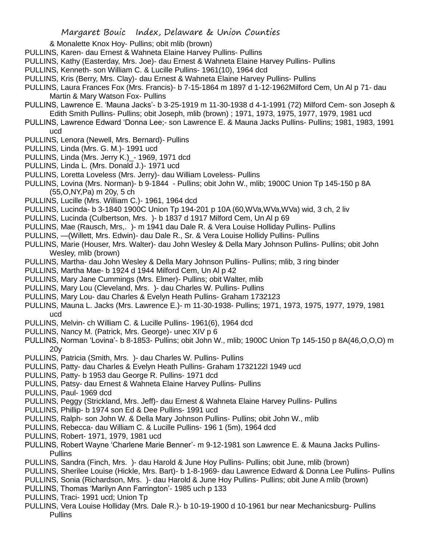& Monalette Knox Hoy- Pullins; obit mlib (brown)

- PULLINS, Karen- dau Ernest & Wahneta Elaine Harvey Pullins- Pullins
- PULLINS, Kathy (Easterday, Mrs. Joe)- dau Ernest & Wahneta Elaine Harvey Pullins- Pullins
- PULLINS, Kenneth- son William C. & Lucille Pullins- 1961(10), 1964 dcd
- PULLINS, Kris (Berry, Mrs. Clay)- dau Ernest & Wahneta Elaine Harvey Pullins- Pullins
- PULLINS, Laura Frances Fox (Mrs. Francis)- b 7-15-1864 m 1897 d 1-12-1962Milford Cem, Un Al p 71- dau Martin & Mary Watson Fox- Pullins
- PULLINS, Lawrence E. 'Mauna Jacks'- b 3-25-1919 m 11-30-1938 d 4-1-1991 (72) Milford Cem- son Joseph & Edith Smith Pullins- Pullins; obit Joseph, mlib (brown) ; 1971, 1973, 1975, 1977, 1979, 1981 ucd
- PULLINS, Lawrence Edward 'Donna Lee;- son Lawrence E. & Mauna Jacks Pullins- Pullins; 1981, 1983, 1991 ucd
- PULLINS, Lenora (Newell, Mrs. Bernard)- Pullins
- PULLINS, Linda (Mrs. G. M.)- 1991 ucd
- PULLINS, Linda (Mrs. Jerry K.)\_- 1969, 1971 dcd
- PULLINS, Linda L. (Mrs. Donald J.)- 1971 ucd
- PULLINS, Loretta Loveless (Mrs. Jerry)- dau William Loveless- Pullins
- PULLINS, Lovina (Mrs. Norman)- b 9-1844 Pullins; obit John W., mlib; 1900C Union Tp 145-150 p 8A (55,O,NY,Pa) m 20y, 5 ch
- PULLINS, Lucille (Mrs. William C.)- 1961, 1964 dcd
- PULLINS, Lucinda- b 3-1840 1900C Union Tp 194-201 p 10A (60,WVa,WVa,WVa) wid, 3 ch, 2 liv
- PULLINS, Lucinda (Culbertson, Mrs. )- b 1837 d 1917 Milford Cem, Un Al p 69
- PULLINS, Mae (Rausch, Mrs,. )- m 1941 dau Dale R. & Vera Louise Holliday Pullins- Pullins
- PULLINS, —(Willett, Mrs. Edwin)- dau Dale R., Sr. & Vera Louise Hollidy Pullins- Pullins
- PULLINS, Marie (Houser, Mrs. Walter)- dau John Wesley & Della Mary Johnson Pullins- Pullins; obit John Wesley, mlib (brown)
- PULLINS, Martha- dau John Wesley & Della Mary Johnson Pullins- Pullins; mlib, 3 ring binder
- PULLINS, Martha Mae- b 1924 d 1944 Milford Cem, Un Al p 42
- PULLINS, Mary Jane Cummings (Mrs. Elmer)- Pullins; obit Walter, mlib
- PULLINS, Mary Lou (Cleveland, Mrs. )- dau Charles W. Pullins- Pullins
- PULLINS, Mary Lou- dau Charles & Evelyn Heath Pullins- Graham 1732123
- PULLINS, Mauna L. Jacks (Mrs. Lawrence E.)- m 11-30-1938- Pullins; 1971, 1973, 1975, 1977, 1979, 1981 ucd
- PULLINS, Melvin- ch William C. & Lucille Pullins- 1961(6), 1964 dcd
- PULLINS, Nancy M. (Patrick, Mrs. George)- unec XIV p 6
- PULLINS, Norman 'Lovina'- b 8-1853- Pullins; obit John W., mlib; 1900C Union Tp 145-150 p 8A(46,O,O,O) m 20y
- PULLINS, Patricia (Smith, Mrs. )- dau Charles W. Pullins- Pullins
- PULLINS, Patty- dau Charles & Evelyn Heath Pullins- Graham 1732122l 1949 ucd
- PULLINS, Patty- b 1953 dau George R. Pullins- 1971 dcd
- PULLINS, Patsy- dau Ernest & Wahneta Elaine Harvey Pullins- Pullins
- PULLINS, Paul- 1969 dcd
- PULLINS, Peggy (Strickland, Mrs. Jeff)- dau Ernest & Wahneta Elaine Harvey Pullins- Pullins
- PULLINS, Phillip- b 1974 son Ed & Dee Pullins- 1991 ucd
- PULLINS, Ralph- son John W. & Della Mary Johnson Pullins- Pullins; obit John W., mlib
- PULLINS, Rebecca- dau William C. & Lucille Pullins- 196 1 (5m), 1964 dcd
- PULLINS, Robert- 1971, 1979, 1981 ucd
- PULLINS, Robert Wayne 'Charlene Marie Benner'- m 9-12-1981 son Lawrence E. & Mauna Jacks Pullins-Pullins
- PULLINS, Sandra (Finch, Mrs. )- dau Harold & June Hoy Pullins- Pullins; obit June, mlib (brown)
- PULLINS, Sherilee Louise (Hickle, Mrs. Bart)- b 1-8-1969- dau Lawrence Edward & Donna Lee Pullins- Pullins
- PULLINS, Sonia (Richardson, Mrs. )- dau Harold & June Hoy Pullins- Pullins; obit June A mlib (brown)
- PULLINS, Thomas 'Marilyn Ann Farrington'- 1985 uch p 133
- PULLINS, Traci- 1991 ucd; Union Tp
- PULLINS, Vera Louise Holliday (Mrs. Dale R.)- b 10-19-1900 d 10-1961 bur near Mechanicsburg- Pullins **Pullins**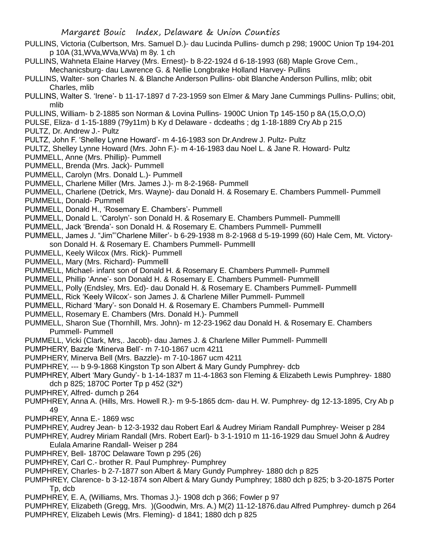- PULLINS, Victoria (Culbertson, Mrs. Samuel D.)- dau Lucinda Pullins- dumch p 298; 1900C Union Tp 194-201 p 10A (31,WVa,WVa,WVa) m 8y. 1 ch
- PULLINS, Wahneta Elaine Harvey (Mrs. Ernest)- b 8-22-1924 d 6-18-1993 (68) Maple Grove Cem.,
	- Mechanicsburg- dau Lawrence G. & Nellie Longbrake Holland Harvey- Pullins
- PULLINS, Walter- son Charles N. & Blanche Anderson Pullins- obit Blanche Anderson Pullins, mlib; obit Charles, mlib
- PULLINS, Walter S. 'Irene'- b 11-17-1897 d 7-23-1959 son Elmer & Mary Jane Cummings Pullins- Pullins; obit, mlib
- PULLINS, William- b 2-1885 son Norman & Lovina Pullins- 1900C Union Tp 145-150 p 8A (15,O,O,O)
- PULSE, Eliza- d 1-15-1889 (79y11m) b Ky d Delaware dcdeaths ; dg 1-18-1889 Cry Ab p 215
- PULTZ, Dr. Andrew J.- Pultz
- PULTZ, John F. 'Shelley Lynne Howard'- m 4-16-1983 son Dr.Andrew J. Pultz- Pultz
- PULTZ, Shelley Lynne Howard (Mrs. John F.)- m 4-16-1983 dau Noel L. & Jane R. Howard- Pultz
- PUMMELL, Anne (Mrs. Phillip)- Pummell
- PUMMELL, Brenda (Mrs. Jack)- Pummell
- PUMMELL, Carolyn (Mrs. Donald L.)- Pummell
- PUMMELL, Charlene Miller (Mrs. James J.)- m 8-2-1968- Pummell
- PUMMELL, Charlene (Detrick, Mrs. Wayne)- dau Donald H. & Rosemary E. Chambers Pummell- Pummell
- PUMMELL, Donald- Pummell
- PUMMELL, Donald H., 'Rosemary E. Chambers'- Pummell
- PUMMELL, Donald L. 'Carolyn'- son Donald H. & Rosemary E. Chambers Pummell- Pummelll
- PUMMELL, Jack 'Brenda'- son Donald H. & Rosemary E. Chambers Pummell- Pummelll
- PUMMELL, James J. "Jim"'Charlene Miller'- b 6-29-1938 m 8-2-1968 d 5-19-1999 (60) Hale Cem, Mt. Victoryson Donald H. & Rosemary E. Chambers Pummell- Pummelll
- PUMMELL, Keely Wilcox (Mrs. Rick)- Pummell
- PUMMELL, Mary (Mrs. Richard)- Pummelll
- PUMMELL, Michael- infant son of Donald H. & Rosemary E. Chambers Pummell- Pummell
- PUMMELL, Phillip 'Anne'- son Donald H. & Rosemary E. Chambers Pummell- Pummelll
- PUMMELL, Polly (Endsley, Mrs. Ed)- dau Donald H. & Rosemary E. Chambers Pummell- Pummelll
- PUMMELL, Rick 'Keely Wilcox'- son James J. & Charlene Miller Pummell- Pummell
- PUMMELL, Richard 'Mary'- son Donald H. & Rosemary E. Chambers Pummell- Pummelll
- PUMMELL, Rosemary E. Chambers (Mrs. Donald H.)- Pummell
- PUMMELL, Sharon Sue (Thornhill, Mrs. John)- m 12-23-1962 dau Donald H. & Rosemary E. Chambers Pummell- Pummell
- PUMMELL, Vicki (Clark, Mrs,. Jacob)- dau James J. & Charlene Miller Pummell- Pummelll
- PUMPHERY, Bazzle 'Minerva Bell'- m 7-10-1867 ucm 4211
- PUMPHERY, Minerva Bell (Mrs. Bazzle)- m 7-10-1867 ucm 4211
- PUMPHREY, --- b 9-9-1868 Kingston Tp son Albert & Mary Gundy Pumphrey- dcb
- PUMPHREY, Albert 'Mary Gundy'- b 1-14-1837 m 11-4-1863 son Fleming & Elizabeth Lewis Pumphrey- 1880 dch p 825; 1870C Porter Tp p 452 (32\*)
- PUMPHREY, Alfred- dumch p 264
- PUMPHREY, Anna A. (Hills, Mrs. Howell R.)- m 9-5-1865 dcm- dau H. W. Pumphrey- dg 12-13-1895, Cry Ab p 49
- PUMPHREY, Anna E.- 1869 wsc
- PUMPHREY, Audrey Jean- b 12-3-1932 dau Robert Earl & Audrey Miriam Randall Pumphrey- Weiser p 284
- PUMPHREY, Audrey Miriam Randall (Mrs. Robert Earl)- b 3-1-1910 m 11-16-1929 dau Smuel John & Audrey Eulala Amarine Randall- Weiser p 284
- PUMPHREY, Bell- 1870C Delaware Town p 295 (26)
- PUMPHREY, Carl C.- brother R. Paul Pumphrey- Pumphrey
- PUMPHREY, Charles- b 2-7-1877 son Albert & Mary Gundy Pumphrey- 1880 dch p 825
- PUMPHREY, Clarence- b 3-12-1874 son Albert & Mary Gundy Pumphrey; 1880 dch p 825; b 3-20-1875 Porter Tp, dcb
- PUMPHREY, E. A, (Williams, Mrs. Thomas J.)- 1908 dch p 366; Fowler p 97
- PUMPHREY, Elizabeth (Gregg, Mrs. )(Goodwin, Mrs. A.) M(2) 11-12-1876.dau Alfred Pumphrey- dumch p 264 PUMPHREY, Elizabeh Lewis (Mrs. Fleming)- d 1841; 1880 dch p 825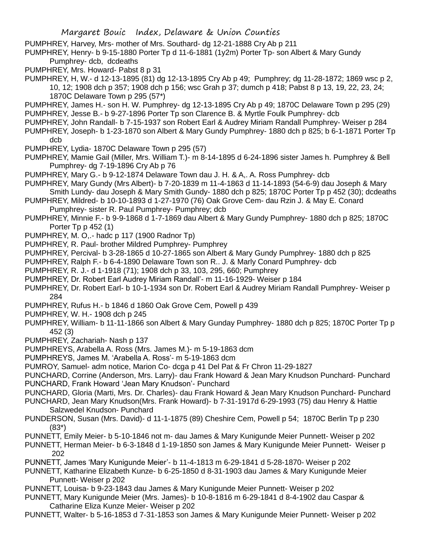- PUMPHREY, Harvey, Mrs- mother of Mrs. Southard- dg 12-21-1888 Cry Ab p 211
- PUMPHREY, Henry- b 9-15-1880 Porter Tp d 11-6-1881 (1y2m) Porter Tp- son Albert & Mary Gundy Pumphrey- dcb, dcdeaths
- PUMPHREY, Mrs. Howard- Pabst 8 p 31
- PUMPHREY, H, W.- d 12-13-1895 (81) dg 12-13-1895 Cry Ab p 49; Pumphrey; dg 11-28-1872; 1869 wsc p 2, 10, 12; 1908 dch p 357; 1908 dch p 156; wsc Grah p 37; dumch p 418; Pabst 8 p 13, 19, 22, 23, 24; 1870C Delaware Town p 295 (57\*)
- PUMPHREY, James H.- son H. W. Pumphrey- dg 12-13-1895 Cry Ab p 49; 1870C Delaware Town p 295 (29) PUMPHREY, Jesse B.- b 9-27-1896 Porter Tp son Clarence B. & Myrtle Foulk Pumphrey- dcb
- PUMPHREY, John Randall- b 7-15-1937 son Robert Earl & Audrey Miriam Randall Pumphrey- Weiser p 284 PUMPHREY, Joseph- b 1-23-1870 son Albert & Mary Gundy Pumphrey- 1880 dch p 825; b 6-1-1871 Porter Tp dcb
- PUMPHREY, Lydia- 1870C Delaware Town p 295 (57)
- PUMPHREY, Mamie Gail (Miller, Mrs. William T.)- m 8-14-1895 d 6-24-1896 sister James h. Pumphrey & Bell Pumphrey- dg 7-19-1896 Cry Ab p 76
- PUMPHREY, Mary G.- b 9-12-1874 Delaware Town dau J. H. & A,. A. Ross Pumphrey- dcb
- PUMPHREY, Mary Gundy (Mrs Albert)- b 7-20-1839 m 11-4-1863 d 11-14-1893 (54-6-9) dau Joseph & Mary Smith Lundy- dau Joseph & Mary Smith Gundy- 1880 dch p 825; 1870C Porter Tp p 452 (30); dcdeaths
- PUMPHREY, Mildred- b 10-10-1893 d 1-27-1970 (76) Oak Grove Cem- dau Rzin J. & May E. Conard Pumphrey- sister R. Paul Pumphrey- Pumphrey; dcb
- PUMPHREY, Minnie F.- b 9-9-1868 d 1-7-1869 dau Albert & Mary Gundy Pumphrey- 1880 dch p 825; 1870C Porter Tp p 452 (1)
- PUMPHREY, M. O,.- hadc p 117 (1900 Radnor Tp)
- PUMPHREY, R. Paul- brother Mildred Pumphrey- Pumphrey
- PUMPHREY, Percival- b 3-28-1865 d 10-27-1865 son Albert & Mary Gundy Pumphrey- 1880 dch p 825
- PUMPHREY, Ralph F.- b 6-4-1890 Delaware Town son R.. J. & Marly Conard Pumphrey- dcb
- PUMPHREY, R. J.- d 1-1918 (71); 1908 dch p 33, 103, 295, 660; Pumphrey
- PUMPHREY, Dr. Robert Earl Audrey Miriam Randall'- m 11-16-1929- Weiser p 184
- PUMPHREY, Dr. Robert Earl- b 10-1-1934 son Dr. Robert Earl & Audrey Miriam Randall Pumphrey- Weiser p 284
- PUMPHREY, Rufus H.- b 1846 d 1860 Oak Grove Cem, Powell p 439
- PUMPHREY, W. H.- 1908 dch p 245
- PUMPHREY, William- b 11-11-1866 son Albert & Mary Gunday Pumphrey- 1880 dch p 825; 1870C Porter Tp p 452 (3)
- PUMPHREY, Zachariah- Nash p 137
- PUMPHREYS, Arabella A. Ross (Mrs. James M.)- m 5-19-1863 dcm
- PUMPHREYS, James M. 'Arabella A. Ross'- m 5-19-1863 dcm
- PUMROY, Samuel- adm notice, Marion Co- dcga p 41 Del Pat & Fr Chron 11-29-1827
- PUNCHARD, Corrine (Anderson, Mrs. Larry)- dau Frank Howard & Jean Mary Knudson Punchard- Punchard PUNCHARD, Frank Howard 'Jean Mary Knudson'- Punchard
- PUNCHARD, Gloria (Marti, Mrs. Dr. Charles)- dau Frank Howard & Jean Mary Knudson Punchard- Punchard PUNCHARD, Jean Mary Knudson(Mrs. Frank Howard)- b 7-31-1917d 6-29-1993 (75) dau Henry & Hattie
- Salzwedel Knudson- Punchard
- PUNDERSON, Susan (Mrs. David)- d 11-1-1875 (89) Cheshire Cem, Powell p 54; 1870C Berlin Tp p 230 (83\*)
- PUNNETT, Emily Meier- b 5-10-1846 not m- dau James & Mary Kunigunde Meier Punnett- Weiser p 202
- PUNNETT, Herman Meier- b 6-3-1848 d 1-19-1850 son James & Mary Kunigunde Meier Punnett- Weiser p 202
- PUNNETT, James 'Mary Kunigunde Meier'- b 11-4-1813 m 6-29-1841 d 5-28-1870- Weiser p 202
- PUNNETT, Katharine Elizabeth Kunze- b 6-25-1850 d 8-31-1903 dau James & Mary Kunigunde Meier Punnett- Weiser p 202
- PUNNETT, Louisa- b 9-23-1843 dau James & Mary Kunigunde Meier Punnett- Weiser p 202
- PUNNETT, Mary Kunigunde Meier (Mrs. James)- b 10-8-1816 m 6-29-1841 d 8-4-1902 dau Caspar & Catharine Eliza Kunze Meier- Weiser p 202
- PUNNETT, Walter- b 5-16-1853 d 7-31-1853 son James & Mary Kunigunde Meier Punnett- Weiser p 202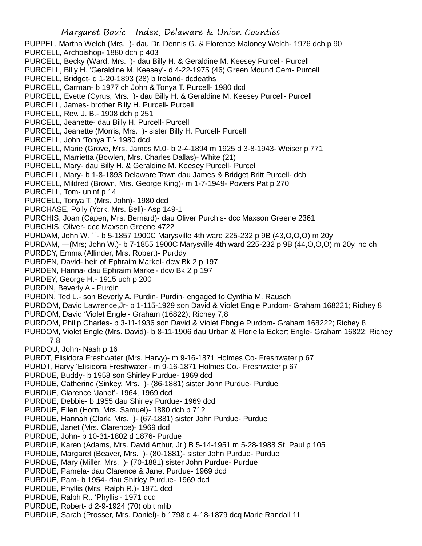PUPPEL, Martha Welch (Mrs. )- dau Dr. Dennis G. & Florence Maloney Welch- 1976 dch p 90 PURCELL, Archbishop- 1880 dch p 403

- PURCELL, Becky (Ward, Mrs. )- dau Billy H. & Geraldine M. Keesey Purcell- Purcell
- PURCELL, Billy H. 'Geraldine M. Keesey'- d 4-22-1975 (46) Green Mound Cem- Purcell
- PURCELL, Bridget- d 1-20-1893 (28) b Ireland- dcdeaths
- PURCELL, Carman- b 1977 ch John & Tonya T. Purcell- 1980 dcd
- PURCELL, Evette (Cyrus, Mrs. )- dau Billy H. & Geraldine M. Keesey Purcell- Purcell
- PURCELL, James- brother Billy H. Purcell- Purcell
- PURCELL, Rev. J. B.- 1908 dch p 251
- PURCELL, Jeanette- dau Billy H. Purcell- Purcell
- PURCELL, Jeanette (Morris, Mrs. )- sister Billy H. Purcell- Purcell
- PURCELL, John 'Tonya T.'- 1980 dcd
- PURCELL, Marie (Grove, Mrs. James M.0- b 2-4-1894 m 1925 d 3-8-1943- Weiser p 771
- PURCELL, Marrietta (Bowlen, Mrs. Charles Dallas)- White (21)
- PURCELL, Mary- dau Billy H. & Geraldine M. Keesey Purcell- Purcell
- PURCELL, Mary- b 1-8-1893 Delaware Town dau James & Bridget Britt Purcell- dcb
- PURCELL, Mildred (Brown, Mrs. George King)- m 1-7-1949- Powers Pat p 270
- PURCELL, Tom- uninf p 14
- PURCELL, Tonya T. (Mrs. John)- 1980 dcd
- PURCHASE, Polly (York, Mrs. Bell)- Asp 149-1
- PURCHIS, Joan (Capen, Mrs. Bernard)- dau Oliver Purchis- dcc Maxson Greene 2361
- PURCHIS, Oliver- dcc Maxson Greene 4722
- PURDAM, John W. ' '- b 5-1857 1900C Marysville 4th ward 225-232 p 9B (43,O,O,O) m 20y
- PURDAM, —(Mrs; John W.)- b 7-1855 1900C Marysville 4th ward 225-232 p 9B (44,O,O,O) m 20y, no ch PURDDY, Emma (Allinder, Mrs. Robert)- Purddy
- 
- PURDEN, David- heir of Ephraim Markel- dcw Bk 2 p 197
- PURDEN, Hanna- dau Ephraim Markel- dcw Bk 2 p 197
- PURDEY, George H.- 1915 uch p 200
- PURDIN, Beverly A.- Purdin
- PURDIN, Ted L.- son Beverly A. Purdin- Purdin- engaged to Cynthia M. Rausch
- PURDOM, David Lawrence,Jr- b 1-115-1929 son David & Violet Engle Purdom- Graham 168221; Richey 8
- PURDOM, David 'Violet Engle'- Graham (16822); Richey 7,8
- PURDOM, Philip Charles- b 3-11-1936 son David & Violet Ebngle Purdom- Graham 168222; Richey 8
- PURDOM, Violet Engle (Mrs. David)- b 8-11-1906 dau Urban & Floriella Eckert Engle- Graham 16822; Richey 7,8
- PURDOU, John- Nash p 16
- PURDT, Elisidora Freshwater (Mrs. Harvy)- m 9-16-1871 Holmes Co- Freshwater p 67
- PURDT, Harvy 'Elisidora Freshwater'- m 9-16-1871 Holmes Co.- Freshwater p 67
- PURDUE, Buddy- b 1958 son Shirley Purdue- 1969 dcd
- PURDUE, Catherine (Sinkey, Mrs. )- (86-1881) sister John Purdue- Purdue
- PURDUE, Clarence 'Janet'- 1964, 1969 dcd
- PURDUE, Debbie- b 1955 dau Shirley Purdue- 1969 dcd
- PURDUE, Ellen (Horn, Mrs. Samuel)- 1880 dch p 712
- PURDUE, Hannah (Clark, Mrs. )- (67-1881) sister John Purdue- Purdue
- PURDUE, Janet (Mrs. Clarence)- 1969 dcd
- PURDUE, John- b 10-31-1802 d 1876- Purdue
- PURDUE, Karen (Adams, Mrs. David Arthur, Jr.) B 5-14-1951 m 5-28-1988 St. Paul p 105
- PURDUE, Margaret (Beaver, Mrs. )- (80-1881)- sister John Purdue- Purdue
- PURDUE, Mary (Miller, Mrs. )- (70-1881) sister John Purdue- Purdue
- PURDUE, Pamela- dau Clarence & Janet Purdue- 1969 dcd
- PURDUE, Pam- b 1954- dau Shirley Purdue- 1969 dcd
- PURDUE, Phyllis (Mrs. Ralph R.)- 1971 dcd
- PURDUE, Ralph R,. 'Phyllis'- 1971 dcd
- PURDUE, Robert- d 2-9-1924 (70) obit mlib
- PURDUE, Sarah (Prosser, Mrs. Daniel)- b 1798 d 4-18-1879 dcq Marie Randall 11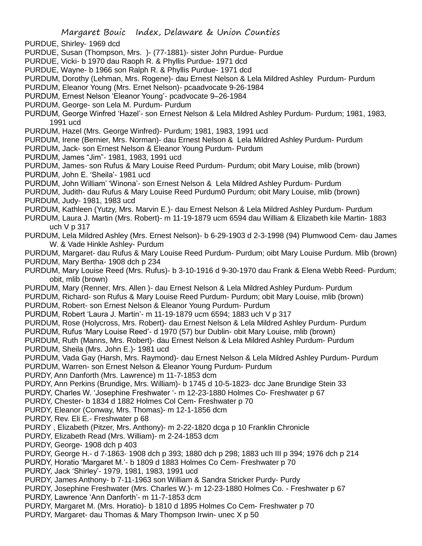- PURDUE, Shirley- 1969 dcd
- PURDUE, Susan (Thompson, Mrs. )- (77-1881)- sister John Purdue- Purdue
- PURDUE, Vicki- b 1970 dau Raoph R. & Phyllis Purdue- 1971 dcd
- PURDUE, Wayne- b 1966 son Ralph R. & Phyllis Purdue- 1971 dcd
- PURDUM, Dorothy (Lehman, Mrs. Rogene)- dau Ernest Nelson & Lela Mildred Ashley Purdum- Purdum
- PURDUM, Eleanor Young (Mrs. Ernet Nelson)- pcaadvocate 9-26-1984
- PURDUM, Ernest Nelson 'Eleanor Young'- pcadvocate 9–26-1984
- PURDUM, George- son Lela M. Purdum- Purdum
- PURDUM, George Winfred 'Hazel'- son Ernest Nelson & Lela Mildred Ashley Purdum- Purdum; 1981, 1983, 1991 ucd
- PURDUM, Hazel (Mrs. George Winfred)- Purdum; 1981, 1983, 1991 ucd
- PURDUM, Irene (Bernier, Mrs. Norman)- dau Ernest Nelson & Lela Mildred Ashley Purdum- Purdum
- PURDUM, Jack- son Ernest Nelson & Eleanor Young Purdum- Purdum
- PURDUM, James "Jim"- 1981, 1983, 1991 ucd
- PURDUM, James- son Rufus & Mary Louise Reed Purdum- Purdum; obit Mary Louise, mlib (brown) PURDUM, John E. 'Sheila'- 1981 ucd
- PURDUM, John William' 'Winona'- son Ernest Nelson & Lela Mildred Ashley Purdum- Purdum
- PURDUM, Judith- dau Rufus & Mary Louise Reed Purdum0 Purdum; obit Mary Louise, mlib (brown) PURDUM, Judy- 1981, 1983 ucd
- PURDUM, Kathleen (Yutzy, Mrs. Marvin E.)- dau Ernest Nelson & Lela Mildred Ashley Purdum- Purdum
- PURDUM, Laura J. Martin (Mrs. Robert)- m 11-19-1879 ucm 6594 dau William & Elizabeth kile Martin- 1883 uch V p 317
- PURDUM, Lela Mildred Ashley (Mrs. Ernest Nelson)- b 6-29-1903 d 2-3-1998 (94) Plumwood Cem- dau James W. & Vade Hinkle Ashley- Purdum
- PURDUM, Margaret- dau Rufus & Mary Louise Reed Purdum- Purdum; oibt Mary Louise Purdum. Mlib (brown) PURDUM, Mary Bertha- 1908 dch p 234
- PURDUM, Mary Louise Reed (Mrs. Rufus)- b 3-10-1916 d 9-30-1970 dau Frank & Elena Webb Reed- Purdum; obit, mlib (brown)
- PURDUM, Mary (Renner, Mrs. Allen )- dau Ernest Nelson & Lela Mildred Ashley Purdum- Purdum
- PURDUM, Richard- son Rufus & Mary Louise Reed Purdum- Purdum; obit Mary Louise, mlib (brown)
- PURDUM, Robert- son Ernest Nelson & Eleanor Young Purdum- Purdum
- PURDUM, Robert 'Laura J. Martin'- m 11-19-1879 ucm 6594; 1883 uch V p 317
- PURDUM, Rose (Holycross, Mrs. Robert)- dau Ernest Nelson & Lela Mildred Ashley Purdum- Purdum
- PURDUM, Rufus 'Mary Louise Reed'- d 1970 (57) bur Dublin- obit Mary Louise, mlib (brown)
- PURDUM, Ruth (Manns, Mrs. Robert)- dau Ernest Nelson & Lela Mildred Ashley Purdum- Purdum
- PURDUM, Sheila (Mrs. John E.)- 1981 ucd
- PURDUM, Vada Gay (Harsh, Mrs. Raymond)- dau Ernest Nelson & Lela Mildred Ashley Purdum- Purdum
- PURDUM, Warren- son Ernest Nelson & Eleanor Young Purdum- Purdum
- PURDY, Ann Danforth (Mrs. Lawrence) m 11-7-1853 dcm
- PURDY, Ann Perkins (Brundige, Mrs. William)- b 1745 d 10-5-1823- dcc Jane Brundige Stein 33
- PURDY, Charles W. 'Josephine Freshwater '- m 12-23-1880 Holmes Co- Freshwater p 67
- PURDY, Chester- b 1834 d 1882 Holmes Col Cem- Freshwater p 70
- PURDY, Eleanor (Conway, Mrs. Thomas)- m 12-1-1856 dcm
- PURDY, Rev. Eli E.- Freshwater p 68
- PURDY , Elizabeth (Pitzer, Mrs. Anthony)- m 2-22-1820 dcga p 10 Franklin Chronicle
- PURDY, Elizabeth Read (Mrs. William)- m 2-24-1853 dcm
- PURDY, George- 1908 dch p 403
- PURDY, George H.- d 7-1863- 1908 dch p 393; 1880 dch p 298; 1883 uch III p 394; 1976 dch p 214
- PURDY, Horatio 'Margaret M.'- b 1809 d 1883 Holmes Co Cem- Freshwater p 70
- PURDY, Jack 'Shirley'- 1979, 1981, 1983, 1991 ucd
- PURDY, James Anthony- b 7-11-1963 son William & Sandra Stricker Purdy- Purdy
- PURDY, Josephine Freshwater (Mrs. Charles W.)- m 12-23-1880 Holmes Co. Freshwater p 67
- PURDY, Lawrence 'Ann Danforth'- m 11-7-1853 dcm
- PURDY, Margaret M. (Mrs. Horatio)- b 1810 d 1895 Holmes Co Cem- Freshwater p 70
- PURDY, Margaret- dau Thomas & Mary Thompson Irwin- unec X p 50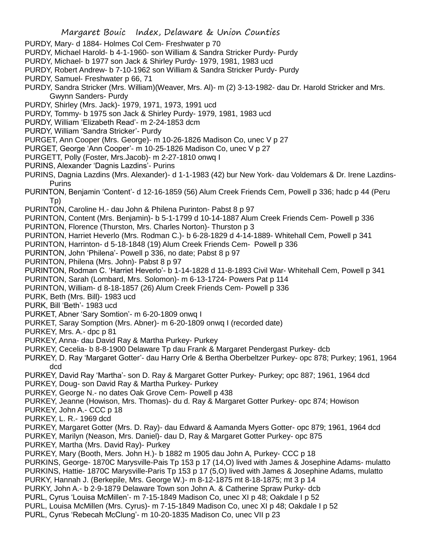- PURDY, Mary- d 1884- Holmes Col Cem- Freshwater p 70
- PURDY, Michael Harold- b 4-1-1960- son William & Sandra Stricker Purdy- Purdy
- PURDY, Michael- b 1977 son Jack & Shirley Purdy- 1979, 1981, 1983 ucd
- PURDY, Robert Andrew- b 7-10-1962 son William & Sandra Stricker Purdy- Purdy
- PURDY, Samuel- Freshwater p 66, 71
- PURDY, Sandra Stricker (Mrs. William)(Weaver, Mrs. Al)- m (2) 3-13-1982- dau Dr. Harold Stricker and Mrs. Gwynn Sanders- Purdy
- PURDY, Shirley (Mrs. Jack)- 1979, 1971, 1973, 1991 ucd
- PURDY, Tommy- b 1975 son Jack & Shirley Purdy- 1979, 1981, 1983 ucd
- PURDY, William 'Elizabeth Read'- m 2-24-1853 dcm
- PURDY, William 'Sandra Stricker'- Purdy
- PURGET, Ann Cooper (Mrs. George)- m 10-26-1826 Madison Co, unec V p 27
- PURGET, George 'Ann Cooper'- m 10-25-1826 Madison Co, unec V p 27
- PURGETT, Polly (Foster, Mrs.Jacob)- m 2-27-1810 onwq I
- PURINS, Alexander 'Dagnis Lazdins'- Purins
- PURINS, Dagnia Lazdins (Mrs. Alexander)- d 1-1-1983 (42) bur New York- dau Voldemars & Dr. Irene Lazdins-Purins
- PURINTON, Benjamin 'Content'- d 12-16-1859 (56) Alum Creek Friends Cem, Powell p 336; hadc p 44 (Peru Tp)
- PURINTON, Caroline H.- dau John & Philena Purinton- Pabst 8 p 97
- PURINTON, Content (Mrs. Benjamin)- b 5-1-1799 d 10-14-1887 Alum Creek Friends Cem- Powell p 336
- PURINTON, Florence (Thurston, Mrs. Charles Norton)- Thurston p 3
- PURINTON, Harriet Heverlo (Mrs. Rodman C.)- b 6-28-1829 d 4-14-1889- Whitehall Cem, Powell p 341
- PURINTON, Harrinton- d 5-18-1848 (19) Alum Creek Friends Cem- Powell p 336
- PURINTON, John 'Philena'- Powell p 336, no date; Pabst 8 p 97
- PURINTON, Philena (Mrs. John)- Pabst 8 p 97
- PURINTON, Rodman C. 'Harriet Heverlo'- b 1-14-1828 d 11-8-1893 Civil War- Whitehall Cem, Powell p 341
- PURINTON, Sarah (Lombard, Mrs. Solomon)- m 6-13-1724- Powers Pat p 114
- PURINTON, William- d 8-18-1857 (26) Alum Creek Friends Cem- Powell p 336
- PURK, Beth (Mrs. Bill)- 1983 ucd
- PURK, Bill 'Beth'- 1983 ucd
- PURKET, Abner 'Sary Somtion'- m 6-20-1809 onwq I
- PURKET, Saray Somption (Mrs. Abner)- m 6-20-1809 onwq I (recorded date)
- PURKEY, Mrs. A.- dpc p 81
- PURKEY, Anna- dau David Ray & Martha Purkey- Purkey
- PURKEY, Cecelia- b 8-8-1900 Delaware Tp dau Frank & Margaret Pendergast Purkey- dcb
- PURKEY, D. Ray 'Margaret Gotter'- dau Harry Orle & Bertha Oberbeltzer Purkey- opc 878; Purkey; 1961, 1964 dcd
- PURKEY, David Ray 'Martha'- son D. Ray & Margaret Gotter Purkey- Purkey; opc 887; 1961, 1964 dcd PURKEY, Doug- son David Ray & Martha Purkey- Purkey
- PURKEY, George N.- no dates Oak Grove Cem- Powell p 438
- PURKEY, Jeanne (Howison, Mrs. Thomas)- du d. Ray & Margaret Gotter Purkey- opc 874; Howison
- PURKEY, John A.- CCC p 18
- PURKEY, L. R.- 1969 dcd
- PURKEY, Margaret Gotter (Mrs. D. Ray)- dau Edward & Aamanda Myers Gotter- opc 879; 1961, 1964 dcd
- PURKEY, Marilyn (Neason, Mrs. Daniel)- dau D, Ray & Margaret Gotter Purkey- opc 875
- PURKEY, Martha (Mrs. David Ray)- Purkey
- PURKEY, Mary (Booth, Mers. John H.)- b 1882 m 1905 dau John A, Purkey- CCC p 18
- PURKINS, George- 1870C Marysville-Pais Tp 153 p 17 (14,O) lived with James & Josephine Adams- mulatto
- PURKINS, Hattie- 1870C Marysville-Paris Tp 153 p 17 (5,O) lived with James & Josephine Adams, mulatto PURKY, Hannah J. (Berkepile, Mrs. George W.)- m 8-12-1875 mt 8-18-1875; mt 3 p 14
- PURKY, John A.- b 2-9-1879 Delaware Town son John A. & Catherine Spraw Purky- dcb
- PURL, Cyrus 'Louisa McMillen'- m 7-15-1849 Madison Co, unec XI p 48; Oakdale I p 52
- PURL, Louisa McMillen (Mrs. Cyrus)- m 7-15-1849 Madison Co, unec XI p 48; Oakdale I p 52
- PURL, Cyrus 'Rebecah McClung'- m 10-20-1835 Madison Co, unec VII p 23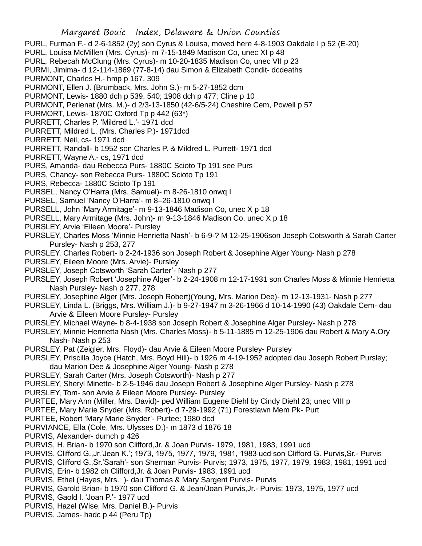PURL, Furman F.- d 2-6-1852 (2y) son Cyrus & Louisa, moved here 4-8-1903 Oakdale I p 52 (E-20)

- PURL, Louisa McMillen (Mrs. Cyrus)- m 7-15-1849 Madison Co, unec XI p 48
- PURL, Rebecah McClung (Mrs. Cyrus)- m 10-20-1835 Madison Co, unec VII p 23

PURMI, Jimima- d 12-114-1869 (77-8-14) dau Simon & Elizabeth Condit- dcdeaths

PURMONT, Charles H.- hmp p 167, 309

PURMONT, Ellen J. (Brumback, Mrs. John S.)- m 5-27-1852 dcm

PURMONT, Lewis- 1880 dch p 539, 540; 1908 dch p 477; Cline p 10

PURMONT, Perlenat (Mrs. M.)- d 2/3-13-1850 (42-6/5-24) Cheshire Cem, Powell p 57

PURMORT, Lewis- 1870C Oxford Tp p 442 (63\*)

PURRETT, Charles P. 'Mildred L.'- 1971 dcd

PURRETT, Mildred L. (Mrs. Charles P.)- 1971dcd

- PURRETT, Neil, cs- 1971 dcd
- PURRETT, Randall- b 1952 son Charles P. & Mildred L. Purrett- 1971 dcd
- PURRETT, Wayne A.- cs, 1971 dcd

PURS, Amanda- dau Rebecca Purs- 1880C Scioto Tp 191 see Purs

PURS, Chancy- son Rebecca Purs- 1880C Scioto Tp 191

PURS, Rebecca- 1880C Scioto Tp 191

PURSEL, Nancy O'Harra (Mrs. Samuel)- m 8-26-1810 onwq I

PURSEL, Samuel 'Nancy O'Harra'- m 8–26-1810 onwq I

PURSELL, John 'Mary Armitage'- m 9-13-1846 Madison Co, unec X p 18

- PURSELL, Mary Armitage (Mrs. John)- m 9-13-1846 Madison Co, unec X p 18
- PURSLEY, Arvie 'Eileen Moore'- Pursley
- PURSLEY, Charles Moss 'Minnie Henrietta Nash'- b 6-9-? M 12-25-1906son Joseph Cotsworth & Sarah Carter Pursley- Nash p 253, 277
- PURSLEY, Charles Robert- b 2-24-1936 son Joseph Robert & Josephine Alger Young- Nash p 278

PURSLEY, Eileen Moore (Mrs. Arvie)- Pursley

PURSLEY, Joseph Cotsworth 'Sarah Carter'- Nash p 277

- PURSLEY, Joseph Robert 'Josephine Alger'- b 2-24-1908 m 12-17-1931 son Charles Moss & Minnie Henrietta Nash Pursley- Nash p 277, 278
- PURSLEY, Josephine Alger (Mrs. Joseph Robert)(Young, Mrs. Marion Dee)- m 12-13-1931- Nash p 277
- PURSLEY, Linda L. (Briggs, Mrs. William J.)- b 9-27-1947 m 3-26-1966 d 10-14-1990 (43) Oakdale Cem- dau Arvie & Eileen Moore Pursley- Pursley
- PURSLEY, Michael Wayne- b 8-4-1938 son Joseph Robert & Josephine Alger Pursley- Nash p 278

PURSLEY, Minnie Henrietta Nash (Mrs. Charles Moss)- b 5-11-1885 m 12-25-1906 dau Robert & Mary A.Ory Nash- Nash p 253

PURSLEY, Pat (Zeigler, Mrs. Floyd)- dau Arvie & Eileen Moore Pursley- Pursley

- PURSLEY, Priscilla Joyce (Hatch, Mrs. Boyd Hill)- b 1926 m 4-19-1952 adopted dau Joseph Robert Pursley; dau Marion Dee & Josephine Alger Young- Nash p 278
- PURSLEY, Sarah Carter (Mrs. Joseph Cotsworth)- Nash p 277

PURSLEY, Sheryl Minette- b 2-5-1946 dau Joseph Robert & Josephine Alger Pursley- Nash p 278

PURSLEY, Tom- son Arvie & Eileen Moore Pursley- Pursley

PURTEE, Mary Ann (Miller, Mrs. David)- ped William Eugene Diehl by Cindy Diehl 23; unec VIII p

PURTEE, Mary Marie Snyder (Mrs. Robert)- d 7-29-1992 (71) Forestlawn Mem Pk- Purt

PURTEE, Robert 'Mary Marie Snyder'- Purtee; 1980 dcd

PURVIANCE, Ella (Cole, Mrs. Ulysses D.)- m 1873 d 1876 18

PURVIS, Alexander- dumch p 426

PURVIS, H. Brian- b 1970 son Clifford,Jr. & Joan Purvis- 1979, 1981, 1983, 1991 ucd

PURVIS, Clifford G.,Jr.'Jean K.'; 1973, 1975, 1977, 1979, 1981, 1983 ucd son Clifford G. Purvis,Sr.- Purvis

PURVIS, Clifford G.,Sr.'Sarah'- son Sherman Purvis- Purvis; 1973, 1975, 1977, 1979, 1983, 1981, 1991 ucd

PURVIS, Erin- b 1982 ch Clifford,Jr. & Joan Purvis- 1983, 1991 ucd

PURVIS, Ethel (Hayes, Mrs. )- dau Thomas & Mary Sargent Purvis- Purvis

PURVIS, Garold Brian- b 1970 son Clifford G. & Jean/Joan Purvis,Jr.- Purvis; 1973, 1975, 1977 ucd

PURVIS, Gaold l. 'Joan P.'- 1977 ucd

PURVIS, Hazel (Wise, Mrs. Daniel B.)- Purvis

PURVIS, James- hadc p 44 (Peru Tp)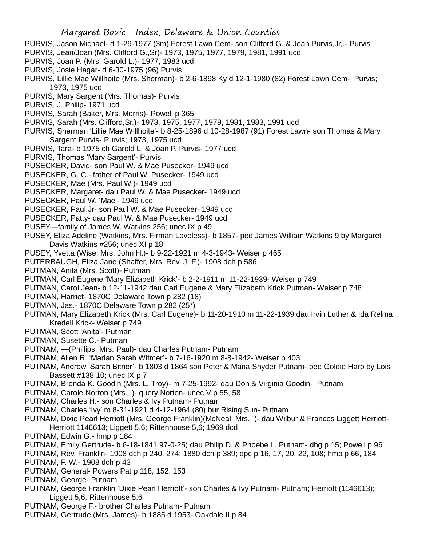- PURVIS, Jason Michael- d 1-29-1977 (3m) Forest Lawn Cem- son Clifford G. & Joan Purvis,Jr,.- Purvis
- PURVIS, Jean/Joan (Mrs. Clifford G.,Sr)- 1973, 1975, 1977, 1979, 1981, 1991 ucd
- PURVIS, Joan P. (Mrs. Garold L.)- 1977, 1983 ucd
- PURVIS, Josie Hagar- d 6-30-1975 (96) Purvis
- PURVIS, Lillie Mae Willhoite (Mrs. Sherman)- b 2-6-1898 Ky d 12-1-1980 (82) Forest Lawn Cem- Purvis; 1973, 1975 ucd
- PURVIS, Mary Sargent (Mrs. Thomas)- Purvis
- PURVIS, J. Philip- 1971 ucd
- PURVIS, Sarah (Baker, Mrs. Morris)- Powell p 365
- PURVIS, Sarah (Mrs. Clifford,Sr.)- 1973, 1975, 1977, 1979, 1981, 1983, 1991 ucd
- PURVIS, Sherman 'Lillie Mae Willhoite'- b 8-25-1896 d 10-28-1987 (91) Forest Lawn- son Thomas & Mary Sargent Purvis- Purvis; 1973, 1975 ucd
- PURVIS, Tara- b 1975 ch Garold L. & Joan P. Purvis- 1977 ucd
- PURVIS, Thomas 'Mary Sargent'- Purvis
- PUSECKER, David- son Paul W. & Mae Pusecker- 1949 ucd
- PUSECKER, G. C.- father of Paul W. Pusecker- 1949 ucd
- PUSECKER, Mae (Mrs. Paul W.)- 1949 ucd
- PUSECKER, Margaret- dau Paul W. & Mae Pusecker- 1949 ucd
- PUSECKER, Paul W. 'Mae'- 1949 ucd
- PUSECKER, Paul,Jr- son Paul W. & Mae Pusecker- 1949 ucd
- PUSECKER, Patty- dau Paul W. & Mae Pusecker- 1949 ucd
- PUSEY—family of James W. Watkins 256; unec IX p 49
- PUSEY, Eliza Adeline (Watkins, Mrs. Firman Loveless)- b 1857- ped James William Watkins 9 by Margaret Davis Watkins #256; unec XI p 18
- PUSEY, Yvetta (Wise, Mrs. John H.)- b 9-22-1921 m 4-3-1943- Weiser p 465
- PUTERBAUGH, Eliza Jane (Shaffer, Mrs. Rev. J. F.)- 1908 dch p 586
- PUTMAN, Anita (Mrs. Scott)- Putman
- PUTMAN, Carl Eugene 'Mary Elizabeth Krick'- b 2-2-1911 m 11-22-1939- Weiser p 749
- PUTMAN, Carol Jean- b 12-11-1942 dau Carl Eugene & Mary Elizabeth Krick Putman- Weiser p 748
- PUTMAN, Harriet- 1870C Delaware Town p 282 (18)
- PUTMAN, Jas.- 1870C Delaware Town p 282 (25\*)
- PUTMAN, Mary Elizabeth Krick (Mrs. Carl Eugene)- b 11-20-1910 m 11-22-1939 dau Irvin Luther & Ida Relma Kredell Krick- Weiser p 749
- PUTMAN, Scott 'Anita'- Putman
- PUTMAN, Susette C.- Putman
- PUTNAM, —(Phillips, Mrs. Paul)- dau Charles Putnam- Putnam
- PUTNAM, Allen R. 'Marian Sarah Witmer'- b 7-16-1920 m 8-8-1942- Weiser p 403
- PUTNAM, Andrew 'Sarah Bitner'- b 1803 d 1864 son Peter & Maria Snyder Putnam- ped Goldie Harp by Lois Bassett #138 10; unec IX p 7
- PUTNAM, Brenda K. Goodin (Mrs. L. Troy)- m 7-25-1992- dau Don & Virginia Goodin- Putnam
- PUTNAM, Carole Norton (Mrs. )- query Norton- unec V p 55, 58
- PUTNAM, Charles H.- son Charles & Ivy Putnam- Putnam
- PUTNAM, Charles 'Ivy' m 8-31-1921 d 4-12-1964 (80) bur Rising Sun- Putnam
- PUTNAM, Dixie Pearl Herriott (Mrs. George Franklin)(McNeal, Mrs. )- dau Wilbur & Frances Liggett Herriott-Herriott 1146613; Liggett 5,6; Rittenhouse 5,6; 1969 dcd
- PUTNAM, Edwin G.- hmp p 184
- PUTNAM, Emily Gertrude- b 6-18-1841 97-0-25) dau Philip D. & Phoebe L. Putnam- dbg p 15; Powell p 96
- PUTNAM, Rev. Franklin- 1908 dch p 240, 274; 1880 dch p 389; dpc p 16, 17, 20, 22, 108; hmp p 66, 184
- PUTNAM, F. W.- 1908 dch p 43
- PUTNAM, General- Powers Pat p 118, 152, 153
- PUTNAM, George- Putnam
- PUTNAM, George Franklin 'Dixie Pearl Herriott'- son Charles & Ivy Putnam- Putnam; Herriott (1146613); Liggett 5,6; Rittenhouse 5,6
- PUTNAM, George F.- brother Charles Putnam- Putnam
- PUTNAM, Gertrude (Mrs. James)- b 1885 d 1953- Oakdale II p 84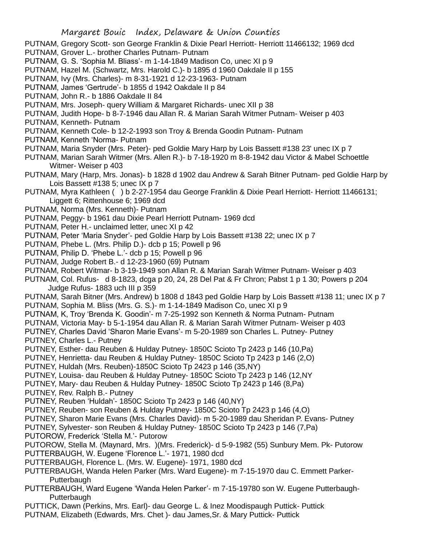- PUTNAM, Gregory Scott- son George Franklin & Dixie Pearl Herriott- Herriott 11466132; 1969 dcd
- PUTNAM, Grover L.- brother Charles Putnam- Putnam
- PUTNAM, G. S. 'Sophia M. Bliass'- m 1-14-1849 Madison Co, unec XI p 9
- PUTNAM, Hazel M. (Schwartz, Mrs. Harold C.)- b 1895 d 1960 Oakdale II p 155
- PUTNAM, Ivy (Mrs. Charles)- m 8-31-1921 d 12-23-1963- Putnam
- PUTNAM, James 'Gertrude'- b 1855 d 1942 Oakdale II p 84
- PUTNAM, John R.- b 1886 Oakdale II 84
- PUTNAM, Mrs. Joseph- query William & Margaret Richards- unec XII p 38
- PUTNAM, Judith Hope- b 8-7-1946 dau Allan R. & Marian Sarah Witmer Putnam- Weiser p 403
- PUTNAM, Kenneth- Putnam
- PUTNAM, Kenneth Cole- b 12-2-1993 son Troy & Brenda Goodin Putnam- Putnam
- PUTNAM, Kenneth 'Norma- Putnam
- PUTNAM, Maria Snyder (Mrs. Peter)- ped Goldie Mary Harp by Lois Bassett #138 23' unec IX p 7
- PUTNAM, Marian Sarah Witmer (Mrs. Allen R.)- b 7-18-1920 m 8-8-1942 dau Victor & Mabel Schoettle Witmer- Weiser p 403
- PUTNAM, Mary (Harp, Mrs. Jonas)- b 1828 d 1902 dau Andrew & Sarah Bitner Putnam- ped Goldie Harp by Lois Bassett #138 5; unec IX p 7
- PUTNAM, Myra Kathleen ( ) b 2-27-1954 dau George Franklin & Dixie Pearl Herriott- Herriott 11466131; Liggett 6; Rittenhouse 6; 1969 dcd
- PUTNAM, Norma (Mrs. Kenneth)- Putnam
- PUTNAM, Peggy- b 1961 dau Dixie Pearl Herriott Putnam- 1969 dcd
- PUTNAM, Peter H.- unclaimed letter, unec XI p 42
- PUTNAM, Peter 'Maria Snyder'- ped Goldie Harp by Lois Bassett #138 22; unec IX p 7
- PUTNAM, Phebe L. (Mrs. Philip D.)- dcb p 15; Powell p 96
- PUTNAM, Philip D. 'Phebe L.'- dcb p 15; Powell p 96
- PUTNAM, Judge Robert B.- d 12-23-1960 (69) Putnam
- PUTNAM, Robert Witmar- b 3-19-1949 son Allan R. & Marian Sarah Witmer Putnam- Weiser p 403
- PUTNAM, Col. Rufus- d 8-1823, dcga p 20, 24, 28 Del Pat & Fr Chron; Pabst 1 p 1 30; Powers p 204 Judge Rufus- 1883 uch III p 359
- PUTNAM, Sarah Bitner (Mrs. Andrew) b 1808 d 1843 ped Goldie Harp by Lois Bassett #138 11; unec IX p 7 PUTNAM, Sophia M. Bliss (Mrs. G. S.)- m 1-14-1849 Madison Co, unec XI p 9
- PUTNAM, K, Troy 'Brenda K. Goodin'- m 7-25-1992 son Kenneth & Norma Putnam- Putnam
- PUTNAM, Victoria May- b 5-1-1954 dau Allan R. & Marian Sarah Witmer Putnam- Weiser p 403
- PUTNEY, Charles David 'Sharon Marie Evans'- m 5-20-1989 son Charles L. Putney- Putney PUTNEY, Charles L.- Putney
- PUTNEY, Esther- dau Reuben & Hulday Putney- 1850C Scioto Tp 2423 p 146 (10,Pa)
- PUTNEY, Henrietta- dau Reuben & Hulday Putney- 1850C Scioto Tp 2423 p 146 (2,O)
- PUTNEY, Huldah (Mrs. Reuben)-1850C Scioto Tp 2423 p 146 (35,NY)
- PUTNEY, Louisa- dau Reuben & Hulday Putney- 1850C Scioto Tp 2423 p 146 (12,NY
- PUTNEY, Mary- dau Reuben & Hulday Putney- 1850C Scioto Tp 2423 p 146 (8,Pa)
- PUTNEY, Rev. Ralph B.- Putney
- PUTNEY, Reuben 'Huldah'- 1850C Scioto Tp 2423 p 146 (40,NY)
- PUTNEY, Reuben- son Reuben & Hulday Putney- 1850C Scioto Tp 2423 p 146 (4,O)
- PUTNEY, Sharon Marie Evans (Mrs. Charles David)- m 5-20-1989 dau Sheridan P. Evans- Putney
- PUTNEY, Sylvester- son Reuben & Hulday Putney- 1850C Scioto Tp 2423 p 146 (7,Pa)
- PUTOROW, Frederick 'Stella M.'- Putorow
- PUTOROW, Stella M. (Maynard, Mrs. )(Mrs. Frederick)- d 5-9-1982 (55) Sunbury Mem. Pk- Putorow PUTTERBAUGH, W. Eugene 'Florence L.'- 1971, 1980 dcd
- PUTTERBAUGH, Florence L. (Mrs. W. Eugene)- 1971, 1980 dcd
- PUTTERBAUGH, Wanda Helen Parker (Mrs. Ward Eugene)- m 7-15-1970 dau C. Emmett Parker-**Putterbaugh**
- PUTTERBAUGH, Ward Eugene 'Wanda Helen Parker'- m 7-15-19780 son W. Eugene Putterbaugh-Putterbaugh
- PUTTICK, Dawn (Perkins, Mrs. Earl)- dau George L. & Inez Moodispaugh Puttick- Puttick
- PUTNAM, Elizabeth (Edwards, Mrs. Chet )- dau James,Sr. & Mary Puttick- Puttick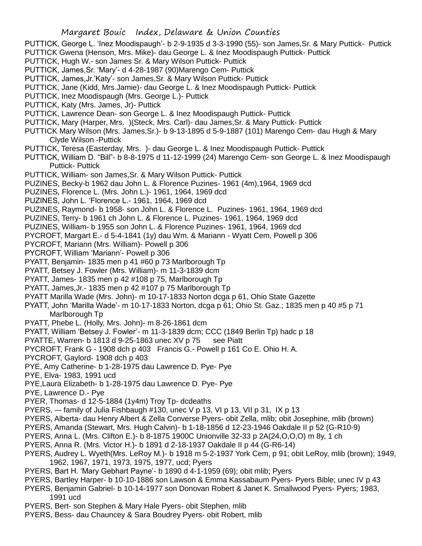PUTTICK, George L. 'Inez Moodispaugh'- b 2-9-1935 d 3-3-1990 (55)- son James,Sr. & Mary Puttick- Puttick

- PUTTICK Gwena (Henson, Mrs. Mike)- dau George L. & Inez Moodispaugh Puttick- Puttick
- PUTTICK, Hugh W.- son James Sr. & Mary Wilson Puttick- Puttick
- PUTTICK, James,Sr. 'Mary'- d 4-28-1987 (90)Marengo Cem- Puttick
- PUTTICK, James,Jr.'Katy'- son James,Sr. & Mary Wilson Puttick- Puttick
- PUTTICK, Jane (Kidd, Mrs.Jamie)- dau George L. & Inez Moodispaugh Puttick- Puttick
- PUTTICK, Inez Moodispaugh (Mrs. George L.)- Puttick
- PUTTICK, Katy (Mrs. James, Jr)- Puttick
- PUTTICK, Lawrence Dean- son George L. & Inez Moodispaugh Puttick- Puttick
- PUTTICK, Mary (Harper, Mrs. )(Steck, Mrs. Carl)- dau James,Sr. & Mary Puttick- Puttick
- PUTTICK Mary Wilson (Mrs. James,Sr.)- b 9-13-1895 d 5-9-1887 (101) Marengo Cem- dau Hugh & Mary Clyde Wilson -Puttick
- PUTTICK, Teresa (Easterday, Mrs. )- dau George L. & Inez Moodispaugh Puttick- Puttick
- PUTTICK, William D. "Bill"- b 8-8-1975 d 11-12-1999 (24) Marengo Cem- son George L. & Inez Moodispaugh Puttick- Puttick
- PUTTICK, William- son James,Sr. & Mary Wilson Puttick- Puttick
- PUZINES, Becky-b 1962 dau John L. & Florence Puzines- 1961 (4m),1964, 1969 dcd
- PUZINES, Florence L. (Mrs. John L.)- 1961, 1964, 1969 dcd
- PUZINES, John L. 'Florence L.- 1961, 1964, 1969 dcd
- PUZINES, Raymond- b 1958- son John L. & Florence L. Puzines- 1961, 1964, 1969 dcd
- PUZINES, Terry- b 1961 ch John L. & Florence L. Puzines- 1961, 1964, 1969 dcd
- PUZINES, William- b 1955 son John L. & Florence Puzines- 1961, 1964, 1969 dcd
- PYCROFT, Margart E.- d 5-4-1841 (1y) dau Wm. & Mariann Wyatt Cem, Powell p 306
- PYCROFT, Mariann (Mrs. William)- Powell p 306
- PYCROFT, William 'Mariann'- Powell p 306
- PYATT, Benjamin- 1835 men p 41 #60 p 73 Marlborough Tp
- PYATT, Betsey J. Fowler (Mrs. William)- m 11-3-1839 dcm
- PYATT, James- 1835 men p 42 #108 p 75, Marlborough Tp
- PYATT, James,Jr.- 1835 men p 42 #107 p 75 Marlborough Tp
- PYATT Marilla Wade (Mrs. John)- m 10-17-1833 Norton dcga p 61, Ohio State Gazette
- PYATT, John 'Marilla Wade'- m 10-17-1833 Norton, dcga p 61; Ohio St. Gaz.; 1835 men p 40 #5 p 71 Marlborough Tp
- PYATT, Phebe L. (Holly, Mrs. John)- m 8-26-1861 dcm
- PYATT, William 'Betsey J. Fowler'- m 11-3-1839 dcm; CCC (1849 Berlin Tp) hadc p 18
- PYATTE, Warren- b 1813 d 9-25-1863 unec XV p 75 see Piatt
- PYCROFT, Frank G 1908 dch p 403 Francis G.- Powell p 161 Co E. Ohio H. A.
- PYCROFT, Gaylord- 1908 dch p 403
- PYE, Amy Catherine- b 1-28-1975 dau Lawrence D. Pye- Pye
- PYE, Elva- 1983, 1991 ucd
- PYE,Laura Elizabeth- b 1-28-1975 dau Lawrence D. Pye- Pye
- PYE, Lawrence D.- Pye
- PYER, Thomas- d 12-5-1884 (1y4m) Troy Tp- dcdeaths
- PYERS, –- family of Julia Fishbaugh #130, unec V p 13, VI p 13, VII p 31, IX p 13
- PYERS, Alberta- dau Henry Albert & Zella Converse Pyers- obit Zella, mlib; obit Josephine, mlib (brown)
- PYERS, Amanda (Stewart, Mrs. Hugh Calvin)- b 1-18-1856 d 12-23-1946 Oakdale II p 52 (G-R10-9)
- PYERS, Anna L. (Mrs. Clifton E.)- b 8-1875 1900C Unionville 32-33 p 2A(24,O,O,O) m 8y, 1 ch
- PYERS, Anna R. (Mrs. Victor H.)- b 1891 d 2-18-1937 Oakdale II p 44 (G-R6-14)
- PYERS, Audrey L. Wyeth(Mrs. LeRoy M.)- b 1918 m 5-2-1937 York Cem, p 91; obit LeRoy, mlib (brown); 1949, 1962, 1967, 1971, 1973, 1975, 1977, ucd; Pyers
- PYERS, Bart H. 'Mary Gebhart Payne'- b 1890 d 4-1-1959 (69); obit mlib; Pyers
- PYERS, Bartley Harper- b 10-10-1886 son Lawson & Emma Kassabaum Pyers- Pyers Bible; unec IV p 43
- PYERS, Benjamin Gabriel- b 10-14-1977 son Donovan Robert & Janet K. Smallwood Pyers- Pyers; 1983, 1991 ucd
- PYERS, Bert- son Stephen & Mary Hale Pyers- obit Stephen, mlib
- PYERS, Bess- dau Chauncey & Sara Boudrey Pyers- obit Robert, mlib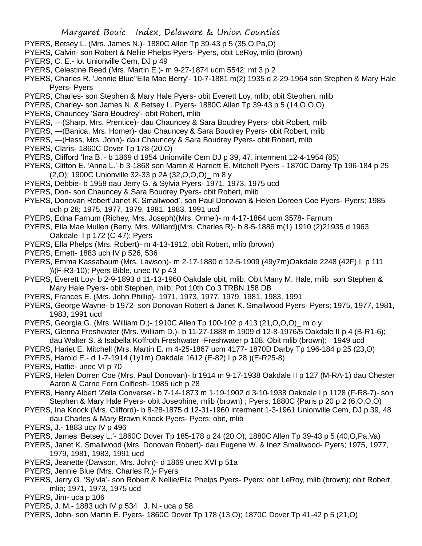- PYERS, Betsey L. (Mrs. James N.)- 1880C Allen Tp 39-43 p 5 (35,O,Pa,O)
- PYERS, Calvin- son Robert & Nellie Phelps Pyers- Pyers, obit LeRoy, mlib (brown)
- PYERS, C. E.- lot Unionville Cem, DJ p 49
- PYERS, Celestine Reed (Mrs. Martin E.)- m 9-27-1874 ucm 5542; mt 3 p 2
- PYERS, Charles R. 'Jennie Blue''Ella Mae Berry'- 10-7-1881 m(2) 1935 d 2-29-1964 son Stephen & Mary Hale Pyers- Pyers
- PYERS, Charles- son Stephen & Mary Hale Pyers- obit Everett Loy, mlib; obit Stephen, mlib
- PYERS, Charley- son James N. & Betsey L. Pyers- 1880C Allen Tp 39-43 p 5 (14,O,O,O)
- PYERS, Chauncey 'Sara Boudrey'- obit Robert, mlib
- PYERS, —(Sharp, Mrs. Prentice)- dau Chauncey & Sara Boudrey Pyers- obit Robert, mlib
- PYERS, —(Banica, Mrs. Homer)- dau Chauncey & Sara Boudrey Pyers- obit Robert, mlib
- PYERS, —(Hess, Mrs. John)- dau Chauncey & Sara Boudrey Pyers- obit Robert, mlib
- PYERS, Claris- 1860C Dover Tp 178 (20,O)
- PYERS, Clifford 'Ina B.'- b 1869 d 1954 Unionville Cem DJ p 39, 47, interment 12-4-1954 (85)
- PYERS, Clifton E. 'Anna L.'-b 3-1868 son Martin & Harriett E. Mitchell Pyers 1870C Darby Tp 196-184 p 25 (2,O); 1900C Unionville 32-33 p 2A (32,O,O,O)\_ m 8 y
- PYERS, Debbie- b 1958 dau Jerry G. & Sylvia Pyers- 1971, 1973, 1975 ucd
- PYERS, Don- son Chauncey & Sara Boudrey Pyers- obit Robert, mlib
- PYERS, Donovan Robert'Janet K. Smallwood'. son Paul Donovan & Helen Doreen Coe Pyers- Pyers; 1985 uch p 28; 1975, 1977, 1979, 1981, 1983, 1991 ucd
- PYERS, Edna Farnum (Richey, Mrs. Joseph)(Mrs. Ormel)- m 4-17-1864 ucm 3578- Farnum
- PYERS, Ella Mae Mullen (Berry, Mrs. Willard)(Mrs. Charles R)- b 8-5-1886 m(1) 1910 (2)21935 d 1963 Oakdale I p 172 (C-47); Pyers
- PYERS, Ella Phelps (Mrs. Robert)- m 4-13-1912, obit Robert, mlib (brown)
- PYERS, Emett- 1883 uch IV p 526, 536
- PYERS, Emma Kassabaum (Mrs. Lawson)- m 2-17-1880 d 12-5-1909 (49y7m)Oakdale 2248 (42F) I p 111 )\(F-R3-10); Pyers Bible, unec IV p 43
- PYERS, Everett Loy- b 2-9-1893 d 11-13-1960 Oakdale obit, mlib. Obit Many M. Hale, mlib son Stephen & Mary Hale Pyers- obit Stephen, mlib; Pot 10th Co 3 TRBN 158 DB
- PYERS, Frances E. (Mrs. John Phillip)- 1971, 1973, 1977, 1979, 1981, 1983, 1991
- PYERS, George Wayne- b 1972- son Donovan Robert & Janet K. Smallwood Pyers- Pyers; 1975, 1977, 1981, 1983, 1991 ucd
- PYERS, Georgia G. (Mrs. William D.)- 1910C Allen Tp 100-102 p 413 (21,O,O,O)\_ m o y
- PYERS, Glenna Freshwater (Mrs. William D.)- b 11-27-1888 m 1909 d 12-8-1976/5 Oakdale II p 4 (B-R1-6); dau Walter S. & Isabella Koffroth Freshwater -Freshwater p 108. Obit mlib (brown); 1949 ucd
- PYERS, Hariet E. Mitchell (Mrs. Martin E. m 4-25-1867 ucm 4177- 1870D Darby Tp 196-184 p 25 (23,O)
- PYERS, Harold E.- d 1-7-1914 (1y1m) Oakdale 1612 (E-82) I p 28 )(E-R25-8)
- PYERS, Hattie- unec VI p 70
- PYERS, Helen Dorren Coe (Mrs. Paul Donovan)- b 1914 m 9-17-1938 Oakdale II p 127 (M-RA-1) dau Chester Aaron & Carrie Fern Colflesh- 1985 uch p 28
- PYERS, Henry Albert 'Zella Converse'- b 7-14-1873 m 1-19-1902 d 3-10-1938 Oakdale I p 1128 (F-R8-7)- son Stephen & Mary Hale Pyers- obit Josephine, mlib (brown) ; Pyers; 1880C {Paris p 20 p 2 (6,O,O,O)
- PYERS, Ina Knock (Mrs. Clifford)- b 8-28-1875 d 12-31-1960 interment 1-3-1961 Unionville Cem, DJ p 39, 48 dau Charles & Mary Brown Knock Pyers- Pyers; obit, mlib
- PYERS, J.- 1883 ucy IV p 496
- PYERS, James 'Betsey L.'- 1860C Dover Tp 185-178 p 24 (20,O); 1880C Allen Tp 39-43 p 5 (40,O,Pa,Va)
- PYERS, Janet K. Smallwood (Mrs. Donovan Robert)- dau Eugene W. & Inez Smallwood- Pyers; 1975, 1977, 1979, 1981, 1983, 1991 ucd
- PYERS, Jeanette (Dawson, Mrs. John)- d 1869 unec XVI p 51a
- PYERS, Jennie Blue (Mrs. Charles R.)- Pyers
- PYERS, Jerry G. 'Sylvia'- son Robert & Nellie/Ella Phelps Pyers- Pyers; obit LeRoy, mlib (brown); obit Robert, mlib; 1971, 1973, 1975 ucd
- PYERS, Jim- uca p 106
- PYERS, J. M.- 1883 uch IV p 534 J. N.- uca p 58
- PYERS, John- son Martin E. Pyers- 1860C Dover Tp 178 (13,O); 1870C Dover Tp 41-42 p 5 (21,O)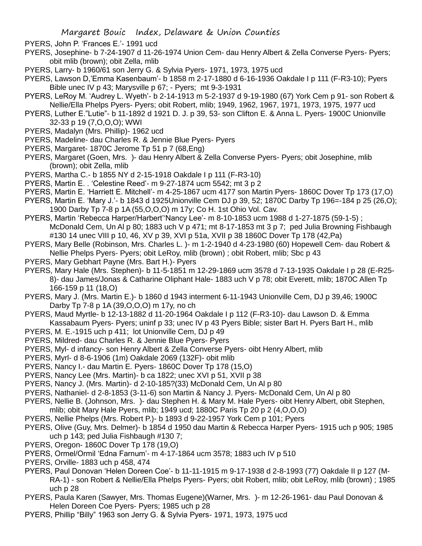- PYERS, John P. 'Frances E.'- 1991 ucd
- PYERS, Josephine- b 7-24-1907 d 11-26-1974 Union Cem- dau Henry Albert & Zella Converse Pyers- Pyers; obit mlib (brown); obit Zella, mlib
- PYERS, Larry- b 1960/61 son Jerry G. & Sylvia Pyers- 1971, 1973, 1975 ucd
- PYERS, Lawson D,'Emma Kasenbaum'- b 1858 m 2-17-1880 d 6-16-1936 Oakdale I p 111 (F-R3-10); Pyers Bible unec IV p 43; Marysville p 67; - Pyers; mt 9-3-1931
- PYERS, LeRoy M. 'Audrey L. Wyeth'- b 2-14-1913 m 5-2-1937 d 9-19-1980 (67) York Cem p 91- son Robert & Nellie/Ella Phelps Pyers- Pyers; obit Robert, mlib; 1949, 1962, 1967, 1971, 1973, 1975, 1977 ucd
- PYERS, Luther E."Lutie"- b 11-1892 d 1921 D. J. p 39, 53- son Clifton E. & Anna L. Pyers- 1900C Unionville 32-33 p 19 (7,O,O,O); WWI
- PYERS, Madalyn (Mrs. Phillip)- 1962 ucd
- PYERS, Madeline- dau Charles R. & Jennie Blue Pyers- Pyers
- PYERS, Margaret- 1870C Jerome Tp 51 p 7 (68,Eng)
- PYERS, Margaret (Goen, Mrs. )- dau Henry Albert & Zella Converse Pyers- Pyers; obit Josephine, mlib (brown); obit Zella, mlib
- PYERS, Martha C.- b 1855 NY d 2-15-1918 Oakdale I p 111 (F-R3-10)
- PYERS, Martin E. . 'Celestine Reed'- m 9-27-1874 ucm 5542; mt 3 p 2
- PYERS, Martin E. 'Harriett E. Mitchell'- m 4-25-1867 ucm 4177 son Martin Pyers- 1860C Dover Tp 173 (17,O)
- PYERS, Martin E. 'Mary J.'- b 1843 d 1925Unionville Cem DJ p 39, 52; 1870C Darby Tp 196=-184 p 25 (26,O); 1900 Darby Tp 7-8 p 1A (55,O,O,O) m 17y; Co H. 1st Ohio Vol. Cav.
- PYERS, Martin 'Rebecca Harper/Harbert''Nancy Lee'- m 8-10-1853 ucm 1988 d 1-27-1875 (59-1-5) ; McDonald Cem, Un Al p 80; 1883 uch V p 471; mt 8-17-1853 mt 3 p 7; ped Julia Browning Fishbaugh #130 14 unec VIII p 10, 46, XV p 39, XVI p 51a, XVII p 38 1860C Dover Tp 178 (42,Pa)
- PYERS, Mary Belle (Robinson, Mrs. Charles L. )- m 1-2-1940 d 4-23-1980 (60) Hopewell Cem- dau Robert & Nellie Phelps Pyers- Pyers; obit LeRoy, mlib (brown) ; obit Robert, mlib; Sbc p 43
- PYERS, Mary Gebhart Payne (Mrs. Bart H.)- Pyers
- PYERS, Mary Hale (Mrs. Stephen)- b 11-5-1851 m 12-29-1869 ucm 3578 d 7-13-1935 Oakdale I p 28 (E-R25- 8)- dau James/Jonas & Catharine Oliphant Hale- 1883 uch V p 78; obit Everett, mlib; 1870C Allen Tp 166-159 p 11 (18,O)
- PYERS, Mary J. (Mrs. Martin E.)- b 1860 d 1943 interment 6-11-1943 Unionville Cem, DJ p 39,46; 1900C Darby Tp 7-8 p 1A (39,O,O,O) m 17y, no ch
- PYERS, Maud Myrtle- b 12-13-1882 d 11-20-1964 Oakdale I p 112 (F-R3-10)- dau Lawson D. & Emma Kassabaum Pyers- Pyers; uninf p 33; unec IV p 43 Pyers Bible; sister Bart H. Pyers Bart H., mlib
- PYERS, M. E.-1915 uch p 411; lot Unionville Cem, DJ p 49
- PYERS, Mildred- dau Charles R. & Jennie Blue Pyers- Pyers
- PYERS, Myl- d infancy- son Henry Albert & Zella Converse Pyers- oibt Henry Albert, mlib
- PYERS, Myrl- d 8-6-1906 (1m) Oakdale 2069 (132F)- obit mlib
- PYERS, Nancy I.- dau Martin E. Pyers- 1860C Dover Tp 178 (15,O)
- PYERS, Nancy Lee (Mrs. Martin)- b ca 1822; unec XVI p 51, XVII p 38
- PYERS, Nancy J. (Mrs. Martin)- d 2-10-185?(33) McDonald Cem, Un Al p 80
- PYERS, Nathaniel- d 2-8-1853 (3-11-6) son Martin & Nancy J. Pyers- McDonald Cem, Un Al p 80
- PYERS, Nellie B. (Johnson, Mrs. )- dau Stephen H. & Mary M. Hale Pyers- oibt Henry Albert, obit Stephen, mlib; obit Mary Hale Pyers, mlib; 1949 ucd; 1880C Paris Tp 20 p 2 (4,O,O,O)
- PYERS, Nellie Phelps (Mrs. Robert P.)- b 1893 d 9-22-1957 York Cem p 101; Pyers
- PYERS, Olive (Guy, Mrs. Delmer)- b 1854 d 1950 dau Martin & Rebecca Harper Pyers- 1915 uch p 905; 1985 uch p 143; ped Julia Fishbaugh #130 7;
- PYERS, Oregon- 1860C Dover Tp 178 (19,O)
- PYERS, Ormel/Ormil 'Edna Farnum'- m 4-17-1864 ucm 3578; 1883 uch IV p 510
- PYERS, Orville- 1883 uch p 458, 474
- PYERS, Paul Donovan 'Helen Doreen Coe'- b 11-11-1915 m 9-17-1938 d 2-8-1993 (77) Oakdale II p 127 (M-RA-1) - son Robert & Nellie/Ella Phelps Pyers- Pyers; obit Robert, mlib; obit LeRoy, mlib (brown) ; 1985 uch p 28
- PYERS, Paula Karen (Sawyer, Mrs. Thomas Eugene)(Warner, Mrs. )- m 12-26-1961- dau Paul Donovan & Helen Doreen Coe Pyers- Pyers; 1985 uch p 28
- PYERS, Phillip "Billy" 1963 son Jerry G. & Sylvia Pyers- 1971, 1973, 1975 ucd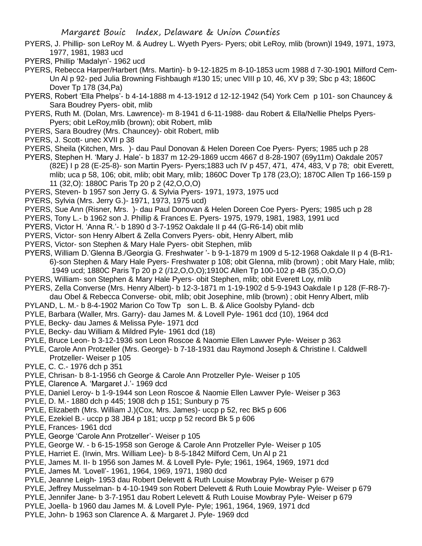- PYERS, J. Phillip- son LeRoy M. & Audrey L. Wyeth Pyers- Pyers; obit LeRoy, mlib (brown)l 1949, 1971, 1973, 1977, 1981, 1983 ucd
- PYERS, Phillip 'Madalyn'- 1962 ucd
- PYERS, Rebecca Harper/Harbert (Mrs. Martin)- b 9-12-1825 m 8-10-1853 ucm 1988 d 7-30-1901 Milford Cem-Un Al p 92- ped Julia Browning Fishbaugh #130 15; unec VIII p 10, 46, XV p 39; Sbc p 43; 1860C Dover Tp 178 (34,Pa)
- PYERS, Robert 'Ella Phelps'- b 4-14-1888 m 4-13-1912 d 12-12-1942 (54) York Cem p 101- son Chauncey & Sara Boudrey Pyers- obit, mlib
- PYERS, Ruth M. (Dolan, Mrs. Lawrence)- m 8-1941 d 6-11-1988- dau Robert & Ella/Nellie Phelps Pyers-Pyers; obit LeRoy,mlib (brown); obit Robert, mlib
- PYERS, Sara Boudrey (Mrs. Chauncey)- obit Robert, mlib
- PYERS, J. Scott- unec XVII p 38
- PYERS, Sheila (Kitchen, Mrs. )- dau Paul Donovan & Helen Doreen Coe Pyers- Pyers; 1985 uch p 28
- PYERS, Stephen H. 'Mary J. Hale'- b 1837 m 12-29-1869 uccm 4667 d 8-28-1907 (69y11m) Oakdale 2057 (82E) I p 28 (E-25-8)- son Martin Pyers- Pyers;1883 uch IV p 457, 471, 474, 483, V p 78; obit Everett, mlib; uca p 58, 106; obit, mlib; obit Mary, mlib; 1860C Dover Tp 178 (23,O); 1870C Allen Tp 166-159 p 11 (32,O): 1880C Paris Tp 20 p 2 (42,O,O,O)
- PYERS, Steven- b 1957 son Jerry G. & Sylvia Pyers- 1971, 1973, 1975 ucd
- PYERS, Sylvia (Mrs. Jerry G.)- 1971, 1973, 1975 ucd)
- PYERS, Sue Ann (Risner, Mrs. )- dau Paul Donovan & Helen Doreen Coe Pyers- Pyers; 1985 uch p 28
- PYERS, Tony L.- b 1962 son J. Phillip & Frances E. Pyers- 1975, 1979, 1981, 1983, 1991 ucd
- PYERS, Victor H. 'Anna R.'- b 1890 d 3-7-1952 Oakdale II p 44 (G-R6-14) obit mlib
- PYERS, Victor- son Henry Albert & Zella Convers Pyers- obit, Henry Albert, mlib
- PYERS, Victor- son Stephen & Mary Hale Pyers- obit Stephen, mlib
- PYERS, William D.'Glenna B./Georgia G. Freshwater '- b 9-1-1879 m 1909 d 5-12-1968 Oakdale II p 4 (B-R1- 6)-son Stephen & Mary Hale Pyers- Freshwater p 108; obit Glenna, mlib (brown) ; obit Mary Hale, mlib; 1949 ucd; 1880C Paris Tp 20 p 2 (/12,O,O,O);1910C Allen Tp 100-102 p 4B (35,O,O,O)
- PYERS, William- son Stephen & Mary Hale Pyers- obit Stephen, mlib; obit Everett Loy, mlib
- PYERS, Zella Converse (Mrs. Henry Albert)- b 12-3-1871 m 1-19-1902 d 5-9-1943 Oakdale I p 128 (F-R8-7) dau Obel & Rebecca Converse- obit, mlib; obit Josephine, mlib (brown) ; obit Henry Albert, mlib
- PYLAND, L. M.- b 8-4-1902 Marion Co Tow Tp son L. B. & Alice Goolsby Pyland- dcb
- PYLE, Barbara (Waller, Mrs. Garry)- dau James M. & Lovell Pyle- 1961 dcd (10), 1964 dcd
- PYLE, Becky- dau James & Melissa Pyle- 1971 dcd
- PYLE, Becky- dau William & Mildred Pyle- 1961 dcd (18)
- PYLE, Bruce Leon- b 3-12-1936 son Leon Roscoe & Naomie Ellen Lawver Pyle- Weiser p 363
- PYLE, Carole Ann Protzeller (Mrs. George)- b 7-18-1931 dau Raymond Joseph & Christine I. Caldwell Protzeller- Weiser p 105
- PYLE, C. C.- 1976 dch p 351
- PYLE, Chrisan- b 8-1-1956 ch George & Carole Ann Protzeller Pyle- Weiser p 105
- PYLE, Clarence A. 'Margaret J.'- 1969 dcd
- PYLE, Daniel Leroy- b 1-9-1944 son Leon Roscoe & Naomie Ellen Lawver Pyle- Weiser p 363
- PYLE, D. M.- 1880 dch p 445; 1908 dch p 151; Sunbury p 75
- PYLE, Elizabeth (Mrs. William J.)(Cox, Mrs. James)- uccp p 52, rec Bk5 p 606
- PYLE, Ezekiel B.- uccp p 38 JB4 p 181; uccp p 52 record Bk 5 p 606
- PYLE, Frances- 1961 dcd
- PYLE, George 'Carole Ann Protzeller'- Weiser p 105
- PYLE, George W. b 6-15-1958 son Geroge & Carole Ann Protzeller Pyle- Weiser p 105
- PYLE, Harriet E. (Irwin, Mrs. William Lee)- b 8-5-1842 Milford Cem, Un Al p 21
- PYLE, James M. II- b 1956 son James M. & Lovell Pyle- Pyle; 1961, 1964, 1969, 1971 dcd
- PYLE, James M. 'Lovell'- 1961, 1964, 1969, 1971, 1980 dcd
- PYLE, Jeanne Leigh- 1953 dau Robert Delevett & Ruth Louise Mowbray Pyle- Weiser p 679
- PYLE, Jeffrey Musselman- b 4-10-1949 son Robert Delevett & Ruth Louie Mowbray Pyle- Weiser p 679
- PYLE, Jennifer Jane- b 3-7-1951 dau Robert Lelevett & Ruth Louise Mowbray Pyle- Weiser p 679
- PYLE, Joella- b 1960 dau James M. & Lovell Pyle- Pyle; 1961, 1964, 1969, 1971 dcd
- PYLE, John- b 1963 son Clarence A. & Margaret J. Pyle- 1969 dcd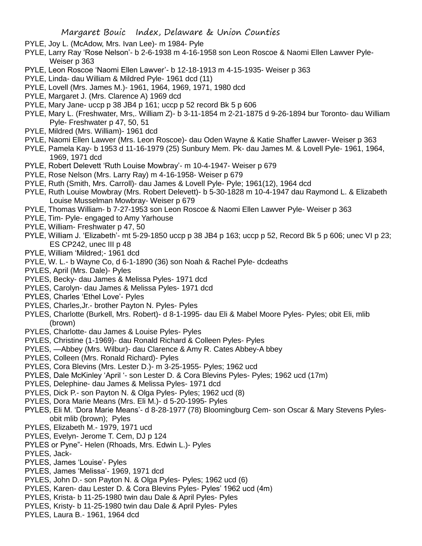- PYLE, Joy L. (McAdow, Mrs. Ivan Lee)- m 1984- Pyle
- PYLE, Larry Ray 'Rose Nelson'- b 2-6-1938 m 4-16-1958 son Leon Roscoe & Naomi Ellen Lawver Pyle-Weiser p 363
- PYLE, Leon Roscoe 'Naomi Ellen Lawver'- b 12-18-1913 m 4-15-1935- Weiser p 363
- PYLE, Linda- dau William & Mildred Pyle- 1961 dcd (11)
- PYLE, Lovell (Mrs. James M.)- 1961, 1964, 1969, 1971, 1980 dcd
- PYLE, Margaret J. (Mrs. Clarence A) 1969 dcd
- PYLE, Mary Jane- uccp p 38 JB4 p 161; uccp p 52 record Bk 5 p 606
- PYLE, Mary L. (Freshwater, Mrs,. William Z)- b 3-11-1854 m 2-21-1875 d 9-26-1894 bur Toronto- dau William Pyle- Freshwater p 47, 50, 51
- PYLE, Mildred (Mrs. William)- 1961 dcd
- PYLE, Naomi Ellen Lawver (Mrs. Leon Roscoe)- dau Oden Wayne & Katie Shaffer Lawver- Weiser p 363
- PYLE, Pamela Kay- b 1953 d 11-16-1979 (25) Sunbury Mem. Pk- dau James M. & Lovell Pyle- 1961, 1964, 1969, 1971 dcd
- PYLE, Robert Delevett 'Ruth Louise Mowbray'- m 10-4-1947- Weiser p 679
- PYLE, Rose Nelson (Mrs. Larry Ray) m 4-16-1958- Weiser p 679
- PYLE, Ruth (Smith, Mrs. Carroll)- dau James & Lovell Pyle- Pyle; 1961(12), 1964 dcd
- PYLE, Ruth Louise Mowbray (Mrs. Robert Delevett)- b 5-30-1828 m 10-4-1947 dau Raymond L. & Elizabeth Louise Musselman Mowbray- Weiser p 679
- PYLE, Thomas William- b 7-27-1953 son Leon Roscoe & Naomi Ellen Lawver Pyle- Weiser p 363
- PYLE, Tim- Pyle- engaged to Amy Yarhouse
- PYLE, William- Freshwater p 47, 50
- PYLE, William J. 'Elizabeth'- mt 5-29-1850 uccp p 38 JB4 p 163; uccp p 52, Record Bk 5 p 606; unec VI p 23; ES CP242, unec III p 48
- PYLE, William 'Mildred;- 1961 dcd
- PYLE, W. L.- b Wayne Co, d 6-1-1890 (36) son Noah & Rachel Pyle- dcdeaths
- PYLES, April (Mrs. Dale)- Pyles
- PYLES, Becky- dau James & Melissa Pyles- 1971 dcd
- PYLES, Carolyn- dau James & Melissa Pyles- 1971 dcd
- PYLES, Charles 'Ethel Love'- Pyles
- PYLES, Charles,Jr.- brother Payton N. Pyles- Pyles
- PYLES, Charlotte (Burkell, Mrs. Robert)- d 8-1-1995- dau Eli & Mabel Moore Pyles- Pyles; obit Eli, mlib (brown)
- PYLES, Charlotte- dau James & Louise Pyles- Pyles
- PYLES, Christine (1-1969)- dau Ronald Richard & Colleen Pyles- Pyles
- PYLES, —Abbey (Mrs. Wilbur)- dau Clarence & Amy R. Cates Abbey-A bbey
- PYLES, Colleen (Mrs. Ronald Richard)- Pyles
- PYLES, Cora Blevins (Mrs. Lester D.)- m 3-25-1955- Pyles; 1962 ucd
- PYLES, Dale McKinley 'April '- son Lester D. & Cora Blevins Pyles- Pyles; 1962 ucd (17m)
- PYLES, Delephine- dau James & Melissa Pyles- 1971 dcd
- PYLES, Dick P.- son Payton N. & Olga Pyles- Pyles; 1962 ucd (8)
- PYLES, Dora Marie Means (Mrs. Eli M.)- d 5-20-1995- Pyles
- PYLES, Eli M. 'Dora Marie Means'- d 8-28-1977 (78) Bloomingburg Cem- son Oscar & Mary Stevens Pylesobit mlib (brown); Pyles
- PYLES, Elizabeth M.- 1979, 1971 ucd
- PYLES, Evelyn- Jerome T. Cem, DJ p 124
- PYLES or Pyne"- Helen (Rhoads, Mrs. Edwin L.)- Pyles
- PYLES, Jack-
- PYLES, James 'Louise'- Pyles
- PYLES, James 'Melissa'- 1969, 1971 dcd
- PYLES, John D.- son Payton N. & Olga Pyles- Pyles; 1962 ucd (6)
- PYLES, Karen- dau Lester D. & Cora Blevins Pyles- Pyles' 1962 ucd (4m)
- PYLES, Krista- b 11-25-1980 twin dau Dale & April Pyles- Pyles
- PYLES, Kristy- b 11-25-1980 twin dau Dale & April Pyles- Pyles
- PYLES, Laura B.- 1961, 1964 dcd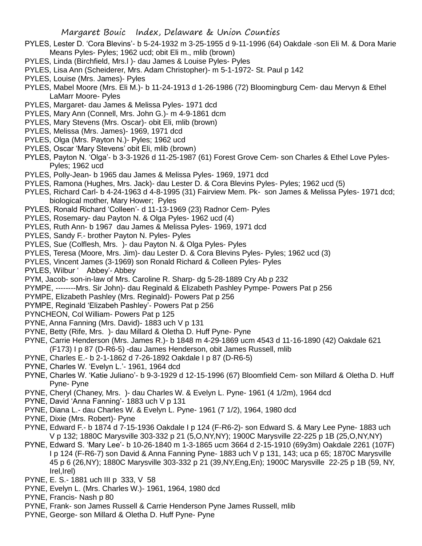- PYLES, Lester D. 'Cora Blevins'- b 5-24-1932 m 3-25-1955 d 9-11-1996 (64) Oakdale -son Eli M. & Dora Marie Means Pyles- Pyles; 1962 ucd; obit Eli m., mlib (brown)
- PYLES, Linda (Birchfield, Mrs.l )- dau James & Louise Pyles- Pyles
- PYLES, Lisa Ann (Scheiderer, Mrs. Adam Christopher)- m 5-1-1972- St. Paul p 142
- PYLES, Louise (Mrs. James)- Pyles
- PYLES, Mabel Moore (Mrs. Eli M.)- b 11-24-1913 d 1-26-1986 (72) Bloomingburg Cem- dau Mervyn & Ethel LaMarr Moore- Pyles
- PYLES, Margaret- dau James & Melissa Pyles- 1971 dcd
- PYLES, Mary Ann (Connell, Mrs. John G.)- m 4-9-1861 dcm
- PYLES, Mary Stevens (Mrs. Oscar)- obit Eli, mlib (brown)
- PYLES, Melissa (Mrs. James)- 1969, 1971 dcd
- PYLES, Olga (Mrs. Payton N.)- Pyles; 1962 ucd
- PYLES, Oscar 'Mary Stevens' obit Eli, mlib (brown)
- PYLES, Payton N. 'Olga'- b 3-3-1926 d 11-25-1987 (61) Forest Grove Cem- son Charles & Ethel Love Pyles-Pyles; 1962 ucd
- PYLES, Polly-Jean- b 1965 dau James & Melissa Pyles- 1969, 1971 dcd
- PYLES, Ramona (Hughes, Mrs. Jack)- dau Lester D. & Cora Blevins Pyles- Pyles; 1962 ucd (5)
- PYLES, Richard Carl- b 4-24-1963 d 4-8-1995 (31) Fairview Mem. Pk- son James & Melissa Pyles- 1971 dcd; biological mother, Mary Hower; Pyles
- PYLES, Ronald Richard 'Colleen'- d 11-13-1969 (23) Radnor Cem- Pyles
- PYLES, Rosemary- dau Payton N. & Olga Pyles- 1962 ucd (4)
- PYLES, Ruth Ann- b 1967 dau James & Melissa Pyles- 1969, 1971 dcd
- PYLES, Sandy F.- brother Payton N. Pyles- Pyles
- PYLES, Sue (Colflesh, Mrs. )- dau Payton N. & Olga Pyles- Pyles
- PYLES, Teresa (Moore, Mrs. Jim)- dau Lester D. & Cora Blevins Pyles- Pyles; 1962 ucd (3)
- PYLES, Vincent James (3-1969) son Ronald Richard & Colleen Pyles- Pyles
- PYLES, Wilbur ' Abbey'- Abbey
- PYM, Jacob- son-in-law of Mrs. Caroline R. Sharp- dg 5-28-1889 Cry Ab p 232
- PYMPE, --------Mrs. Sir John)- dau Reginald & Elizabeth Pashley Pympe- Powers Pat p 256
- PYMPE, Elizabeth Pashley (Mrs. Reginald)- Powers Pat p 256
- PYMPE, Reginald 'Elizabeh Pashley'- Powers Pat p 256
- PYNCHEON, Col William- Powers Pat p 125
- PYNE, Anna Fanning (Mrs. David)- 1883 uch V p 131
- PYNE, Betty (Rife, Mrs. )- dau Millard & Oletha D. Huff Pyne- Pyne
- PYNE, Carrie Henderson (Mrs. James R.)- b 1848 m 4-29-1869 ucm 4543 d 11-16-1890 (42) Oakdale 621 (F173) I p 87 (D-R6-5) -dau James Henderson, obit James Russell, mlib
- PYNE, Charles E.- b 2-1-1862 d 7-26-1892 Oakdale I p 87 (D-R6-5)
- PYNE, Charles W. 'Evelyn L.'- 1961, 1964 dcd
- PYNE, Charles W. 'Katie Juliano'- b 9-3-1929 d 12-15-1996 (67) Bloomfield Cem- son Millard & Oletha D. Huff Pyne- Pyne
- PYNE, Cheryl (Chaney, Mrs. )- dau Charles W. & Evelyn L. Pyne- 1961 (4 1/2m), 1964 dcd
- PYNE, David 'Anna Fanning'- 1883 uch V p 131
- PYNE, Diana L.- dau Charles W. & Evelyn L. Pyne- 1961 (7 1/2), 1964, 1980 dcd
- PYNE, Dixie (Mrs. Robert)- Pyne
- PYNE, Edward F.- b 1874 d 7-15-1936 Oakdale I p 124 (F-R6-2)- son Edward S. & Mary Lee Pyne- 1883 uch V p 132; 1880C Marysville 303-332 p 21 (5,O,NY,NY); 1900C Marysville 22-225 p 1B (25,O,NY,NY)
- PYNE, Edward S. 'Mary Lee'- b 10-26-1840 m 1-3-1865 ucm 3664 d 2-15-1910 (69y3m) Oakdale 2261 (107F) I p 124 (F-R6-7) son David & Anna Fanning Pyne- 1883 uch V p 131, 143; uca p 65; 1870C Marysville 45 p 6 (26,NY); 1880C Marysville 303-332 p 21 (39,NY,Eng,En); 1900C Marysville 22-25 p 1B (59, NY, Irel,Irel)
- PYNE, E. S.- 1881 uch III p 333, V 58
- PYNE, Evelyn L. (Mrs. Charles W.)- 1961, 1964, 1980 dcd
- PYNE, Francis- Nash p 80
- PYNE, Frank- son James Russell & Carrie Henderson Pyne James Russell, mlib
- PYNE, George- son Millard & Oletha D. Huff Pyne- Pyne